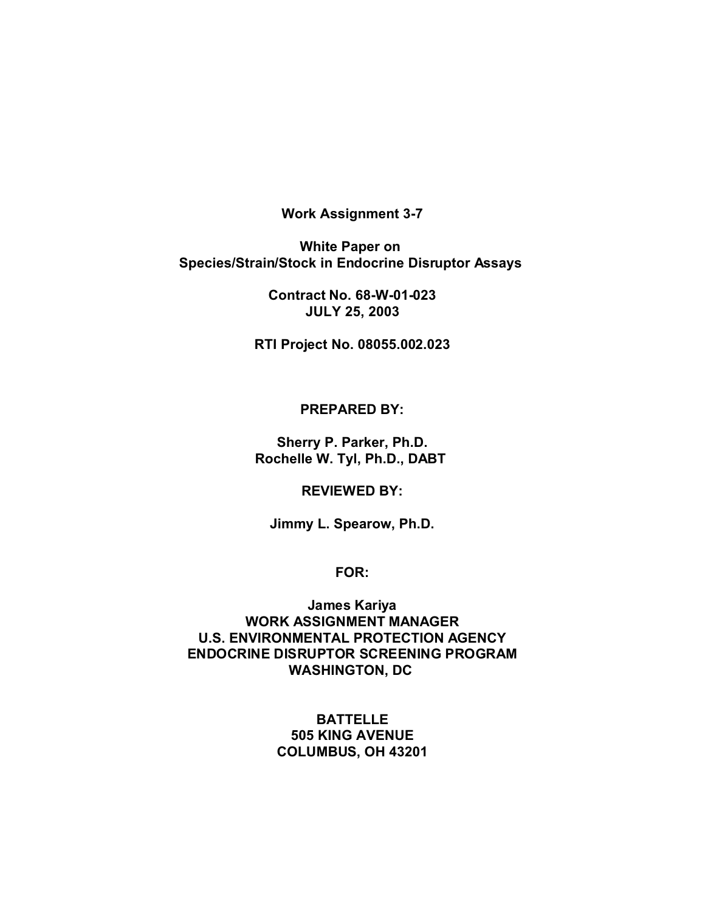**Work Assignment 3-7**

**White Paper on Species/Strain/Stock in Endocrine Disruptor Assays** 

> **Contract No. 68-W-01-023 JULY 25, 2003**

**RTI Project No. 08055.002.023**

**PREPARED BY:**

**Sherry P. Parker, Ph.D. Rochelle W. Tyl, Ph.D., DABT** 

**REVIEWED BY:**

**Jimmy L. Spearow, Ph.D.**

**FOR:**

**James Kariya WORK ASSIGNMENT MANAGER U.S. ENVIRONMENTAL PROTECTION AGENCY ENDOCRINE DISRUPTOR SCREENING PROGRAM WASHINGTON, DC** 

> **BATTELLE 505 KING AVENUE COLUMBUS, OH 43201**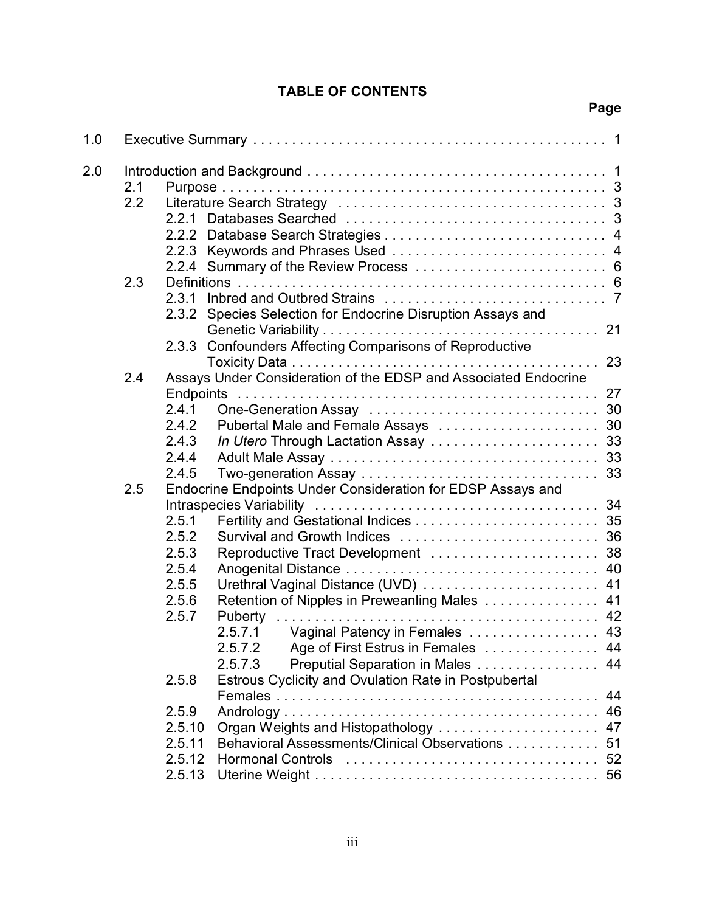## **TABLE OF CONTENTS**

## **Page**

| 1.0 |            |                                                                      |                                                                                                                                                                                                                                                                                                                                                      |                |
|-----|------------|----------------------------------------------------------------------|------------------------------------------------------------------------------------------------------------------------------------------------------------------------------------------------------------------------------------------------------------------------------------------------------------------------------------------------------|----------------|
| 2.0 | 2.1<br>2.2 | 2.2.1                                                                |                                                                                                                                                                                                                                                                                                                                                      |                |
|     | 2.3        | 2.3.1<br>2.3.2                                                       | Species Selection for Endocrine Disruption Assays and<br>2.3.3 Confounders Affecting Comparisons of Reproductive                                                                                                                                                                                                                                     |                |
|     | 2.4        | 2.4.1<br>2.4.2<br>2.4.3<br>2.4.4<br>2.4.5                            | Assays Under Consideration of the EDSP and Associated Endocrine<br>In Utero Through Lactation Assay  33                                                                                                                                                                                                                                              |                |
|     | 2.5        | 2.5.1<br>2.5.2<br>2.5.3<br>2.5.4<br>2.5.5<br>2.5.6<br>2.5.7<br>2.5.8 | Endocrine Endpoints Under Consideration for EDSP Assays and<br>Reproductive Tract Development  38<br>Retention of Nipples in Preweanling Males  41<br>2.5.7.1 Vaginal Patency in Females  43<br>2.5.7.2<br>Age of First Estrus in Females  44<br>Preputial Separation in Males 44<br>2.5.7.3<br>Estrous Cyclicity and Ovulation Rate in Postpubertal |                |
|     |            | 2.5.9<br>2.5.10<br>2.5.11<br>2.5.12<br>2.5.13                        | Organ Weights and Histopathology<br>Behavioral Assessments/Clinical Observations                                                                                                                                                                                                                                                                     | 44<br>47<br>51 |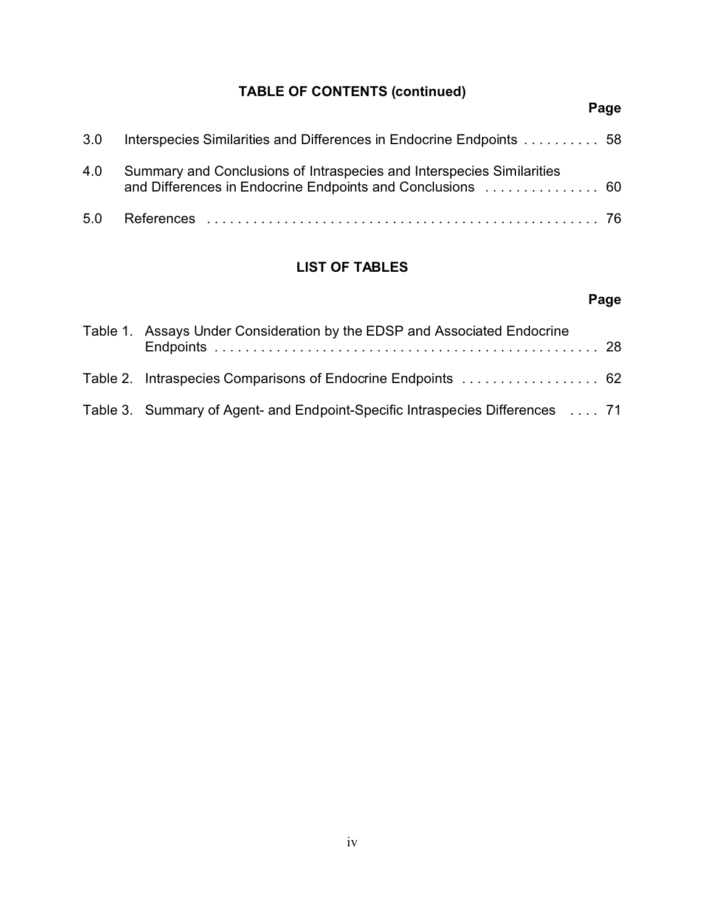# **TABLE OF CONTENTS (continued)**

# **Page**

| 3.0 | Interspecies Similarities and Differences in Endocrine Endpoints  58                                                                |  |
|-----|-------------------------------------------------------------------------------------------------------------------------------------|--|
| 4.0 | Summary and Conclusions of Intraspecies and Interspecies Similarities<br>and Differences in Endocrine Endpoints and Conclusions  60 |  |
|     |                                                                                                                                     |  |

# **LIST OF TABLES**

# **Page**

| Table 1. Assays Under Consideration by the EDSP and Associated Endocrine      |  |
|-------------------------------------------------------------------------------|--|
| Table 2. Intraspecies Comparisons of Endocrine Endpoints  62                  |  |
| Table 3. Summary of Agent- and Endpoint-Specific Intraspecies Differences  71 |  |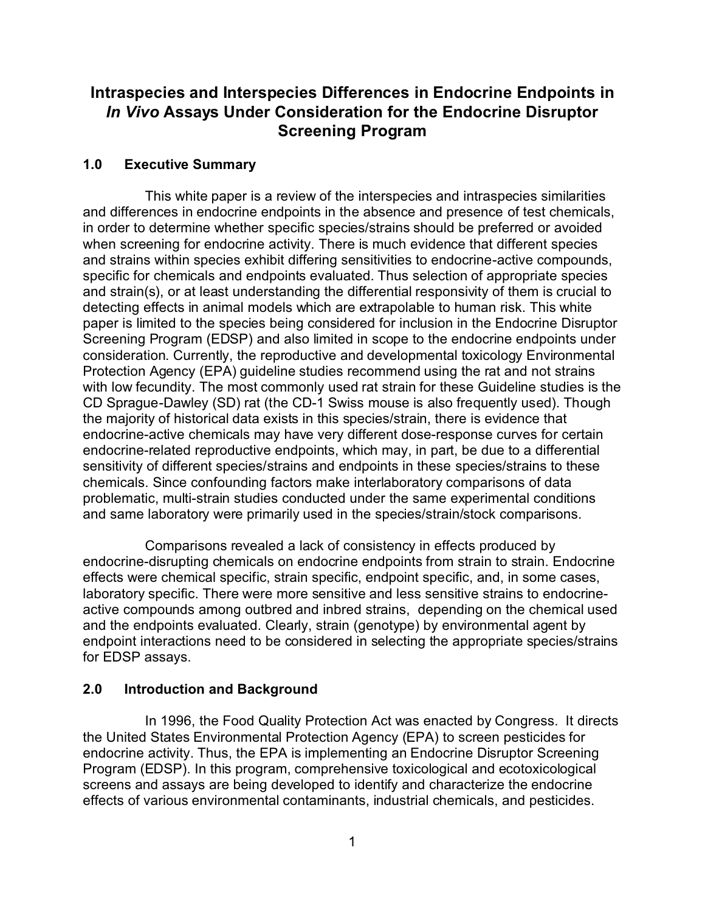## **Intraspecies and Interspecies Differences in Endocrine Endpoints in** *In Vivo* **Assays Under Consideration for the Endocrine Disruptor Screening Program**

## **1.0 Executive Summary**

This white paper is a review of the interspecies and intraspecies similarities and differences in endocrine endpoints in the absence and presence of test chemicals, in order to determine whether specific species/strains should be preferred or avoided when screening for endocrine activity. There is much evidence that different species and strains within species exhibit differing sensitivities to endocrine-active compounds, specific for chemicals and endpoints evaluated. Thus selection of appropriate species and strain(s), or at least understanding the differential responsivity of them is crucial to detecting effects in animal models which are extrapolable to human risk. This white paper is limited to the species being considered for inclusion in the Endocrine Disruptor Screening Program (EDSP) and also limited in scope to the endocrine endpoints under consideration. Currently, the reproductive and developmental toxicology Environmental Protection Agency (EPA) guideline studies recommend using the rat and not strains with low fecundity. The most commonly used rat strain for these Guideline studies is the CD Sprague-Dawley (SD) rat (the CD-1 Swiss mouse is also frequently used). Though the majority of historical data exists in this species/strain, there is evidence that endocrine-active chemicals may have very different dose-response curves for certain endocrine-related reproductive endpoints, which may, in part, be due to a differential sensitivity of different species/strains and endpoints in these species/strains to these chemicals. Since confounding factors make interlaboratory comparisons of data problematic, multi-strain studies conducted under the same experimental conditions and same laboratory were primarily used in the species/strain/stock comparisons.

Comparisons revealed a lack of consistency in effects produced by endocrine-disrupting chemicals on endocrine endpoints from strain to strain. Endocrine effects were chemical specific, strain specific, endpoint specific, and, in some cases, laboratory specific. There were more sensitive and less sensitive strains to endocrineactive compounds among outbred and inbred strains, depending on the chemical used and the endpoints evaluated. Clearly, strain (genotype) by environmental agent by endpoint interactions need to be considered in selecting the appropriate species/strains for EDSP assays.

## **2.0 Introduction and Background**

In 1996, the Food Quality Protection Act was enacted by Congress. It directs the United States Environmental Protection Agency (EPA) to screen pesticides for endocrine activity. Thus, the EPA is implementing an Endocrine Disruptor Screening Program (EDSP). In this program, comprehensive toxicological and ecotoxicological screens and assays are being developed to identify and characterize the endocrine effects of various environmental contaminants, industrial chemicals, and pesticides.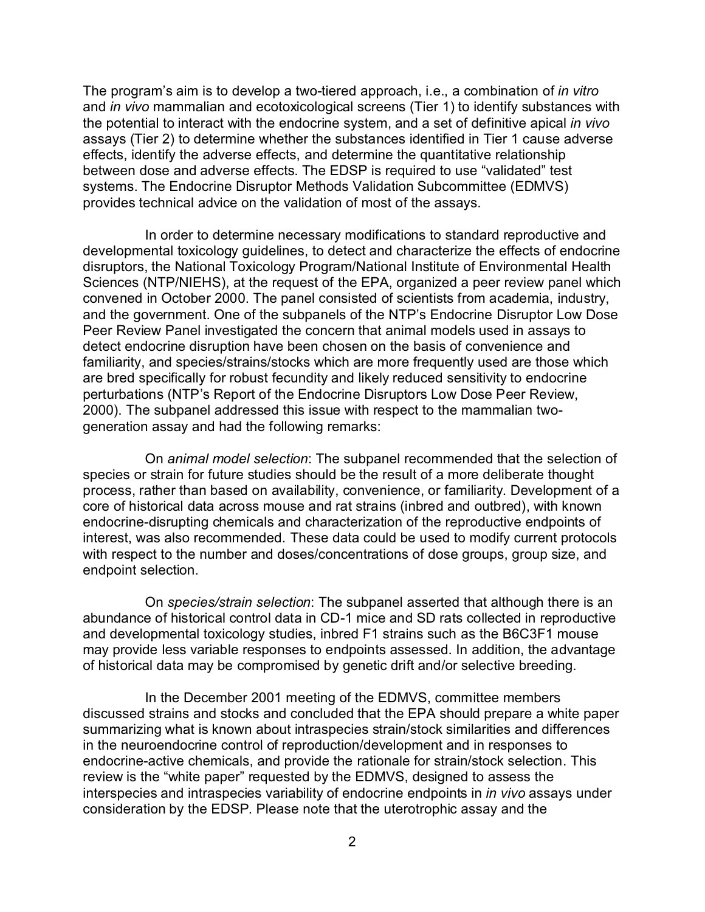The program's aim is to develop a two-tiered approach, i.e., a combination of *in vitro* and *in vivo* mammalian and ecotoxicological screens (Tier 1) to identify substances with the potential to interact with the endocrine system, and a set of definitive apical *in vivo* assays (Tier 2) to determine whether the substances identified in Tier 1 cause adverse effects, identify the adverse effects, and determine the quantitative relationship between dose and adverse effects. The EDSP is required to use "validated" test systems. The Endocrine Disruptor Methods Validation Subcommittee (EDMVS) provides technical advice on the validation of most of the assays.

In order to determine necessary modifications to standard reproductive and developmental toxicology guidelines, to detect and characterize the effects of endocrine disruptors, the National Toxicology Program/National Institute of Environmental Health Sciences (NTP/NIEHS), at the request of the EPA, organized a peer review panel which convened in October 2000. The panel consisted of scientists from academia, industry, and the government. One of the subpanels of the NTP's Endocrine Disruptor Low Dose Peer Review Panel investigated the concern that animal models used in assays to detect endocrine disruption have been chosen on the basis of convenience and familiarity, and species/strains/stocks which are more frequently used are those which are bred specifically for robust fecundity and likely reduced sensitivity to endocrine perturbations (NTP's Report of the Endocrine Disruptors Low Dose Peer Review, 2000). The subpanel addressed this issue with respect to the mammalian twogeneration assay and had the following remarks:

On *animal model selection*: The subpanel recommended that the selection of species or strain for future studies should be the result of a more deliberate thought process, rather than based on availability, convenience, or familiarity. Development of a core of historical data across mouse and rat strains (inbred and outbred), with known endocrine-disrupting chemicals and characterization of the reproductive endpoints of interest, was also recommended. These data could be used to modify current protocols with respect to the number and doses/concentrations of dose groups, group size, and endpoint selection.

On *species/strain selection*: The subpanel asserted that although there is an abundance of historical control data in CD-1 mice and SD rats collected in reproductive and developmental toxicology studies, inbred F1 strains such as the B6C3F1 mouse may provide less variable responses to endpoints assessed. In addition, the advantage of historical data may be compromised by genetic drift and/or selective breeding.

In the December 2001 meeting of the EDMVS, committee members discussed strains and stocks and concluded that the EPA should prepare a white paper summarizing what is known about intraspecies strain/stock similarities and differences in the neuroendocrine control of reproduction/development and in responses to endocrine-active chemicals, and provide the rationale for strain/stock selection. This review is the "white paper" requested by the EDMVS, designed to assess the interspecies and intraspecies variability of endocrine endpoints in *in vivo* assays under consideration by the EDSP. Please note that the uterotrophic assay and the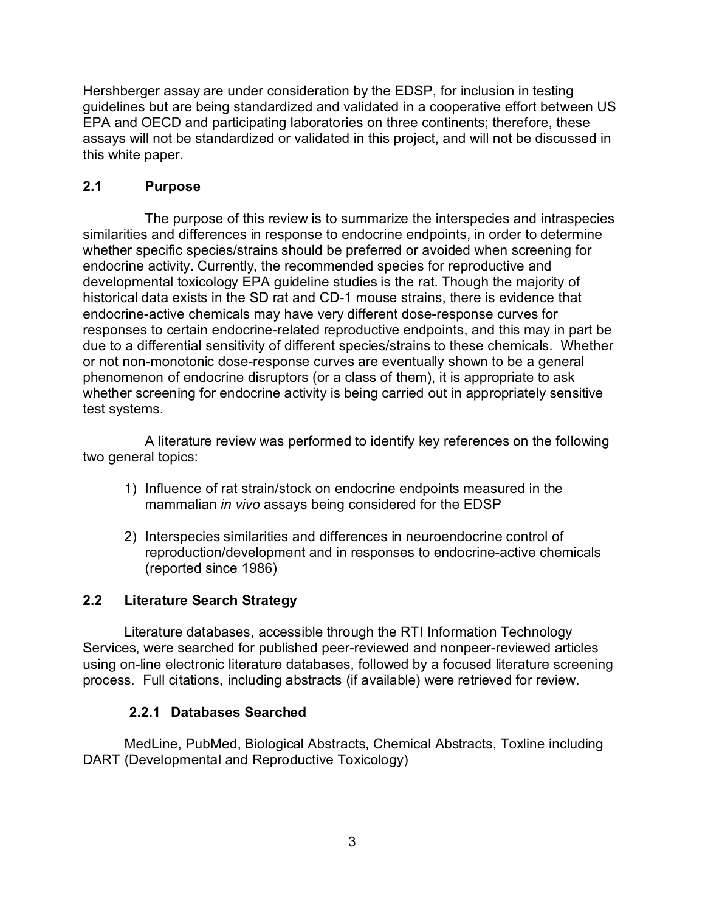Hershberger assay are under consideration by the EDSP, for inclusion in testing guidelines but are being standardized and validated in a cooperative effort between US EPA and OECD and participating laboratories on three continents; therefore, these assays will not be standardized or validated in this project, and will not be discussed in this white paper.

## **2.1 Purpose**

The purpose of this review is to summarize the interspecies and intraspecies similarities and differences in response to endocrine endpoints, in order to determine whether specific species/strains should be preferred or avoided when screening for endocrine activity. Currently, the recommended species for reproductive and developmental toxicology EPA guideline studies is the rat. Though the majority of historical data exists in the SD rat and CD-1 mouse strains, there is evidence that endocrine-active chemicals may have very different dose-response curves for responses to certain endocrine-related reproductive endpoints, and this may in part be due to a differential sensitivity of different species/strains to these chemicals. Whether or not non-monotonic dose-response curves are eventually shown to be a general phenomenon of endocrine disruptors (or a class of them), it is appropriate to ask whether screening for endocrine activity is being carried out in appropriately sensitive test systems.

A literature review was performed to identify key references on the following two general topics:

- 1) Influence of rat strain/stock on endocrine endpoints measured in the mammalian *in vivo* assays being considered for the EDSP
- 2) Interspecies similarities and differences in neuroendocrine control of reproduction/development and in responses to endocrine-active chemicals (reported since 1986)

## **2.2 Literature Search Strategy**

Literature databases, accessible through the RTI Information Technology Services, were searched for published peer-reviewed and nonpeer-reviewed articles using on-line electronic literature databases, followed by a focused literature screening process. Full citations, including abstracts (if available) were retrieved for review.

## **2.2.1 Databases Searched**

MedLine, PubMed, Biological Abstracts, Chemical Abstracts, Toxline including DART (Developmental and Reproductive Toxicology)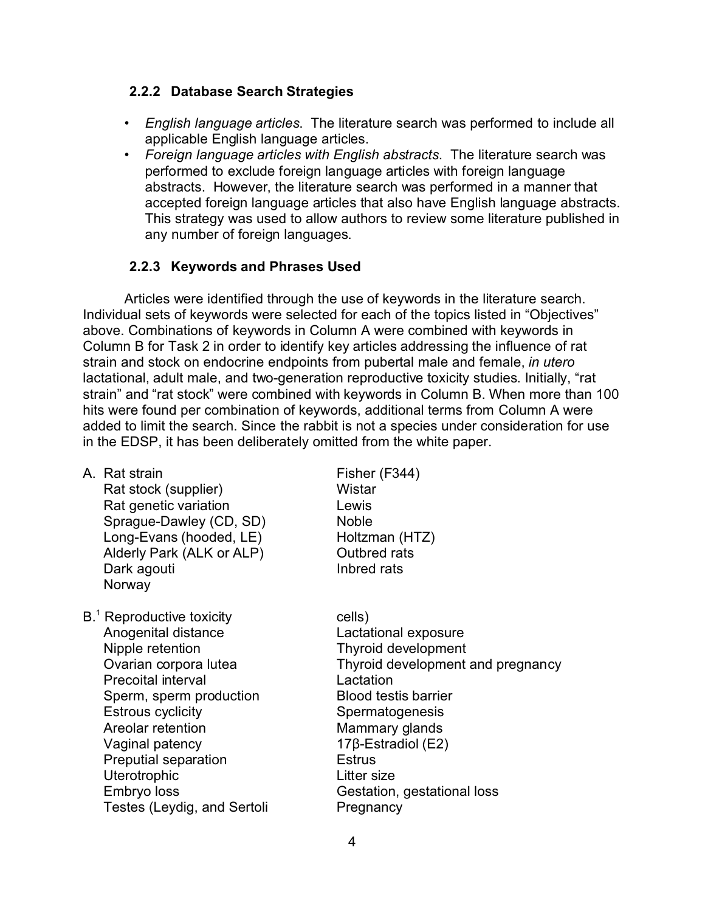## **2.2.2 Database Search Strategies**

- *English language articles*. The literature search was performed to include all applicable English language articles.
- *Foreign language articles with English abstracts*. The literature search was performed to exclude foreign language articles with foreign language abstracts. However, the literature search was performed in a manner that accepted foreign language articles that also have English language abstracts. This strategy was used to allow authors to review some literature published in any number of foreign languages.

## **2.2.3 Keywords and Phrases Used**

Articles were identified through the use of keywords in the literature search. Individual sets of keywords were selected for each of the topics listed in "Objectives" above. Combinations of keywords in Column A were combined with keywords in Column B for Task 2 in order to identify key articles addressing the influence of rat strain and stock on endocrine endpoints from pubertal male and female, *in utero* lactational, adult male, and two-generation reproductive toxicity studies. Initially, "rat strain" and "rat stock" were combined with keywords in Column B. When more than 100 hits were found per combination of keywords, additional terms from Column A were added to limit the search. Since the rabbit is not a species under consideration for use in the EDSP, it has been deliberately omitted from the white paper.

| A.  Rat strain<br>Rat stock (supplier)<br>Rat genetic variation<br>Sprague-Dawley (CD, SD)<br>Long-Evans (hooded, LE)<br>Alderly Park (ALK or ALP)<br>Dark agouti<br>Norway                                                                                                                         | Fisher (F344)<br>Wistar<br>Lewis<br><b>Noble</b><br>Holtzman (HTZ)<br>Outbred rats<br>Inbred rats                                                                                                                                                                       |
|-----------------------------------------------------------------------------------------------------------------------------------------------------------------------------------------------------------------------------------------------------------------------------------------------------|-------------------------------------------------------------------------------------------------------------------------------------------------------------------------------------------------------------------------------------------------------------------------|
| B. <sup>1</sup> Reproductive toxicity<br>Anogenital distance<br>Nipple retention<br>Ovarian corpora lutea<br><b>Precoital interval</b><br>Sperm, sperm production<br><b>Estrous cyclicity</b><br>Areolar retention<br>Vaginal patency<br>Preputial separation<br><b>Uterotrophic</b><br>Embryo loss | cells)<br>Lactational exposure<br>Thyroid development<br>Thyroid development and pregnancy<br>Lactation<br><b>Blood testis barrier</b><br>Spermatogenesis<br>Mammary glands<br>$17\beta$ -Estradiol (E2)<br><b>Estrus</b><br>Litter size<br>Gestation, gestational loss |
| Testes (Leydig, and Sertoli                                                                                                                                                                                                                                                                         | Pregnancy                                                                                                                                                                                                                                                               |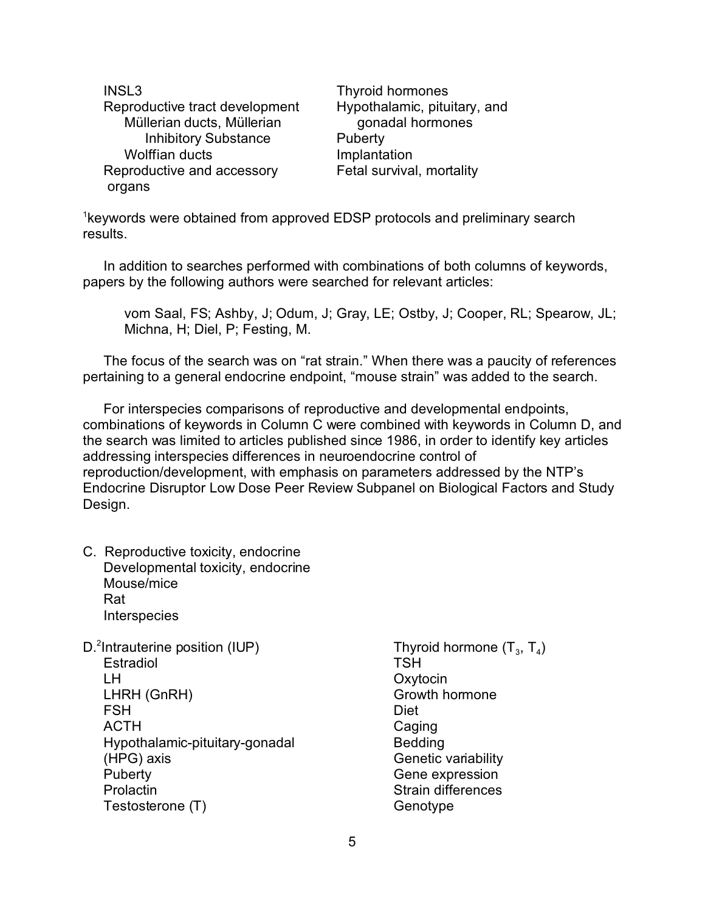INSL3 Reproductive tract development Müllerian ducts, Müllerian Inhibitory Substance Wolffian ducts Reproductive and accessory organs

Thyroid hormones Hypothalamic, pituitary, and gonadal hormones **Puberty** Implantation Fetal survival, mortality

<sup>1</sup>keywords were obtained from approved EDSP protocols and preliminary search results.

In addition to searches performed with combinations of both columns of keywords, papers by the following authors were searched for relevant articles:

vom Saal, FS; Ashby, J; Odum, J; Gray, LE; Ostby, J; Cooper, RL; Spearow, JL; Michna, H; Diel, P; Festing, M.

The focus of the search was on "rat strain." When there was a paucity of references pertaining to a general endocrine endpoint, "mouse strain" was added to the search.

For interspecies comparisons of reproductive and developmental endpoints, combinations of keywords in Column C were combined with keywords in Column D, and the search was limited to articles published since 1986, in order to identify key articles addressing interspecies differences in neuroendocrine control of reproduction/development, with emphasis on parameters addressed by the NTP's Endocrine Disruptor Low Dose Peer Review Subpanel on Biological Factors and Study Design.

- C. Reproductive toxicity, endocrine Developmental toxicity, endocrine Mouse/mice Rat **Interspecies**
- D.<sup>2</sup>Intrauterine position (IUP) **Estradiol** LH LHRH (GnRH) **FSH** ACTH Hypothalamic-pituitary-gonadal (HPG) axis **Puberty Prolactin** Testosterone (T)
- Thyroid hormone  $(\mathsf{T}_3,\,\mathsf{T}_4)$ **TSH Oxytocin** Growth hormone Diet Caging Bedding Genetic variability Gene expression Strain differences **Genotype**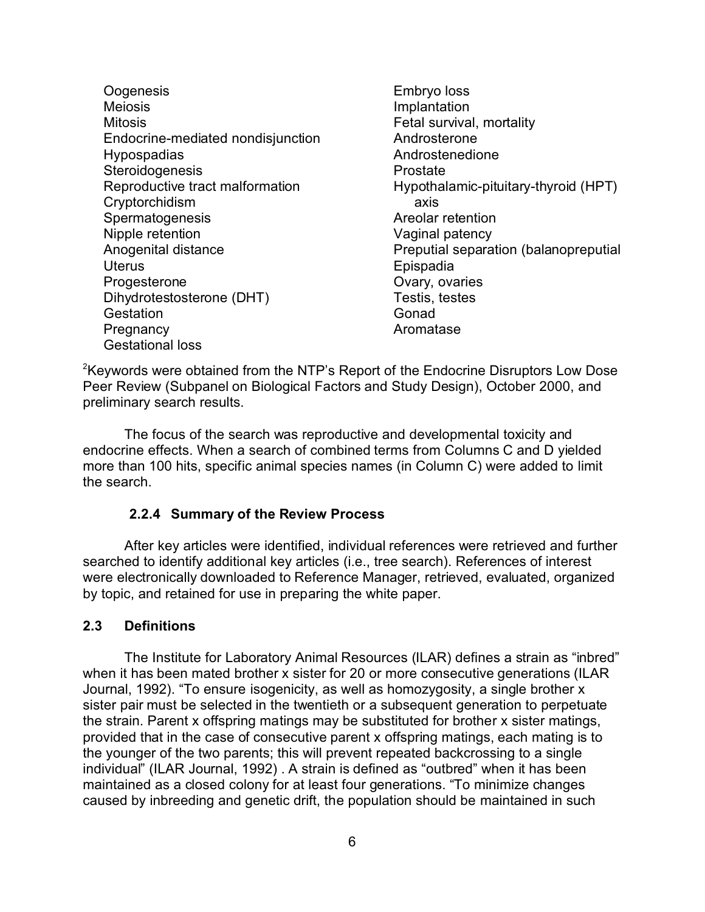- **Oogenesis** Meiosis Mitosis Endocrine-mediated nondisjunction Hypospadias **Steroidogenesis** Reproductive tract malformation Cryptorchidism Spermatogenesis Nipple retention Anogenital distance **Uterus Progesterone** Dihydrotestosterone (DHT) **Gestation Pregnancy** Gestational loss
- Embryo loss Implantation Fetal survival, mortality Androsterone Androstenedione Prostate Hypothalamic-pituitary-thyroid (HPT) axis Areolar retention Vaginal patency Preputial separation (balanopreputial Epispadia Ovary, ovaries Testis, testes Gonad Aromatase

<sup>2</sup>Keywords were obtained from the NTP's Report of the Endocrine Disruptors Low Dose Peer Review (Subpanel on Biological Factors and Study Design), October 2000, and preliminary search results.

The focus of the search was reproductive and developmental toxicity and endocrine effects. When a search of combined terms from Columns C and D yielded more than 100 hits, specific animal species names (in Column C) were added to limit the search.

#### **2.2.4 Summary of the Review Process**

After key articles were identified, individual references were retrieved and further searched to identify additional key articles (i.e., tree search). References of interest were electronically downloaded to Reference Manager, retrieved, evaluated, organized by topic, and retained for use in preparing the white paper.

### **2.3 Definitions**

The Institute for Laboratory Animal Resources (ILAR) defines a strain as "inbred" when it has been mated brother x sister for 20 or more consecutive generations (ILAR Journal, 1992). "To ensure isogenicity, as well as homozygosity, a single brother x sister pair must be selected in the twentieth or a subsequent generation to perpetuate the strain. Parent x offspring matings may be substituted for brother x sister matings, provided that in the case of consecutive parent x offspring matings, each mating is to the younger of the two parents; this will prevent repeated backcrossing to a single individual" (ILAR Journal, 1992) . A strain is defined as "outbred" when it has been maintained as a closed colony for at least four generations. "To minimize changes caused by inbreeding and genetic drift, the population should be maintained in such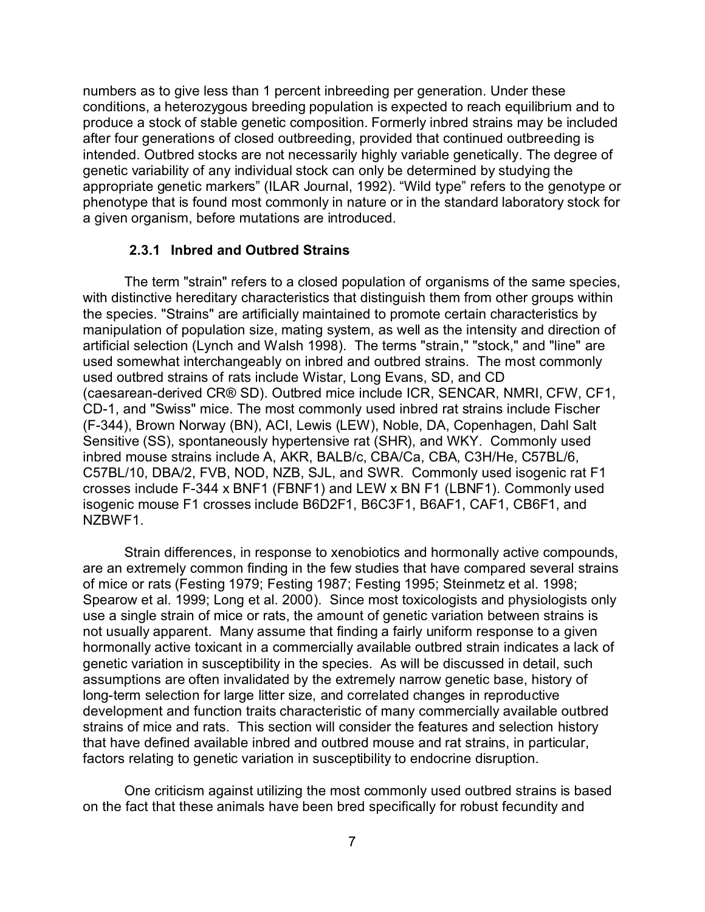numbers as to give less than 1 percent inbreeding per generation. Under these conditions, a heterozygous breeding population is expected to reach equilibrium and to produce a stock of stable genetic composition. Formerly inbred strains may be included after four generations of closed outbreeding, provided that continued outbreeding is intended. Outbred stocks are not necessarily highly variable genetically. The degree of genetic variability of any individual stock can only be determined by studying the appropriate genetic markers" (ILAR Journal, 1992). "Wild type" refers to the genotype or phenotype that is found most commonly in nature or in the standard laboratory stock for a given organism, before mutations are introduced.

#### **2.3.1 Inbred and Outbred Strains**

The term "strain" refers to a closed population of organisms of the same species, with distinctive hereditary characteristics that distinguish them from other groups within the species. "Strains" are artificially maintained to promote certain characteristics by manipulation of population size, mating system, as well as the intensity and direction of artificial selection (Lynch and Walsh 1998). The terms "strain," "stock," and "line" are used somewhat interchangeably on inbred and outbred strains. The most commonly used outbred strains of rats include Wistar, Long Evans, SD, and CD (caesarean-derived CR® SD). Outbred mice include ICR, SENCAR, NMRI, CFW, CF1, CD-1, and "Swiss" mice. The most commonly used inbred rat strains include Fischer (F-344), Brown Norway (BN), ACI, Lewis (LEW), Noble, DA, Copenhagen, Dahl Salt Sensitive (SS), spontaneously hypertensive rat (SHR), and WKY. Commonly used inbred mouse strains include A, AKR, BALB/c, CBA/Ca, CBA, C3H/He, C57BL/6, C57BL/10, DBA/2, FVB, NOD, NZB, SJL, and SWR. Commonly used isogenic rat F1 crosses include F-344 x BNF1 (FBNF1) and LEW x BN F1 (LBNF1). Commonly used isogenic mouse F1 crosses include B6D2F1, B6C3F1, B6AF1, CAF1, CB6F1, and NZBWF1.

Strain differences, in response to xenobiotics and hormonally active compounds, are an extremely common finding in the few studies that have compared several strains of mice or rats (Festing 1979; Festing 1987; Festing 1995; Steinmetz et al. 1998; Spearow et al. 1999; Long et al. 2000). Since most toxicologists and physiologists only use a single strain of mice or rats, the amount of genetic variation between strains is not usually apparent. Many assume that finding a fairly uniform response to a given hormonally active toxicant in a commercially available outbred strain indicates a lack of genetic variation in susceptibility in the species. As will be discussed in detail, such assumptions are often invalidated by the extremely narrow genetic base, history of long-term selection for large litter size, and correlated changes in reproductive development and function traits characteristic of many commercially available outbred strains of mice and rats. This section will consider the features and selection history that have defined available inbred and outbred mouse and rat strains, in particular, factors relating to genetic variation in susceptibility to endocrine disruption.

One criticism against utilizing the most commonly used outbred strains is based on the fact that these animals have been bred specifically for robust fecundity and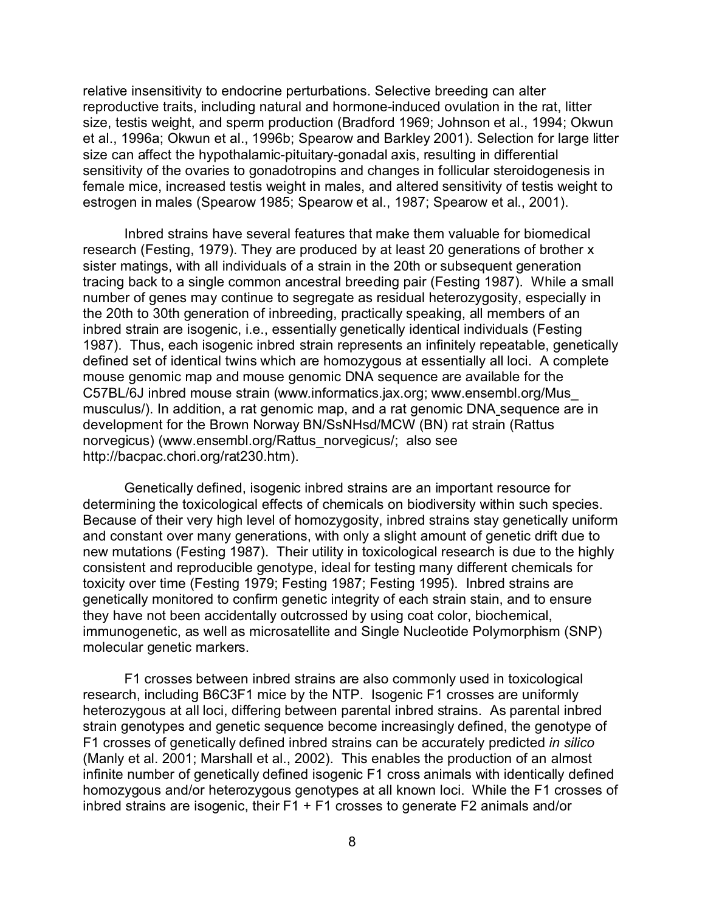relative insensitivity to endocrine perturbations. Selective breeding can alter reproductive traits, including natural and hormone-induced ovulation in the rat, litter size, testis weight, and sperm production (Bradford 1969; Johnson et al., 1994; Okwun et al., 1996a; Okwun et al., 1996b; Spearow and Barkley 2001). Selection for large litter size can affect the hypothalamic-pituitary-gonadal axis, resulting in differential sensitivity of the ovaries to gonadotropins and changes in follicular steroidogenesis in female mice, increased testis weight in males, and altered sensitivity of testis weight to estrogen in males (Spearow 1985; Spearow et al., 1987; Spearow et al., 2001).

Inbred strains have several features that make them valuable for biomedical research (Festing, 1979). They are produced by at least 20 generations of brother x sister matings, with all individuals of a strain in the 20th or subsequent generation tracing back to a single common ancestral breeding pair (Festing 1987). While a small number of genes may continue to segregate as residual heterozygosity, especially in the 20th to 30th generation of inbreeding, practically speaking, all members of an inbred strain are isogenic, i.e., essentially genetically identical individuals (Festing 1987). Thus, each isogenic inbred strain represents an infinitely repeatable, genetically defined set of identical twins which are homozygous at essentially all loci. A complete mouse genomic map and mouse genomic DNA sequence are available for the C57BL/6J inbred mouse strain (www.informatics.jax.org; [www.ensembl.org/Mus\\_](http://www.ensembl.org) musculus/). In addition, a rat genomic map, and a rat genomic DNA sequence are in development for the Brown Norway BN/SsNHsd/MCW (BN) rat strain (Rattus norvegicus) (www.ensembl.org/Rattus\_norvegicus/; also see http://bacpac.chori.org/rat230.htm).

Genetically defined, isogenic inbred strains are an important resource for determining the toxicological effects of chemicals on biodiversity within such species. Because of their very high level of homozygosity, inbred strains stay genetically uniform and constant over many generations, with only a slight amount of genetic drift due to new mutations (Festing 1987). Their utility in toxicological research is due to the highly consistent and reproducible genotype, ideal for testing many different chemicals for toxicity over time (Festing 1979; Festing 1987; Festing 1995). Inbred strains are genetically monitored to confirm genetic integrity of each strain stain, and to ensure they have not been accidentally outcrossed by using coat color, biochemical, immunogenetic, as well as microsatellite and Single Nucleotide Polymorphism (SNP) molecular genetic markers.

F1 crosses between inbred strains are also commonly used in toxicological research, including B6C3F1 mice by the NTP. Isogenic F1 crosses are uniformly heterozygous at all loci, differing between parental inbred strains. As parental inbred strain genotypes and genetic sequence become increasingly defined, the genotype of F1 crosses of genetically defined inbred strains can be accurately predicted *in silico* (Manly et al. 2001; Marshall et al., 2002). This enables the production of an almost infinite number of genetically defined isogenic F1 cross animals with identically defined homozygous and/or heterozygous genotypes at all known loci. While the F1 crosses of inbred strains are isogenic, their  $F1 + F1$  crosses to generate  $F2$  animals and/or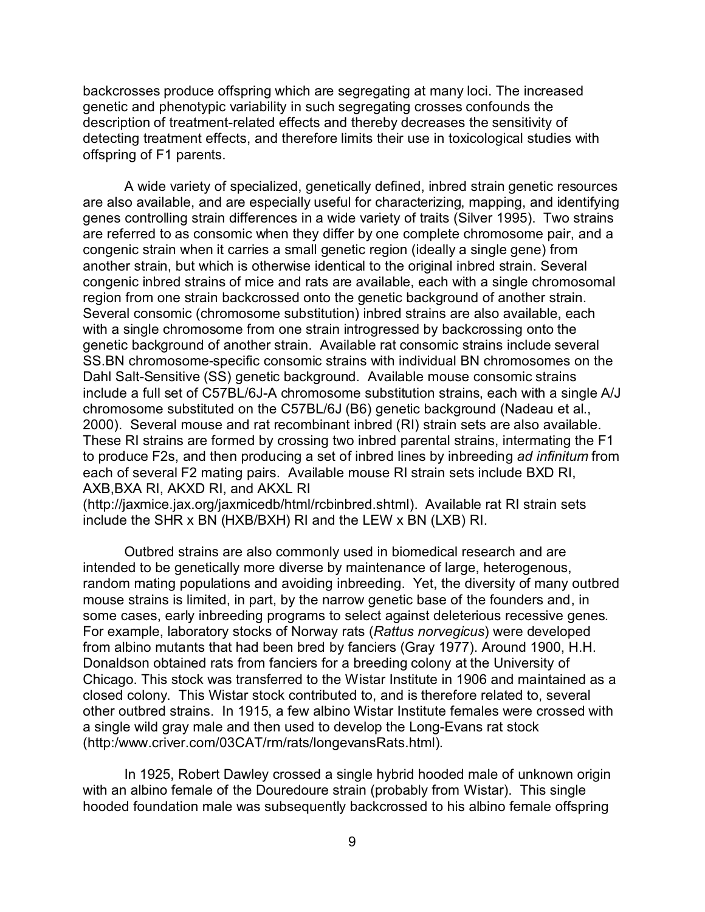backcrosses produce offspring which are segregating at many loci. The increased genetic and phenotypic variability in such segregating crosses confounds the description of treatment-related effects and thereby decreases the sensitivity of detecting treatment effects, and therefore limits their use in toxicological studies with offspring of F1 parents.

A wide variety of specialized, genetically defined, inbred strain genetic resources are also available, and are especially useful for characterizing, mapping, and identifying genes controlling strain differences in a wide variety of traits (Silver 1995). Two strains are referred to as consomic when they differ by one complete chromosome pair, and a congenic strain when it carries a small genetic region (ideally a single gene) from another strain, but which is otherwise identical to the original inbred strain. Several congenic inbred strains of mice and rats are available, each with a single chromosomal region from one strain backcrossed onto the genetic background of another strain. Several consomic (chromosome substitution) inbred strains are also available, each with a single chromosome from one strain introgressed by backcrossing onto the genetic background of another strain. Available rat consomic strains include several SS.BN chromosome-specific consomic strains with individual BN chromosomes on the Dahl Salt-Sensitive (SS) genetic background. Available mouse consomic strains include a full set of C57BL/6J-A chromosome substitution strains, each with a single A/J chromosome substituted on the C57BL/6J (B6) genetic background (Nadeau et al., 2000). Several mouse and rat recombinant inbred (RI) strain sets are also available. These RI strains are formed by crossing two inbred parental strains, intermating the F1 to produce F2s, and then producing a set of inbred lines by inbreeding *ad infinitum* from each of several F2 mating pairs. Available mouse RI strain sets include BXD RI, AXB,BXA RI, AKXD RI, and AKXL RI

(http://jaxmice.jax.org/jaxmicedb/html/rcbinbred.shtml). Available rat RI strain sets include the SHR x BN (HXB/BXH) RI and the LEW x BN (LXB) RI.

Outbred strains are also commonly used in biomedical research and are intended to be genetically more diverse by maintenance of large, heterogenous, random mating populations and avoiding inbreeding. Yet, the diversity of many outbred mouse strains is limited, in part, by the narrow genetic base of the founders and, in some cases, early inbreeding programs to select against deleterious recessive genes. For example, laboratory stocks of Norway rats (*Rattus norvegicus*) were developed from albino mutants that had been bred by fanciers (Gray 1977). Around 1900, H.H. Donaldson obtained rats from fanciers for a breeding colony at the University of Chicago. This stock was transferred to the Wistar Institute in 1906 and maintained as a closed colony. This Wistar stock contributed to, and is therefore related to, several other outbred strains. In 1915, a few albino Wistar Institute females were crossed with a single wild gray male and then used to develop the Long-Evans rat stock (http:/www.criver.com/03CAT/rm/rats/longevansRats.html).

In 1925, Robert Dawley crossed a single hybrid hooded male of unknown origin with an albino female of the Douredoure strain (probably from Wistar). This single hooded foundation male was subsequently backcrossed to his albino female offspring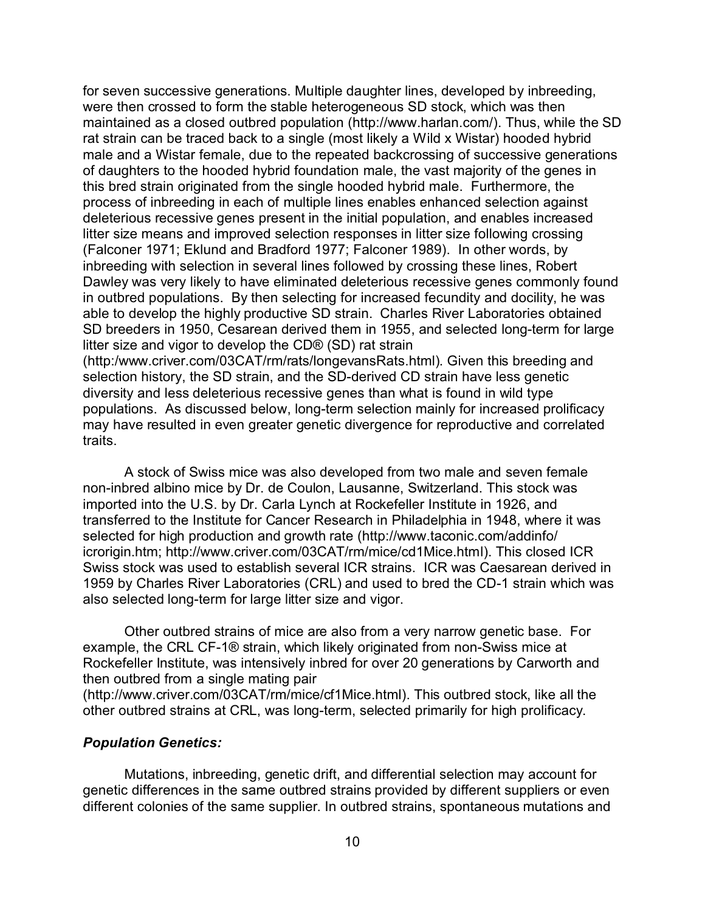for seven successive generations. Multiple daughter lines, developed by inbreeding, were then crossed to form the stable heterogeneous SD stock, which was then maintained as a closed outbred population (http://www.harlan.com/). Thus, while the SD rat strain can be traced back to a single (most likely a Wild x Wistar) hooded hybrid male and a Wistar female, due to the repeated backcrossing of successive generations of daughters to the hooded hybrid foundation male, the vast majority of the genes in this bred strain originated from the single hooded hybrid male. Furthermore, the process of inbreeding in each of multiple lines enables enhanced selection against deleterious recessive genes present in the initial population, and enables increased litter size means and improved selection responses in litter size following crossing (Falconer 1971; Eklund and Bradford 1977; Falconer 1989). In other words, by inbreeding with selection in several lines followed by crossing these lines, Robert Dawley was very likely to have eliminated deleterious recessive genes commonly found in outbred populations. By then selecting for increased fecundity and docility, he was able to develop the highly productive SD strain. Charles River Laboratories obtained SD breeders in 1950, Cesarean derived them in 1955, and selected long-term for large litter size and vigor to develop the CD® (SD) rat strain (http:/www.criver.com/03CAT/rm/rats/longevansRats.html). Given this breeding and selection history, the SD strain, and the SD-derived CD strain have less genetic diversity and less deleterious recessive genes than what is found in wild type populations. As discussed below, long-term selection mainly for increased prolificacy may have resulted in even greater genetic divergence for reproductive and correlated traits.

A stock of Swiss mice was also developed from two male and seven female non-inbred albino mice by Dr. de Coulon, Lausanne, Switzerland. This stock was imported into the U.S. by Dr. Carla Lynch at Rockefeller Institute in 1926, and transferred to the Institute for Cancer Research in Philadelphia in 1948, where it was selected for high production and growth rate (http://www.taconic.com/addinfo/ icrorigin.htm; http://www.criver.com/03CAT/rm/mice/cd1Mice.html). This closed ICR Swiss stock was used to establish several ICR strains. ICR was Caesarean derived in 1959 by Charles River Laboratories (CRL) and used to bred the CD-1 strain which was also selected long-term for large litter size and vigor.

Other outbred strains of mice are also from a very narrow genetic base. For example, the CRL CF-1® strain, which likely originated from non-Swiss mice at Rockefeller Institute, was intensively inbred for over 20 generations by Carworth and then outbred from a single mating pair

(http://www.criver.com/03CAT/rm/mice/cf1Mice.html). This outbred stock, like all the other outbred strains at CRL, was long-term, selected primarily for high prolificacy.

#### *Population Genetics:*

Mutations, inbreeding, genetic drift, and differential selection may account for genetic differences in the same outbred strains provided by different suppliers or even different colonies of the same supplier. In outbred strains, spontaneous mutations and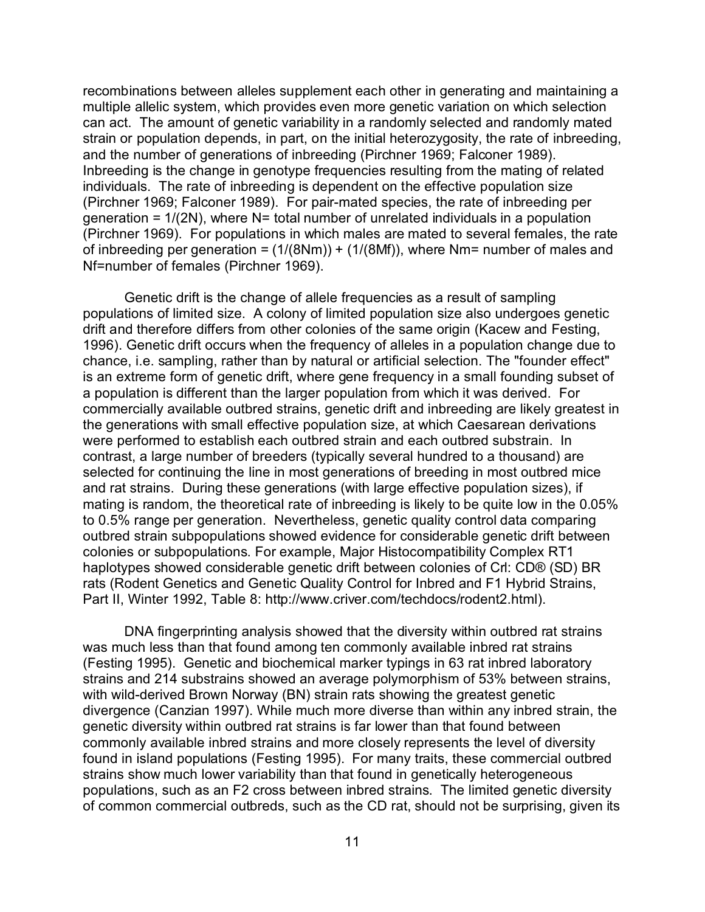recombinations between alleles supplement each other in generating and maintaining a multiple allelic system, which provides even more genetic variation on which selection can act. The amount of genetic variability in a randomly selected and randomly mated strain or population depends, in part, on the initial heterozygosity, the rate of inbreeding, and the number of generations of inbreeding (Pirchner 1969; Falconer 1989). Inbreeding is the change in genotype frequencies resulting from the mating of related individuals. The rate of inbreeding is dependent on the effective population size (Pirchner 1969; Falconer 1989). For pair-mated species, the rate of inbreeding per generation =  $1/(2N)$ , where N= total number of unrelated individuals in a population (Pirchner 1969). For populations in which males are mated to several females, the rate of inbreeding per generation =  $(1/(8Nm)) + (1/(8Mf))$ , where Nm= number of males and Nf=number of females (Pirchner 1969).

Genetic drift is the change of allele frequencies as a result of sampling populations of limited size. A colony of limited population size also undergoes genetic drift and therefore differs from other colonies of the same origin (Kacew and Festing, 1996). Genetic drift occurs when the frequency of alleles in a population change due to chance, i.e. sampling, rather than by natural or artificial selection. The "founder effect" is an extreme form of genetic drift, where gene frequency in a small founding subset of a population is different than the larger population from which it was derived. For commercially available outbred strains, genetic drift and inbreeding are likely greatest in the generations with small effective population size, at which Caesarean derivations were performed to establish each outbred strain and each outbred substrain. In contrast, a large number of breeders (typically several hundred to a thousand) are selected for continuing the line in most generations of breeding in most outbred mice and rat strains. During these generations (with large effective population sizes), if mating is random, the theoretical rate of inbreeding is likely to be quite low in the 0.05% to 0.5% range per generation. Nevertheless, genetic quality control data comparing outbred strain subpopulations showed evidence for considerable genetic drift between colonies or subpopulations. For example, Major Histocompatibility Complex RT1 haplotypes showed considerable genetic drift between colonies of Crl: CD® (SD) BR rats (Rodent Genetics and Genetic Quality Control for Inbred and F1 Hybrid Strains, Part II, Winter 1992, Table 8: http://www.criver.com/techdocs/rodent2.html).

DNA fingerprinting analysis showed that the diversity within outbred rat strains was much less than that found among ten commonly available inbred rat strains (Festing 1995). Genetic and biochemical marker typings in 63 rat inbred laboratory strains and 214 substrains showed an average polymorphism of 53% between strains, with wild-derived Brown Norway (BN) strain rats showing the greatest genetic divergence (Canzian 1997). While much more diverse than within any inbred strain, the genetic diversity within outbred rat strains is far lower than that found between commonly available inbred strains and more closely represents the level of diversity found in island populations (Festing 1995). For many traits, these commercial outbred strains show much lower variability than that found in genetically heterogeneous populations, such as an F2 cross between inbred strains. The limited genetic diversity of common commercial outbreds, such as the CD rat, should not be surprising, given its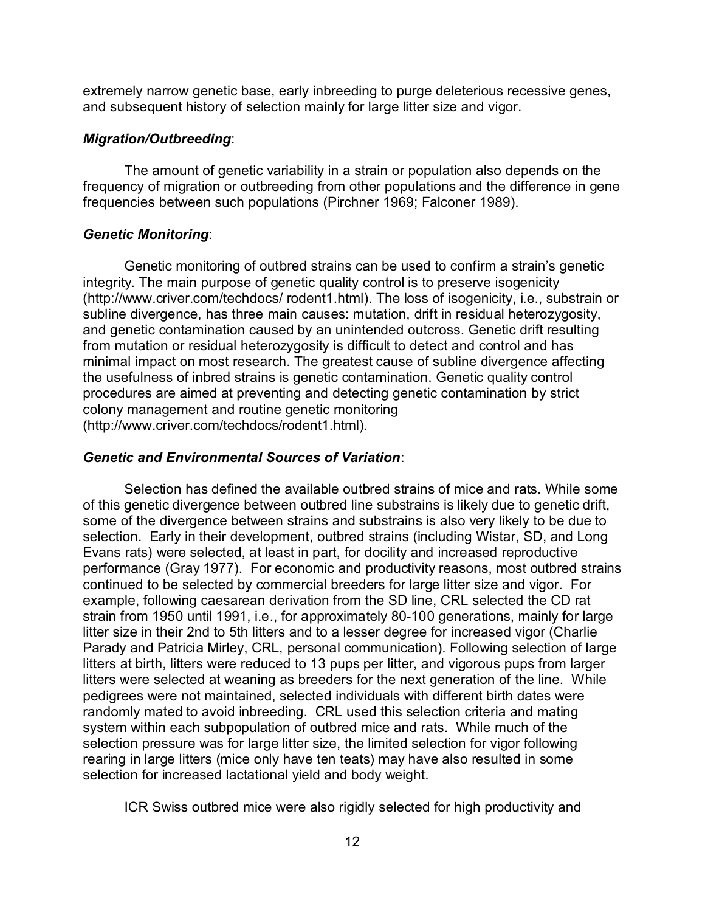extremely narrow genetic base, early inbreeding to purge deleterious recessive genes, and subsequent history of selection mainly for large litter size and vigor.

#### *Migration/Outbreeding*:

The amount of genetic variability in a strain or population also depends on the frequency of migration or outbreeding from other populations and the difference in gene frequencies between such populations (Pirchner 1969; Falconer 1989).

#### *Genetic Monitoring*:

Genetic monitoring of outbred strains can be used to confirm a strain's genetic integrity. The main purpose of genetic quality control is to preserve isogenicity (http://www.criver.com/techdocs/ rodent1.html). The loss of isogenicity, i.e., substrain or subline divergence, has three main causes: mutation, drift in residual heterozygosity, and genetic contamination caused by an unintended outcross. Genetic drift resulting from mutation or residual heterozygosity is difficult to detect and control and has minimal impact on most research. The greatest cause of subline divergence affecting the usefulness of inbred strains is genetic contamination. Genetic quality control procedures are aimed at preventing and detecting genetic contamination by strict colony management and routine genetic monitoring (http://www.criver.com/techdocs/rodent1.html).

#### *Genetic and Environmental Sources of Variation*:

Selection has defined the available outbred strains of mice and rats. While some of this genetic divergence between outbred line substrains is likely due to genetic drift, some of the divergence between strains and substrains is also very likely to be due to selection. Early in their development, outbred strains (including Wistar, SD, and Long Evans rats) were selected, at least in part, for docility and increased reproductive performance (Gray 1977). For economic and productivity reasons, most outbred strains continued to be selected by commercial breeders for large litter size and vigor. For example, following caesarean derivation from the SD line, CRL selected the CD rat strain from 1950 until 1991, i.e., for approximately 80-100 generations, mainly for large litter size in their 2nd to 5th litters and to a lesser degree for increased vigor (Charlie Parady and Patricia Mirley, CRL, personal communication). Following selection of large litters at birth, litters were reduced to 13 pups per litter, and vigorous pups from larger litters were selected at weaning as breeders for the next generation of the line. While pedigrees were not maintained, selected individuals with different birth dates were randomly mated to avoid inbreeding. CRL used this selection criteria and mating system within each subpopulation of outbred mice and rats. While much of the selection pressure was for large litter size, the limited selection for vigor following rearing in large litters (mice only have ten teats) may have also resulted in some selection for increased lactational yield and body weight.

ICR Swiss outbred mice were also rigidly selected for high productivity and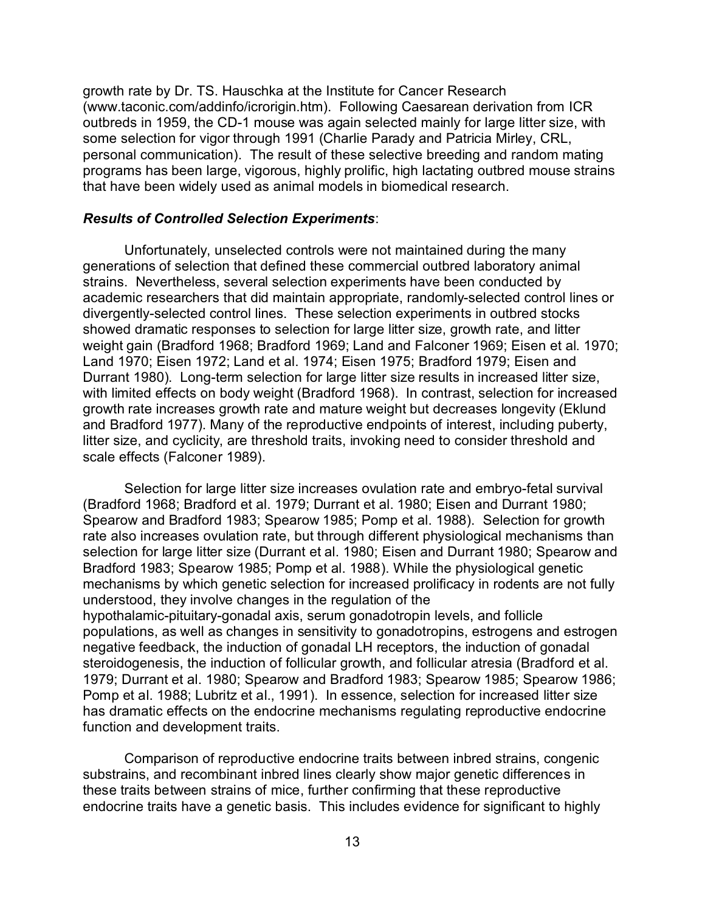growth rate by Dr. TS. Hauschka at the Institute for Cancer Research (www.taconic.com/addinfo/icrorigin.htm). Following Caesarean derivation from ICR outbreds in 1959, the CD-1 mouse was again selected mainly for large litter size, with some selection for vigor through 1991 (Charlie Parady and Patricia Mirley, CRL, personal communication). The result of these selective breeding and random mating programs has been large, vigorous, highly prolific, high lactating outbred mouse strains that have been widely used as animal models in biomedical research.

#### *Results of Controlled Selection Experiments*:

Unfortunately, unselected controls were not maintained during the many generations of selection that defined these commercial outbred laboratory animal strains. Nevertheless, several selection experiments have been conducted by academic researchers that did maintain appropriate, randomly-selected control lines or divergently-selected control lines. These selection experiments in outbred stocks showed dramatic responses to selection for large litter size, growth rate, and litter weight gain (Bradford 1968; Bradford 1969; Land and Falconer 1969; Eisen et al. 1970; Land 1970; Eisen 1972; Land et al. 1974; Eisen 1975; Bradford 1979; Eisen and Durrant 1980). Long-term selection for large litter size results in increased litter size, with limited effects on body weight (Bradford 1968). In contrast, selection for increased growth rate increases growth rate and mature weight but decreases longevity (Eklund and Bradford 1977). Many of the reproductive endpoints of interest, including puberty, litter size, and cyclicity, are threshold traits, invoking need to consider threshold and scale effects (Falconer 1989).

Selection for large litter size increases ovulation rate and embryo-fetal survival (Bradford 1968; Bradford et al. 1979; Durrant et al. 1980; Eisen and Durrant 1980; Spearow and Bradford 1983; Spearow 1985; Pomp et al. 1988). Selection for growth rate also increases ovulation rate, but through different physiological mechanisms than selection for large litter size (Durrant et al. 1980; Eisen and Durrant 1980; Spearow and Bradford 1983; Spearow 1985; Pomp et al. 1988). While the physiological genetic mechanisms by which genetic selection for increased prolificacy in rodents are not fully understood, they involve changes in the regulation of the hypothalamic-pituitary-gonadal axis, serum gonadotropin levels, and follicle populations, as well as changes in sensitivity to gonadotropins, estrogens and estrogen negative feedback, the induction of gonadal LH receptors, the induction of gonadal steroidogenesis, the induction of follicular growth, and follicular atresia (Bradford et al. 1979; Durrant et al. 1980; Spearow and Bradford 1983; Spearow 1985; Spearow 1986; Pomp et al. 1988; Lubritz et al., 1991). In essence, selection for increased litter size has dramatic effects on the endocrine mechanisms regulating reproductive endocrine function and development traits.

Comparison of reproductive endocrine traits between inbred strains, congenic substrains, and recombinant inbred lines clearly show major genetic differences in these traits between strains of mice, further confirming that these reproductive endocrine traits have a genetic basis. This includes evidence for significant to highly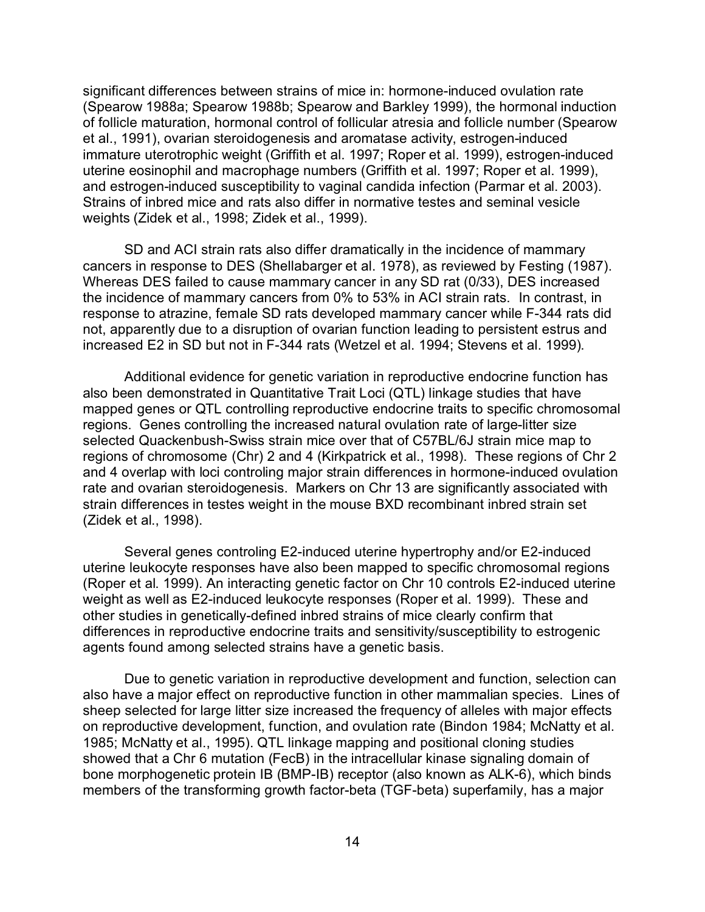significant differences between strains of mice in: hormone-induced ovulation rate (Spearow 1988a; Spearow 1988b; Spearow and Barkley 1999), the hormonal induction of follicle maturation, hormonal control of follicular atresia and follicle number (Spearow et al., 1991), ovarian steroidogenesis and aromatase activity, estrogen-induced immature uterotrophic weight (Griffith et al. 1997; Roper et al. 1999), estrogen-induced uterine eosinophil and macrophage numbers (Griffith et al. 1997; Roper et al. 1999), and estrogen-induced susceptibility to vaginal candida infection (Parmar et al. 2003). Strains of inbred mice and rats also differ in normative testes and seminal vesicle weights (Zidek et al., 1998; Zidek et al., 1999).

SD and ACI strain rats also differ dramatically in the incidence of mammary cancers in response to DES (Shellabarger et al. 1978), as reviewed by Festing (1987). Whereas DES failed to cause mammary cancer in any SD rat (0/33), DES increased the incidence of mammary cancers from 0% to 53% in ACI strain rats. In contrast, in response to atrazine, female SD rats developed mammary cancer while F-344 rats did not, apparently due to a disruption of ovarian function leading to persistent estrus and increased E2 in SD but not in F-344 rats (Wetzel et al. 1994; Stevens et al. 1999).

Additional evidence for genetic variation in reproductive endocrine function has also been demonstrated in Quantitative Trait Loci (QTL) linkage studies that have mapped genes or QTL controlling reproductive endocrine traits to specific chromosomal regions. Genes controlling the increased natural ovulation rate of large-litter size selected Quackenbush-Swiss strain mice over that of C57BL/6J strain mice map to regions of chromosome (Chr) 2 and 4 (Kirkpatrick et al., 1998). These regions of Chr 2 and 4 overlap with loci controling major strain differences in hormone-induced ovulation rate and ovarian steroidogenesis. Markers on Chr 13 are significantly associated with strain differences in testes weight in the mouse BXD recombinant inbred strain set (Zidek et al., 1998).

Several genes controling E2-induced uterine hypertrophy and/or E2-induced uterine leukocyte responses have also been mapped to specific chromosomal regions (Roper et al. 1999). An interacting genetic factor on Chr 10 controls E2-induced uterine weight as well as E2-induced leukocyte responses (Roper et al. 1999). These and other studies in genetically-defined inbred strains of mice clearly confirm that differences in reproductive endocrine traits and sensitivity/susceptibility to estrogenic agents found among selected strains have a genetic basis.

Due to genetic variation in reproductive development and function, selection can also have a major effect on reproductive function in other mammalian species. Lines of sheep selected for large litter size increased the frequency of alleles with major effects on reproductive development, function, and ovulation rate (Bindon 1984; McNatty et al. 1985; McNatty et al., 1995). QTL linkage mapping and positional cloning studies showed that a Chr 6 mutation (FecB) in the intracellular kinase signaling domain of bone morphogenetic protein IB (BMP-IB) receptor (also known as ALK-6), which binds members of the transforming growth factor-beta (TGF-beta) superfamily, has a major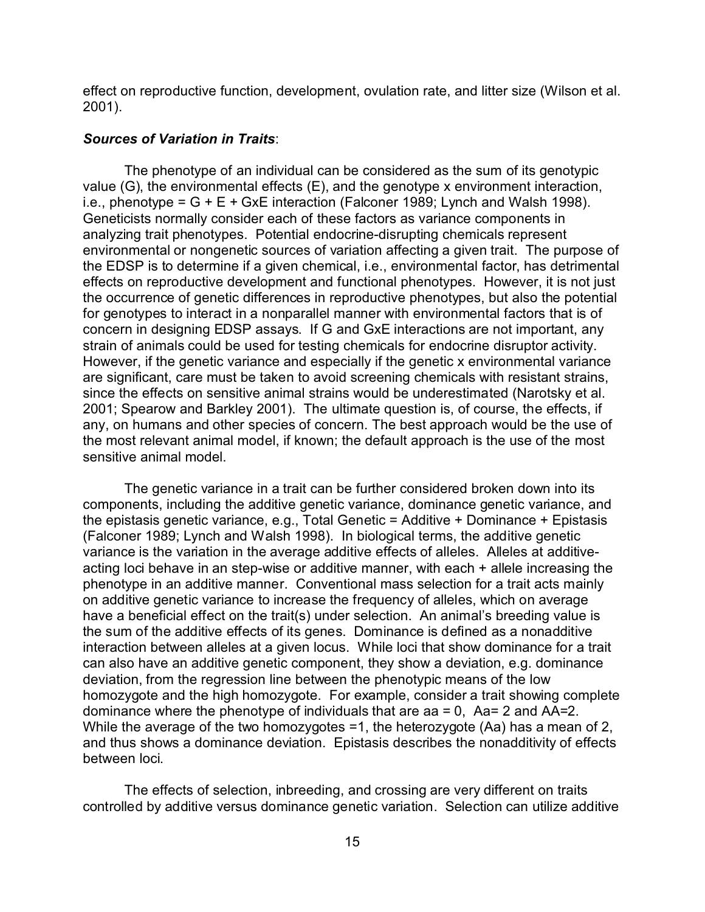effect on reproductive function, development, ovulation rate, and litter size (Wilson et al. 2001).

#### *Sources of Variation in Traits*:

The phenotype of an individual can be considered as the sum of its genotypic value (G), the environmental effects (E), and the genotype x environment interaction, i.e., phenotype =  $G + E + GxE$  interaction (Falconer 1989; Lynch and Walsh 1998). Geneticists normally consider each of these factors as variance components in analyzing trait phenotypes. Potential endocrine-disrupting chemicals represent environmental or nongenetic sources of variation affecting a given trait. The purpose of the EDSP is to determine if a given chemical, i.e., environmental factor, has detrimental effects on reproductive development and functional phenotypes. However, it is not just the occurrence of genetic differences in reproductive phenotypes, but also the potential for genotypes to interact in a nonparallel manner with environmental factors that is of concern in designing EDSP assays. If G and GxE interactions are not important, any strain of animals could be used for testing chemicals for endocrine disruptor activity. However, if the genetic variance and especially if the genetic x environmental variance are significant, care must be taken to avoid screening chemicals with resistant strains, since the effects on sensitive animal strains would be underestimated (Narotsky et al. 2001; Spearow and Barkley 2001). The ultimate question is, of course, the effects, if any, on humans and other species of concern. The best approach would be the use of the most relevant animal model, if known; the default approach is the use of the most sensitive animal model.

The genetic variance in a trait can be further considered broken down into its components, including the additive genetic variance, dominance genetic variance, and the epistasis genetic variance, e.g., Total Genetic = Additive + Dominance + Epistasis (Falconer 1989; Lynch and Walsh 1998). In biological terms, the additive genetic variance is the variation in the average additive effects of alleles. Alleles at additiveacting loci behave in an step-wise or additive manner, with each + allele increasing the phenotype in an additive manner. Conventional mass selection for a trait acts mainly on additive genetic variance to increase the frequency of alleles, which on average have a beneficial effect on the trait(s) under selection. An animal's breeding value is the sum of the additive effects of its genes. Dominance is defined as a nonadditive interaction between alleles at a given locus. While loci that show dominance for a trait can also have an additive genetic component, they show a deviation, e.g. dominance deviation, from the regression line between the phenotypic means of the low homozygote and the high homozygote. For example, consider a trait showing complete dominance where the phenotype of individuals that are aa  $= 0$ , Aa= 2 and AA=2. While the average of the two homozygotes =1, the heterozygote (Aa) has a mean of 2, and thus shows a dominance deviation. Epistasis describes the nonadditivity of effects between loci.

The effects of selection, inbreeding, and crossing are very different on traits controlled by additive versus dominance genetic variation. Selection can utilize additive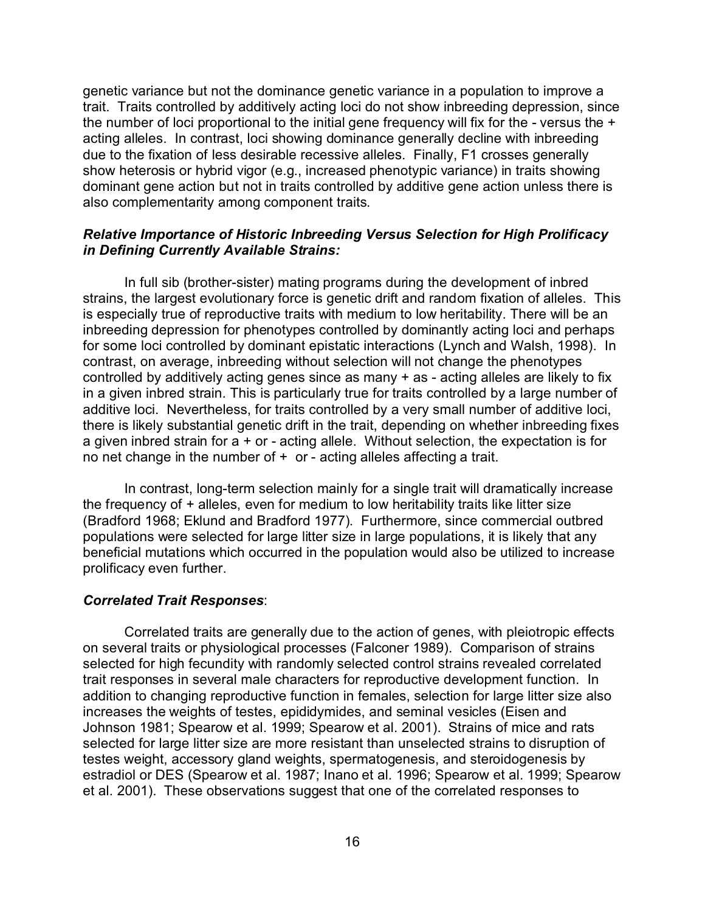genetic variance but not the dominance genetic variance in a population to improve a trait. Traits controlled by additively acting loci do not show inbreeding depression, since the number of loci proportional to the initial gene frequency will fix for the - versus the + acting alleles. In contrast, loci showing dominance generally decline with inbreeding due to the fixation of less desirable recessive alleles. Finally, F1 crosses generally show heterosis or hybrid vigor (e.g., increased phenotypic variance) in traits showing dominant gene action but not in traits controlled by additive gene action unless there is also complementarity among component traits.

## *Relative Importance of Historic Inbreeding Versus Selection for High Prolificacy in Defining Currently Available Strains:*

In full sib (brother-sister) mating programs during the development of inbred strains, the largest evolutionary force is genetic drift and random fixation of alleles. This is especially true of reproductive traits with medium to low heritability. There will be an inbreeding depression for phenotypes controlled by dominantly acting loci and perhaps for some loci controlled by dominant epistatic interactions (Lynch and Walsh, 1998). In contrast, on average, inbreeding without selection will not change the phenotypes controlled by additively acting genes since as many + as - acting alleles are likely to fix in a given inbred strain. This is particularly true for traits controlled by a large number of additive loci. Nevertheless, for traits controlled by a very small number of additive loci, there is likely substantial genetic drift in the trait, depending on whether inbreeding fixes a given inbred strain for a + or - acting allele. Without selection, the expectation is for no net change in the number of  $+$  or - acting alleles affecting a trait.

In contrast, long-term selection mainly for a single trait will dramatically increase the frequency of + alleles, even for medium to low heritability traits like litter size (Bradford 1968; Eklund and Bradford 1977). Furthermore, since commercial outbred populations were selected for large litter size in large populations, it is likely that any beneficial mutations which occurred in the population would also be utilized to increase prolificacy even further.

#### *Correlated Trait Responses*:

Correlated traits are generally due to the action of genes, with pleiotropic effects on several traits or physiological processes (Falconer 1989). Comparison of strains selected for high fecundity with randomly selected control strains revealed correlated trait responses in several male characters for reproductive development function. In addition to changing reproductive function in females, selection for large litter size also increases the weights of testes, epididymides, and seminal vesicles (Eisen and Johnson 1981; Spearow et al. 1999; Spearow et al. 2001). Strains of mice and rats selected for large litter size are more resistant than unselected strains to disruption of testes weight, accessory gland weights, spermatogenesis, and steroidogenesis by estradiol or DES (Spearow et al. 1987; Inano et al. 1996; Spearow et al. 1999; Spearow et al. 2001). These observations suggest that one of the correlated responses to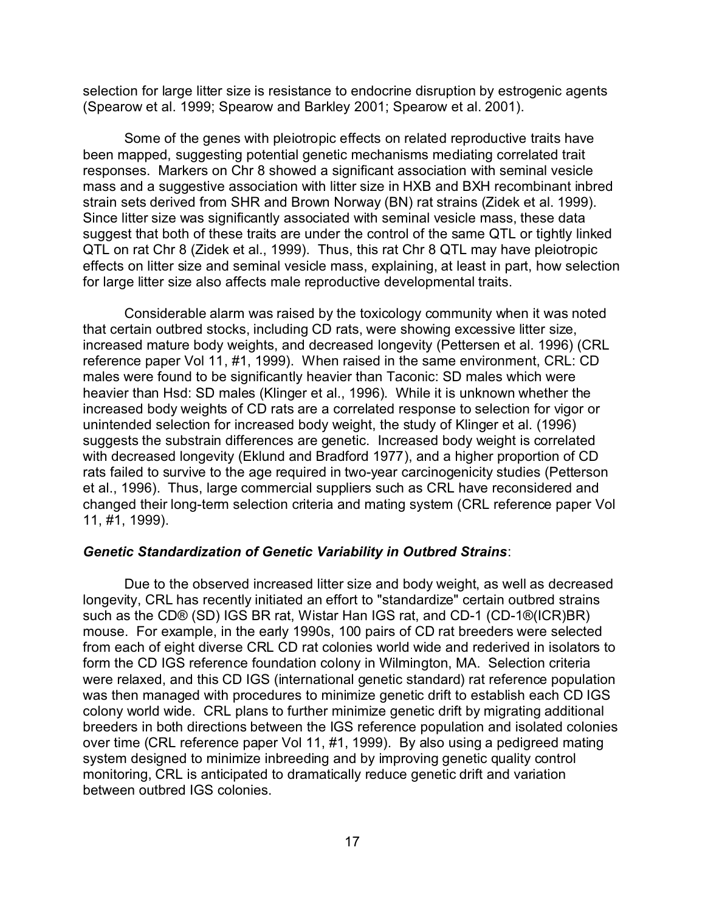selection for large litter size is resistance to endocrine disruption by estrogenic agents (Spearow et al. 1999; Spearow and Barkley 2001; Spearow et al. 2001).

Some of the genes with pleiotropic effects on related reproductive traits have been mapped, suggesting potential genetic mechanisms mediating correlated trait responses. Markers on Chr 8 showed a significant association with seminal vesicle mass and a suggestive association with litter size in HXB and BXH recombinant inbred strain sets derived from SHR and Brown Norway (BN) rat strains (Zidek et al. 1999). Since litter size was significantly associated with seminal vesicle mass, these data suggest that both of these traits are under the control of the same QTL or tightly linked QTL on rat Chr 8 (Zidek et al., 1999). Thus, this rat Chr 8 QTL may have pleiotropic effects on litter size and seminal vesicle mass, explaining, at least in part, how selection for large litter size also affects male reproductive developmental traits.

Considerable alarm was raised by the toxicology community when it was noted that certain outbred stocks, including CD rats, were showing excessive litter size, increased mature body weights, and decreased longevity (Pettersen et al. 1996) (CRL reference paper Vol 11, #1, 1999). When raised in the same environment, CRL: CD males were found to be significantly heavier than Taconic: SD males which were heavier than Hsd: SD males (Klinger et al., 1996). While it is unknown whether the increased body weights of CD rats are a correlated response to selection for vigor or unintended selection for increased body weight, the study of Klinger et al. (1996) suggests the substrain differences are genetic. Increased body weight is correlated with decreased longevity (Eklund and Bradford 1977), and a higher proportion of CD rats failed to survive to the age required in two-year carcinogenicity studies (Petterson et al., 1996). Thus, large commercial suppliers such as CRL have reconsidered and changed their long-term selection criteria and mating system (CRL reference paper Vol 11, #1, 1999).

#### *Genetic Standardization of Genetic Variability in Outbred Strains*:

Due to the observed increased litter size and body weight, as well as decreased longevity, CRL has recently initiated an effort to "standardize" certain outbred strains such as the CD® (SD) IGS BR rat, Wistar Han IGS rat, and CD-1 (CD-1®(ICR)BR) mouse. For example, in the early 1990s, 100 pairs of CD rat breeders were selected from each of eight diverse CRL CD rat colonies world wide and rederived in isolators to form the CD IGS reference foundation colony in Wilmington, MA. Selection criteria were relaxed, and this CD IGS (international genetic standard) rat reference population was then managed with procedures to minimize genetic drift to establish each CD IGS colony world wide. CRL plans to further minimize genetic drift by migrating additional breeders in both directions between the IGS reference population and isolated colonies over time (CRL reference paper Vol 11, #1, 1999). By also using a pedigreed mating system designed to minimize inbreeding and by improving genetic quality control monitoring, CRL is anticipated to dramatically reduce genetic drift and variation between outbred IGS colonies.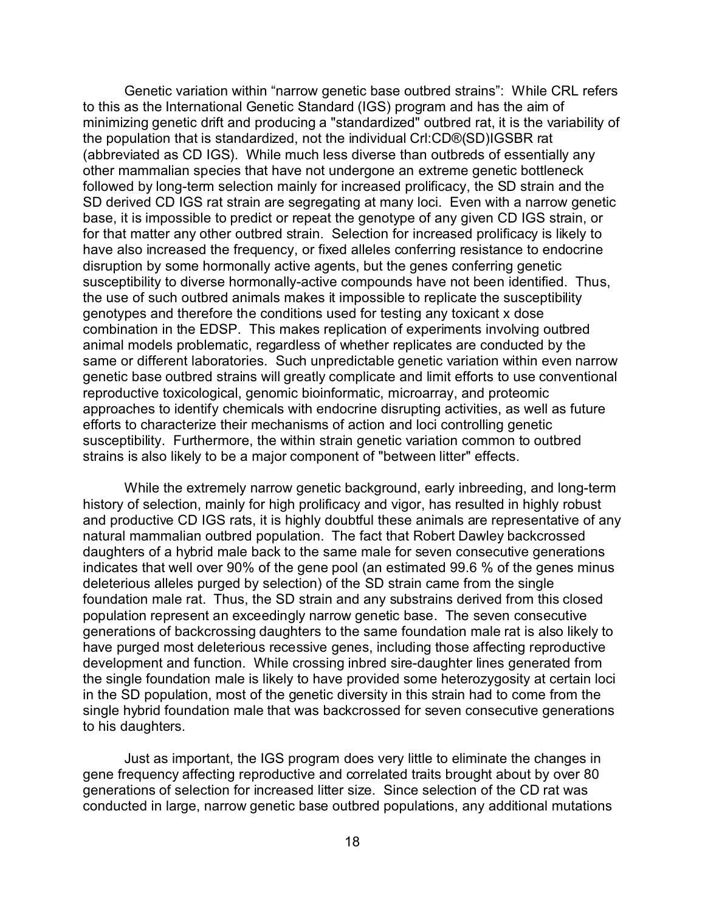Genetic variation within "narrow genetic base outbred strains": While CRL refers to this as the International Genetic Standard (IGS) program and has the aim of minimizing genetic drift and producing a "standardized" outbred rat, it is the variability of the population that is standardized, not the individual Crl:CD®(SD)IGSBR rat (abbreviated as CD IGS). While much less diverse than outbreds of essentially any other mammalian species that have not undergone an extreme genetic bottleneck followed by long-term selection mainly for increased prolificacy, the SD strain and the SD derived CD IGS rat strain are segregating at many loci. Even with a narrow genetic base, it is impossible to predict or repeat the genotype of any given CD IGS strain, or for that matter any other outbred strain. Selection for increased prolificacy is likely to have also increased the frequency, or fixed alleles conferring resistance to endocrine disruption by some hormonally active agents, but the genes conferring genetic susceptibility to diverse hormonally-active compounds have not been identified. Thus, the use of such outbred animals makes it impossible to replicate the susceptibility genotypes and therefore the conditions used for testing any toxicant x dose combination in the EDSP. This makes replication of experiments involving outbred animal models problematic, regardless of whether replicates are conducted by the same or different laboratories. Such unpredictable genetic variation within even narrow genetic base outbred strains will greatly complicate and limit efforts to use conventional reproductive toxicological, genomic bioinformatic, microarray, and proteomic approaches to identify chemicals with endocrine disrupting activities, as well as future efforts to characterize their mechanisms of action and loci controlling genetic susceptibility. Furthermore, the within strain genetic variation common to outbred strains is also likely to be a major component of "between litter" effects.

While the extremely narrow genetic background, early inbreeding, and long-term history of selection, mainly for high prolificacy and vigor, has resulted in highly robust and productive CD IGS rats, it is highly doubtful these animals are representative of any natural mammalian outbred population. The fact that Robert Dawley backcrossed daughters of a hybrid male back to the same male for seven consecutive generations indicates that well over 90% of the gene pool (an estimated 99.6 % of the genes minus deleterious alleles purged by selection) of the SD strain came from the single foundation male rat. Thus, the SD strain and any substrains derived from this closed population represent an exceedingly narrow genetic base. The seven consecutive generations of backcrossing daughters to the same foundation male rat is also likely to have purged most deleterious recessive genes, including those affecting reproductive development and function. While crossing inbred sire-daughter lines generated from the single foundation male is likely to have provided some heterozygosity at certain loci in the SD population, most of the genetic diversity in this strain had to come from the single hybrid foundation male that was backcrossed for seven consecutive generations to his daughters.

Just as important, the IGS program does very little to eliminate the changes in gene frequency affecting reproductive and correlated traits brought about by over 80 generations of selection for increased litter size. Since selection of the CD rat was conducted in large, narrow genetic base outbred populations, any additional mutations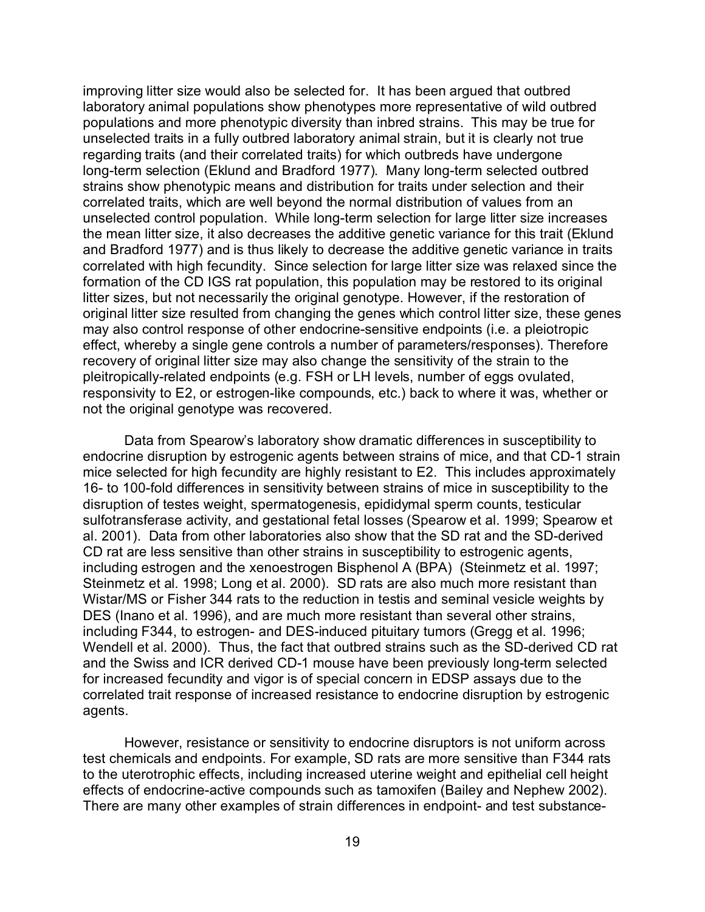improving litter size would also be selected for. It has been argued that outbred laboratory animal populations show phenotypes more representative of wild outbred populations and more phenotypic diversity than inbred strains. This may be true for unselected traits in a fully outbred laboratory animal strain, but it is clearly not true regarding traits (and their correlated traits) for which outbreds have undergone long-term selection (Eklund and Bradford 1977). Many long-term selected outbred strains show phenotypic means and distribution for traits under selection and their correlated traits, which are well beyond the normal distribution of values from an unselected control population. While long-term selection for large litter size increases the mean litter size, it also decreases the additive genetic variance for this trait (Eklund and Bradford 1977) and is thus likely to decrease the additive genetic variance in traits correlated with high fecundity. Since selection for large litter size was relaxed since the formation of the CD IGS rat population, this population may be restored to its original litter sizes, but not necessarily the original genotype. However, if the restoration of original litter size resulted from changing the genes which control litter size, these genes may also control response of other endocrine-sensitive endpoints (i.e. a pleiotropic effect, whereby a single gene controls a number of parameters/responses). Therefore recovery of original litter size may also change the sensitivity of the strain to the pleitropically-related endpoints (e.g. FSH or LH levels, number of eggs ovulated, responsivity to E2, or estrogen-like compounds, etc.) back to where it was, whether or not the original genotype was recovered.

Data from Spearow's laboratory show dramatic differences in susceptibility to endocrine disruption by estrogenic agents between strains of mice, and that CD-1 strain mice selected for high fecundity are highly resistant to E2. This includes approximately 16- to 100-fold differences in sensitivity between strains of mice in susceptibility to the disruption of testes weight, spermatogenesis, epididymal sperm counts, testicular sulfotransferase activity, and gestational fetal losses (Spearow et al. 1999; Spearow et al. 2001). Data from other laboratories also show that the SD rat and the SD-derived CD rat are less sensitive than other strains in susceptibility to estrogenic agents, including estrogen and the xenoestrogen Bisphenol A (BPA) (Steinmetz et al. 1997; Steinmetz et al. 1998; Long et al. 2000). SD rats are also much more resistant than Wistar/MS or Fisher 344 rats to the reduction in testis and seminal vesicle weights by DES (Inano et al. 1996), and are much more resistant than several other strains, including F344, to estrogen- and DES-induced pituitary tumors (Gregg et al. 1996; Wendell et al. 2000). Thus, the fact that outbred strains such as the SD-derived CD rat and the Swiss and ICR derived CD-1 mouse have been previously long-term selected for increased fecundity and vigor is of special concern in EDSP assays due to the correlated trait response of increased resistance to endocrine disruption by estrogenic agents.

However, resistance or sensitivity to endocrine disruptors is not uniform across test chemicals and endpoints. For example, SD rats are more sensitive than F344 rats to the uterotrophic effects, including increased uterine weight and epithelial cell height effects of endocrine-active compounds such as tamoxifen (Bailey and Nephew 2002). There are many other examples of strain differences in endpoint- and test substance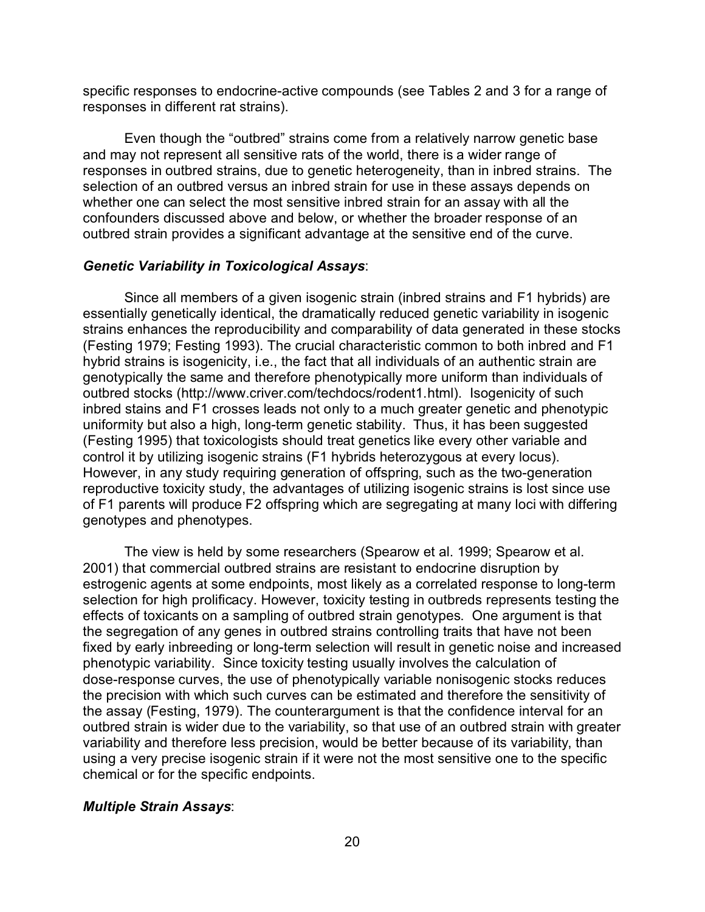specific responses to endocrine-active compounds (see Tables 2 and 3 for a range of responses in different rat strains).

Even though the "outbred" strains come from a relatively narrow genetic base and may not represent all sensitive rats of the world, there is a wider range of responses in outbred strains, due to genetic heterogeneity, than in inbred strains. The selection of an outbred versus an inbred strain for use in these assays depends on whether one can select the most sensitive inbred strain for an assay with all the confounders discussed above and below, or whether the broader response of an outbred strain provides a significant advantage at the sensitive end of the curve.

#### *Genetic Variability in Toxicological Assays*:

Since all members of a given isogenic strain (inbred strains and F1 hybrids) are essentially genetically identical, the dramatically reduced genetic variability in isogenic strains enhances the reproducibility and comparability of data generated in these stocks (Festing 1979; Festing 1993). The crucial characteristic common to both inbred and F1 hybrid strains is isogenicity, i.e., the fact that all individuals of an authentic strain are genotypically the same and therefore phenotypically more uniform than individuals of outbred stocks (http://www.criver.com/techdocs/rodent1.html). Isogenicity of such inbred stains and F1 crosses leads not only to a much greater genetic and phenotypic uniformity but also a high, long-term genetic stability. Thus, it has been suggested (Festing 1995) that toxicologists should treat genetics like every other variable and control it by utilizing isogenic strains (F1 hybrids heterozygous at every locus). However, in any study requiring generation of offspring, such as the two-generation reproductive toxicity study, the advantages of utilizing isogenic strains is lost since use of F1 parents will produce F2 offspring which are segregating at many loci with differing genotypes and phenotypes.

The view is held by some researchers (Spearow et al. 1999; Spearow et al. 2001) that commercial outbred strains are resistant to endocrine disruption by estrogenic agents at some endpoints, most likely as a correlated response to long-term selection for high prolificacy. However, toxicity testing in outbreds represents testing the effects of toxicants on a sampling of outbred strain genotypes. One argument is that the segregation of any genes in outbred strains controlling traits that have not been fixed by early inbreeding or long-term selection will result in genetic noise and increased phenotypic variability. Since toxicity testing usually involves the calculation of dose-response curves, the use of phenotypically variable nonisogenic stocks reduces the precision with which such curves can be estimated and therefore the sensitivity of the assay (Festing, 1979). The counterargument is that the confidence interval for an outbred strain is wider due to the variability, so that use of an outbred strain with greater variability and therefore less precision, would be better because of its variability, than using a very precise isogenic strain if it were not the most sensitive one to the specific chemical or for the specific endpoints.

#### *Multiple Strain Assays*: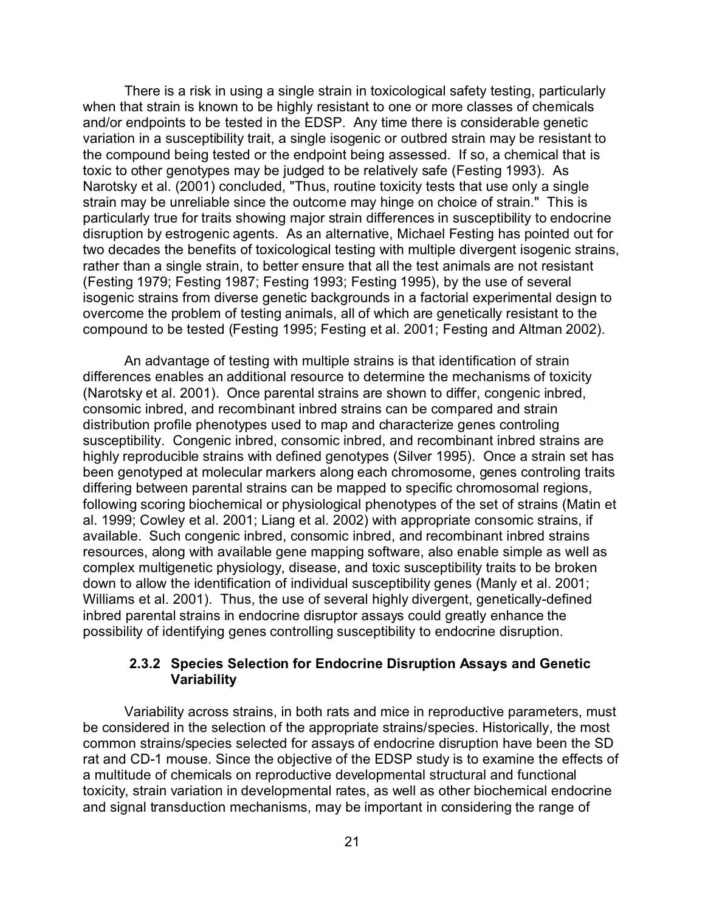There is a risk in using a single strain in toxicological safety testing, particularly when that strain is known to be highly resistant to one or more classes of chemicals and/or endpoints to be tested in the EDSP. Any time there is considerable genetic variation in a susceptibility trait, a single isogenic or outbred strain may be resistant to the compound being tested or the endpoint being assessed. If so, a chemical that is toxic to other genotypes may be judged to be relatively safe (Festing 1993). As Narotsky et al. (2001) concluded, "Thus, routine toxicity tests that use only a single strain may be unreliable since the outcome may hinge on choice of strain." This is particularly true for traits showing major strain differences in susceptibility to endocrine disruption by estrogenic agents. As an alternative, Michael Festing has pointed out for two decades the benefits of toxicological testing with multiple divergent isogenic strains, rather than a single strain, to better ensure that all the test animals are not resistant (Festing 1979; Festing 1987; Festing 1993; Festing 1995), by the use of several isogenic strains from diverse genetic backgrounds in a factorial experimental design to overcome the problem of testing animals, all of which are genetically resistant to the compound to be tested (Festing 1995; Festing et al. 2001; Festing and Altman 2002).

An advantage of testing with multiple strains is that identification of strain differences enables an additional resource to determine the mechanisms of toxicity (Narotsky et al. 2001). Once parental strains are shown to differ, congenic inbred, consomic inbred, and recombinant inbred strains can be compared and strain distribution profile phenotypes used to map and characterize genes controling susceptibility. Congenic inbred, consomic inbred, and recombinant inbred strains are highly reproducible strains with defined genotypes (Silver 1995). Once a strain set has been genotyped at molecular markers along each chromosome, genes controling traits differing between parental strains can be mapped to specific chromosomal regions, following scoring biochemical or physiological phenotypes of the set of strains (Matin et al. 1999; Cowley et al. 2001; Liang et al. 2002) with appropriate consomic strains, if available. Such congenic inbred, consomic inbred, and recombinant inbred strains resources, along with available gene mapping software, also enable simple as well as complex multigenetic physiology, disease, and toxic susceptibility traits to be broken down to allow the identification of individual susceptibility genes (Manly et al. 2001; Williams et al. 2001). Thus, the use of several highly divergent, genetically-defined inbred parental strains in endocrine disruptor assays could greatly enhance the possibility of identifying genes controlling susceptibility to endocrine disruption.

### **2.3.2 Species Selection for Endocrine Disruption Assays and Genetic Variability**

Variability across strains, in both rats and mice in reproductive parameters, must be considered in the selection of the appropriate strains/species. Historically, the most common strains/species selected for assays of endocrine disruption have been the SD rat and CD-1 mouse. Since the objective of the EDSP study is to examine the effects of a multitude of chemicals on reproductive developmental structural and functional toxicity, strain variation in developmental rates, as well as other biochemical endocrine and signal transduction mechanisms, may be important in considering the range of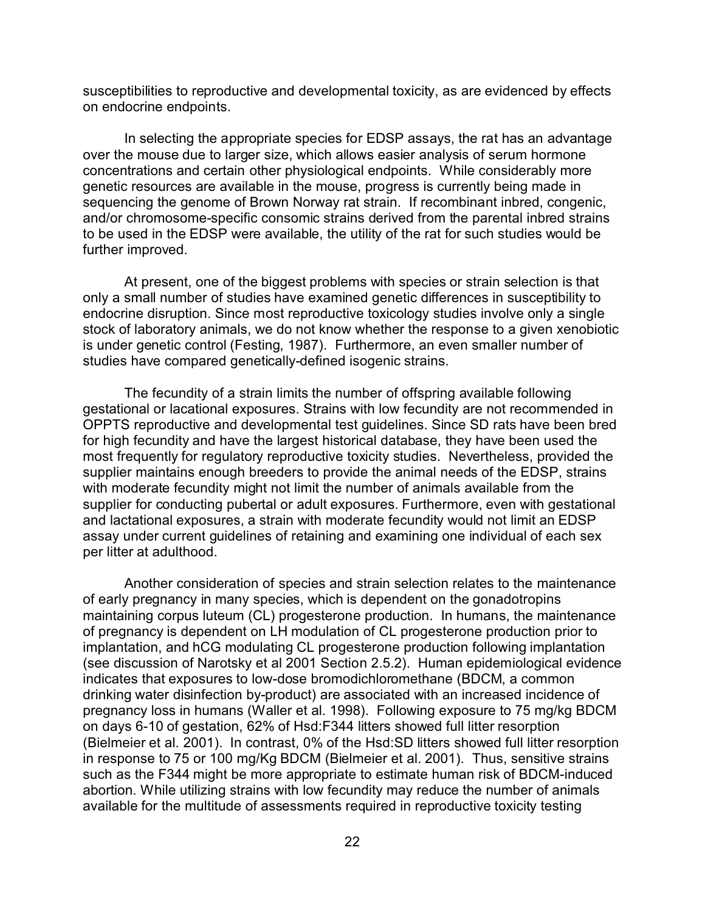susceptibilities to reproductive and developmental toxicity, as are evidenced by effects on endocrine endpoints.

In selecting the appropriate species for EDSP assays, the rat has an advantage over the mouse due to larger size, which allows easier analysis of serum hormone concentrations and certain other physiological endpoints. While considerably more genetic resources are available in the mouse, progress is currently being made in sequencing the genome of Brown Norway rat strain. If recombinant inbred, congenic, and/or chromosome-specific consomic strains derived from the parental inbred strains to be used in the EDSP were available, the utility of the rat for such studies would be further improved.

At present, one of the biggest problems with species or strain selection is that only a small number of studies have examined genetic differences in susceptibility to endocrine disruption. Since most reproductive toxicology studies involve only a single stock of laboratory animals, we do not know whether the response to a given xenobiotic is under genetic control (Festing, 1987). Furthermore, an even smaller number of studies have compared genetically-defined isogenic strains.

The fecundity of a strain limits the number of offspring available following gestational or lacational exposures. Strains with low fecundity are not recommended in OPPTS reproductive and developmental test guidelines. Since SD rats have been bred for high fecundity and have the largest historical database, they have been used the most frequently for regulatory reproductive toxicity studies. Nevertheless, provided the supplier maintains enough breeders to provide the animal needs of the EDSP, strains with moderate fecundity might not limit the number of animals available from the supplier for conducting pubertal or adult exposures. Furthermore, even with gestational and lactational exposures, a strain with moderate fecundity would not limit an EDSP assay under current guidelines of retaining and examining one individual of each sex per litter at adulthood.

Another consideration of species and strain selection relates to the maintenance of early pregnancy in many species, which is dependent on the gonadotropins maintaining corpus luteum (CL) progesterone production. In humans, the maintenance of pregnancy is dependent on LH modulation of CL progesterone production prior to implantation, and hCG modulating CL progesterone production following implantation (see discussion of Narotsky et al 2001 Section 2.5.2). Human epidemiological evidence indicates that exposures to low-dose bromodichloromethane (BDCM, a common drinking water disinfection by-product) are associated with an increased incidence of pregnancy loss in humans (Waller et al. 1998). Following exposure to 75 mg/kg BDCM on days 6-10 of gestation, 62% of Hsd:F344 litters showed full litter resorption (Bielmeier et al. 2001). In contrast, 0% of the Hsd:SD litters showed full litter resorption in response to 75 or 100 mg/Kg BDCM (Bielmeier et al. 2001). Thus, sensitive strains such as the F344 might be more appropriate to estimate human risk of BDCM-induced abortion. While utilizing strains with low fecundity may reduce the number of animals available for the multitude of assessments required in reproductive toxicity testing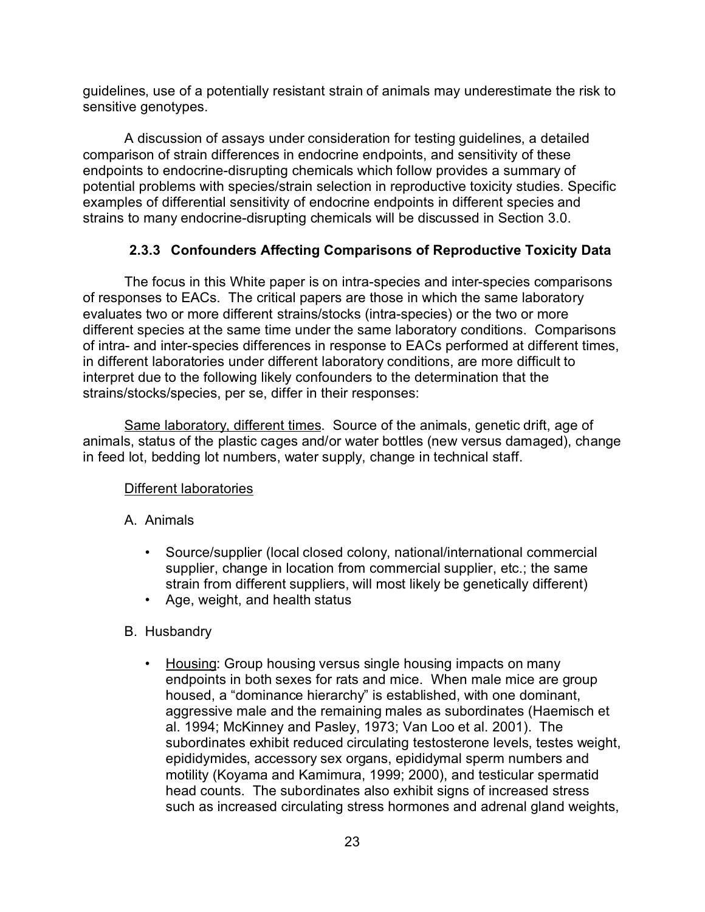guidelines, use of a potentially resistant strain of animals may underestimate the risk to sensitive genotypes.

A discussion of assays under consideration for testing guidelines, a detailed comparison of strain differences in endocrine endpoints, and sensitivity of these endpoints to endocrine-disrupting chemicals which follow provides a summary of potential problems with species/strain selection in reproductive toxicity studies. Specific examples of differential sensitivity of endocrine endpoints in different species and strains to many endocrine-disrupting chemicals will be discussed in Section 3.0.

## **2.3.3 Confounders Affecting Comparisons of Reproductive Toxicity Data**

The focus in this White paper is on intra-species and inter-species comparisons of responses to EACs. The critical papers are those in which the same laboratory evaluates two or more different strains/stocks (intra-species) or the two or more different species at the same time under the same laboratory conditions. Comparisons of intra- and inter-species differences in response to EACs performed at different times, in different laboratories under different laboratory conditions, are more difficult to interpret due to the following likely confounders to the determination that the strains/stocks/species, per se, differ in their responses:

Same laboratory, different times. Source of the animals, genetic drift, age of animals, status of the plastic cages and/or water bottles (new versus damaged), change in feed lot, bedding lot numbers, water supply, change in technical staff.

## Different laboratories

## A. Animals

- Source/supplier (local closed colony, national/international commercial supplier, change in location from commercial supplier, etc.; the same strain from different suppliers, will most likely be genetically different)
- Age, weight, and health status

## B. Husbandry

• Housing: Group housing versus single housing impacts on many endpoints in both sexes for rats and mice. When male mice are group housed, a "dominance hierarchy" is established, with one dominant, aggressive male and the remaining males as subordinates (Haemisch et al. 1994; McKinney and Pasley, 1973; Van Loo et al. 2001). The subordinates exhibit reduced circulating testosterone levels, testes weight, epididymides, accessory sex organs, epididymal sperm numbers and motility (Koyama and Kamimura, 1999; 2000), and testicular spermatid head counts. The subordinates also exhibit signs of increased stress such as increased circulating stress hormones and adrenal gland weights,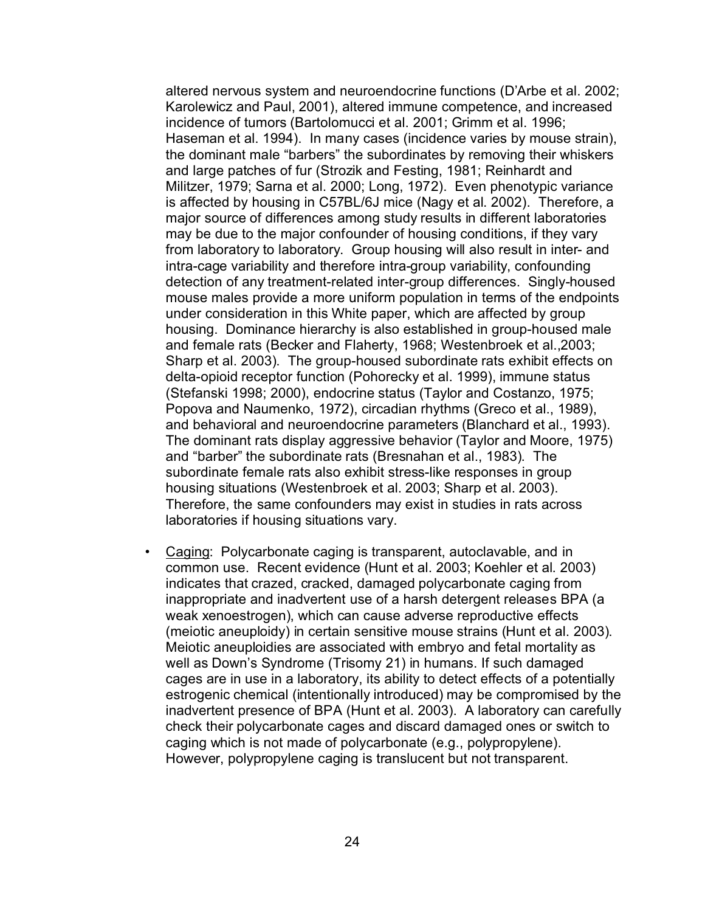altered nervous system and neuroendocrine functions (D'Arbe et al. 2002; Karolewicz and Paul, 2001), altered immune competence, and increased incidence of tumors (Bartolomucci et al. 2001; Grimm et al. 1996; Haseman et al. 1994). In many cases (incidence varies by mouse strain), the dominant male "barbers" the subordinates by removing their whiskers and large patches of fur (Strozik and Festing, 1981; Reinhardt and Militzer, 1979; Sarna et al. 2000; Long, 1972). Even phenotypic variance is affected by housing in C57BL/6J mice (Nagy et al. 2002). Therefore, a major source of differences among study results in different laboratories may be due to the major confounder of housing conditions, if they vary from laboratory to laboratory. Group housing will also result in inter- and intra-cage variability and therefore intra-group variability, confounding detection of any treatment-related inter-group differences. Singly-housed mouse males provide a more uniform population in terms of the endpoints under consideration in this White paper, which are affected by group housing. Dominance hierarchy is also established in group-housed male and female rats (Becker and Flaherty, 1968; Westenbroek et al.,2003; Sharp et al. 2003). The group-housed subordinate rats exhibit effects on delta-opioid receptor function (Pohorecky et al. 1999), immune status (Stefanski 1998; 2000), endocrine status (Taylor and Costanzo, 1975; Popova and Naumenko, 1972), circadian rhythms (Greco et al., 1989), and behavioral and neuroendocrine parameters (Blanchard et al., 1993). The dominant rats display aggressive behavior (Taylor and Moore, 1975) and "barber" the subordinate rats (Bresnahan et al., 1983). The subordinate female rats also exhibit stress-like responses in group housing situations (Westenbroek et al. 2003; Sharp et al. 2003). Therefore, the same confounders may exist in studies in rats across laboratories if housing situations vary.

• Caging: Polycarbonate caging is transparent, autoclavable, and in common use. Recent evidence (Hunt et al. 2003; Koehler et al. 2003) indicates that crazed, cracked, damaged polycarbonate caging from inappropriate and inadvertent use of a harsh detergent releases BPA (a weak xenoestrogen), which can cause adverse reproductive effects (meiotic aneuploidy) in certain sensitive mouse strains (Hunt et al. 2003). Meiotic aneuploidies are associated with embryo and fetal mortality as well as Down's Syndrome (Trisomy 21) in humans. If such damaged cages are in use in a laboratory, its ability to detect effects of a potentially estrogenic chemical (intentionally introduced) may be compromised by the inadvertent presence of BPA (Hunt et al. 2003). A laboratory can carefully check their polycarbonate cages and discard damaged ones or switch to caging which is not made of polycarbonate (e.g., polypropylene). However, polypropylene caging is translucent but not transparent.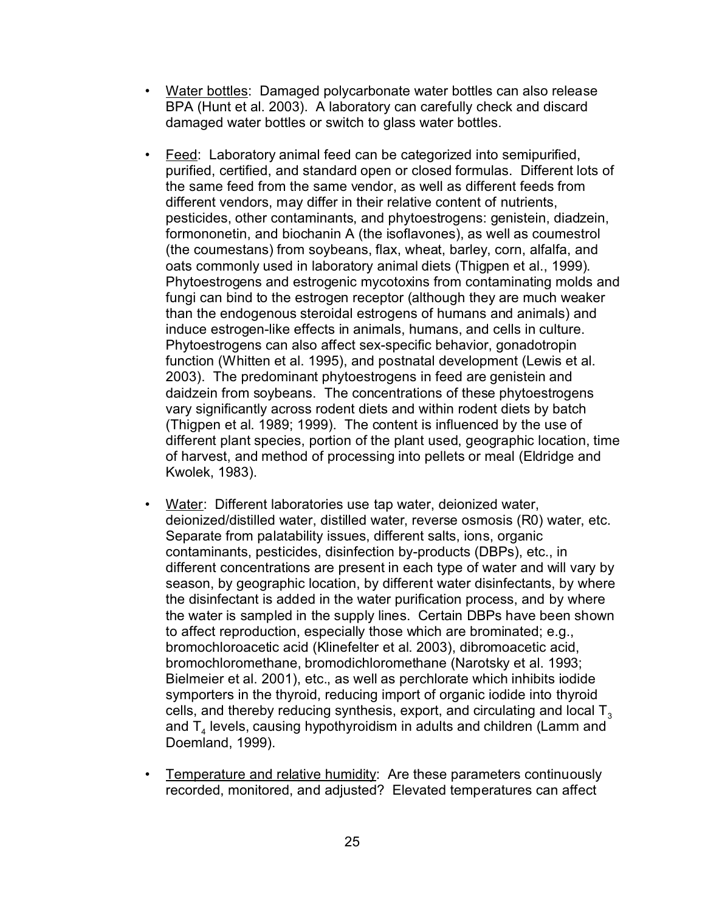- Water bottles: Damaged polycarbonate water bottles can also release BPA (Hunt et al. 2003). A laboratory can carefully check and discard damaged water bottles or switch to glass water bottles.
- Feed: Laboratory animal feed can be categorized into semipurified, purified, certified, and standard open or closed formulas. Different lots of the same feed from the same vendor, as well as different feeds from different vendors, may differ in their relative content of nutrients, pesticides, other contaminants, and phytoestrogens: genistein, diadzein, formononetin, and biochanin A (the isoflavones), as well as coumestrol (the coumestans) from soybeans, flax, wheat, barley, corn, alfalfa, and oats commonly used in laboratory animal diets (Thigpen et al., 1999). Phytoestrogens and estrogenic mycotoxins from contaminating molds and fungi can bind to the estrogen receptor (although they are much weaker than the endogenous steroidal estrogens of humans and animals) and induce estrogen-like effects in animals, humans, and cells in culture. Phytoestrogens can also affect sex-specific behavior, gonadotropin function (Whitten et al. 1995), and postnatal development (Lewis et al. 2003). The predominant phytoestrogens in feed are genistein and daidzein from soybeans. The concentrations of these phytoestrogens vary significantly across rodent diets and within rodent diets by batch (Thigpen et al. 1989; 1999). The content is influenced by the use of different plant species, portion of the plant used, geographic location, time of harvest, and method of processing into pellets or meal (Eldridge and Kwolek, 1983).
- Water: Different laboratories use tap water, deionized water, deionized/distilled water, distilled water, reverse osmosis (R0) water, etc. Separate from palatability issues, different salts, ions, organic contaminants, pesticides, disinfection by-products (DBPs), etc., in different concentrations are present in each type of water and will vary by season, by geographic location, by different water disinfectants, by where the disinfectant is added in the water purification process, and by where the water is sampled in the supply lines. Certain DBPs have been shown to affect reproduction, especially those which are brominated; e.g., bromochloroacetic acid (Klinefelter et al. 2003), dibromoacetic acid, bromochloromethane, bromodichloromethane (Narotsky et al. 1993; Bielmeier et al. 2001), etc., as well as perchlorate which inhibits iodide symporters in the thyroid, reducing import of organic iodide into thyroid cells, and thereby reducing synthesis, export, and circulating and local  $T<sub>3</sub>$ and  ${\sf T}_4$  levels, causing hypothyroidism in adults and children (Lamm and Doemland, 1999).
- Temperature and relative humidity: Are these parameters continuously recorded, monitored, and adjusted? Elevated temperatures can affect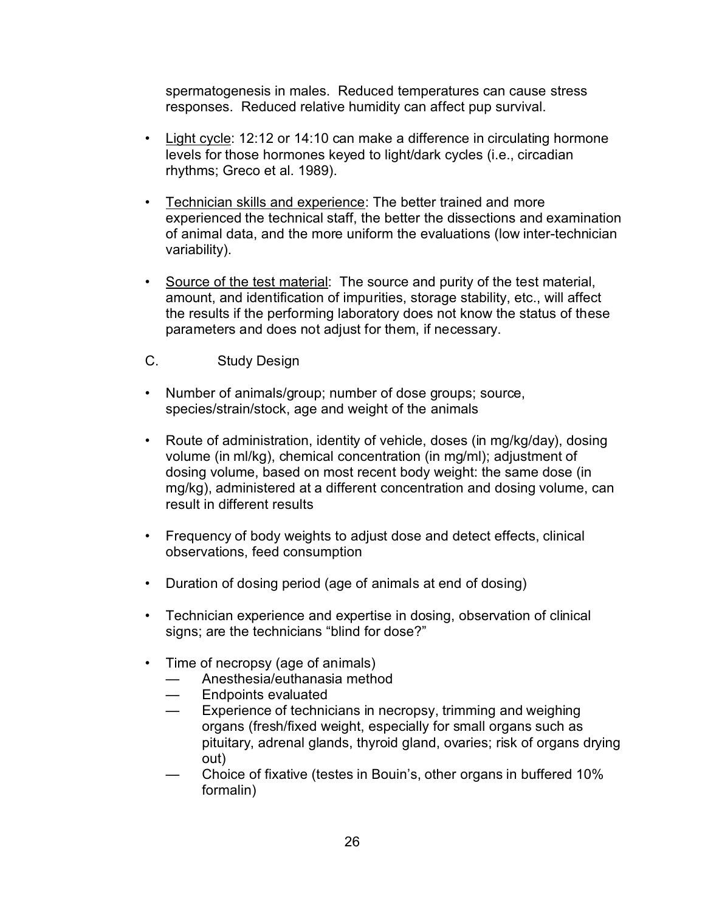spermatogenesis in males. Reduced temperatures can cause stress responses. Reduced relative humidity can affect pup survival.

- Light cycle: 12:12 or 14:10 can make a difference in circulating hormone levels for those hormones keyed to light/dark cycles (i.e., circadian rhythms; Greco et al. 1989).
- Technician skills and experience: The better trained and more experienced the technical staff, the better the dissections and examination of animal data, and the more uniform the evaluations (low inter-technician variability).
- Source of the test material: The source and purity of the test material, amount, and identification of impurities, storage stability, etc., will affect the results if the performing laboratory does not know the status of these parameters and does not adjust for them, if necessary.
- C. Study Design
- Number of animals/group; number of dose groups; source, species/strain/stock, age and weight of the animals
- Route of administration, identity of vehicle, doses (in mg/kg/day), dosing volume (in ml/kg), chemical concentration (in mg/ml); adjustment of dosing volume, based on most recent body weight: the same dose (in mg/kg), administered at a different concentration and dosing volume, can result in different results
- Frequency of body weights to adjust dose and detect effects, clinical observations, feed consumption
- Duration of dosing period (age of animals at end of dosing)
- Technician experience and expertise in dosing, observation of clinical signs; are the technicians "blind for dose?"
- Time of necropsy (age of animals)
	- Anesthesia/euthanasia method
	- Endpoints evaluated
	- Experience of technicians in necropsy, trimming and weighing organs (fresh/fixed weight, especially for small organs such as pituitary, adrenal glands, thyroid gland, ovaries; risk of organs drying out)
	- Choice of fixative (testes in Bouin's, other organs in buffered 10% formalin)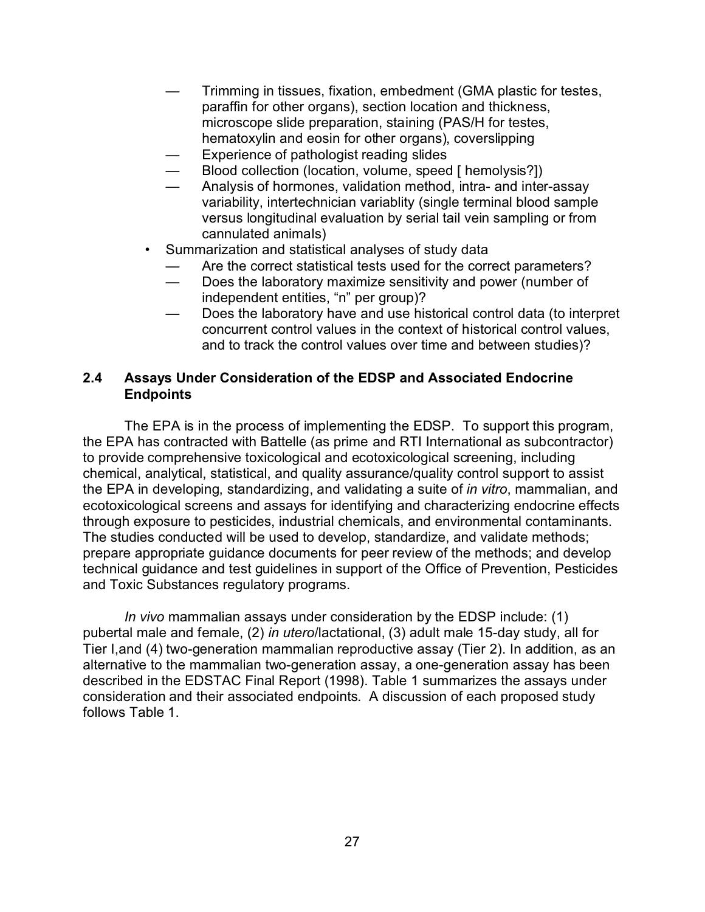- Trimming in tissues, fixation, embedment (GMA plastic for testes, paraffin for other organs), section location and thickness, microscope slide preparation, staining (PAS/H for testes, hematoxylin and eosin for other organs), coverslipping
- Experience of pathologist reading slides
- Blood collection (location, volume, speed [ hemolysis?])
- Analysis of hormones, validation method, intra- and inter-assay variability, intertechnician variablity (single terminal blood sample versus longitudinal evaluation by serial tail vein sampling or from cannulated animals)
- Summarization and statistical analyses of study data
	- Are the correct statistical tests used for the correct parameters?
	- Does the laboratory maximize sensitivity and power (number of independent entities, "n" per group)?
	- Does the laboratory have and use historical control data (to interpret concurrent control values in the context of historical control values, and to track the control values over time and between studies)?

## **2.4 Assays Under Consideration of the EDSP and Associated Endocrine Endpoints**

The EPA is in the process of implementing the EDSP. To support this program, the EPA has contracted with Battelle (as prime and RTI International as subcontractor) to provide comprehensive toxicological and ecotoxicological screening, including chemical, analytical, statistical, and quality assurance/quality control support to assist the EPA in developing, standardizing, and validating a suite of *in vitro*, mammalian, and ecotoxicological screens and assays for identifying and characterizing endocrine effects through exposure to pesticides, industrial chemicals, and environmental contaminants. The studies conducted will be used to develop, standardize, and validate methods; prepare appropriate guidance documents for peer review of the methods; and develop technical guidance and test guidelines in support of the Office of Prevention, Pesticides and Toxic Substances regulatory programs.

*In vivo* mammalian assays under consideration by the EDSP include: (1) pubertal male and female, (2) *in utero*/lactational, (3) adult male 15-day study, all for Tier I,and (4) two-generation mammalian reproductive assay (Tier 2). In addition, as an alternative to the mammalian two-generation assay, a one-generation assay has been described in the EDSTAC Final Report (1998). Table 1 summarizes the assays under consideration and their associated endpoints. A discussion of each proposed study follows Table 1.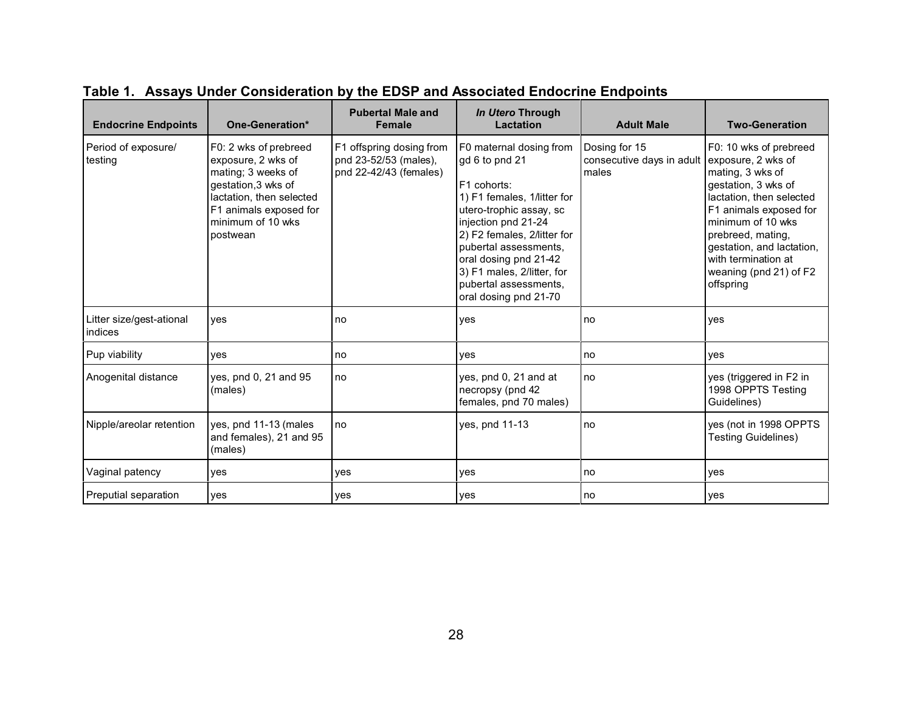| <b>Endocrine Endpoints</b>          | One-Generation*                                                                                                                                                                 | <b>Pubertal Male and</b><br><b>Female</b>                                   | In Utero Through<br>Lactation                                                                                                                                                                                                                                                                              | <b>Adult Male</b>                                                      | <b>Two-Generation</b>                                                                                                                                                                                                                                        |
|-------------------------------------|---------------------------------------------------------------------------------------------------------------------------------------------------------------------------------|-----------------------------------------------------------------------------|------------------------------------------------------------------------------------------------------------------------------------------------------------------------------------------------------------------------------------------------------------------------------------------------------------|------------------------------------------------------------------------|--------------------------------------------------------------------------------------------------------------------------------------------------------------------------------------------------------------------------------------------------------------|
| Period of exposure/<br>testing      | F0: 2 wks of prebreed<br>exposure, 2 wks of<br>mating; 3 weeks of<br>gestation, 3 wks of<br>lactation, then selected<br>F1 animals exposed for<br>minimum of 10 wks<br>postwean | F1 offspring dosing from<br>pnd 23-52/53 (males),<br>pnd 22-42/43 (females) | F0 maternal dosing from<br>qd 6 to pnd 21<br>F1 cohorts:<br>1) F1 females, 1/litter for<br>utero-trophic assay, sc<br>injection pnd 21-24<br>2) F2 females, 2/litter for<br>pubertal assessments,<br>oral dosing pnd 21-42<br>3) F1 males, 2/litter, for<br>pubertal assessments,<br>oral dosing pnd 21-70 | Dosing for 15<br>consecutive days in adult exposure, 2 wks of<br>males | F0: 10 wks of prebreed<br>mating, 3 wks of<br>gestation, 3 wks of<br>lactation, then selected<br>F1 animals exposed for<br>minimum of 10 wks<br>prebreed, mating,<br>gestation, and lactation,<br>with termination at<br>weaning (pnd 21) of F2<br>offspring |
| Litter size/gest-ational<br>indices | yes                                                                                                                                                                             | no                                                                          | yes                                                                                                                                                                                                                                                                                                        | no                                                                     | yes                                                                                                                                                                                                                                                          |
| Pup viability                       | yes                                                                                                                                                                             | no                                                                          | yes                                                                                                                                                                                                                                                                                                        | no                                                                     | yes                                                                                                                                                                                                                                                          |
| Anogenital distance                 | yes, pnd 0, 21 and 95<br>(males)                                                                                                                                                | no                                                                          | yes, pnd 0, 21 and at<br>necropsy (pnd 42<br>females, pnd 70 males)                                                                                                                                                                                                                                        | no                                                                     | yes (triggered in F2 in<br>1998 OPPTS Testing<br>Guidelines)                                                                                                                                                                                                 |
| Nipple/areolar retention            | yes, pnd 11-13 (males<br>and females), 21 and 95<br>(males)                                                                                                                     | no                                                                          | yes, pnd 11-13                                                                                                                                                                                                                                                                                             | no                                                                     | yes (not in 1998 OPPTS<br><b>Testing Guidelines)</b>                                                                                                                                                                                                         |
| Vaginal patency                     | yes                                                                                                                                                                             | ves                                                                         | yes                                                                                                                                                                                                                                                                                                        | no                                                                     | yes                                                                                                                                                                                                                                                          |
| Preputial separation                | yes                                                                                                                                                                             | yes                                                                         | yes                                                                                                                                                                                                                                                                                                        | no                                                                     | yes                                                                                                                                                                                                                                                          |

**Table 1. Assays Under Consideration by the EDSP and Associated Endocrine Endpoints**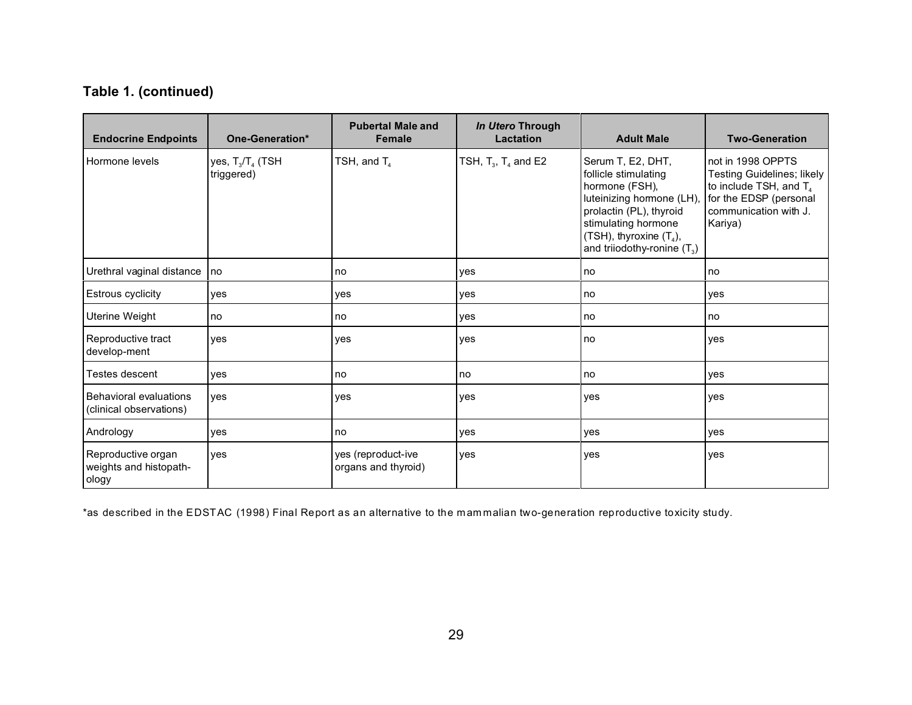# **Table 1. (continued)**

| <b>Endocrine Endpoints</b>                               | One-Generation*                   | <b>Pubertal Male and</b><br><b>Female</b> | In Utero Through<br><b>Lactation</b> | <b>Adult Male</b>                                                                                                                                                                                         | <b>Two-Generation</b>                                                                                                                               |
|----------------------------------------------------------|-----------------------------------|-------------------------------------------|--------------------------------------|-----------------------------------------------------------------------------------------------------------------------------------------------------------------------------------------------------------|-----------------------------------------------------------------------------------------------------------------------------------------------------|
| Hormone levels                                           | yes, $T_3/T_4$ (TSH<br>triggered) | TSH, and $T_4$                            | TSH, $T_3$ , $T_4$ and E2            | Serum T, E2, DHT,<br>follicle stimulating<br>hormone (FSH),<br>luteinizing hormone (LH),<br>prolactin (PL), thyroid<br>stimulating hormone<br>(TSH), thyroxine $(T_4)$ ,<br>and triiodothy-ronine $(T_3)$ | not in 1998 OPPTS<br>Testing Guidelines; likely<br>to include TSH, and T <sub>4</sub><br>for the EDSP (personal<br>communication with J.<br>Kariya) |
| Urethral vaginal distance                                | no                                | no                                        | yes                                  | no                                                                                                                                                                                                        | no                                                                                                                                                  |
| Estrous cyclicity                                        | yes                               | yes                                       | yes                                  | no                                                                                                                                                                                                        | yes                                                                                                                                                 |
| Uterine Weight                                           | no                                | no                                        | yes                                  | no                                                                                                                                                                                                        | no                                                                                                                                                  |
| Reproductive tract<br>develop-ment                       | yes                               | yes                                       | yes                                  | no                                                                                                                                                                                                        | yes                                                                                                                                                 |
| Testes descent                                           | yes                               | l no                                      | no                                   | no                                                                                                                                                                                                        | yes                                                                                                                                                 |
| <b>Behavioral evaluations</b><br>(clinical observations) | ves                               | yes                                       | yes                                  | yes                                                                                                                                                                                                       | yes                                                                                                                                                 |
| Andrology                                                | yes                               | no                                        | yes                                  | yes                                                                                                                                                                                                       | yes                                                                                                                                                 |
| Reproductive organ<br>weights and histopath-<br>ology    | yes                               | yes (reproduct-ive<br>organs and thyroid) | yes                                  | yes                                                                                                                                                                                                       | yes                                                                                                                                                 |

\*as described in the EDSTAC (1998) Final Report as an alternative to the mammalian two-generation reproductive toxicity study.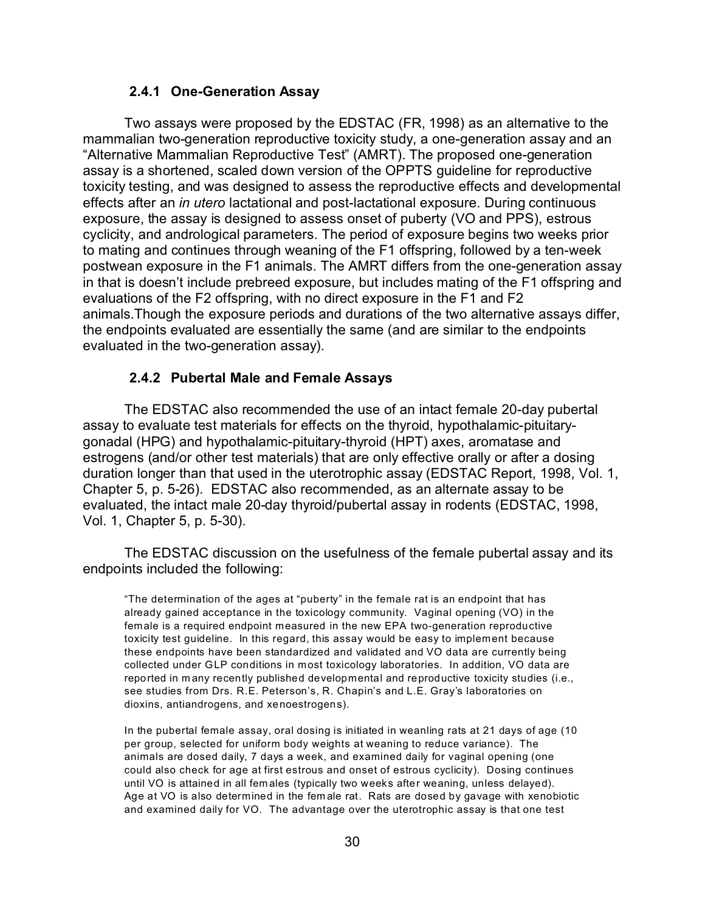### **2.4.1 One-Generation Assay**

Two assays were proposed by the EDSTAC (FR, 1998) as an alternative to the mammalian two-generation reproductive toxicity study, a one-generation assay and an "Alternative Mammalian Reproductive Test" (AMRT). The proposed one-generation assay is a shortened, scaled down version of the OPPTS guideline for reproductive toxicity testing, and was designed to assess the reproductive effects and developmental effects after an *in utero* lactational and post-lactational exposure. During continuous exposure, the assay is designed to assess onset of puberty (VO and PPS), estrous cyclicity, and andrological parameters. The period of exposure begins two weeks prior to mating and continues through weaning of the F1 offspring, followed by a ten-week postwean exposure in the F1 animals. The AMRT differs from the one-generation assay in that is doesn't include prebreed exposure, but includes mating of the F1 offspring and evaluations of the F2 offspring, with no direct exposure in the F1 and F2 animals.Though the exposure periods and durations of the two alternative assays differ, the endpoints evaluated are essentially the same (and are similar to the endpoints evaluated in the two-generation assay).

#### **2.4.2 Pubertal Male and Female Assays**

The EDSTAC also recommended the use of an intact female 20-day pubertal assay to evaluate test materials for effects on the thyroid, hypothalamic-pituitarygonadal (HPG) and hypothalamic-pituitary-thyroid (HPT) axes, aromatase and estrogens (and/or other test materials) that are only effective orally or after a dosing duration longer than that used in the uterotrophic assay (EDSTAC Report, 1998, Vol. 1, Chapter 5, p. 5-26). EDSTAC also recommended, as an alternate assay to be evaluated, the intact male 20-day thyroid/pubertal assay in rodents (EDSTAC, 1998, Vol. 1, Chapter 5, p. 5-30).

The EDSTAC discussion on the usefulness of the female pubertal assay and its endpoints included the following:

"The determination of the ages at "puberty" in the female rat is an endpoint that has already gained acceptance in the toxicology community. Vaginal opening (VO) in the female is a required endpoint measured in the new EPA two-generation reproductive toxicity test guideline. In this regard, this assay would be easy to implement because these endpoints have been standardized and validated and VO data are currently being collected under GLP conditions in most toxicology laboratories. In addition, VO data are reported in m any recently published developmental and reproductive toxicity studies (i.e., see studies from Drs. R.E. Peterson's, R. Chapin's and L.E. Gray's laboratories on dioxins, antiandrogens, and xenoestrogens).

In the pubertal female assay, oral dosing is initiated in weanling rats at 21 days of age (10 per group, selected for uniform body weights at weaning to reduce variance). The animals are dosed daily, 7 days a week, and examined daily for vaginal opening (one could also check for age at first estrous and onset of estrous cyclicity). Dosing continues until VO is attained in all fem ales (typically two weeks after weaning, unless delayed). Age at VO is also determined in the fem ale rat. Rats are dosed by gavage with xenobiotic and examined daily for VO. The advantage over the uterotrophic assay is that one test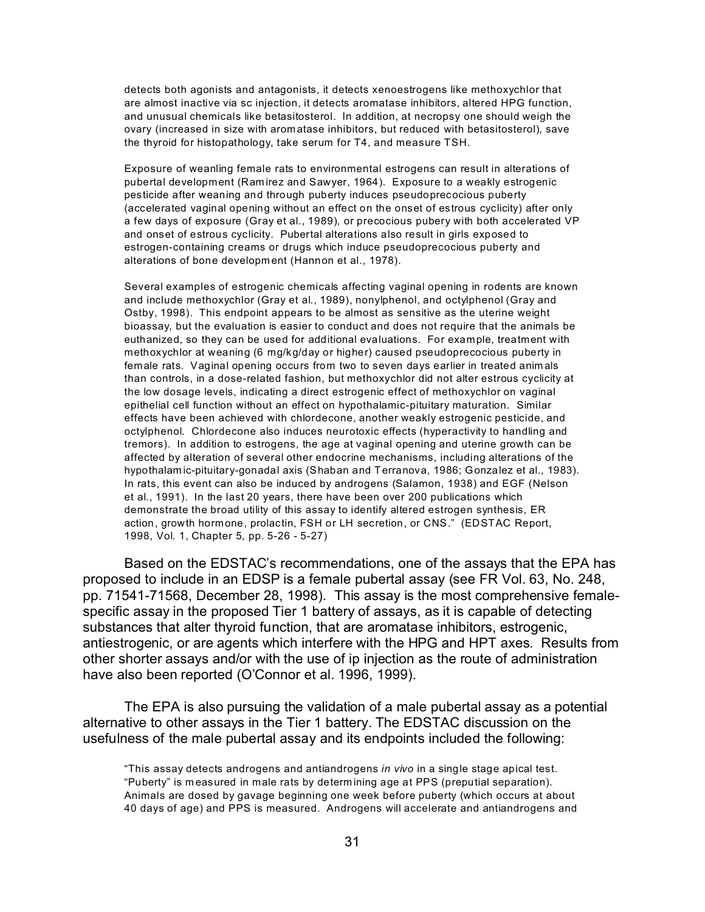detects both agonists and antagonists, it detects xenoestrogens like methoxychlor that are almost inactive via sc injection, it detects aromatase inhibitors, altered HPG function, and unusual chemicals like betasitosterol. In addition, at necropsy one should weigh the ovary (increased in size with aromatase inhibitors, but reduced with betasitosterol), save the thyroid for histopathology, take serum for T4, and measure TSH.

Exposure of weanling female rats to environmental estrogens can result in alterations of pubertal development (Ram irez and Sawyer, 1964). Exposure to a weakly estrogenic pesticide after weaning and through puberty induces pseudoprecocious puberty (accelerated vaginal opening without an effect on the onset of estrous cyclicity) after only a few days of exposure (Gray et al., 1989), or precocious pubery with both accelerated VP and onset of estrous cyclicity. Pubertal alterations also result in girls exposed to estrogen-containing creams or drugs which induce pseudoprecocious puberty and alterations of bone developm ent (Hannon et al., 1978).

Several examples of estrogenic chemicals affecting vaginal opening in rodents are known and include methoxychlor (Gray et al., 1989), nonylphenol, and octylphenol (Gray and Ostby, 1998). This endpoint appears to be almost as sensitive as the uterine weight bioassay, but the evaluation is easier to conduct and does not require that the animals be euthanized, so they can be used for additional evaluations. For example, treatment with methoxychlor at weaning (6 mg/kg/day or higher) caused pseudoprecocious puberty in female rats. Vaginal opening occurs from two to seven days earlier in treated anim als than controls, in a dose-related fashion, but methoxychlor did not alter estrous cyclicity at the low dosage levels, indicating a direct estrogenic effect of methoxychlor on vaginal epithelial cell function without an effect on hypothalamic-pituitary maturation. Similar effects have been achieved with chlordecone, another weakly estrogenic pesticide, and octylphenol. Chlordecone also induces neurotoxic effects (hyperactivity to handling and tremors). In addition to estrogens, the age at vaginal opening and uterine growth can be affected by alteration of several other endocrine mechanisms, including alterations of the hypothalam ic-pituitary-gonadal axis (Shaban and Terranova, 1986; Gonzalez et al., 1983). In rats, this event can also be induced by androgens (Salamon, 1938) and EGF (Nelson et al., 1991). In the last 20 years, there have been over 200 publications which demonstrate the broad utility of this assay to identify altered estrogen synthesis, ER action, growth hormone, prolactin, FSH or LH secretion, or CNS." (EDSTAC Report, 1998, Vol. 1, Chapter 5, pp. 5-26 - 5-27)

Based on the EDSTAC's recommendations, one of the assays that the EPA has proposed to include in an EDSP is a female pubertal assay (see FR Vol. 63, No. 248, pp. 71541-71568, December 28, 1998). This assay is the most comprehensive femalespecific assay in the proposed Tier 1 battery of assays, as it is capable of detecting substances that alter thyroid function, that are aromatase inhibitors, estrogenic, antiestrogenic, or are agents which interfere with the HPG and HPT axes. Results from other shorter assays and/or with the use of ip injection as the route of administration have also been reported (O'Connor et al. 1996, 1999).

The EPA is also pursuing the validation of a male pubertal assay as a potential alternative to other assays in the Tier 1 battery. The EDSTAC discussion on the usefulness of the male pubertal assay and its endpoints included the following:

<sup>&</sup>quot;This assay detects androgens and antiandrogens *in vivo* in a single stage apical test. "Puberty" is m easured in male rats by determ ining age at PPS (preputial separation). Animals are dosed by gavage beginning one week before puberty (which occurs at about 40 days of age) and PPS is measured. Androgens will accelerate and antiandrogens and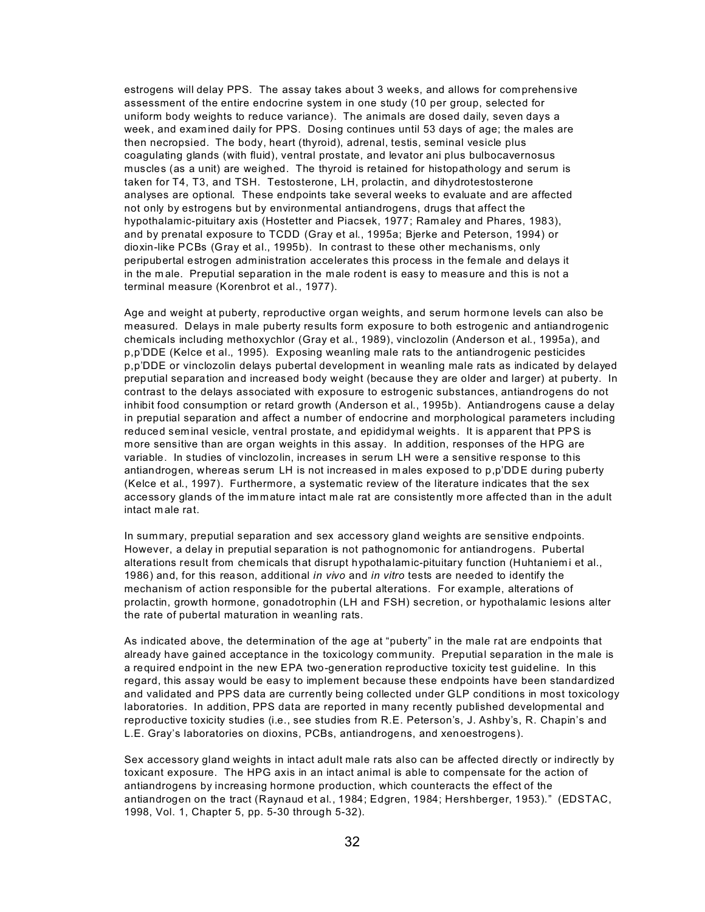estrogens will delay PPS. The assay takes about 3 weeks, and allows for comprehensive assessment of the entire endocrine system in one study (10 per group, selected for uniform body weights to reduce variance). The animals are dosed daily, seven days a week, and exam ined daily for PPS. Dosing continues until 53 days of age; the males are then necropsied. The body, heart (thyroid), adrenal, testis, seminal vesicle plus coagulating glands (with fluid), ventral prostate, and levator ani plus bulbocavernosus muscles (as a unit) are weighed. The thyroid is retained for histopathology and serum is taken for T4, T3, and TSH. Testosterone, LH, prolactin, and dihydrotestosterone analyses are optional. These endpoints take several weeks to evaluate and are affected not only by estrogens but by environmental antiandrogens, drugs that affect the hypothalamic-pituitary axis (Hostetter and Piacsek, 1977; Ramaley and Phares, 1983), and by prenatal exposure to TCDD (Gray et al., 1995a; Bjerke and Peterson, 1994) or dioxin-like PCBs (Gray et al., 1995b). In contrast to these other mechanisms, only peripubertal estrogen administration accelerates this process in the female and delays it in the m ale. Preputial separation in the male rodent is easy to measure and this is not a terminal measure (Korenbrot et al., 1977).

Age and weight at puberty, reproductive organ weights, and serum hormone levels can also be measured. Delays in male puberty results form exposure to both estrogenic and antiandrogenic chemicals including methoxychlor (Gray et al., 1989), vinclozolin (Anderson et al., 1995a), and p,p'DDE (Kelce et al., 1995). Exposing weanling male rats to the antiandrogenic pesticides p,p'DDE or vinclozolin delays pubertal development in weanling male rats as indicated by delayed preputial separation and increased body weight (because they are older and larger) at puberty. In contrast to the delays associated with exposure to estrogenic substances, antiandrogens do not inhibit food consumption or retard growth (Anderson et al., 1995b). Antiandrogens cause a delay in preputial separation and affect a number of endocrine and morphological parameters including reduced sem inal vesicle, ventral prostate, and epididymal weights. It is apparent that PPS is more sensitive than are organ weights in this assay. In addition, responses of the HPG are variable. In studies of vinclozolin, increases in serum LH were a sensitive response to this antiandrogen, whereas serum LH is not increased in m ales exposed to p,p'DDE during puberty (Kelce et al., 1997). Furthermore, a systematic review of the literature indicates that the sex accessory glands of the im mature intact m ale rat are consistently m ore affected than in the adult intact m ale rat.

In summary, preputial separation and sex accessory gland weights are sensitive endpoints. However, a delay in preputial separation is not pathognomonic for antiandrogens. Pubertal alterations result from chemicals that disrupt hypothalamic-pituitary function (Huhtaniemi et al., 1986) and, for this reason, additional *in vivo* and *in vitro* tests are needed to identify the mechanism of action responsible for the pubertal alterations. For example, alterations of prolactin, growth hormone, gonadotrophin (LH and FSH) secretion, or hypothalamic lesions alter the rate of pubertal maturation in weanling rats.

As indicated above, the determination of the age at "puberty" in the male rat are endpoints that already have gained acceptance in the toxicology community. Preputial separation in the m ale is a required endpoint in the new EPA two-generation reproductive toxicity test guideline. In this regard, this assay would be easy to implement because these endpoints have been standardized and validated and PPS data are currently being collected under GLP conditions in most toxicology laboratories. In addition, PPS data are reported in many recently published developmental and reproductive toxicity studies (i.e., see studies from R.E. Peterson's, J. Ashby's, R. Chapin's and L.E. Gray's laboratories on dioxins, PCBs, antiandrogens, and xenoestrogens).

Sex accessory gland weights in intact adult male rats also can be affected directly or indirectly by toxicant exposure. The HPG axis in an intact animal is able to compensate for the action of antiandrogens by increasing hormone production, which counteracts the effect of the antiandrogen on the tract (Raynaud et al., 1984; Edgren, 1984; Hershberger, 1953)." (EDSTAC, 1998, Vol. 1, Chapter 5, pp. 5-30 through 5-32).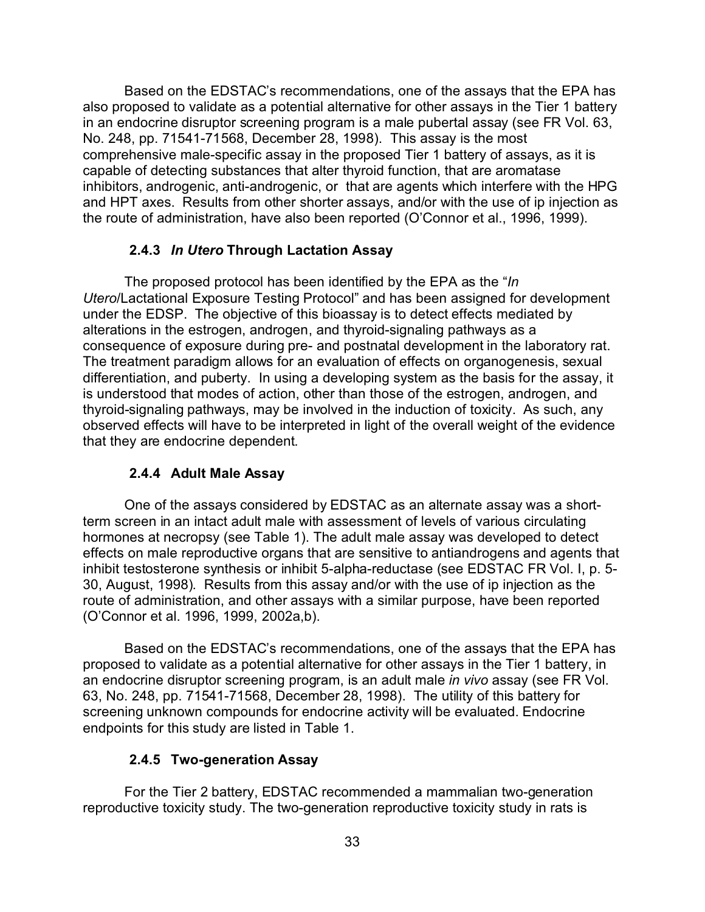Based on the EDSTAC's recommendations, one of the assays that the EPA has also proposed to validate as a potential alternative for other assays in the Tier 1 battery in an endocrine disruptor screening program is a male pubertal assay (see FR Vol. 63, No. 248, pp. 71541-71568, December 28, 1998). This assay is the most comprehensive male-specific assay in the proposed Tier 1 battery of assays, as it is capable of detecting substances that alter thyroid function, that are aromatase inhibitors, androgenic, anti-androgenic, or that are agents which interfere with the HPG and HPT axes. Results from other shorter assays, and/or with the use of ip injection as the route of administration, have also been reported (O'Connor et al., 1996, 1999).

## **2.4.3** *In Utero* **Through Lactation Assay**

The proposed protocol has been identified by the EPA as the "*In Utero*/Lactational Exposure Testing Protocol" and has been assigned for development under the EDSP. The objective of this bioassay is to detect effects mediated by alterations in the estrogen, androgen, and thyroid-signaling pathways as a consequence of exposure during pre- and postnatal development in the laboratory rat. The treatment paradigm allows for an evaluation of effects on organogenesis, sexual differentiation, and puberty. In using a developing system as the basis for the assay, it is understood that modes of action, other than those of the estrogen, androgen, and thyroid-signaling pathways, may be involved in the induction of toxicity. As such, any observed effects will have to be interpreted in light of the overall weight of the evidence that they are endocrine dependent.

#### **2.4.4 Adult Male Assay**

One of the assays considered by EDSTAC as an alternate assay was a shortterm screen in an intact adult male with assessment of levels of various circulating hormones at necropsy (see Table 1). The adult male assay was developed to detect effects on male reproductive organs that are sensitive to antiandrogens and agents that inhibit testosterone synthesis or inhibit 5-alpha-reductase (see EDSTAC FR Vol. I, p. 5- 30, August, 1998). Results from this assay and/or with the use of ip injection as the route of administration, and other assays with a similar purpose, have been reported (O'Connor et al. 1996, 1999, 2002a,b).

Based on the EDSTAC's recommendations, one of the assays that the EPA has proposed to validate as a potential alternative for other assays in the Tier 1 battery, in an endocrine disruptor screening program, is an adult male *in vivo* assay (see FR Vol. 63, No. 248, pp. 71541-71568, December 28, 1998). The utility of this battery for screening unknown compounds for endocrine activity will be evaluated. Endocrine endpoints for this study are listed in Table 1.

## **2.4.5 Two-generation Assay**

For the Tier 2 battery, EDSTAC recommended a mammalian two-generation reproductive toxicity study. The two-generation reproductive toxicity study in rats is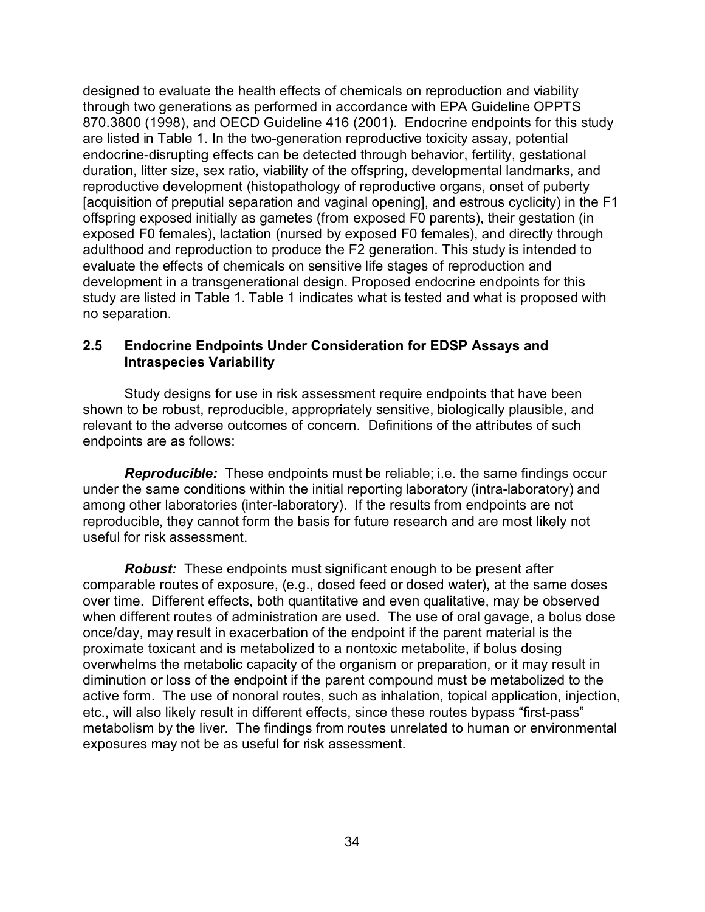designed to evaluate the health effects of chemicals on reproduction and viability through two generations as performed in accordance with EPA Guideline OPPTS 870.3800 (1998), and OECD Guideline 416 (2001). Endocrine endpoints for this study are listed in Table 1. In the two-generation reproductive toxicity assay, potential endocrine-disrupting effects can be detected through behavior, fertility, gestational duration, litter size, sex ratio, viability of the offspring, developmental landmarks, and reproductive development (histopathology of reproductive organs, onset of puberty [acquisition of preputial separation and vaginal opening], and estrous cyclicity) in the F1 offspring exposed initially as gametes (from exposed F0 parents), their gestation (in exposed F0 females), lactation (nursed by exposed F0 females), and directly through adulthood and reproduction to produce the F2 generation. This study is intended to evaluate the effects of chemicals on sensitive life stages of reproduction and development in a transgenerational design. Proposed endocrine endpoints for this study are listed in Table 1. Table 1 indicates what is tested and what is proposed with no separation.

## **2.5 Endocrine Endpoints Under Consideration for EDSP Assays and Intraspecies Variability**

Study designs for use in risk assessment require endpoints that have been shown to be robust, reproducible, appropriately sensitive, biologically plausible, and relevant to the adverse outcomes of concern. Definitions of the attributes of such endpoints are as follows:

*Reproducible:* These endpoints must be reliable; i.e. the same findings occur under the same conditions within the initial reporting laboratory (intra-laboratory) and among other laboratories (inter-laboratory). If the results from endpoints are not reproducible, they cannot form the basis for future research and are most likely not useful for risk assessment.

*Robust:* These endpoints must significant enough to be present after comparable routes of exposure, (e.g., dosed feed or dosed water), at the same doses over time. Different effects, both quantitative and even qualitative, may be observed when different routes of administration are used. The use of oral gavage, a bolus dose once/day, may result in exacerbation of the endpoint if the parent material is the proximate toxicant and is metabolized to a nontoxic metabolite, if bolus dosing overwhelms the metabolic capacity of the organism or preparation, or it may result in diminution or loss of the endpoint if the parent compound must be metabolized to the active form. The use of nonoral routes, such as inhalation, topical application, injection, etc., will also likely result in different effects, since these routes bypass "first-pass" metabolism by the liver. The findings from routes unrelated to human or environmental exposures may not be as useful for risk assessment.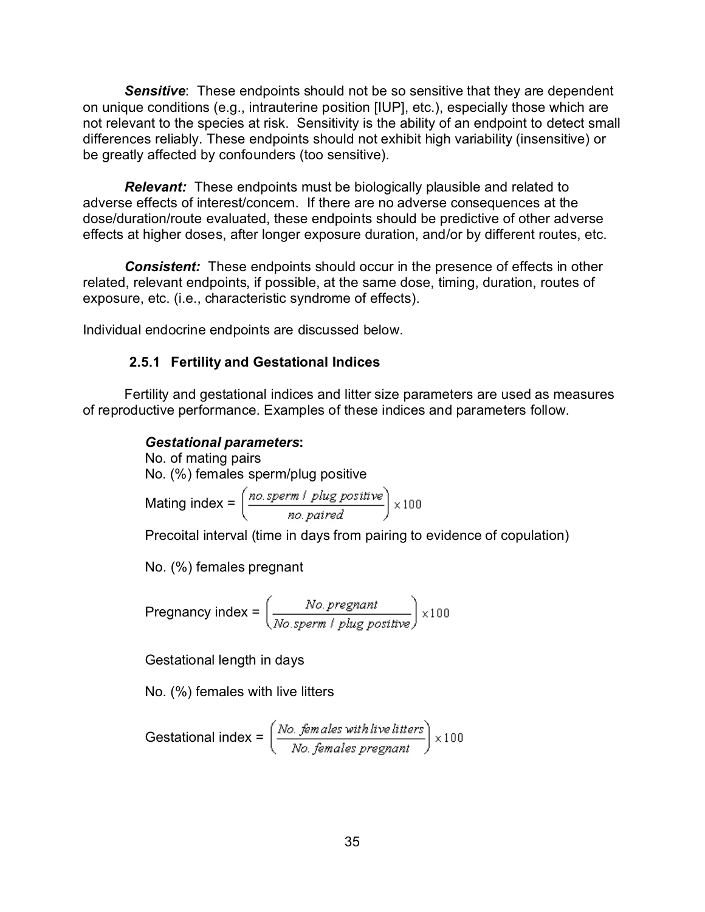**Sensitive:** These endpoints should not be so sensitive that they are dependent on unique conditions (e.g., intrauterine position [IUP], etc.), especially those which are not relevant to the species at risk. Sensitivity is the ability of an endpoint to detect small differences reliably. These endpoints should not exhibit high variability (insensitive) or be greatly affected by confounders (too sensitive).

*Relevant:* These endpoints must be biologically plausible and related to adverse effects of interest/concern. If there are no adverse consequences at the dose/duration/route evaluated, these endpoints should be predictive of other adverse effects at higher doses, after longer exposure duration, and/or by different routes, etc.

*Consistent:* These endpoints should occur in the presence of effects in other related, relevant endpoints, if possible, at the same dose, timing, duration, routes of exposure, etc. (i.e., characteristic syndrome of effects).

Individual endocrine endpoints are discussed below.

## **2.5.1 Fertility and Gestational Indices**

Fertility and gestational indices and litter size parameters are used as measures of reproductive performance. Examples of these indices and parameters follow.

## *Gestational parameters***:**

No. of mating pairs No. (%) females sperm/plug positive

Mating index =

\n
$$
\left(\frac{no. \, \text{sperm} \, / \, \text{plug} \, \text{positive}}{no. \, \text{paired}}\right) \times 100
$$

Precoital interval (time in days from pairing to evidence of copulation)

No. (%) females pregnant

Pregnancy index =  $\left(\frac{No. \text{pregnant}}{No. \text{sperm / blue positive}}\right) \times 100$ 

Gestational length in days

No. (%) females with live litters

Gestational index = 
$$
\left(\frac{No. \text{ females with live litters}}{No. \text{ females pregnant}}\right) \times 100
$$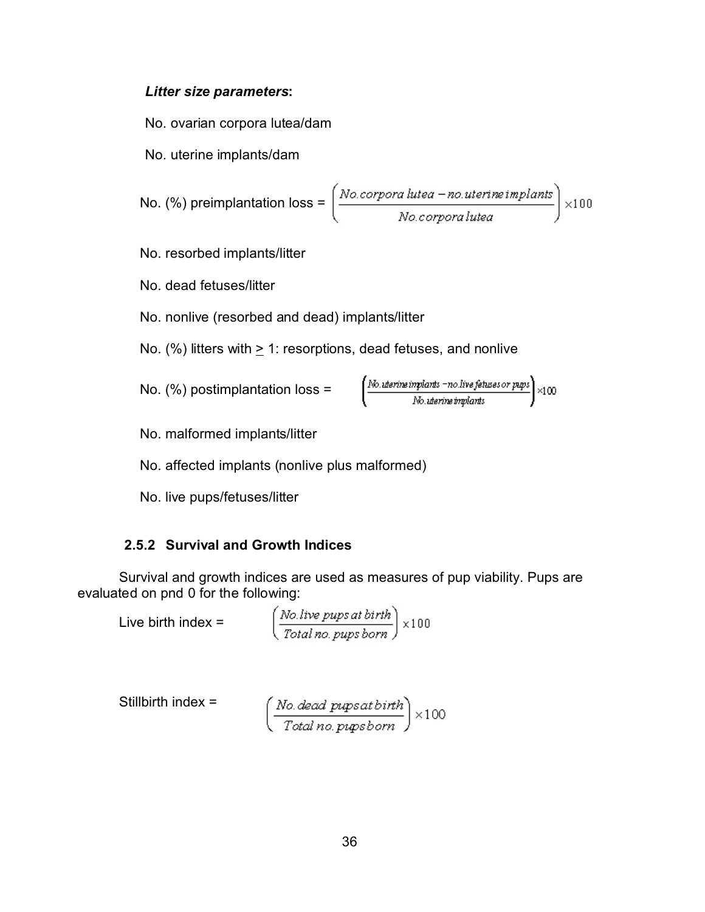## *Litter size parameters***:**

No. ovarian corpora lutea/dam

No. uterine implants/dam

No. (%) preimplantation loss = 
$$
\left(\frac{No.corpora\,lutea-no.uterine\,implants}{No.corpora\,lutea}\right) \times 100
$$

No. resorbed implants/litter

No. dead fetuses/litter

No. nonlive (resorbed and dead) implants/litter

No. (%) litters with > 1: resorptions, dead fetuses, and nonlive

No. (%) postimplantation loss = 
$$
\left(\frac{N_{0. \text{uterine} \text{ }implants \text{ } -no. \text{ live} \text{ }feltuses \text{ }or \text{ }pups}}{N_{0. \text{ uterine} \text{ }implants}}\right) \times 100
$$

No. malformed implants/litter

No. affected implants (nonlive plus malformed)

No. live pups/fetuses/litter

## **2.5.2 Survival and Growth Indices**

Survival and growth indices are used as measures of pup viability. Pups are evaluated on pnd 0 for the following:

Live birth index =  $\left(\frac{No \text{ live puts at birth}}{Total \text{ no. push born}}\right) \times 100$ 

Stillbirth index = 
$$
\left(\frac{No\text{. dead }pupsat birth}{Total\ no\text{.}pupsborn}\right) \times 100
$$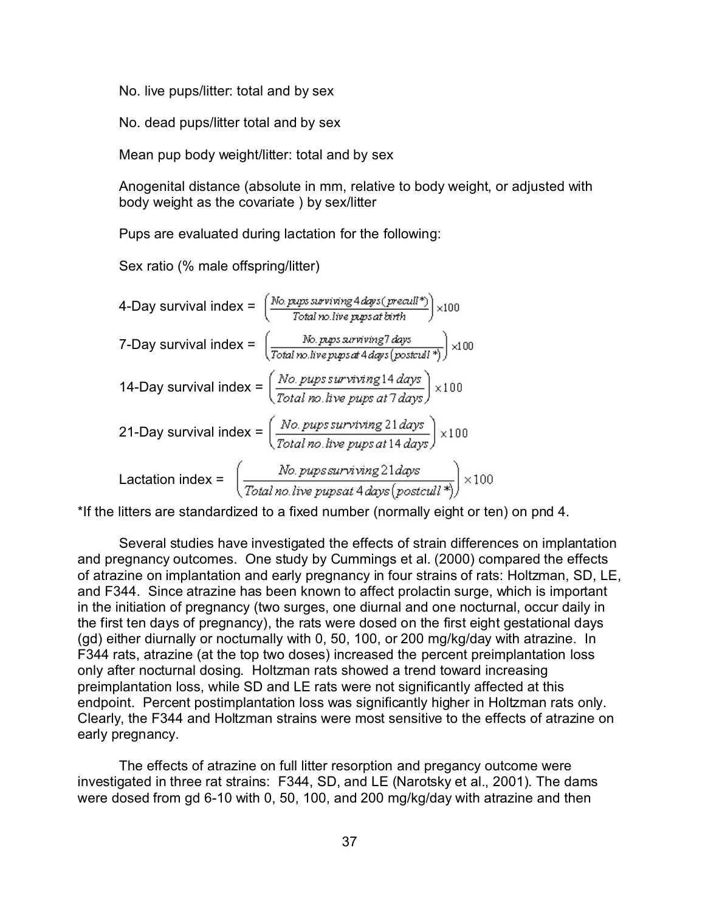No. live pups/litter: total and by sex

No. dead pups/litter total and by sex

Mean pup body weight/litter: total and by sex

Anogenital distance (absolute in mm, relative to body weight, or adjusted with body weight as the covariate ) by sex/litter

Pups are evaluated during lactation for the following:

Sex ratio (% male offspring/litter)

4-Day survival index = 
$$
\left(\frac{No. \text{ phys surviving Adays (recall*)}}{\text{Total no live prpsat birth}}\right) \times 100
$$
\n7-Day survival index = 
$$
\left(\frac{No. \text{prps surviving*} \text{days}}{\text{Total no. live prpsat Adays} \text{(postall*)}}\right) \times 100
$$
\n14-Day survival index = 
$$
\left(\frac{No. \text{prps survival}}{\text{Total no. live prpsat} \text{days}}\right) \times 100
$$
\n21-Day survival index = 
$$
\left(\frac{No. \text{prps survival}}{\text{Total no. live prpsat} \text{14 days}}\right) \times 100
$$
\nLactation index = 
$$
\left(\frac{No. \text{prps surviving} \text{21 days}}{\text{Total no. live prpsat} \text{4 days} \text{(postcall*)}}\right) \times 100
$$

\*If the litters are standardized to a fixed number (normally eight or ten) on pnd 4.

Several studies have investigated the effects of strain differences on implantation and pregnancy outcomes. One study by Cummings et al. (2000) compared the effects of atrazine on implantation and early pregnancy in four strains of rats: Holtzman, SD, LE, and F344. Since atrazine has been known to affect prolactin surge, which is important in the initiation of pregnancy (two surges, one diurnal and one nocturnal, occur daily in the first ten days of pregnancy), the rats were dosed on the first eight gestational days (gd) either diurnally or nocturnally with 0, 50, 100, or 200 mg/kg/day with atrazine. In F344 rats, atrazine (at the top two doses) increased the percent preimplantation loss only after nocturnal dosing. Holtzman rats showed a trend toward increasing preimplantation loss, while SD and LE rats were not significantly affected at this endpoint. Percent postimplantation loss was significantly higher in Holtzman rats only. Clearly, the F344 and Holtzman strains were most sensitive to the effects of atrazine on early pregnancy.

The effects of atrazine on full litter resorption and pregancy outcome were investigated in three rat strains: F344, SD, and LE (Narotsky et al., 2001). The dams were dosed from gd 6-10 with 0, 50, 100, and 200 mg/kg/day with atrazine and then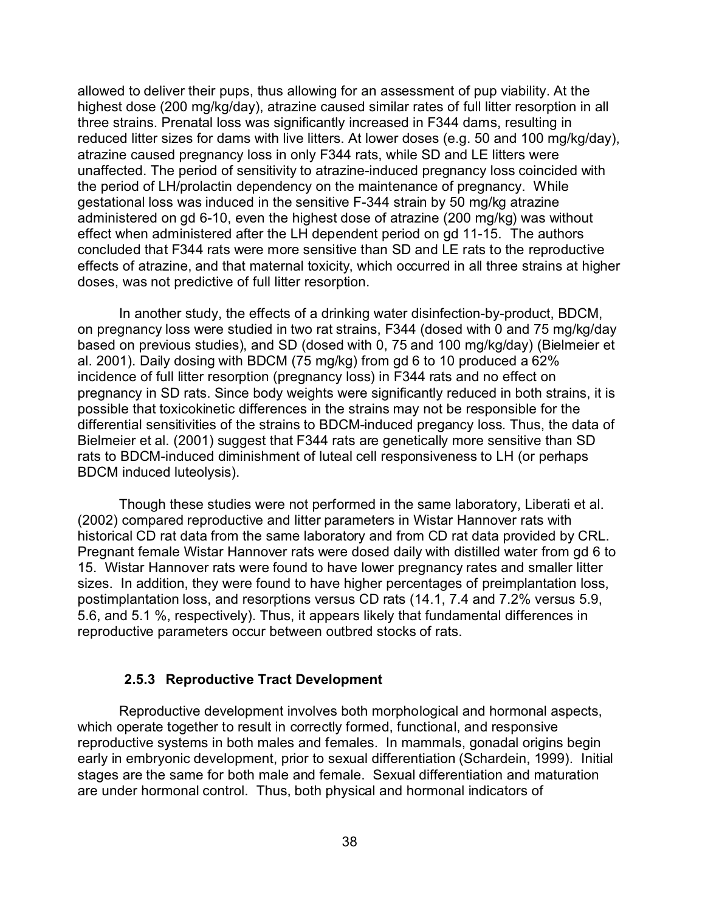allowed to deliver their pups, thus allowing for an assessment of pup viability. At the highest dose (200 mg/kg/day), atrazine caused similar rates of full litter resorption in all three strains. Prenatal loss was significantly increased in F344 dams, resulting in reduced litter sizes for dams with live litters. At lower doses (e.g. 50 and 100 mg/kg/day), atrazine caused pregnancy loss in only F344 rats, while SD and LE litters were unaffected. The period of sensitivity to atrazine-induced pregnancy loss coincided with the period of LH/prolactin dependency on the maintenance of pregnancy. While gestational loss was induced in the sensitive F-344 strain by 50 mg/kg atrazine administered on gd 6-10, even the highest dose of atrazine (200 mg/kg) was without effect when administered after the LH dependent period on gd 11-15. The authors concluded that F344 rats were more sensitive than SD and LE rats to the reproductive effects of atrazine, and that maternal toxicity, which occurred in all three strains at higher doses, was not predictive of full litter resorption.

In another study, the effects of a drinking water disinfection-by-product, BDCM, on pregnancy loss were studied in two rat strains, F344 (dosed with 0 and 75 mg/kg/day based on previous studies), and SD (dosed with 0, 75 and 100 mg/kg/day) (Bielmeier et al. 2001). Daily dosing with BDCM (75 mg/kg) from gd 6 to 10 produced a 62% incidence of full litter resorption (pregnancy loss) in F344 rats and no effect on pregnancy in SD rats. Since body weights were significantly reduced in both strains, it is possible that toxicokinetic differences in the strains may not be responsible for the differential sensitivities of the strains to BDCM-induced pregancy loss. Thus, the data of Bielmeier et al. (2001) suggest that F344 rats are genetically more sensitive than SD rats to BDCM-induced diminishment of luteal cell responsiveness to LH (or perhaps BDCM induced luteolysis).

Though these studies were not performed in the same laboratory, Liberati et al. (2002) compared reproductive and litter parameters in Wistar Hannover rats with historical CD rat data from the same laboratory and from CD rat data provided by CRL. Pregnant female Wistar Hannover rats were dosed daily with distilled water from gd 6 to 15. Wistar Hannover rats were found to have lower pregnancy rates and smaller litter sizes. In addition, they were found to have higher percentages of preimplantation loss, postimplantation loss, and resorptions versus CD rats (14.1, 7.4 and 7.2% versus 5.9, 5.6, and 5.1 %, respectively). Thus, it appears likely that fundamental differences in reproductive parameters occur between outbred stocks of rats.

## **2.5.3 Reproductive Tract Development**

Reproductive development involves both morphological and hormonal aspects, which operate together to result in correctly formed, functional, and responsive reproductive systems in both males and females. In mammals, gonadal origins begin early in embryonic development, prior to sexual differentiation (Schardein, 1999). Initial stages are the same for both male and female. Sexual differentiation and maturation are under hormonal control. Thus, both physical and hormonal indicators of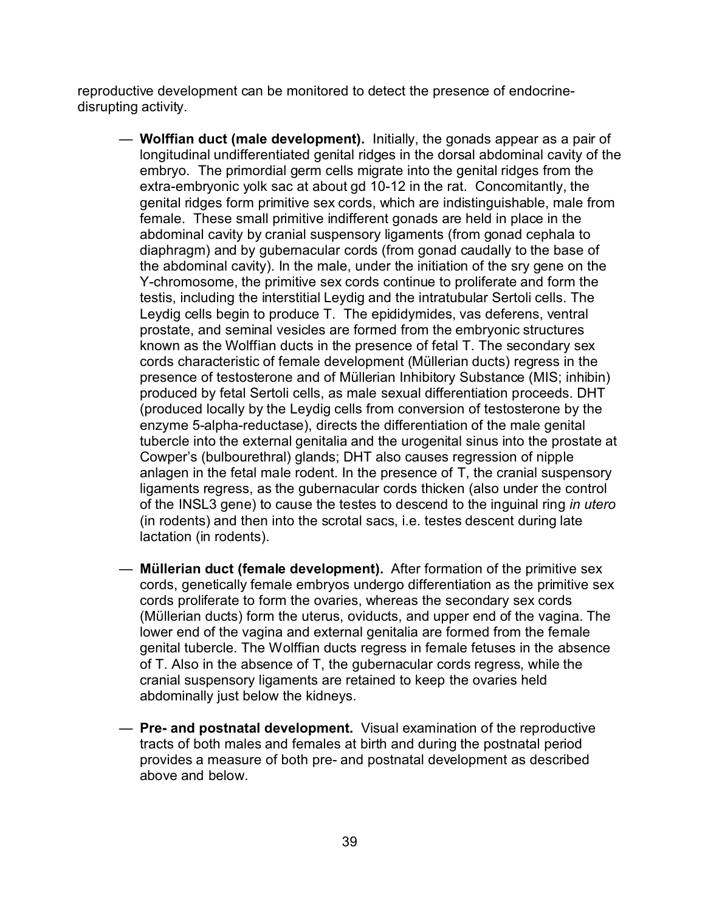reproductive development can be monitored to detect the presence of endocrinedisrupting activity.

- **Wolffian duct (male development).** Initially, the gonads appear as a pair of longitudinal undifferentiated genital ridges in the dorsal abdominal cavity of the embryo. The primordial germ cells migrate into the genital ridges from the extra-embryonic yolk sac at about gd 10-12 in the rat. Concomitantly, the genital ridges form primitive sex cords, which are indistinguishable, male from female. These small primitive indifferent gonads are held in place in the abdominal cavity by cranial suspensory ligaments (from gonad cephala to diaphragm) and by gubernacular cords (from gonad caudally to the base of the abdominal cavity). In the male, under the initiation of the sry gene on the Y-chromosome, the primitive sex cords continue to proliferate and form the testis, including the interstitial Leydig and the intratubular Sertoli cells. The Leydig cells begin to produce T. The epididymides, vas deferens, ventral prostate, and seminal vesicles are formed from the embryonic structures known as the Wolffian ducts in the presence of fetal T. The secondary sex cords characteristic of female development (Müllerian ducts) regress in the presence of testosterone and of Müllerian Inhibitory Substance (MIS; inhibin) produced by fetal Sertoli cells, as male sexual differentiation proceeds. DHT (produced locally by the Leydig cells from conversion of testosterone by the enzyme 5-alpha-reductase), directs the differentiation of the male genital tubercle into the external genitalia and the urogenital sinus into the prostate at Cowper's (bulbourethral) glands; DHT also causes regression of nipple anlagen in the fetal male rodent. In the presence of T, the cranial suspensory ligaments regress, as the gubernacular cords thicken (also under the control of the INSL3 gene) to cause the testes to descend to the inguinal ring *in utero* (in rodents) and then into the scrotal sacs, i.e. testes descent during late lactation (in rodents).
- **Müllerian duct (female development).** After formation of the primitive sex cords, genetically female embryos undergo differentiation as the primitive sex cords proliferate to form the ovaries, whereas the secondary sex cords (Müllerian ducts) form the uterus, oviducts, and upper end of the vagina. The lower end of the vagina and external genitalia are formed from the female genital tubercle. The Wolffian ducts regress in female fetuses in the absence of T. Also in the absence of T, the gubernacular cords regress, while the cranial suspensory ligaments are retained to keep the ovaries held abdominally just below the kidneys.
- **Pre- and postnatal development.** Visual examination of the reproductive tracts of both males and females at birth and during the postnatal period provides a measure of both pre- and postnatal development as described above and below.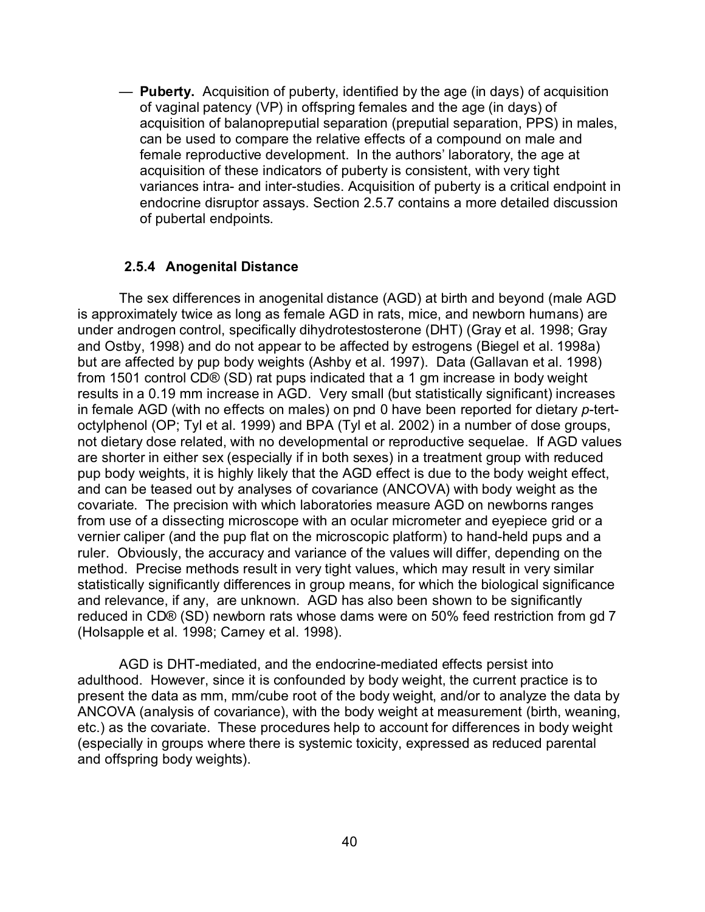— **Puberty.** Acquisition of puberty, identified by the age (in days) of acquisition of vaginal patency (VP) in offspring females and the age (in days) of acquisition of balanopreputial separation (preputial separation, PPS) in males, can be used to compare the relative effects of a compound on male and female reproductive development. In the authors' laboratory, the age at acquisition of these indicators of puberty is consistent, with very tight variances intra- and inter-studies. Acquisition of puberty is a critical endpoint in endocrine disruptor assays. Section 2.5.7 contains a more detailed discussion of pubertal endpoints.

#### **2.5.4 Anogenital Distance**

The sex differences in anogenital distance (AGD) at birth and beyond (male AGD is approximately twice as long as female AGD in rats, mice, and newborn humans) are under androgen control, specifically dihydrotestosterone (DHT) (Gray et al. 1998; Gray and Ostby, 1998) and do not appear to be affected by estrogens (Biegel et al. 1998a) but are affected by pup body weights (Ashby et al. 1997). Data (Gallavan et al. 1998) from 1501 control CD® (SD) rat pups indicated that a 1 gm increase in body weight results in a 0.19 mm increase in AGD. Very small (but statistically significant) increases in female AGD (with no effects on males) on pnd 0 have been reported for dietary *p*-tertoctylphenol (OP; Tyl et al. 1999) and BPA (Tyl et al. 2002) in a number of dose groups, not dietary dose related, with no developmental or reproductive sequelae. If AGD values are shorter in either sex (especially if in both sexes) in a treatment group with reduced pup body weights, it is highly likely that the AGD effect is due to the body weight effect, and can be teased out by analyses of covariance (ANCOVA) with body weight as the covariate. The precision with which laboratories measure AGD on newborns ranges from use of a dissecting microscope with an ocular micrometer and eyepiece grid or a vernier caliper (and the pup flat on the microscopic platform) to hand-held pups and a ruler. Obviously, the accuracy and variance of the values will differ, depending on the method. Precise methods result in very tight values, which may result in very similar statistically significantly differences in group means, for which the biological significance and relevance, if any, are unknown. AGD has also been shown to be significantly reduced in CD® (SD) newborn rats whose dams were on 50% feed restriction from gd 7 (Holsapple et al. 1998; Carney et al. 1998).

AGD is DHT-mediated, and the endocrine-mediated effects persist into adulthood. However, since it is confounded by body weight, the current practice is to present the data as mm, mm/cube root of the body weight, and/or to analyze the data by ANCOVA (analysis of covariance), with the body weight at measurement (birth, weaning, etc.) as the covariate. These procedures help to account for differences in body weight (especially in groups where there is systemic toxicity, expressed as reduced parental and offspring body weights).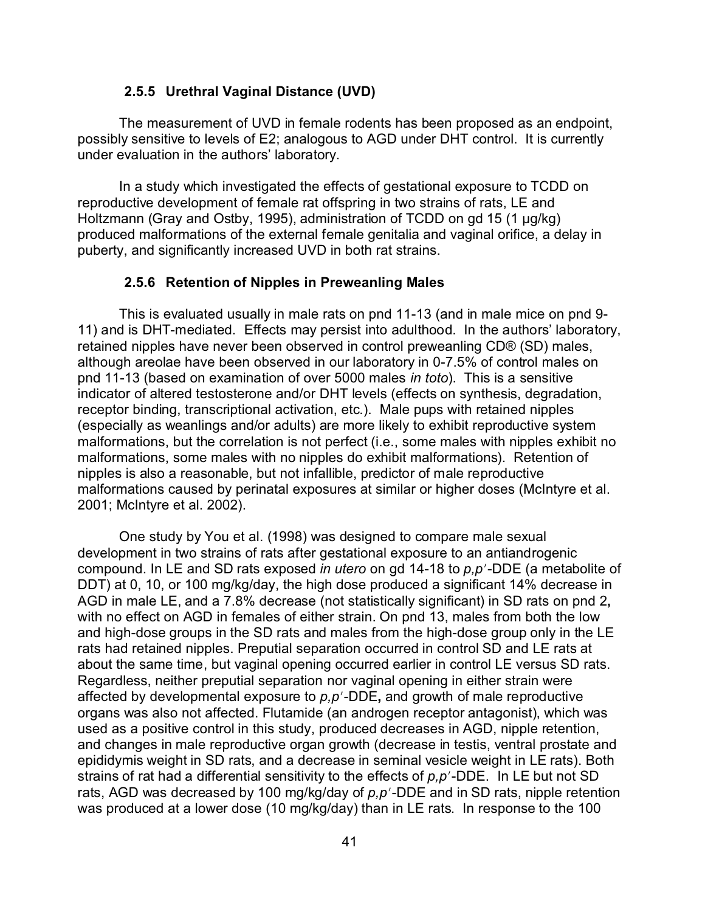#### **2.5.5 Urethral Vaginal Distance (UVD)**

The measurement of UVD in female rodents has been proposed as an endpoint, possibly sensitive to levels of E2; analogous to AGD under DHT control. It is currently under evaluation in the authors' laboratory.

In a study which investigated the effects of gestational exposure to TCDD on reproductive development of female rat offspring in two strains of rats, LE and Holtzmann (Gray and Ostby, 1995), administration of TCDD on gd 15 (1 µg/kg) produced malformations of the external female genitalia and vaginal orifice, a delay in puberty, and significantly increased UVD in both rat strains.

#### **2.5.6 Retention of Nipples in Preweanling Males**

This is evaluated usually in male rats on pnd 11-13 (and in male mice on pnd 9- 11) and is DHT-mediated. Effects may persist into adulthood. In the authors' laboratory, retained nipples have never been observed in control preweanling CD® (SD) males, although areolae have been observed in our laboratory in 0-7.5% of control males on pnd 11-13 (based on examination of over 5000 males *in toto*). This is a sensitive indicator of altered testosterone and/or DHT levels (effects on synthesis, degradation, receptor binding, transcriptional activation, etc.). Male pups with retained nipples (especially as weanlings and/or adults) are more likely to exhibit reproductive system malformations, but the correlation is not perfect (i.e., some males with nipples exhibit no malformations, some males with no nipples do exhibit malformations). Retention of nipples is also a reasonable, but not infallible, predictor of male reproductive malformations caused by perinatal exposures at similar or higher doses (McIntyre et al. 2001; McIntyre et al. 2002).

One study by You et al. (1998) was designed to compare male sexual development in two strains of rats after gestational exposure to an antiandrogenic compound. In LE and SD rats exposed *in utero* on gd 14-18 to  $p, p'$ -DDE (a metabolite of DDT) at 0, 10, or 100 mg/kg/day, the high dose produced a significant 14% decrease in AGD in male LE, and a 7.8% decrease (not statistically significant) in SD rats on pnd 2**,** with no effect on AGD in females of either strain. On pnd 13, males from both the low and high-dose groups in the SD rats and males from the high-dose group only in the LE rats had retained nipples. Preputial separation occurred in control SD and LE rats at about the same time, but vaginal opening occurred earlier in control LE versus SD rats. Regardless, neither preputial separation nor vaginal opening in either strain were affected by developmental exposure to  $p, p'$ -DDE, and growth of male reproductive organs was also not affected. Flutamide (an androgen receptor antagonist), which was used as a positive control in this study, produced decreases in AGD, nipple retention, and changes in male reproductive organ growth (decrease in testis, ventral prostate and epididymis weight in SD rats, and a decrease in seminal vesicle weight in LE rats). Both strains of rat had a differential sensitivity to the effects of  $p, p'$ -DDE. In LE but not SD rats, AGD was decreased by 100 mg/kg/day of  $p, p'$ -DDE and in SD rats, nipple retention was produced at a lower dose (10 mg/kg/day) than in LE rats. In response to the 100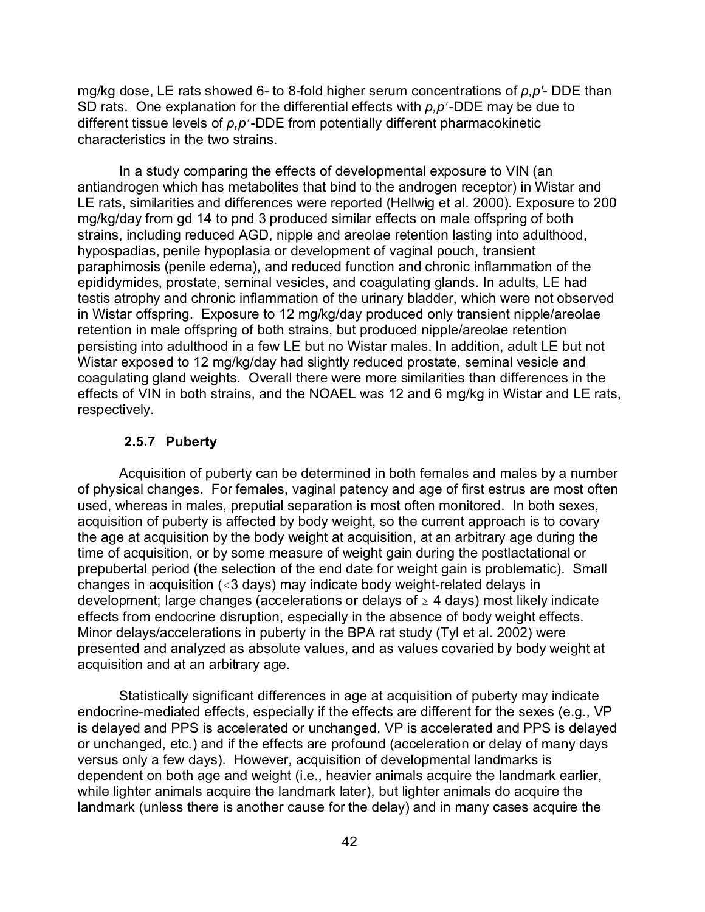mg/kg dose, LE rats showed 6- to 8-fold higher serum concentrations of *p,p'*- DDE than SD rats. One explanation for the differential effects with  $p, p'$ -DDE may be due to different tissue levels of  $p.p'$ -DDE from potentially different pharmacokinetic characteristics in the two strains.

In a study comparing the effects of developmental exposure to VIN (an antiandrogen which has metabolites that bind to the androgen receptor) in Wistar and LE rats, similarities and differences were reported (Hellwig et al. 2000). Exposure to 200 mg/kg/day from gd 14 to pnd 3 produced similar effects on male offspring of both strains, including reduced AGD, nipple and areolae retention lasting into adulthood, hypospadias, penile hypoplasia or development of vaginal pouch, transient paraphimosis (penile edema), and reduced function and chronic inflammation of the epididymides, prostate, seminal vesicles, and coagulating glands. In adults, LE had testis atrophy and chronic inflammation of the urinary bladder, which were not observed in Wistar offspring. Exposure to 12 mg/kg/day produced only transient nipple/areolae retention in male offspring of both strains, but produced nipple/areolae retention persisting into adulthood in a few LE but no Wistar males. In addition, adult LE but not Wistar exposed to 12 mg/kg/day had slightly reduced prostate, seminal vesicle and coagulating gland weights. Overall there were more similarities than differences in the effects of VIN in both strains, and the NOAEL was 12 and 6 mg/kg in Wistar and LE rats, respectively.

## **2.5.7 Puberty**

Acquisition of puberty can be determined in both females and males by a number of physical changes. For females, vaginal patency and age of first estrus are most often used, whereas in males, preputial separation is most often monitored. In both sexes, acquisition of puberty is affected by body weight, so the current approach is to covary the age at acquisition by the body weight at acquisition, at an arbitrary age during the time of acquisition, or by some measure of weight gain during the postlactational or prepubertal period (the selection of the end date for weight gain is problematic). Small changes in acquisition ( $\leq$ 3 days) may indicate body weight-related delays in development; large changes (accelerations or delays of  $\geq 4$  days) most likely indicate effects from endocrine disruption, especially in the absence of body weight effects. Minor delays/accelerations in puberty in the BPA rat study (Tyl et al. 2002) were presented and analyzed as absolute values, and as values covaried by body weight at acquisition and at an arbitrary age.

Statistically significant differences in age at acquisition of puberty may indicate endocrine-mediated effects, especially if the effects are different for the sexes (e.g., VP is delayed and PPS is accelerated or unchanged, VP is accelerated and PPS is delayed or unchanged, etc.) and if the effects are profound (acceleration or delay of many days versus only a few days). However, acquisition of developmental landmarks is dependent on both age and weight (i.e., heavier animals acquire the landmark earlier, while lighter animals acquire the landmark later), but lighter animals do acquire the landmark (unless there is another cause for the delay) and in many cases acquire the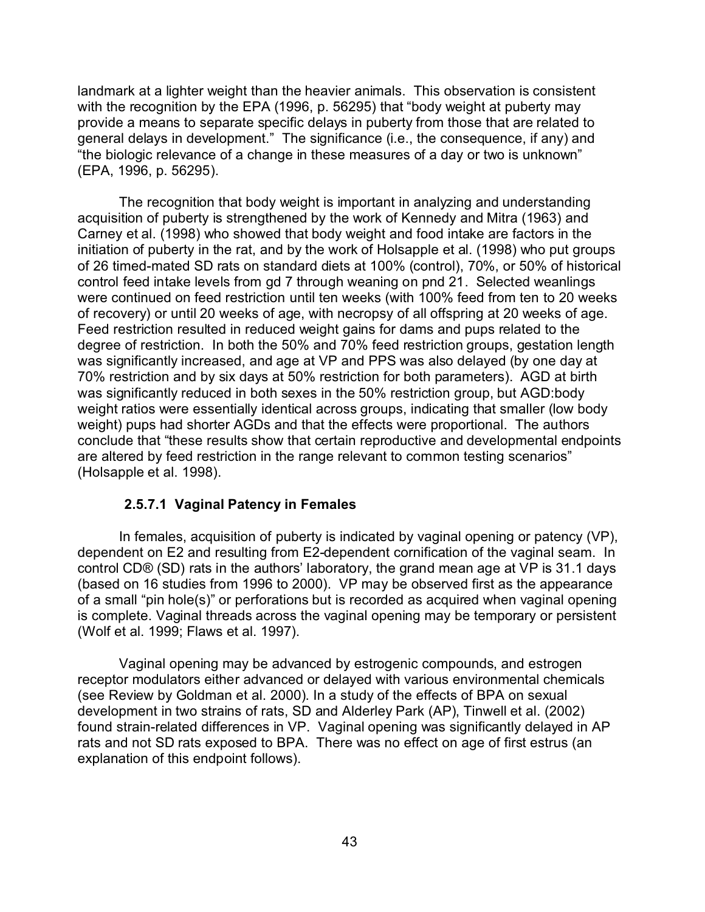landmark at a lighter weight than the heavier animals. This observation is consistent with the recognition by the EPA (1996, p. 56295) that "body weight at puberty may provide a means to separate specific delays in puberty from those that are related to general delays in development." The significance (i.e., the consequence, if any) and "the biologic relevance of a change in these measures of a day or two is unknown" (EPA, 1996, p. 56295).

The recognition that body weight is important in analyzing and understanding acquisition of puberty is strengthened by the work of Kennedy and Mitra (1963) and Carney et al. (1998) who showed that body weight and food intake are factors in the initiation of puberty in the rat, and by the work of Holsapple et al. (1998) who put groups of 26 timed-mated SD rats on standard diets at 100% (control), 70%, or 50% of historical control feed intake levels from gd 7 through weaning on pnd 21. Selected weanlings were continued on feed restriction until ten weeks (with 100% feed from ten to 20 weeks of recovery) or until 20 weeks of age, with necropsy of all offspring at 20 weeks of age. Feed restriction resulted in reduced weight gains for dams and pups related to the degree of restriction. In both the 50% and 70% feed restriction groups, gestation length was significantly increased, and age at VP and PPS was also delayed (by one day at 70% restriction and by six days at 50% restriction for both parameters). AGD at birth was significantly reduced in both sexes in the 50% restriction group, but AGD:body weight ratios were essentially identical across groups, indicating that smaller (low body weight) pups had shorter AGDs and that the effects were proportional. The authors conclude that "these results show that certain reproductive and developmental endpoints are altered by feed restriction in the range relevant to common testing scenarios" (Holsapple et al. 1998).

#### **2.5.7.1 Vaginal Patency in Females**

In females, acquisition of puberty is indicated by vaginal opening or patency (VP), dependent on E2 and resulting from E2-dependent cornification of the vaginal seam. In control CD® (SD) rats in the authors' laboratory, the grand mean age at VP is 31.1 days (based on 16 studies from 1996 to 2000). VP may be observed first as the appearance of a small "pin hole(s)" or perforations but is recorded as acquired when vaginal opening is complete. Vaginal threads across the vaginal opening may be temporary or persistent (Wolf et al. 1999; Flaws et al. 1997).

Vaginal opening may be advanced by estrogenic compounds, and estrogen receptor modulators either advanced or delayed with various environmental chemicals (see Review by Goldman et al. 2000). In a study of the effects of BPA on sexual development in two strains of rats, SD and Alderley Park (AP), Tinwell et al. (2002) found strain-related differences in VP. Vaginal opening was significantly delayed in AP rats and not SD rats exposed to BPA. There was no effect on age of first estrus (an explanation of this endpoint follows).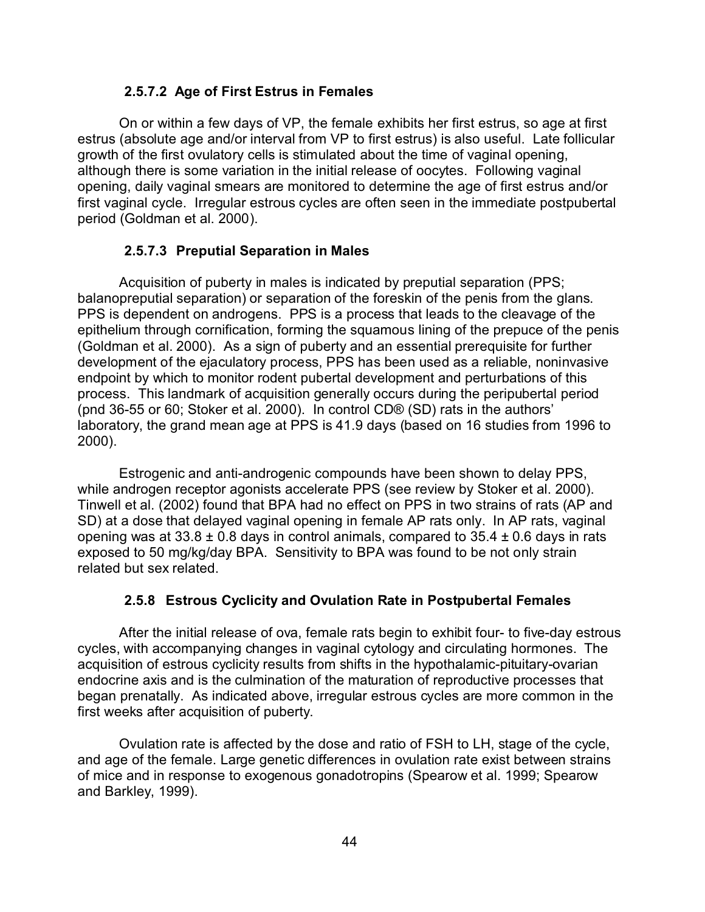## **2.5.7.2 Age of First Estrus in Females**

On or within a few days of VP, the female exhibits her first estrus, so age at first estrus (absolute age and/or interval from VP to first estrus) is also useful. Late follicular growth of the first ovulatory cells is stimulated about the time of vaginal opening, although there is some variation in the initial release of oocytes. Following vaginal opening, daily vaginal smears are monitored to determine the age of first estrus and/or first vaginal cycle. Irregular estrous cycles are often seen in the immediate postpubertal period (Goldman et al. 2000).

## **2.5.7.3 Preputial Separation in Males**

Acquisition of puberty in males is indicated by preputial separation (PPS; balanopreputial separation) or separation of the foreskin of the penis from the glans. PPS is dependent on androgens. PPS is a process that leads to the cleavage of the epithelium through cornification, forming the squamous lining of the prepuce of the penis (Goldman et al. 2000). As a sign of puberty and an essential prerequisite for further development of the ejaculatory process, PPS has been used as a reliable, noninvasive endpoint by which to monitor rodent pubertal development and perturbations of this process. This landmark of acquisition generally occurs during the peripubertal period (pnd 36-55 or 60; Stoker et al. 2000). In control CD® (SD) rats in the authors' laboratory, the grand mean age at PPS is 41.9 days (based on 16 studies from 1996 to 2000).

Estrogenic and anti-androgenic compounds have been shown to delay PPS, while androgen receptor agonists accelerate PPS (see review by Stoker et al. 2000). Tinwell et al. (2002) found that BPA had no effect on PPS in two strains of rats (AP and SD) at a dose that delayed vaginal opening in female AP rats only. In AP rats, vaginal opening was at  $33.8 \pm 0.8$  days in control animals, compared to  $35.4 \pm 0.6$  days in rats exposed to 50 mg/kg/day BPA. Sensitivity to BPA was found to be not only strain related but sex related.

## **2.5.8 Estrous Cyclicity and Ovulation Rate in Postpubertal Females**

After the initial release of ova, female rats begin to exhibit four- to five-day estrous cycles, with accompanying changes in vaginal cytology and circulating hormones. The acquisition of estrous cyclicity results from shifts in the hypothalamic-pituitary-ovarian endocrine axis and is the culmination of the maturation of reproductive processes that began prenatally. As indicated above, irregular estrous cycles are more common in the first weeks after acquisition of puberty.

Ovulation rate is affected by the dose and ratio of FSH to LH, stage of the cycle, and age of the female. Large genetic differences in ovulation rate exist between strains of mice and in response to exogenous gonadotropins (Spearow et al. 1999; Spearow and Barkley, 1999).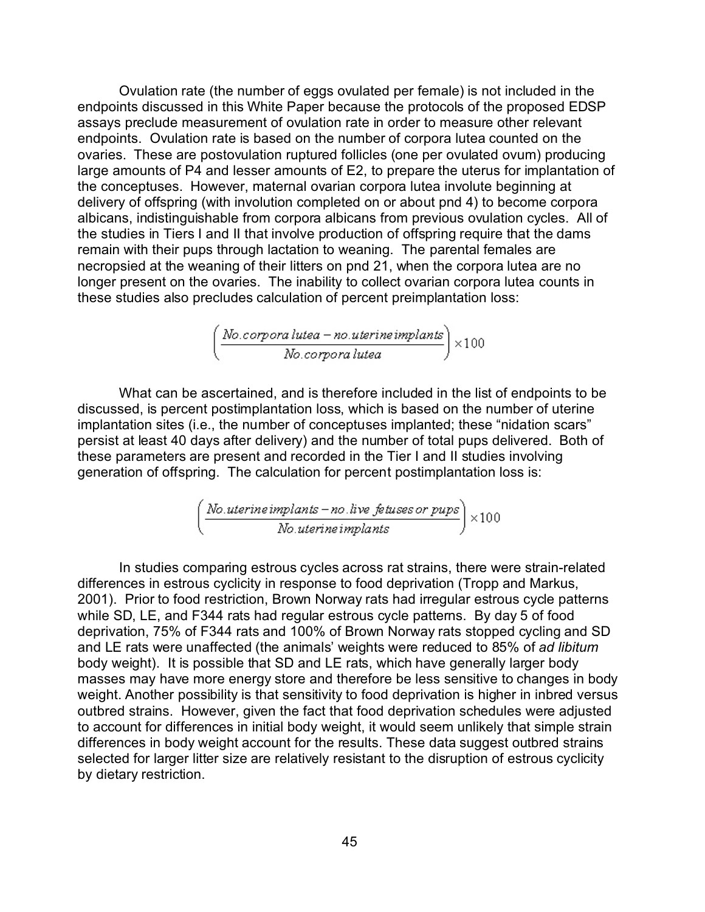Ovulation rate (the number of eggs ovulated per female) is not included in the endpoints discussed in this White Paper because the protocols of the proposed EDSP assays preclude measurement of ovulation rate in order to measure other relevant endpoints. Ovulation rate is based on the number of corpora lutea counted on the ovaries. These are postovulation ruptured follicles (one per ovulated ovum) producing large amounts of P4 and lesser amounts of E2, to prepare the uterus for implantation of the conceptuses. However, maternal ovarian corpora lutea involute beginning at delivery of offspring (with involution completed on or about pnd 4) to become corpora albicans, indistinguishable from corpora albicans from previous ovulation cycles. All of the studies in Tiers I and II that involve production of offspring require that the dams remain with their pups through lactation to weaning. The parental females are necropsied at the weaning of their litters on pnd 21, when the corpora lutea are no longer present on the ovaries. The inability to collect ovarian corpora lutea counts in these studies also precludes calculation of percent preimplantation loss:

$$
\left(\frac{No.corpora\,lutea-no.uterine\,implants}{No.corpora\,lutea}\right) \times 100
$$

What can be ascertained, and is therefore included in the list of endpoints to be discussed, is percent postimplantation loss, which is based on the number of uterine implantation sites (i.e., the number of conceptuses implanted; these "nidation scars" persist at least 40 days after delivery) and the number of total pups delivered. Both of these parameters are present and recorded in the Tier I and II studies involving generation of offspring. The calculation for percent postimplantation loss is:

$$
\left(\frac{\textit{No.}uterine\textit{implants} - no.\textit{live} \textit{fetuses} \textit{or} \textit{pups}}{\textit{No.}uterine\textit{implants}}\right) \times 100
$$

In studies comparing estrous cycles across rat strains, there were strain-related differences in estrous cyclicity in response to food deprivation (Tropp and Markus, 2001). Prior to food restriction, Brown Norway rats had irregular estrous cycle patterns while SD, LE, and F344 rats had regular estrous cycle patterns. By day 5 of food deprivation, 75% of F344 rats and 100% of Brown Norway rats stopped cycling and SD and LE rats were unaffected (the animals' weights were reduced to 85% of *ad libitum* body weight). It is possible that SD and LE rats, which have generally larger body masses may have more energy store and therefore be less sensitive to changes in body weight. Another possibility is that sensitivity to food deprivation is higher in inbred versus outbred strains. However, given the fact that food deprivation schedules were adjusted to account for differences in initial body weight, it would seem unlikely that simple strain differences in body weight account for the results. These data suggest outbred strains selected for larger litter size are relatively resistant to the disruption of estrous cyclicity by dietary restriction.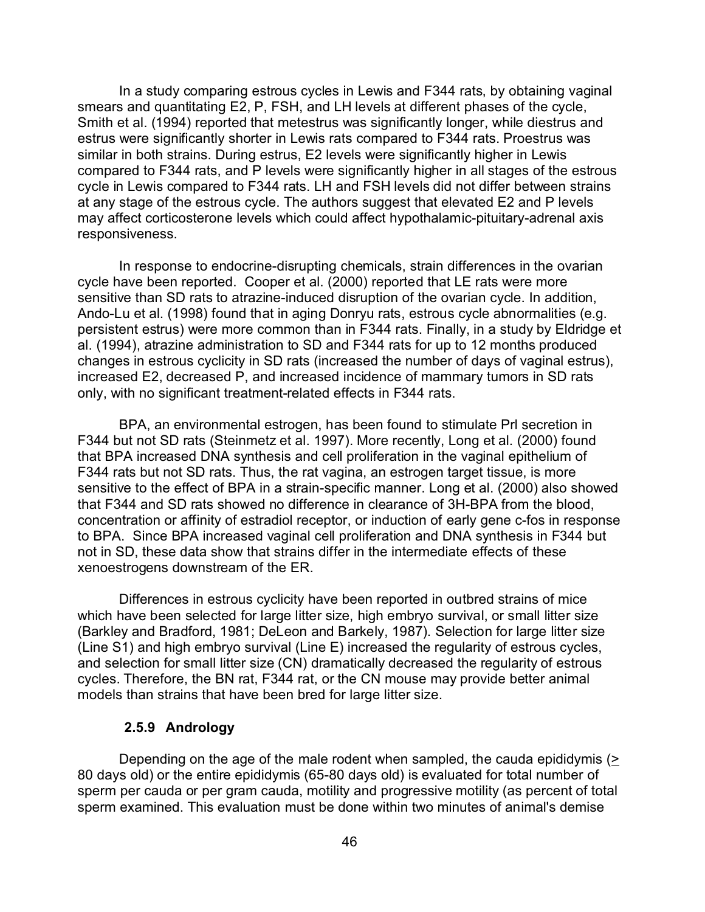In a study comparing estrous cycles in Lewis and F344 rats, by obtaining vaginal smears and quantitating E2, P, FSH, and LH levels at different phases of the cycle, Smith et al. (1994) reported that metestrus was significantly longer, while diestrus and estrus were significantly shorter in Lewis rats compared to F344 rats. Proestrus was similar in both strains. During estrus, E2 levels were significantly higher in Lewis compared to F344 rats, and P levels were significantly higher in all stages of the estrous cycle in Lewis compared to F344 rats. LH and FSH levels did not differ between strains at any stage of the estrous cycle. The authors suggest that elevated E2 and P levels may affect corticosterone levels which could affect hypothalamic-pituitary-adrenal axis responsiveness.

In response to endocrine-disrupting chemicals, strain differences in the ovarian cycle have been reported. Cooper et al. (2000) reported that LE rats were more sensitive than SD rats to atrazine-induced disruption of the ovarian cycle. In addition, Ando-Lu et al. (1998) found that in aging Donryu rats, estrous cycle abnormalities (e.g. persistent estrus) were more common than in F344 rats. Finally, in a study by Eldridge et al. (1994), atrazine administration to SD and F344 rats for up to 12 months produced changes in estrous cyclicity in SD rats (increased the number of days of vaginal estrus), increased E2, decreased P, and increased incidence of mammary tumors in SD rats only, with no significant treatment-related effects in F344 rats.

BPA, an environmental estrogen, has been found to stimulate Prl secretion in F344 but not SD rats (Steinmetz et al. 1997). More recently, Long et al. (2000) found that BPA increased DNA synthesis and cell proliferation in the vaginal epithelium of F344 rats but not SD rats. Thus, the rat vagina, an estrogen target tissue, is more sensitive to the effect of BPA in a strain-specific manner. Long et al. (2000) also showed that F344 and SD rats showed no difference in clearance of 3H-BPA from the blood, concentration or affinity of estradiol receptor, or induction of early gene c-fos in response to BPA. Since BPA increased vaginal cell proliferation and DNA synthesis in F344 but not in SD, these data show that strains differ in the intermediate effects of these xenoestrogens downstream of the ER.

Differences in estrous cyclicity have been reported in outbred strains of mice which have been selected for large litter size, high embryo survival, or small litter size (Barkley and Bradford, 1981; DeLeon and Barkely, 1987). Selection for large litter size (Line S1) and high embryo survival (Line E) increased the regularity of estrous cycles, and selection for small litter size (CN) dramatically decreased the regularity of estrous cycles. Therefore, the BN rat, F344 rat, or the CN mouse may provide better animal models than strains that have been bred for large litter size.

#### **2.5.9 Andrology**

Depending on the age of the male rodent when sampled, the cauda epididymis  $($ 80 days old) or the entire epididymis (65-80 days old) is evaluated for total number of sperm per cauda or per gram cauda, motility and progressive motility (as percent of total sperm examined. This evaluation must be done within two minutes of animal's demise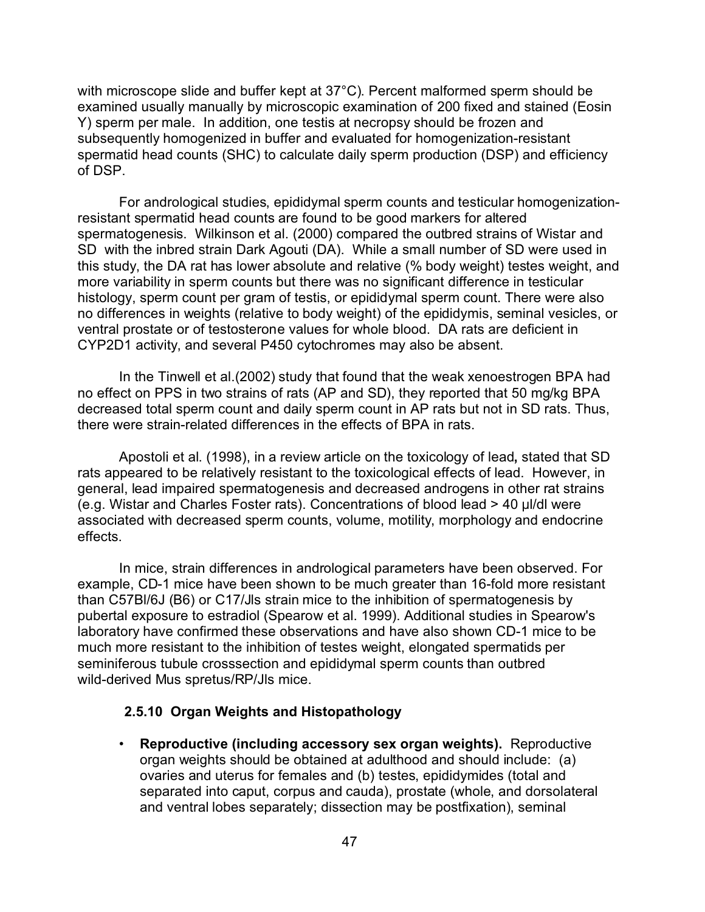with microscope slide and buffer kept at 37°C). Percent malformed sperm should be examined usually manually by microscopic examination of 200 fixed and stained (Eosin Y) sperm per male. In addition, one testis at necropsy should be frozen and subsequently homogenized in buffer and evaluated for homogenization-resistant spermatid head counts (SHC) to calculate daily sperm production (DSP) and efficiency of DSP.

For andrological studies, epididymal sperm counts and testicular homogenizationresistant spermatid head counts are found to be good markers for altered spermatogenesis. Wilkinson et al. (2000) compared the outbred strains of Wistar and SD with the inbred strain Dark Agouti (DA). While a small number of SD were used in this study, the DA rat has lower absolute and relative (% body weight) testes weight, and more variability in sperm counts but there was no significant difference in testicular histology, sperm count per gram of testis, or epididymal sperm count. There were also no differences in weights (relative to body weight) of the epididymis, seminal vesicles, or ventral prostate or of testosterone values for whole blood. DA rats are deficient in CYP2D1 activity, and several P450 cytochromes may also be absent.

In the Tinwell et al.(2002) study that found that the weak xenoestrogen BPA had no effect on PPS in two strains of rats (AP and SD), they reported that 50 mg/kg BPA decreased total sperm count and daily sperm count in AP rats but not in SD rats. Thus, there were strain-related differences in the effects of BPA in rats.

Apostoli et al. (1998), in a review article on the toxicology of lead**,** stated that SD rats appeared to be relatively resistant to the toxicological effects of lead. However, in general, lead impaired spermatogenesis and decreased androgens in other rat strains (e.g. Wistar and Charles Foster rats). Concentrations of blood lead  $>$  40  $\mu$ I/dl were associated with decreased sperm counts, volume, motility, morphology and endocrine effects.

In mice, strain differences in andrological parameters have been observed. For example, CD-1 mice have been shown to be much greater than 16-fold more resistant than C57Bl/6J (B6) or C17/Jls strain mice to the inhibition of spermatogenesis by pubertal exposure to estradiol (Spearow et al. 1999). Additional studies in Spearow's laboratory have confirmed these observations and have also shown CD-1 mice to be much more resistant to the inhibition of testes weight, elongated spermatids per seminiferous tubule crosssection and epididymal sperm counts than outbred wild-derived Mus spretus/RP/Jls mice.

#### **2.5.10 Organ Weights and Histopathology**

• **Reproductive (including accessory sex organ weights).** Reproductive organ weights should be obtained at adulthood and should include: (a) ovaries and uterus for females and (b) testes, epididymides (total and separated into caput, corpus and cauda), prostate (whole, and dorsolateral and ventral lobes separately; dissection may be postfixation), seminal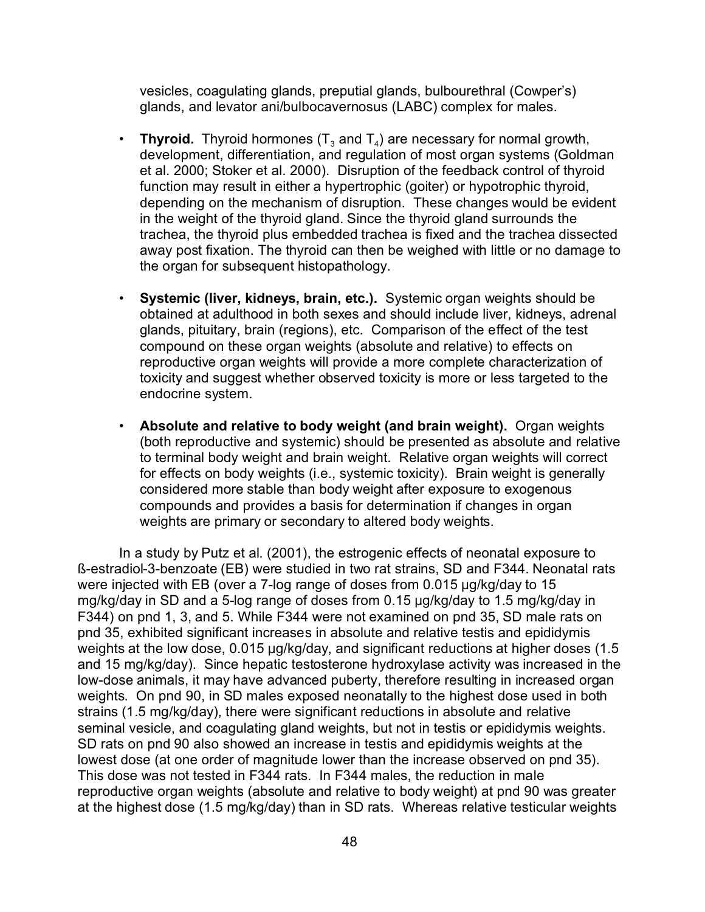vesicles, coagulating glands, preputial glands, bulbourethral (Cowper's) glands, and levator ani/bulbocavernosus (LABC) complex for males.

- Thyroid. Thyroid hormones  $(\mathsf{T}_3$  and  $\mathsf{T}_4$ ) are necessary for normal growth, development, differentiation, and regulation of most organ systems (Goldman et al. 2000; Stoker et al. 2000). Disruption of the feedback control of thyroid function may result in either a hypertrophic (goiter) or hypotrophic thyroid, depending on the mechanism of disruption. These changes would be evident in the weight of the thyroid gland. Since the thyroid gland surrounds the trachea, the thyroid plus embedded trachea is fixed and the trachea dissected away post fixation. The thyroid can then be weighed with little or no damage to the organ for subsequent histopathology.
- **Systemic (liver, kidneys, brain, etc.).** Systemic organ weights should be obtained at adulthood in both sexes and should include liver, kidneys, adrenal glands, pituitary, brain (regions), etc. Comparison of the effect of the test compound on these organ weights (absolute and relative) to effects on reproductive organ weights will provide a more complete characterization of toxicity and suggest whether observed toxicity is more or less targeted to the endocrine system.
- **Absolute and relative to body weight (and brain weight).** Organ weights (both reproductive and systemic) should be presented as absolute and relative to terminal body weight and brain weight. Relative organ weights will correct for effects on body weights (i.e., systemic toxicity). Brain weight is generally considered more stable than body weight after exposure to exogenous compounds and provides a basis for determination if changes in organ weights are primary or secondary to altered body weights.

In a study by Putz et al. (2001), the estrogenic effects of neonatal exposure to ß-estradiol-3-benzoate (EB) were studied in two rat strains, SD and F344. Neonatal rats were injected with EB (over a 7-log range of doses from  $0.015 \mu g/kg/day$  to 15 mg/kg/day in SD and a 5-log range of doses from 0.15 µg/kg/day to 1.5 mg/kg/day in F344) on pnd 1, 3, and 5. While F344 were not examined on pnd 35, SD male rats on pnd 35, exhibited significant increases in absolute and relative testis and epididymis weights at the low dose, 0.015 µg/kg/day, and significant reductions at higher doses (1.5 and 15 mg/kg/day). Since hepatic testosterone hydroxylase activity was increased in the low-dose animals, it may have advanced puberty, therefore resulting in increased organ weights. On pnd 90, in SD males exposed neonatally to the highest dose used in both strains (1.5 mg/kg/day), there were significant reductions in absolute and relative seminal vesicle, and coagulating gland weights, but not in testis or epididymis weights. SD rats on pnd 90 also showed an increase in testis and epididymis weights at the lowest dose (at one order of magnitude lower than the increase observed on pnd 35). This dose was not tested in F344 rats. In F344 males, the reduction in male reproductive organ weights (absolute and relative to body weight) at pnd 90 was greater at the highest dose (1.5 mg/kg/day) than in SD rats. Whereas relative testicular weights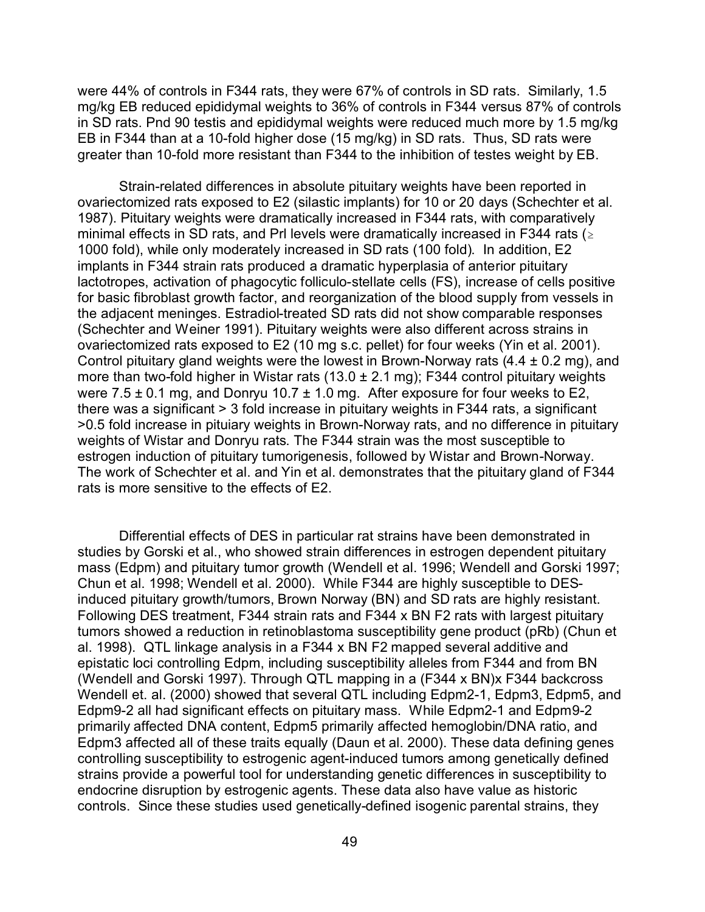were 44% of controls in F344 rats, they were 67% of controls in SD rats. Similarly, 1.5 mg/kg EB reduced epididymal weights to 36% of controls in F344 versus 87% of controls in SD rats. Pnd 90 testis and epididymal weights were reduced much more by 1.5 mg/kg EB in F344 than at a 10-fold higher dose (15 mg/kg) in SD rats. Thus, SD rats were greater than 10-fold more resistant than F344 to the inhibition of testes weight by EB.

Strain-related differences in absolute pituitary weights have been reported in ovariectomized rats exposed to E2 (silastic implants) for 10 or 20 days (Schechter et al. 1987). Pituitary weights were dramatically increased in F344 rats, with comparatively minimal effects in SD rats, and PrI levels were dramatically increased in F344 rats ( $\geq$ 1000 fold), while only moderately increased in SD rats (100 fold). In addition, E2 implants in F344 strain rats produced a dramatic hyperplasia of anterior pituitary lactotropes, activation of phagocytic folliculo-stellate cells (FS), increase of cells positive for basic fibroblast growth factor, and reorganization of the blood supply from vessels in the adjacent meninges. Estradiol-treated SD rats did not show comparable responses (Schechter and Weiner 1991). Pituitary weights were also different across strains in ovariectomized rats exposed to E2 (10 mg s.c. pellet) for four weeks (Yin et al. 2001). Control pituitary gland weights were the lowest in Brown-Norway rats  $(4.4 \pm 0.2 \text{ mg})$ , and more than two-fold higher in Wistar rats (13.0  $\pm$  2.1 mg); F344 control pituitary weights were  $7.5 \pm 0.1$  mg, and Donryu 10.7  $\pm$  1.0 mg. After exposure for four weeks to E2, there was a significant > 3 fold increase in pituitary weights in F344 rats, a significant >0.5 fold increase in pituiary weights in Brown-Norway rats, and no difference in pituitary weights of Wistar and Donryu rats. The F344 strain was the most susceptible to estrogen induction of pituitary tumorigenesis, followed by Wistar and Brown-Norway. The work of Schechter et al. and Yin et al. demonstrates that the pituitary gland of F344 rats is more sensitive to the effects of E2.

Differential effects of DES in particular rat strains have been demonstrated in studies by Gorski et al., who showed strain differences in estrogen dependent pituitary mass (Edpm) and pituitary tumor growth (Wendell et al. 1996; Wendell and Gorski 1997; Chun et al. 1998; Wendell et al. 2000). While F344 are highly susceptible to DESinduced pituitary growth/tumors, Brown Norway (BN) and SD rats are highly resistant. Following DES treatment, F344 strain rats and F344 x BN F2 rats with largest pituitary tumors showed a reduction in retinoblastoma susceptibility gene product (pRb) (Chun et al. 1998). QTL linkage analysis in a F344 x BN F2 mapped several additive and epistatic loci controlling Edpm, including susceptibility alleles from F344 and from BN (Wendell and Gorski 1997). Through QTL mapping in a (F344 x BN)x F344 backcross Wendell et. al. (2000) showed that several QTL including Edpm2-1, Edpm3, Edpm5, and Edpm9-2 all had significant effects on pituitary mass. While Edpm2-1 and Edpm9-2 primarily affected DNA content, Edpm5 primarily affected hemoglobin/DNA ratio, and Edpm3 affected all of these traits equally (Daun et al. 2000). These data defining genes controlling susceptibility to estrogenic agent-induced tumors among genetically defined strains provide a powerful tool for understanding genetic differences in susceptibility to endocrine disruption by estrogenic agents. These data also have value as historic controls. Since these studies used genetically-defined isogenic parental strains, they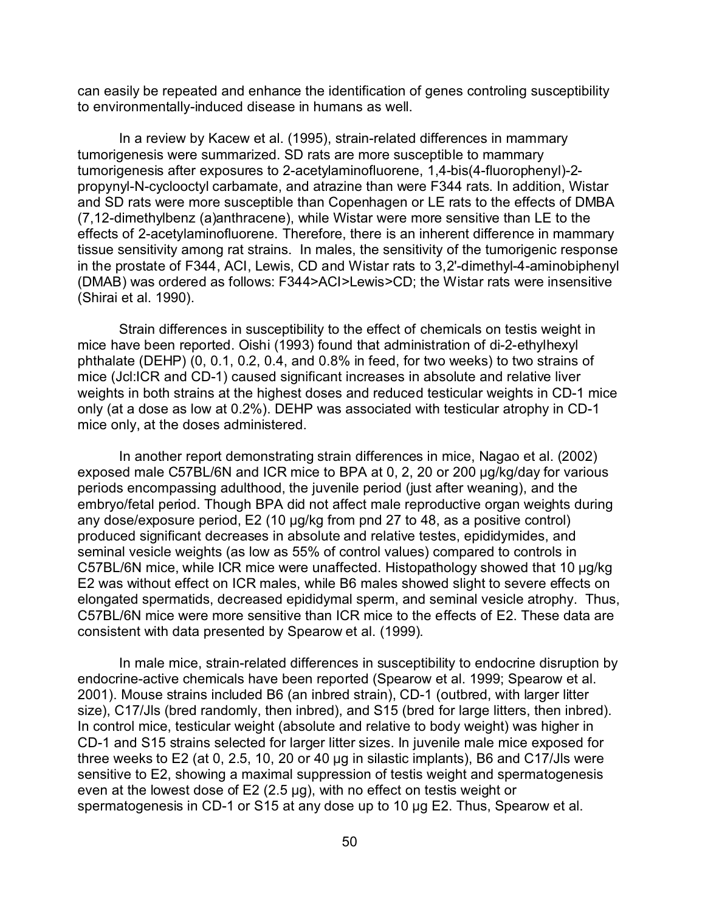can easily be repeated and enhance the identification of genes controling susceptibility to environmentally-induced disease in humans as well.

In a review by Kacew et al. (1995), strain-related differences in mammary tumorigenesis were summarized. SD rats are more susceptible to mammary tumorigenesis after exposures to 2-acetylaminofluorene, 1,4-bis(4-fluorophenyl)-2 propynyl-N-cyclooctyl carbamate, and atrazine than were F344 rats. In addition, Wistar and SD rats were more susceptible than Copenhagen or LE rats to the effects of DMBA (7,12-dimethylbenz (a)anthracene), while Wistar were more sensitive than LE to the effects of 2-acetylaminofluorene. Therefore, there is an inherent difference in mammary tissue sensitivity among rat strains. In males, the sensitivity of the tumorigenic response in the prostate of F344, ACI, Lewis, CD and Wistar rats to 3,2'-dimethyl-4-aminobiphenyl (DMAB) was ordered as follows: F344>ACI>Lewis>CD; the Wistar rats were insensitive (Shirai et al. 1990).

Strain differences in susceptibility to the effect of chemicals on testis weight in mice have been reported. Oishi (1993) found that administration of di-2-ethylhexyl phthalate (DEHP) (0, 0.1, 0.2, 0.4, and 0.8% in feed, for two weeks) to two strains of mice (Jcl:ICR and CD-1) caused significant increases in absolute and relative liver weights in both strains at the highest doses and reduced testicular weights in CD-1 mice only (at a dose as low at 0.2%). DEHP was associated with testicular atrophy in CD-1 mice only, at the doses administered.

In another report demonstrating strain differences in mice, Nagao et al. (2002) exposed male C57BL/6N and ICR mice to BPA at 0, 2, 20 or 200 µg/kg/day for various periods encompassing adulthood, the juvenile period (just after weaning), and the embryo/fetal period. Though BPA did not affect male reproductive organ weights during any dose/exposure period,  $E2$  (10  $\mu$ g/kg from pnd 27 to 48, as a positive control) produced significant decreases in absolute and relative testes, epididymides, and seminal vesicle weights (as low as 55% of control values) compared to controls in C57BL/6N mice, while ICR mice were unaffected. Histopathology showed that 10  $\mu$ g/kg E2 was without effect on ICR males, while B6 males showed slight to severe effects on elongated spermatids, decreased epididymal sperm, and seminal vesicle atrophy. Thus, C57BL/6N mice were more sensitive than ICR mice to the effects of E2. These data are consistent with data presented by Spearow et al. (1999).

In male mice, strain-related differences in susceptibility to endocrine disruption by endocrine-active chemicals have been reported (Spearow et al. 1999; Spearow et al. 2001). Mouse strains included B6 (an inbred strain), CD-1 (outbred, with larger litter size), C17/Jls (bred randomly, then inbred), and S15 (bred for large litters, then inbred). In control mice, testicular weight (absolute and relative to body weight) was higher in CD-1 and S15 strains selected for larger litter sizes. In juvenile male mice exposed for three weeks to E2 (at 0, 2.5, 10, 20 or 40  $\mu$ g in silastic implants), B6 and C17/Jls were sensitive to E2, showing a maximal suppression of testis weight and spermatogenesis even at the lowest dose of E2 (2.5  $\mu$ g), with no effect on testis weight or spermatogenesis in CD-1 or S15 at any dose up to 10  $\mu$ g E2. Thus, Spearow et al.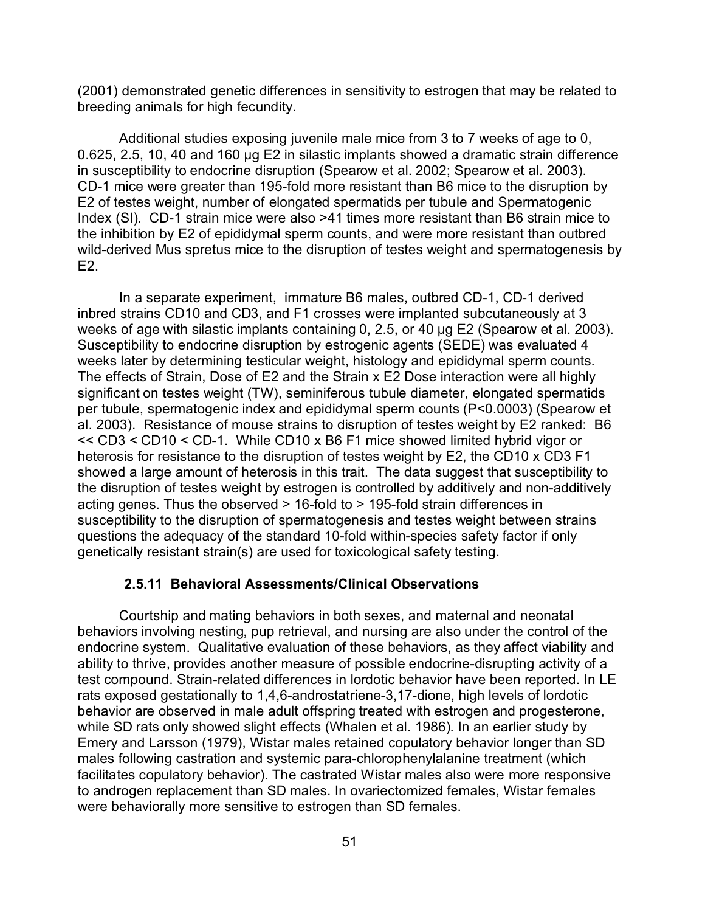(2001) demonstrated genetic differences in sensitivity to estrogen that may be related to breeding animals for high fecundity.

Additional studies exposing juvenile male mice from 3 to 7 weeks of age to 0,  $0.625$ ,  $2.5$ , 10, 40 and 160 µg E2 in silastic implants showed a dramatic strain difference in susceptibility to endocrine disruption (Spearow et al. 2002; Spearow et al. 2003). CD-1 mice were greater than 195-fold more resistant than B6 mice to the disruption by E2 of testes weight, number of elongated spermatids per tubule and Spermatogenic Index (SI). CD-1 strain mice were also >41 times more resistant than B6 strain mice to the inhibition by E2 of epididymal sperm counts, and were more resistant than outbred wild-derived Mus spretus mice to the disruption of testes weight and spermatogenesis by  $F2.$ 

In a separate experiment, immature B6 males, outbred CD-1, CD-1 derived inbred strains CD10 and CD3, and F1 crosses were implanted subcutaneously at 3 weeks of age with silastic implants containing  $0, 2.5$ , or  $40 \mu$ g E2 (Spearow et al. 2003). Susceptibility to endocrine disruption by estrogenic agents (SEDE) was evaluated 4 weeks later by determining testicular weight, histology and epididymal sperm counts. The effects of Strain, Dose of E2 and the Strain x E2 Dose interaction were all highly significant on testes weight (TW), seminiferous tubule diameter, elongated spermatids per tubule, spermatogenic index and epididymal sperm counts (P<0.0003) (Spearow et al. 2003). Resistance of mouse strains to disruption of testes weight by E2 ranked: B6 << CD3 < CD10 < CD-1. While CD10 x B6 F1 mice showed limited hybrid vigor or heterosis for resistance to the disruption of testes weight by E2, the CD10 x CD3 F1 showed a large amount of heterosis in this trait. The data suggest that susceptibility to the disruption of testes weight by estrogen is controlled by additively and non-additively acting genes. Thus the observed > 16-fold to > 195-fold strain differences in susceptibility to the disruption of spermatogenesis and testes weight between strains questions the adequacy of the standard 10-fold within-species safety factor if only genetically resistant strain(s) are used for toxicological safety testing.

## **2.5.11 Behavioral Assessments/Clinical Observations**

Courtship and mating behaviors in both sexes, and maternal and neonatal behaviors involving nesting, pup retrieval, and nursing are also under the control of the endocrine system. Qualitative evaluation of these behaviors, as they affect viability and ability to thrive, provides another measure of possible endocrine-disrupting activity of a test compound. Strain-related differences in lordotic behavior have been reported. In LE rats exposed gestationally to 1,4,6-androstatriene-3,17-dione, high levels of lordotic behavior are observed in male adult offspring treated with estrogen and progesterone, while SD rats only showed slight effects (Whalen et al. 1986). In an earlier study by Emery and Larsson (1979), Wistar males retained copulatory behavior longer than SD males following castration and systemic para-chlorophenylalanine treatment (which facilitates copulatory behavior). The castrated Wistar males also were more responsive to androgen replacement than SD males. In ovariectomized females, Wistar females were behaviorally more sensitive to estrogen than SD females.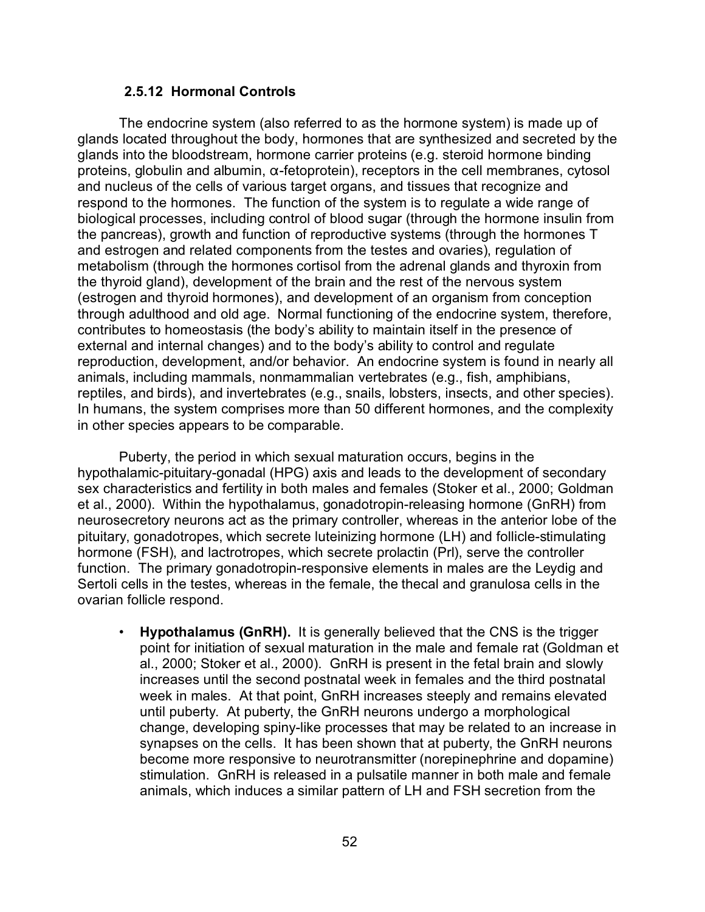#### **2.5.12 Hormonal Controls**

The endocrine system (also referred to as the hormone system) is made up of glands located throughout the body, hormones that are synthesized and secreted by the glands into the bloodstream, hormone carrier proteins (e.g. steroid hormone binding proteins, globulin and albumin,  $\alpha$ -fetoprotein), receptors in the cell membranes, cytosol and nucleus of the cells of various target organs, and tissues that recognize and respond to the hormones. The function of the system is to regulate a wide range of biological processes, including control of blood sugar (through the hormone insulin from the pancreas), growth and function of reproductive systems (through the hormones T and estrogen and related components from the testes and ovaries), regulation of metabolism (through the hormones cortisol from the adrenal glands and thyroxin from the thyroid gland), development of the brain and the rest of the nervous system (estrogen and thyroid hormones), and development of an organism from conception through adulthood and old age. Normal functioning of the endocrine system, therefore, contributes to homeostasis (the body's ability to maintain itself in the presence of external and internal changes) and to the body's ability to control and regulate reproduction, development, and/or behavior. An endocrine system is found in nearly all animals, including mammals, nonmammalian vertebrates (e.g., fish, amphibians, reptiles, and birds), and invertebrates (e.g., snails, lobsters, insects, and other species). In humans, the system comprises more than 50 different hormones, and the complexity in other species appears to be comparable.

Puberty, the period in which sexual maturation occurs, begins in the hypothalamic-pituitary-gonadal (HPG) axis and leads to the development of secondary sex characteristics and fertility in both males and females (Stoker et al., 2000; Goldman et al., 2000). Within the hypothalamus, gonadotropin-releasing hormone (GnRH) from neurosecretory neurons act as the primary controller, whereas in the anterior lobe of the pituitary, gonadotropes, which secrete luteinizing hormone (LH) and follicle-stimulating hormone (FSH), and lactrotropes, which secrete prolactin (Prl), serve the controller function. The primary gonadotropin-responsive elements in males are the Leydig and Sertoli cells in the testes, whereas in the female, the thecal and granulosa cells in the ovarian follicle respond.

• **Hypothalamus (GnRH).** It is generally believed that the CNS is the trigger point for initiation of sexual maturation in the male and female rat (Goldman et al., 2000; Stoker et al., 2000). GnRH is present in the fetal brain and slowly increases until the second postnatal week in females and the third postnatal week in males. At that point, GnRH increases steeply and remains elevated until puberty. At puberty, the GnRH neurons undergo a morphological change, developing spiny-like processes that may be related to an increase in synapses on the cells. It has been shown that at puberty, the GnRH neurons become more responsive to neurotransmitter (norepinephrine and dopamine) stimulation. GnRH is released in a pulsatile manner in both male and female animals, which induces a similar pattern of LH and FSH secretion from the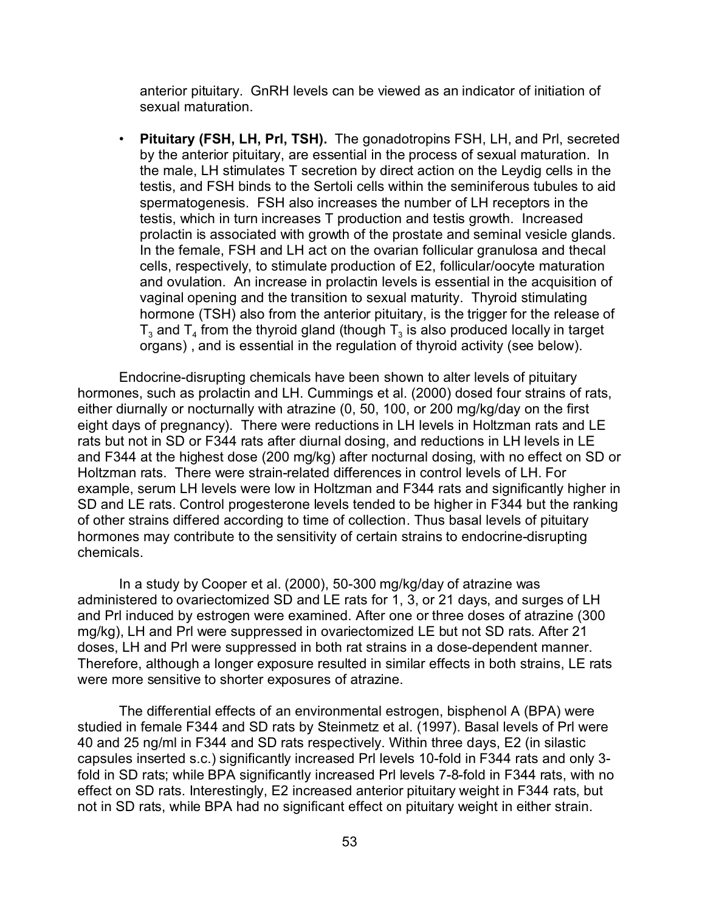anterior pituitary. GnRH levels can be viewed as an indicator of initiation of sexual maturation.

• **Pituitary (FSH, LH, Prl, TSH).** The gonadotropins FSH, LH, and Prl, secreted by the anterior pituitary, are essential in the process of sexual maturation. In the male, LH stimulates T secretion by direct action on the Leydig cells in the testis, and FSH binds to the Sertoli cells within the seminiferous tubules to aid spermatogenesis. FSH also increases the number of LH receptors in the testis, which in turn increases T production and testis growth. Increased prolactin is associated with growth of the prostate and seminal vesicle glands. In the female, FSH and LH act on the ovarian follicular granulosa and thecal cells, respectively, to stimulate production of E2, follicular/oocyte maturation and ovulation. An increase in prolactin levels is essential in the acquisition of vaginal opening and the transition to sexual maturity. Thyroid stimulating hormone (TSH) also from the anterior pituitary, is the trigger for the release of  ${\sf T}_3$  and  ${\sf T}_4$  from the thyroid gland (though  ${\sf T}_3$  is also produced locally in target organs) , and is essential in the regulation of thyroid activity (see below).

Endocrine-disrupting chemicals have been shown to alter levels of pituitary hormones, such as prolactin and LH. Cummings et al. (2000) dosed four strains of rats, either diurnally or nocturnally with atrazine (0, 50, 100, or 200 mg/kg/day on the first eight days of pregnancy). There were reductions in LH levels in Holtzman rats and LE rats but not in SD or F344 rats after diurnal dosing, and reductions in LH levels in LE and F344 at the highest dose (200 mg/kg) after nocturnal dosing, with no effect on SD or Holtzman rats. There were strain-related differences in control levels of LH. For example, serum LH levels were low in Holtzman and F344 rats and significantly higher in SD and LE rats. Control progesterone levels tended to be higher in F344 but the ranking of other strains differed according to time of collection. Thus basal levels of pituitary hormones may contribute to the sensitivity of certain strains to endocrine-disrupting chemicals.

In a study by Cooper et al. (2000), 50-300 mg/kg/day of atrazine was administered to ovariectomized SD and LE rats for 1, 3, or 21 days, and surges of LH and Prl induced by estrogen were examined. After one or three doses of atrazine (300 mg/kg), LH and Prl were suppressed in ovariectomized LE but not SD rats. After 21 doses, LH and Prl were suppressed in both rat strains in a dose-dependent manner. Therefore, although a longer exposure resulted in similar effects in both strains, LE rats were more sensitive to shorter exposures of atrazine.

The differential effects of an environmental estrogen, bisphenol A (BPA) were studied in female F344 and SD rats by Steinmetz et al. (1997). Basal levels of Prl were 40 and 25 ng/ml in F344 and SD rats respectively. Within three days, E2 (in silastic capsules inserted s.c.) significantly increased Prl levels 10-fold in F344 rats and only 3 fold in SD rats; while BPA significantly increased Prl levels 7-8-fold in F344 rats, with no effect on SD rats. Interestingly, E2 increased anterior pituitary weight in F344 rats, but not in SD rats, while BPA had no significant effect on pituitary weight in either strain.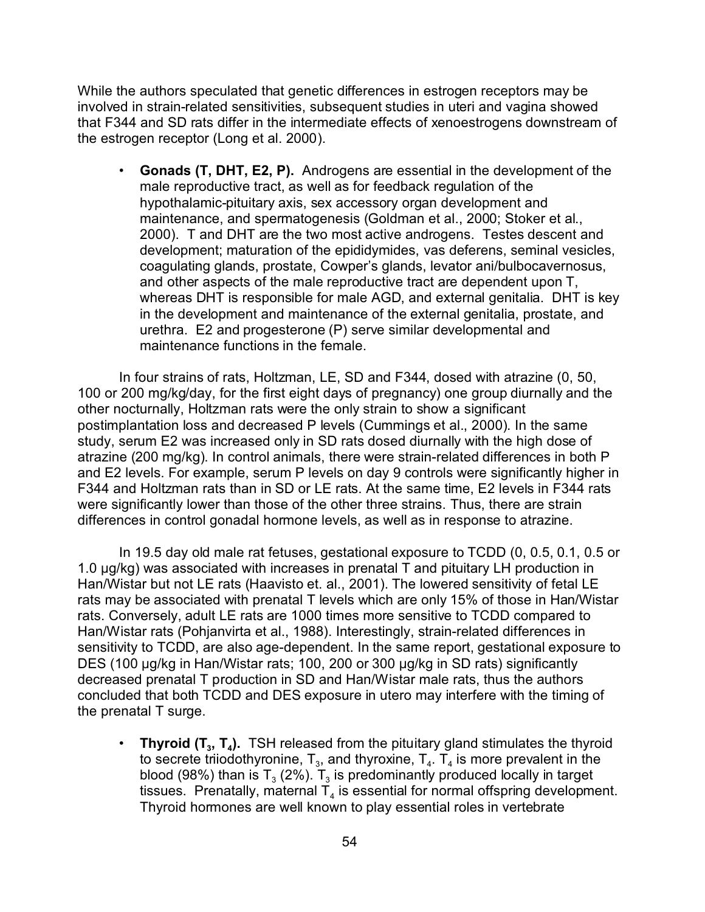While the authors speculated that genetic differences in estrogen receptors may be involved in strain-related sensitivities, subsequent studies in uteri and vagina showed that F344 and SD rats differ in the intermediate effects of xenoestrogens downstream of the estrogen receptor (Long et al. 2000).

• **Gonads (T, DHT, E2, P).** Androgens are essential in the development of the male reproductive tract, as well as for feedback regulation of the hypothalamic-pituitary axis, sex accessory organ development and maintenance, and spermatogenesis (Goldman et al., 2000; Stoker et al., 2000). T and DHT are the two most active androgens. Testes descent and development; maturation of the epididymides, vas deferens, seminal vesicles, coagulating glands, prostate, Cowper's glands, levator ani/bulbocavernosus, and other aspects of the male reproductive tract are dependent upon T, whereas DHT is responsible for male AGD, and external genitalia. DHT is key in the development and maintenance of the external genitalia, prostate, and urethra. E2 and progesterone (P) serve similar developmental and maintenance functions in the female.

In four strains of rats, Holtzman, LE, SD and F344, dosed with atrazine (0, 50, 100 or 200 mg/kg/day, for the first eight days of pregnancy) one group diurnally and the other nocturnally, Holtzman rats were the only strain to show a significant postimplantation loss and decreased P levels (Cummings et al., 2000). In the same study, serum E2 was increased only in SD rats dosed diurnally with the high dose of atrazine (200 mg/kg). In control animals, there were strain-related differences in both P and E2 levels. For example, serum P levels on day 9 controls were significantly higher in F344 and Holtzman rats than in SD or LE rats. At the same time, E2 levels in F344 rats were significantly lower than those of the other three strains. Thus, there are strain differences in control gonadal hormone levels, as well as in response to atrazine.

In 19.5 day old male rat fetuses, gestational exposure to TCDD (0, 0.5, 0.1, 0.5 or 1.0  $\mu$ g/kg) was associated with increases in prenatal T and pituitary LH production in Han/Wistar but not LE rats (Haavisto et. al., 2001). The lowered sensitivity of fetal LE rats may be associated with prenatal T levels which are only 15% of those in Han/Wistar rats. Conversely, adult LE rats are 1000 times more sensitive to TCDD compared to Han/Wistar rats (Pohjanvirta et al., 1988). Interestingly, strain-related differences in sensitivity to TCDD, are also age-dependent. In the same report, gestational exposure to DES (100 µg/kg in Han/Wistar rats; 100, 200 or 300 µg/kg in SD rats) significantly decreased prenatal T production in SD and Han/Wistar male rats, thus the authors concluded that both TCDD and DES exposure in utero may interfere with the timing of the prenatal T surge.

• **Thyroid (T<sup>3</sup> , T<sup>4</sup> ).** TSH released from the pituitary gland stimulates the thyroid to secrete triiodothyronine,  $\mathsf{T}_3$ , and thyroxine,  $\mathsf{T}_4.$   $\mathsf{T}_4$  is more prevalent in the blood (98%) than is T $_{\scriptscriptstyle 3}$  (2%). T $_{\scriptscriptstyle 3}$  is predominantly produced locally in target tissues. Prenatally, maternal  $\mathsf{T}_4$  is essential for normal offspring development. Thyroid hormones are well known to play essential roles in vertebrate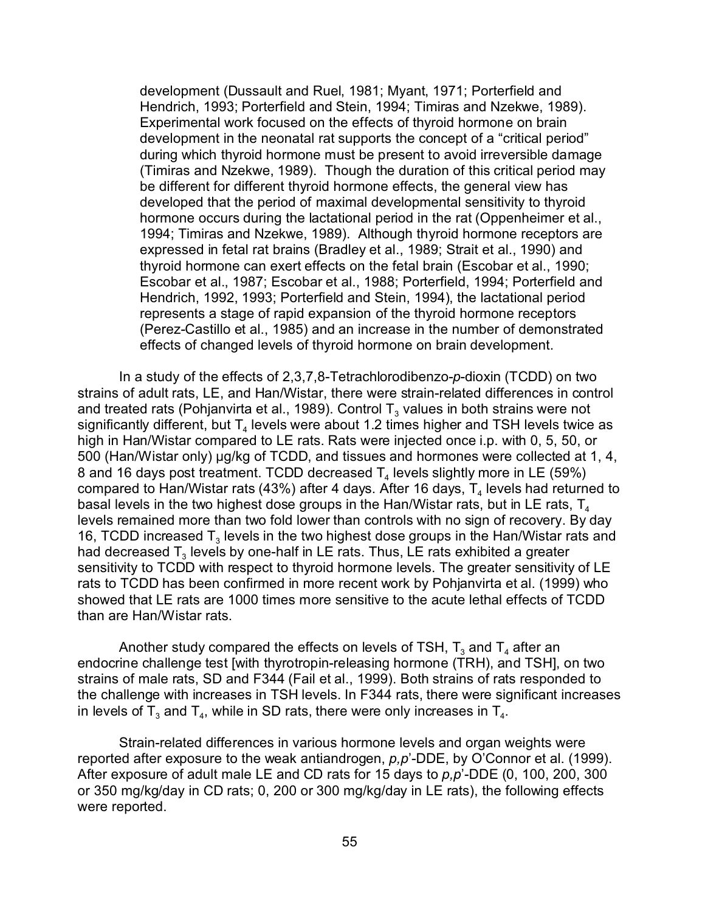development (Dussault and Ruel, 1981; Myant, 1971; Porterfield and Hendrich, 1993; Porterfield and Stein, 1994; Timiras and Nzekwe, 1989). Experimental work focused on the effects of thyroid hormone on brain development in the neonatal rat supports the concept of a "critical period" during which thyroid hormone must be present to avoid irreversible damage (Timiras and Nzekwe, 1989). Though the duration of this critical period may be different for different thyroid hormone effects, the general view has developed that the period of maximal developmental sensitivity to thyroid hormone occurs during the lactational period in the rat (Oppenheimer et al., 1994; Timiras and Nzekwe, 1989). Although thyroid hormone receptors are expressed in fetal rat brains (Bradley et al., 1989; Strait et al., 1990) and thyroid hormone can exert effects on the fetal brain (Escobar et al., 1990; Escobar et al., 1987; Escobar et al., 1988; Porterfield, 1994; Porterfield and Hendrich, 1992, 1993; Porterfield and Stein, 1994), the lactational period represents a stage of rapid expansion of the thyroid hormone receptors (Perez-Castillo et al., 1985) and an increase in the number of demonstrated effects of changed levels of thyroid hormone on brain development.

In a study of the effects of 2,3,7,8-Tetrachlorodibenzo-*p*-dioxin (TCDD) on two strains of adult rats, LE, and Han/Wistar, there were strain-related differences in control and treated rats (Pohjanvirta et al., 1989). Control T $_{\scriptscriptstyle{3}}$  values in both strains were not significantly different, but  $\mathsf{T}_4$  levels were about 1.2 times higher and TSH levels twice as high in Han/Wistar compared to LE rats. Rats were injected once i.p. with 0, 5, 50, or 500 (Han/Wistar only) ug/kg of TCDD, and tissues and hormones were collected at 1, 4, 8 and 16 days post treatment. TCDD decreased  ${\sf T}_4$  levels slightly more in LE (59%) compared to Han/Wistar rats (43%) after 4 days. After 16 days,  ${\sf T}_4$  levels had returned to basal levels in the two highest dose groups in the Han/Wistar rats, but in LE rats,  $T_4$ levels remained more than two fold lower than controls with no sign of recovery. By day 16, TCDD increased  $T_3$  levels in the two highest dose groups in the Han/Wistar rats and had decreased  ${\sf T}_3$  levels by one-half in LE rats. Thus, LE rats exhibited a greater sensitivity to TCDD with respect to thyroid hormone levels. The greater sensitivity of LE rats to TCDD has been confirmed in more recent work by Pohjanvirta et al. (1999) who showed that LE rats are 1000 times more sensitive to the acute lethal effects of TCDD than are Han/Wistar rats.

Another study compared the effects on levels of TSH,  ${\mathsf T}_3$  and  ${\mathsf T}_4$  after an endocrine challenge test [with thyrotropin-releasing hormone (TRH), and TSH], on two strains of male rats, SD and F344 (Fail et al., 1999). Both strains of rats responded to the challenge with increases in TSH levels. In F344 rats, there were significant increases in levels of T<sub>3</sub> and T<sub>4</sub>, while in SD rats, there were only increases in T<sub>4</sub>.

Strain-related differences in various hormone levels and organ weights were reported after exposure to the weak antiandrogen, *p,p*'-DDE, by O'Connor et al. (1999). After exposure of adult male LE and CD rats for 15 days to *p,p*'-DDE (0, 100, 200, 300 or 350 mg/kg/day in CD rats; 0, 200 or 300 mg/kg/day in LE rats), the following effects were reported.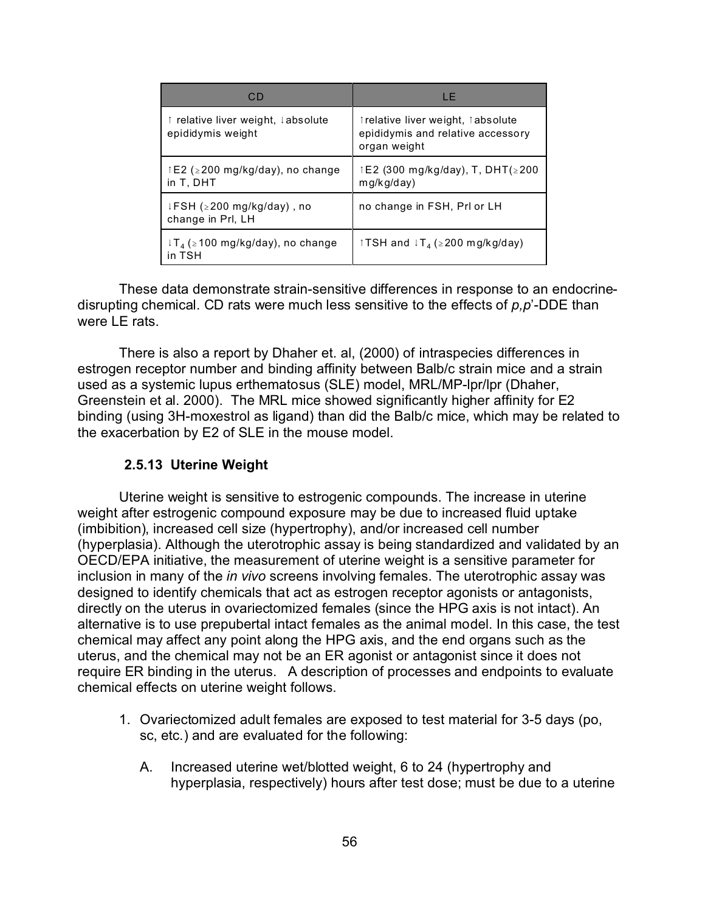| CD                                                      | LE                                                                                     |
|---------------------------------------------------------|----------------------------------------------------------------------------------------|
| ↑ relative liver weight, ↓absolute<br>epididymis weight | trelative liver weight, tabsolute<br>epididymis and relative accessory<br>organ weight |
| $\uparrow$ E2 (≥200 mg/kg/day), no change<br>in T. DHT  | 1E2 (300 mg/kg/day), T, DHT(≥200<br>mg/kg/day)                                         |
| ↓FSH (≥200 mg/kg/day), no<br>change in Prl, LH          | no change in FSH, PrI or LH                                                            |
| $T_A$ ( $\geq$ 100 mg/kg/day), no change<br>in TSH      | TSH and ↓T <sub>4</sub> (≥200 mg/kg/day)                                               |

These data demonstrate strain-sensitive differences in response to an endocrinedisrupting chemical. CD rats were much less sensitive to the effects of *p,p*'-DDE than were LE rats.

There is also a report by Dhaher et. al, (2000) of intraspecies differences in estrogen receptor number and binding affinity between Balb/c strain mice and a strain used as a systemic lupus erthematosus (SLE) model, MRL/MP-lpr/lpr (Dhaher, Greenstein et al. 2000). The MRL mice showed significantly higher affinity for E2 binding (using 3H-moxestrol as ligand) than did the Balb/c mice, which may be related to the exacerbation by E2 of SLE in the mouse model.

## **2.5.13 Uterine Weight**

Uterine weight is sensitive to estrogenic compounds. The increase in uterine weight after estrogenic compound exposure may be due to increased fluid uptake (imbibition), increased cell size (hypertrophy), and/or increased cell number (hyperplasia). Although the uterotrophic assay is being standardized and validated by an OECD/EPA initiative, the measurement of uterine weight is a sensitive parameter for inclusion in many of the *in vivo* screens involving females. The uterotrophic assay was designed to identify chemicals that act as estrogen receptor agonists or antagonists, directly on the uterus in ovariectomized females (since the HPG axis is not intact). An alternative is to use prepubertal intact females as the animal model. In this case, the test chemical may affect any point along the HPG axis, and the end organs such as the uterus, and the chemical may not be an ER agonist or antagonist since it does not require ER binding in the uterus. A description of processes and endpoints to evaluate chemical effects on uterine weight follows.

- 1. Ovariectomized adult females are exposed to test material for 3-5 days (po, sc, etc.) and are evaluated for the following:
	- A. Increased uterine wet/blotted weight, 6 to 24 (hypertrophy and hyperplasia, respectively) hours after test dose; must be due to a uterine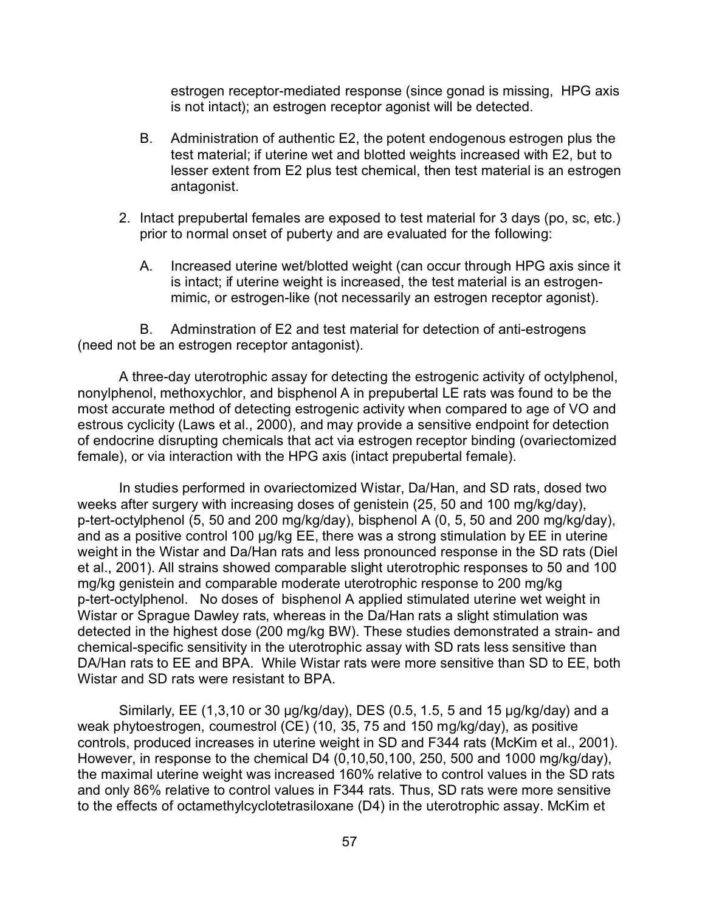estrogen receptor-mediated response (since gonad is missing, HPG axis is not intact); an estrogen receptor agonist will be detected.

- B. Administration of authentic E2, the potent endogenous estrogen plus the test material; if uterine wet and blotted weights increased with E2, but to lesser extent from E2 plus test chemical, then test material is an estrogen antagonist.
- 2. Intact prepubertal females are exposed to test material for 3 days (po, sc, etc.) prior to normal onset of puberty and are evaluated for the following:
	- A. Increased uterine wet/blotted weight (can occur through HPG axis since it is intact; if uterine weight is increased, the test material is an estrogenmimic, or estrogen-like (not necessarily an estrogen receptor agonist).

B. Adminstration of E2 and test material for detection of anti-estrogens (need not be an estrogen receptor antagonist).

A three-day uterotrophic assay for detecting the estrogenic activity of octylphenol, nonylphenol, methoxychlor, and bisphenol A in prepubertal LE rats was found to be the most accurate method of detecting estrogenic activity when compared to age of VO and estrous cyclicity (Laws et al., 2000), and may provide a sensitive endpoint for detection of endocrine disrupting chemicals that act via estrogen receptor binding (ovariectomized female), or via interaction with the HPG axis (intact prepubertal female).

In studies performed in ovariectomized Wistar, Da/Han, and SD rats, dosed two weeks after surgery with increasing doses of genistein (25, 50 and 100 mg/kg/day), p-tert-octylphenol (5, 50 and 200 mg/kg/day), bisphenol A (0, 5, 50 and 200 mg/kg/day), and as a positive control 100  $\mu$ g/kg EE, there was a strong stimulation by EE in uterine weight in the Wistar and Da/Han rats and less pronounced response in the SD rats (Diel et al., 2001). All strains showed comparable slight uterotrophic responses to 50 and 100 mg/kg genistein and comparable moderate uterotrophic response to 200 mg/kg p-tert-octylphenol. No doses of bisphenol A applied stimulated uterine wet weight in Wistar or Sprague Dawley rats, whereas in the Da/Han rats a slight stimulation was detected in the highest dose (200 mg/kg BW). These studies demonstrated a strain- and chemical-specific sensitivity in the uterotrophic assay with SD rats less sensitive than DA/Han rats to EE and BPA. While Wistar rats were more sensitive than SD to EE, both Wistar and SD rats were resistant to BPA.

Similarly, EE (1,3,10 or 30  $\mu$ g/kg/day), DES (0.5, 1.5, 5 and 15  $\mu$ g/kg/day) and a weak phytoestrogen, coumestrol (CE) (10, 35, 75 and 150 mg/kg/day), as positive controls, produced increases in uterine weight in SD and F344 rats (McKim et al., 2001). However, in response to the chemical D4 (0,10,50,100, 250, 500 and 1000 mg/kg/day), the maximal uterine weight was increased 160% relative to control values in the SD rats and only 86% relative to control values in F344 rats. Thus, SD rats were more sensitive to the effects of octamethylcyclotetrasiloxane (D4) in the uterotrophic assay. McKim et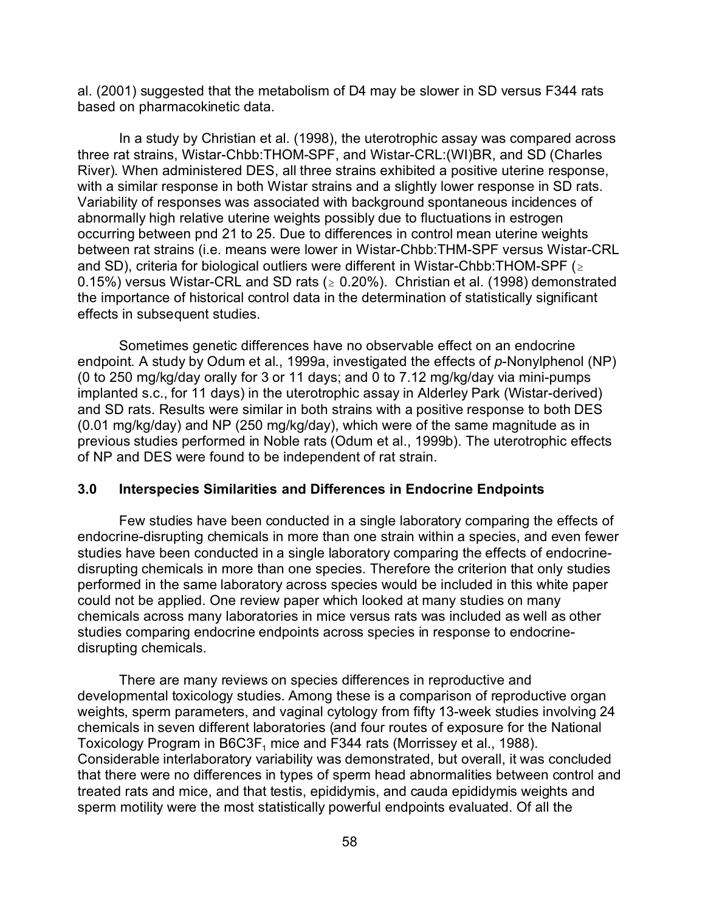al. (2001) suggested that the metabolism of D4 may be slower in SD versus F344 rats based on pharmacokinetic data.

In a study by Christian et al. (1998), the uterotrophic assay was compared across three rat strains, Wistar-Chbb:THOM-SPF, and Wistar-CRL:(WI)BR, and SD (Charles River). When administered DES, all three strains exhibited a positive uterine response, with a similar response in both Wistar strains and a slightly lower response in SD rats. Variability of responses was associated with background spontaneous incidences of abnormally high relative uterine weights possibly due to fluctuations in estrogen occurring between pnd 21 to 25. Due to differences in control mean uterine weights between rat strains (i.e. means were lower in Wistar-Chbb:THM-SPF versus Wistar-CRL and SD), criteria for biological outliers were different in Wistar-Chbb: THOM-SPF ( $\geq$ 0.15%) versus Wistar-CRL and SD rats ( $\geq$  0.20%). Christian et al. (1998) demonstrated the importance of historical control data in the determination of statistically significant effects in subsequent studies.

Sometimes genetic differences have no observable effect on an endocrine endpoint. A study by Odum et al., 1999a, investigated the effects of *p*-Nonylphenol (NP) (0 to 250 mg/kg/day orally for 3 or 11 days; and 0 to 7.12 mg/kg/day via mini-pumps implanted s.c., for 11 days) in the uterotrophic assay in Alderley Park (Wistar-derived) and SD rats. Results were similar in both strains with a positive response to both DES (0.01 mg/kg/day) and NP (250 mg/kg/day), which were of the same magnitude as in previous studies performed in Noble rats (Odum et al., 1999b). The uterotrophic effects of NP and DES were found to be independent of rat strain.

#### **3.0 Interspecies Similarities and Differences in Endocrine Endpoints**

Few studies have been conducted in a single laboratory comparing the effects of endocrine-disrupting chemicals in more than one strain within a species, and even fewer studies have been conducted in a single laboratory comparing the effects of endocrinedisrupting chemicals in more than one species. Therefore the criterion that only studies performed in the same laboratory across species would be included in this white paper could not be applied. One review paper which looked at many studies on many chemicals across many laboratories in mice versus rats was included as well as other studies comparing endocrine endpoints across species in response to endocrinedisrupting chemicals.

There are many reviews on species differences in reproductive and developmental toxicology studies. Among these is a comparison of reproductive organ weights, sperm parameters, and vaginal cytology from fifty 13-week studies involving 24 chemicals in seven different laboratories (and four routes of exposure for the National Toxicology Program in B6C3F<sub>1</sub> mice and F344 rats (Morrissey et al., 1988). Considerable interlaboratory variability was demonstrated, but overall, it was concluded that there were no differences in types of sperm head abnormalities between control and treated rats and mice, and that testis, epididymis, and cauda epididymis weights and sperm motility were the most statistically powerful endpoints evaluated. Of all the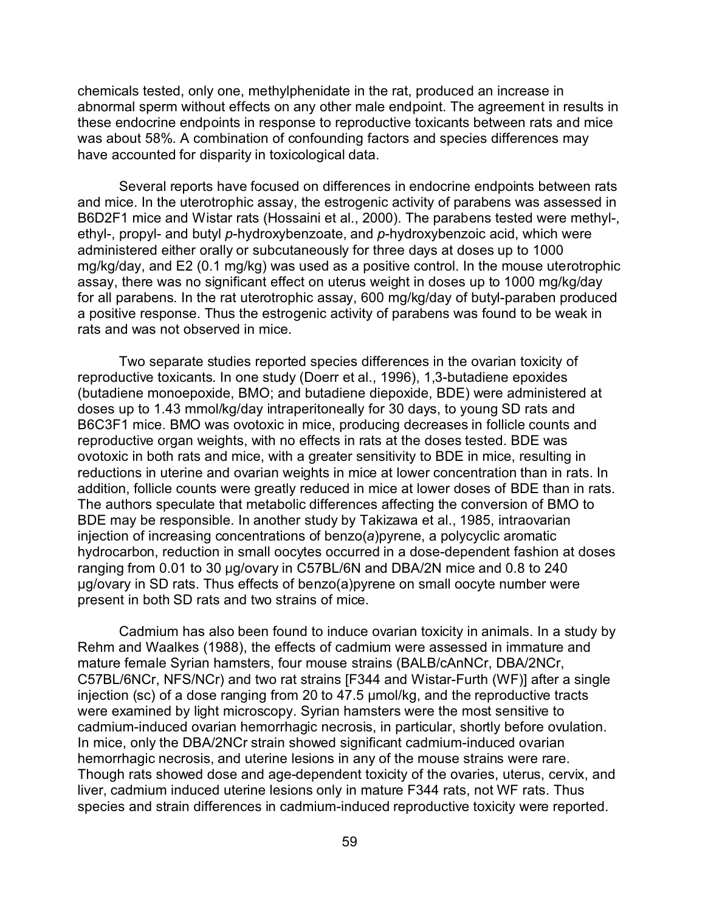chemicals tested, only one, methylphenidate in the rat, produced an increase in abnormal sperm without effects on any other male endpoint. The agreement in results in these endocrine endpoints in response to reproductive toxicants between rats and mice was about 58%. A combination of confounding factors and species differences may have accounted for disparity in toxicological data.

Several reports have focused on differences in endocrine endpoints between rats and mice. In the uterotrophic assay, the estrogenic activity of parabens was assessed in B6D2F1 mice and Wistar rats (Hossaini et al., 2000). The parabens tested were methyl-, ethyl-, propyl- and butyl *p*-hydroxybenzoate, and *p*-hydroxybenzoic acid, which were administered either orally or subcutaneously for three days at doses up to 1000 mg/kg/day, and E2 (0.1 mg/kg) was used as a positive control. In the mouse uterotrophic assay, there was no significant effect on uterus weight in doses up to 1000 mg/kg/day for all parabens. In the rat uterotrophic assay, 600 mg/kg/day of butyl-paraben produced a positive response. Thus the estrogenic activity of parabens was found to be weak in rats and was not observed in mice.

Two separate studies reported species differences in the ovarian toxicity of reproductive toxicants. In one study (Doerr et al., 1996), 1,3-butadiene epoxides (butadiene monoepoxide, BMO; and butadiene diepoxide, BDE) were administered at doses up to 1.43 mmol/kg/day intraperitoneally for 30 days, to young SD rats and B6C3F1 mice. BMO was ovotoxic in mice, producing decreases in follicle counts and reproductive organ weights, with no effects in rats at the doses tested. BDE was ovotoxic in both rats and mice, with a greater sensitivity to BDE in mice, resulting in reductions in uterine and ovarian weights in mice at lower concentration than in rats. In addition, follicle counts were greatly reduced in mice at lower doses of BDE than in rats. The authors speculate that metabolic differences affecting the conversion of BMO to BDE may be responsible. In another study by Takizawa et al., 1985, intraovarian injection of increasing concentrations of benzo(*a*)pyrene, a polycyclic aromatic hydrocarbon, reduction in small oocytes occurred in a dose-dependent fashion at doses ranging from 0.01 to 30 µg/ovary in C57BL/6N and DBA/2N mice and 0.8 to 240 ug/ovary in SD rats. Thus effects of benzo(a)pyrene on small oocyte number were present in both SD rats and two strains of mice.

Cadmium has also been found to induce ovarian toxicity in animals. In a study by Rehm and Waalkes (1988), the effects of cadmium were assessed in immature and mature female Syrian hamsters, four mouse strains (BALB/cAnNCr, DBA/2NCr, C57BL/6NCr, NFS/NCr) and two rat strains [F344 and Wistar-Furth (WF)] after a single injection (sc) of a dose ranging from 20 to  $47.5 \mu$  mol/kg, and the reproductive tracts were examined by light microscopy. Syrian hamsters were the most sensitive to cadmium-induced ovarian hemorrhagic necrosis, in particular, shortly before ovulation. In mice, only the DBA/2NCr strain showed significant cadmium-induced ovarian hemorrhagic necrosis, and uterine lesions in any of the mouse strains were rare. Though rats showed dose and age-dependent toxicity of the ovaries, uterus, cervix, and liver, cadmium induced uterine lesions only in mature F344 rats, not WF rats. Thus species and strain differences in cadmium-induced reproductive toxicity were reported.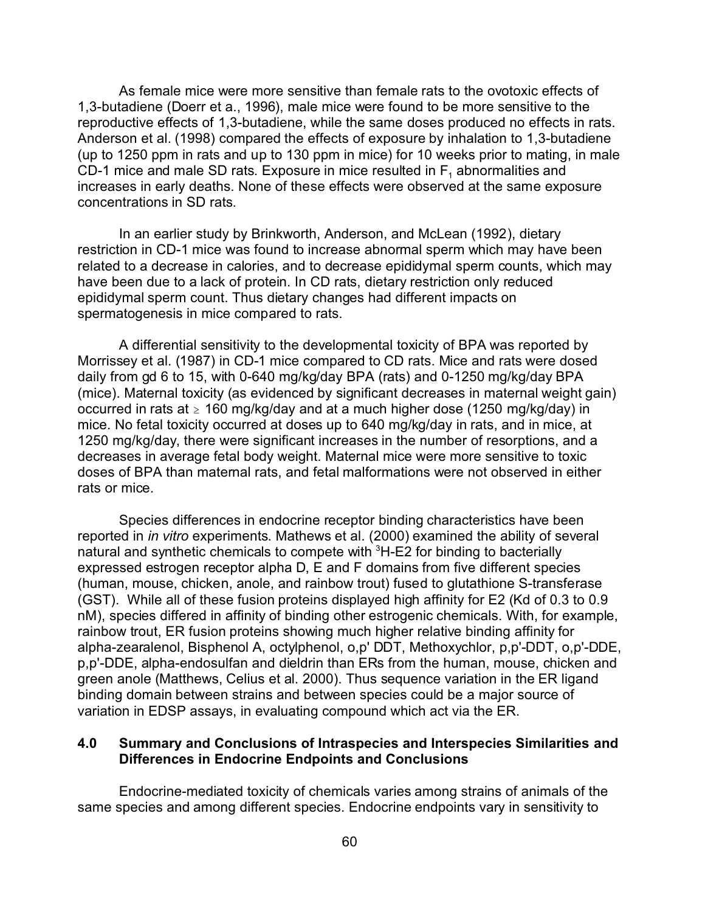As female mice were more sensitive than female rats to the ovotoxic effects of 1,3-butadiene (Doerr et a., 1996), male mice were found to be more sensitive to the reproductive effects of 1,3-butadiene, while the same doses produced no effects in rats. Anderson et al. (1998) compared the effects of exposure by inhalation to 1,3-butadiene (up to 1250 ppm in rats and up to 130 ppm in mice) for 10 weeks prior to mating, in male CD-1 mice and male SD rats. Exposure in mice resulted in  $F_1$  abnormalities and increases in early deaths. None of these effects were observed at the same exposure concentrations in SD rats.

In an earlier study by Brinkworth, Anderson, and McLean (1992), dietary restriction in CD-1 mice was found to increase abnormal sperm which may have been related to a decrease in calories, and to decrease epididymal sperm counts, which may have been due to a lack of protein. In CD rats, dietary restriction only reduced epididymal sperm count. Thus dietary changes had different impacts on spermatogenesis in mice compared to rats.

A differential sensitivity to the developmental toxicity of BPA was reported by Morrissey et al. (1987) in CD-1 mice compared to CD rats. Mice and rats were dosed daily from gd 6 to 15, with 0-640 mg/kg/day BPA (rats) and 0-1250 mg/kg/day BPA (mice). Maternal toxicity (as evidenced by significant decreases in maternal weight gain) occurred in rats at  $\geq 160$  mg/kg/day and at a much higher dose (1250 mg/kg/day) in mice. No fetal toxicity occurred at doses up to 640 mg/kg/day in rats, and in mice, at 1250 mg/kg/day, there were significant increases in the number of resorptions, and a decreases in average fetal body weight. Maternal mice were more sensitive to toxic doses of BPA than maternal rats, and fetal malformations were not observed in either rats or mice.

Species differences in endocrine receptor binding characteristics have been reported in *in vitro* experiments. Mathews et al. (2000) examined the ability of several natural and synthetic chemicals to compete with  ${}^{3}$ H-E2 for binding to bacterially expressed estrogen receptor alpha D, E and F domains from five different species (human, mouse, chicken, anole, and rainbow trout) fused to glutathione S-transferase (GST). While all of these fusion proteins displayed high affinity for E2 (Kd of 0.3 to 0.9 nM), species differed in affinity of binding other estrogenic chemicals. With, for example, rainbow trout, ER fusion proteins showing much higher relative binding affinity for alpha-zearalenol, Bisphenol A, octylphenol, o,p' DDT, Methoxychlor, p,p'-DDT, o,p'-DDE, p,p'-DDE, alpha-endosulfan and dieldrin than ERs from the human, mouse, chicken and green anole (Matthews, Celius et al. 2000). Thus sequence variation in the ER ligand binding domain between strains and between species could be a major source of variation in EDSP assays, in evaluating compound which act via the ER.

## **4.0 Summary and Conclusions of Intraspecies and Interspecies Similarities and Differences in Endocrine Endpoints and Conclusions**

Endocrine-mediated toxicity of chemicals varies among strains of animals of the same species and among different species. Endocrine endpoints vary in sensitivity to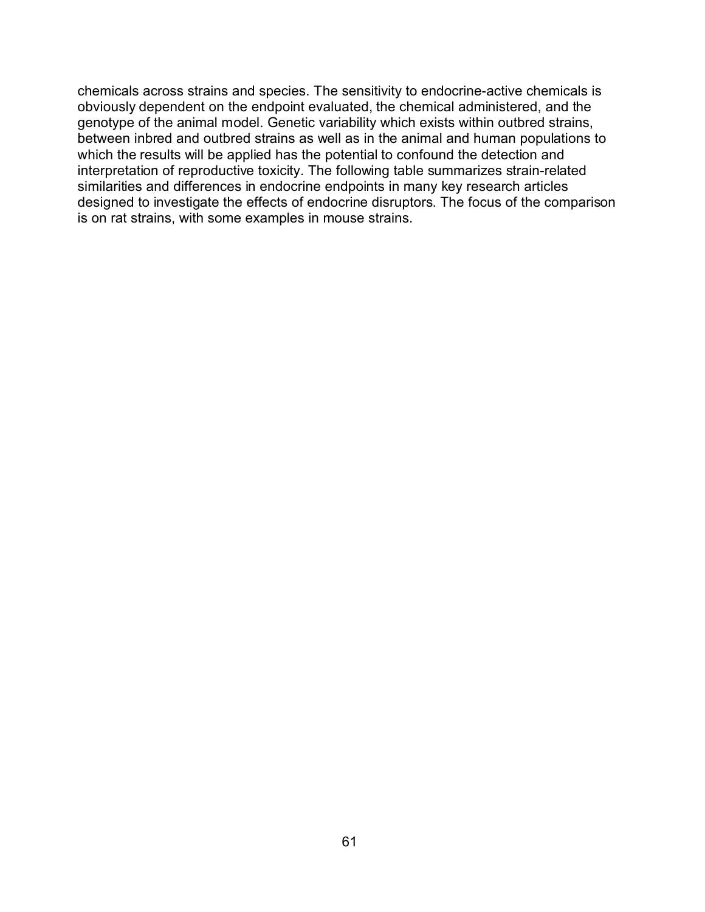chemicals across strains and species. The sensitivity to endocrine-active chemicals is obviously dependent on the endpoint evaluated, the chemical administered, and the genotype of the animal model. Genetic variability which exists within outbred strains, between inbred and outbred strains as well as in the animal and human populations to which the results will be applied has the potential to confound the detection and interpretation of reproductive toxicity. The following table summarizes strain-related similarities and differences in endocrine endpoints in many key research articles designed to investigate the effects of endocrine disruptors. The focus of the comparison is on rat strains, with some examples in mouse strains.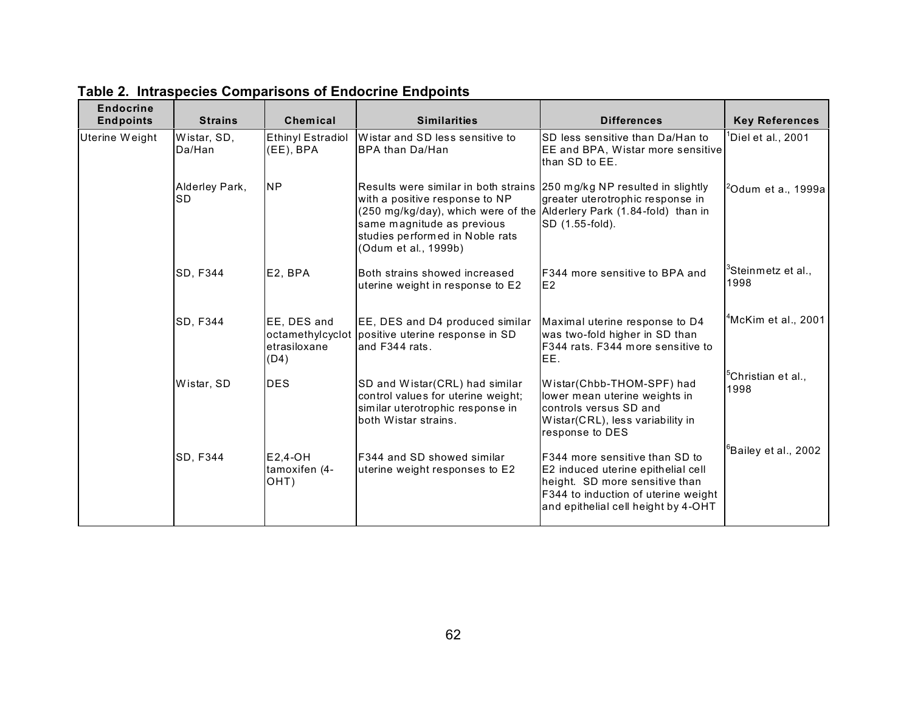| <b>Endocrine</b><br><b>Endpoints</b> | <b>Strains</b>        | Chemical                                                | <b>Similarities</b>                                                                                                                                                                                                                                                         | <b>Differences</b>                                                                                                                                                                           | <b>Key References</b>                  |
|--------------------------------------|-----------------------|---------------------------------------------------------|-----------------------------------------------------------------------------------------------------------------------------------------------------------------------------------------------------------------------------------------------------------------------------|----------------------------------------------------------------------------------------------------------------------------------------------------------------------------------------------|----------------------------------------|
| Uterine Weight                       | Wistar, SD,<br>Da/Han | <b>Ethinyl Estradiol</b><br>(EE), BPA                   | Wistar and SD less sensitive to<br><b>I</b> BPA than Da/Han                                                                                                                                                                                                                 | SD less sensitive than Da/Han to<br>EE and BPA, Wistar more sensitive<br>than SD to EE.                                                                                                      | <sup>1</sup> Diel et al., 2001         |
|                                      | Alderley Park,<br>ISD | <b>NP</b>                                               | Results were similar in both strains (250 mg/kg NP resulted in slightly<br>with a positive response to NP<br>(250 mg/kg/day), which were of the Alderlery Park (1.84-fold) than in<br>same magnitude as previous<br>studies performed in Noble rats<br>(Odum et al., 1999b) | greater uterotrophic response in<br>SD (1.55-fold).                                                                                                                                          | $20$ dum et a., 1999a                  |
|                                      | SD, F344              | E2, BPA                                                 | Both strains showed increased<br>uterine weight in response to E2                                                                                                                                                                                                           | <b>F344 more sensitive to BPA and</b><br>IE <sub>2</sub>                                                                                                                                     | $3$ Steinmetz et al.,<br>1998          |
|                                      | SD, F344              | EE, DES and<br>octamethylcyclot<br>etrasiloxane<br>(D4) | EE, DES and D4 produced similar<br>positive uterine response in SD<br>land F344 rats.                                                                                                                                                                                       | Maximal uterine response to D4<br>was two-fold higher in SD than<br>F344 rats. F344 more sensitive to<br>IEE.                                                                                | $4$ McKim et al., 2001                 |
|                                      | Wistar, SD            | <b>DES</b>                                              | SD and Wistar(CRL) had similar<br>control values for uterine weight;<br>similar uterotrophic response in<br>both Wistar strains.                                                                                                                                            | Wistar(Chbb-THOM-SPF) had<br>lower mean uterine weights in<br>controls versus SD and<br>Wistar(CRL), less variability in<br>response to DES                                                  | <sup>5</sup> Christian et al.,<br>1998 |
|                                      | SD, F344              | E2,4-OH<br>tamoxifen (4-<br>OHT)                        | <b>IF344 and SD showed similar</b><br>uterine weight responses to E2                                                                                                                                                                                                        | <b>IF344 more sensitive than SD to</b><br>E2 induced uterine epithelial cell<br>height. SD more sensitive than<br>F344 to induction of uterine weight<br>and epithelial cell height by 4-OHT | <sup>6</sup> Bailey et al., 2002       |

**Table 2. Intraspecies Comparisons of Endocrine Endpoints**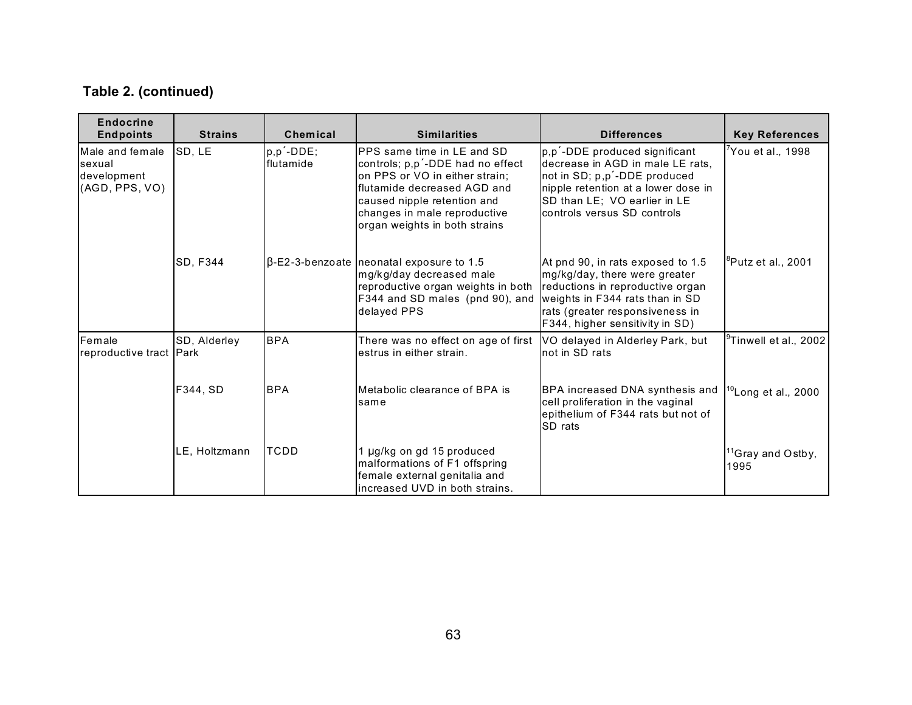| <b>Endocrine</b><br><b>Endpoints</b>                       | <b>Strains</b> | Chemical               | <b>Similarities</b>                                                                                                                                                                                                             | <b>Differences</b>                                                                                                                                                                                      | <b>Key References</b>                 |
|------------------------------------------------------------|----------------|------------------------|---------------------------------------------------------------------------------------------------------------------------------------------------------------------------------------------------------------------------------|---------------------------------------------------------------------------------------------------------------------------------------------------------------------------------------------------------|---------------------------------------|
| Male and female<br>sexual<br>development<br>(AGD, PPS, VO) | SD, LE         | p,p'-DDE;<br>flutamide | PPS same time in LE and SD<br>controls; p,p'-DDE had no effect<br>on PPS or VO in either strain;<br>flutamide decreased AGD and<br>caused nipple retention and<br>changes in male reproductive<br>organ weights in both strains | p,p'-DDE produced significant<br>decrease in AGD in male LE rats,<br>not in SD; p,p'-DDE produced<br>nipple retention at a lower dose in<br>SD than LE; VO earlier in LE<br>controls versus SD controls | <sup>7</sup> You et al., 1998         |
|                                                            | SD, F344       |                        | $\beta$ -E2-3-benzoate neonatal exposure to 1.5<br>mg/kg/day decreased male<br>reproductive organ weights in both<br>F344 and SD males (pnd 90), and weights in F344 rats than in SD<br>delayed PPS                             | At pnd 90, in rats exposed to 1.5<br>mg/kg/day, there were greater<br>reductions in reproductive organ<br>rats (greater responsiveness in<br>F344, higher sensitivity in SD)                            | <sup>o</sup> Putz et al., 2001        |
| Female<br>reproductive tract Park                          | SD, Alderley   | <b>BPA</b>             | There was no effect on age of first<br>estrus in either strain.                                                                                                                                                                 | VO delayed in Alderley Park, but<br>not in SD rats                                                                                                                                                      | <sup>9</sup> Tinwell et al., 2002     |
|                                                            | F344, SD       | <b>BPA</b>             | Metabolic clearance of BPA is<br>same                                                                                                                                                                                           | BPA increased DNA synthesis and<br>cell proliferation in the vaginal<br>epithelium of F344 rats but not of<br><b>ISD</b> rats                                                                           | $10$ Long et al., 2000                |
|                                                            | LE, Holtzmann  | ITCDD                  | 1 µg/kg on gd 15 produced<br>malformations of F1 offspring<br>female external genitalia and<br>increased UVD in both strains.                                                                                                   |                                                                                                                                                                                                         | <sup>11</sup> Gray and Ostby,<br>1995 |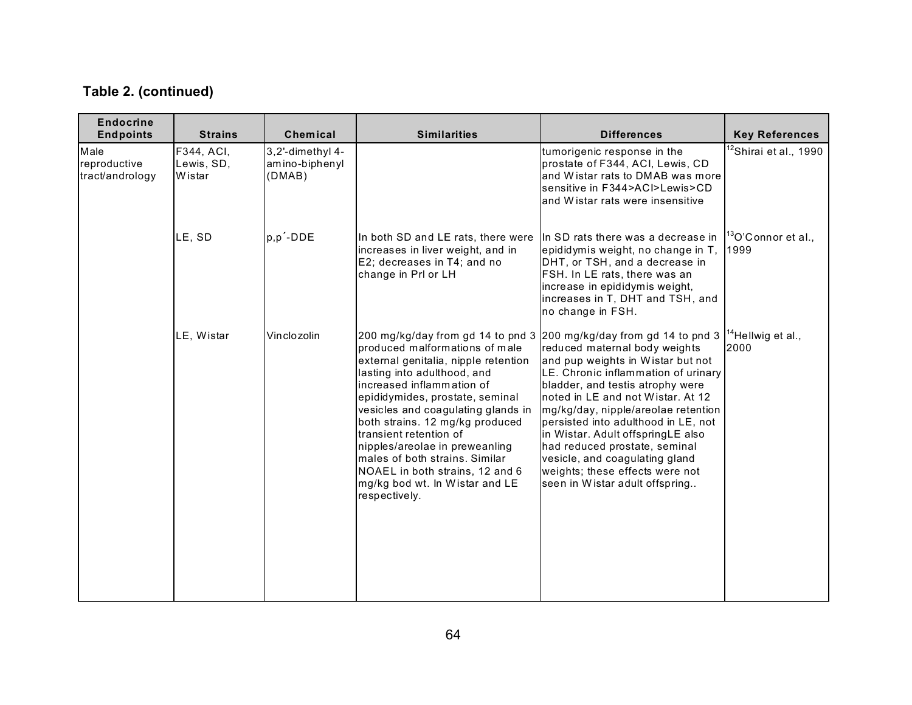| <b>Endocrine</b><br><b>Endpoints</b>    | <b>Strains</b>                     | Chemical                                     | <b>Similarities</b>                                                                                                                                                                                                                                                                                                                                                                                                                                                                                       | <b>Differences</b>                                                                                                                                                                                                                                                                                                                                                                                                                            | <b>Key References</b>                 |
|-----------------------------------------|------------------------------------|----------------------------------------------|-----------------------------------------------------------------------------------------------------------------------------------------------------------------------------------------------------------------------------------------------------------------------------------------------------------------------------------------------------------------------------------------------------------------------------------------------------------------------------------------------------------|-----------------------------------------------------------------------------------------------------------------------------------------------------------------------------------------------------------------------------------------------------------------------------------------------------------------------------------------------------------------------------------------------------------------------------------------------|---------------------------------------|
| Male<br>reproductive<br>tract/andrology | F344, ACI,<br>Lewis, SD,<br>Wistar | 3,2'-dimethyl 4-<br>amino-biphenyl<br>(DMAB) |                                                                                                                                                                                                                                                                                                                                                                                                                                                                                                           | tumorigenic response in the<br>prostate of F344, ACI, Lewis, CD<br>and Wistar rats to DMAB was more<br>sensitive in F344>ACl>Lewis>CD<br>and Wistar rats were insensitive                                                                                                                                                                                                                                                                     | <sup>12</sup> Shirai et al., 1990     |
|                                         | LE, SD                             | p,p'-DDE                                     | In both SD and LE rats, there were<br>increases in liver weight, and in<br>E2; decreases in T4; and no<br>change in Prl or LH                                                                                                                                                                                                                                                                                                                                                                             | In SD rats there was a decrease in<br>epididymis weight, no change in T,<br>DHT, or TSH, and a decrease in<br>FSH. In LE rats, there was an<br>increase in epididymis weight,<br>increases in T, DHT and TSH, and<br>no change in FSH.                                                                                                                                                                                                        | $13$ O'Connor et al.,<br>1999         |
|                                         | LE, Wistar                         | Vinclozolin                                  | 200 mg/kg/day from gd 14 to pnd 3 200 mg/kg/day from gd 14 to pnd 3<br>produced malformations of male<br>external genitalia, nipple retention<br>lasting into adulthood, and<br>increased inflammation of<br>epididymides, prostate, seminal<br>vesicles and coagulating glands in<br>both strains. 12 mg/kg produced<br>transient retention of<br>nipples/areolae in preweanling<br>males of both strains. Similar<br>NOAEL in both strains, 12 and 6<br>mg/kg bod wt. In Wistar and LE<br>respectively. | reduced maternal body weights<br>and pup weights in Wistar but not<br>LE. Chronic inflammation of urinary<br>bladder, and testis atrophy were<br>noted in LE and not Wistar, At 12<br>mg/kg/day, nipple/areolae retention<br>persisted into adulthood in LE, not<br>in Wistar. Adult offspringLE also<br>had reduced prostate, seminal<br>vesicle, and coagulating gland<br>weights; these effects were not<br>seen in Wistar adult offspring | <sup>14</sup> Hellwig et al.,<br>2000 |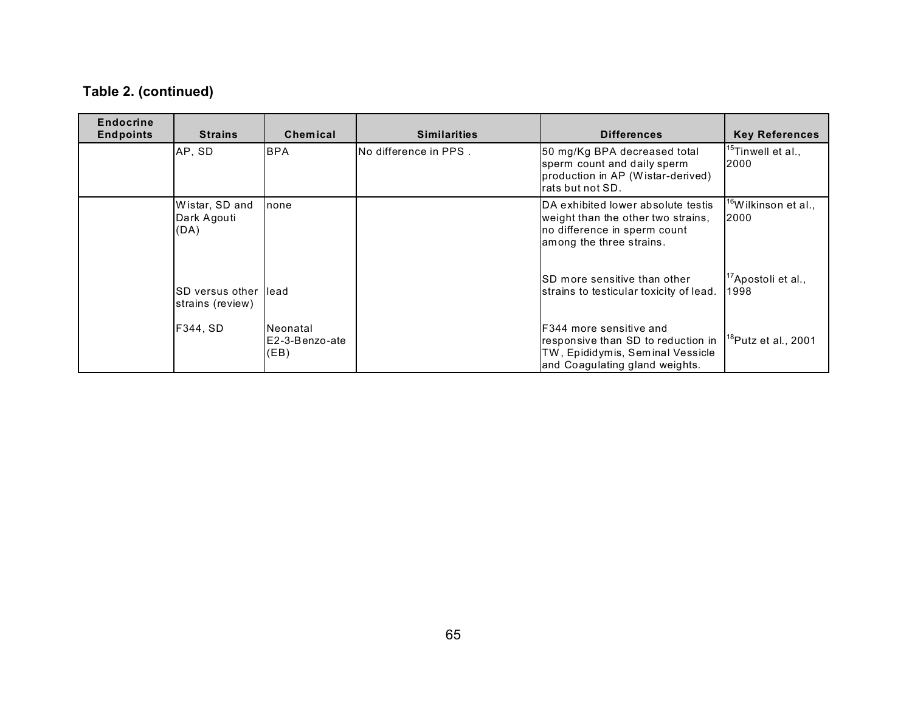| <b>Endocrine</b><br><b>Endpoints</b> | <b>Strains</b>                               | <b>Chemical</b>                    | <b>Similarities</b>    | <b>Differences</b>                                                                                                                          | <b>Key References</b>                   |
|--------------------------------------|----------------------------------------------|------------------------------------|------------------------|---------------------------------------------------------------------------------------------------------------------------------------------|-----------------------------------------|
|                                      | AP, SD                                       | <b>BPA</b>                         | No difference in PPS . | 50 mg/Kg BPA decreased total<br>sperm count and daily sperm<br>production in AP (Wistar-derived)<br>rats but not SD.                        | <sup>15</sup> Tinwell et al.,<br>2000   |
|                                      | Wistar, SD and<br>Dark Agouti<br>(DA)        | none                               |                        | DA exhibited lower absolute testis<br>weight than the other two strains,<br>no difference in sperm count<br>among the three strains.        | <sup>16</sup> Wilkinson et al.,<br>2000 |
|                                      | <b>I</b> SD versus other<br>strains (review) | llead                              |                        | SD more sensitive than other<br>strains to testicular toxicity of lead.                                                                     | $17$ Apostoli et al.,<br>1998           |
|                                      | F344. SD                                     | Neonatal<br>E2-3-Benzo-ate<br>(EB) |                        | <b>IF344 more sensitive and</b><br>responsive than SD to reduction in<br>TW, Epididymis, Seminal Vessicle<br>and Coaquiating gland weights. | <sup>18</sup> Putz et al., 2001         |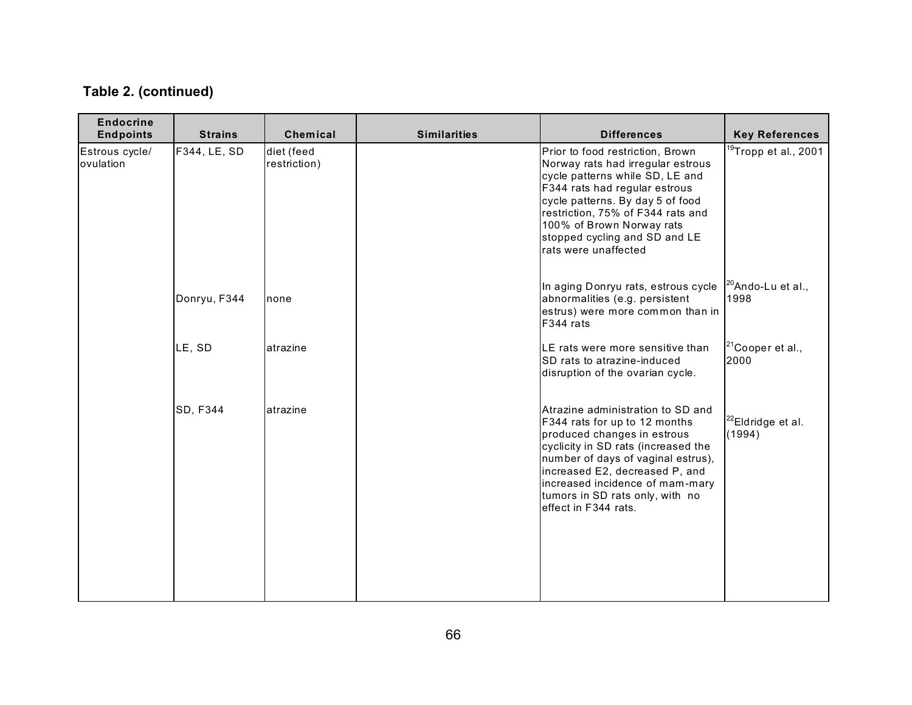| <b>Endocrine</b><br><b>Endpoints</b> | <b>Strains</b> | Chemical                   | <b>Similarities</b> | <b>Differences</b>                                                                                                                                                                                                                                                                                             | <b>Key References</b>                 |
|--------------------------------------|----------------|----------------------------|---------------------|----------------------------------------------------------------------------------------------------------------------------------------------------------------------------------------------------------------------------------------------------------------------------------------------------------------|---------------------------------------|
| Estrous cycle/<br>ovulation          | F344, LE, SD   | diet (feed<br>restriction) |                     | Prior to food restriction, Brown<br>Norway rats had irregular estrous<br>cycle patterns while SD, LE and<br>F344 rats had regular estrous<br>cycle patterns. By day 5 of food<br>restriction, 75% of F344 rats and<br>100% of Brown Norway rats<br>stopped cycling and SD and LE<br>rats were unaffected       | <sup>19</sup> Tropp et al., 2001      |
|                                      | Donryu, F344   | none                       |                     | In aging Donryu rats, estrous cycle<br>abnormalities (e.g. persistent<br>estrus) were more common than in<br>F344 rats                                                                                                                                                                                         | <sup>20</sup> Ando-Lu et al.,<br>1998 |
|                                      | LE, SD         | atrazine                   |                     | LE rats were more sensitive than<br><b>ISD rats to atrazine-induced</b><br>disruption of the ovarian cycle.                                                                                                                                                                                                    | $21$ Cooper et al.,<br>2000           |
|                                      | SD, F344       | atrazine                   |                     | Atrazine administration to SD and<br>F344 rats for up to 12 months<br>produced changes in estrous<br>cyclicity in SD rats (increased the<br>number of days of vaginal estrus),<br>increased E2, decreased P, and<br>increased incidence of mam-mary<br>tumors in SD rats only, with no<br>effect in F344 rats. | $^{22}$ Eldridge et al.<br>(1994)     |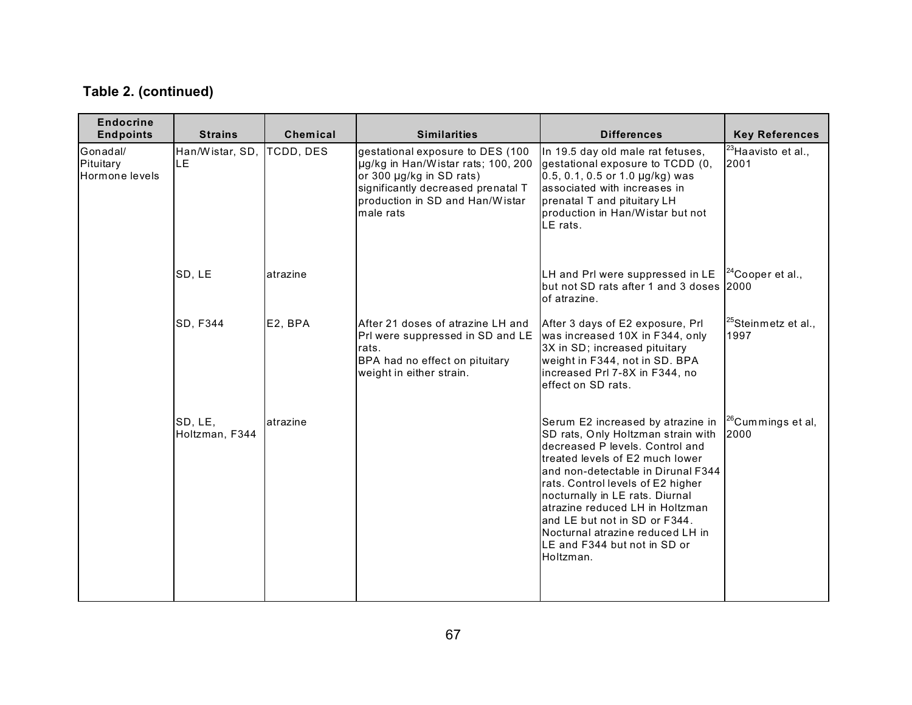| <b>Endocrine</b><br><b>Endpoints</b>    | <b>Strains</b>            | Chemical  | <b>Similarities</b>                                                                                                                                                                      | <b>Differences</b>                                                                                                                                                                                                                                                                                                                                                                                                        | <b>Key References</b>                   |
|-----------------------------------------|---------------------------|-----------|------------------------------------------------------------------------------------------------------------------------------------------------------------------------------------------|---------------------------------------------------------------------------------------------------------------------------------------------------------------------------------------------------------------------------------------------------------------------------------------------------------------------------------------------------------------------------------------------------------------------------|-----------------------------------------|
| Gonadal/<br>Pituitary<br>Hormone levels | Han/Wistar, SD,<br>LE.    | TCDD, DES | gestational exposure to DES (100<br>µg/kg in Han/Wistar rats; 100, 200<br>or 300 µg/kg in SD rats)<br>significantly decreased prenatal T<br>production in SD and Han/Wistar<br>male rats | In 19.5 day old male rat fetuses,<br>gestational exposure to TCDD (0,<br>$0.5, 0.1, 0.5$ or 1.0 $\mu$ g/kg) was<br>associated with increases in<br>prenatal T and pituitary LH<br>production in Han/Wistar but not<br>LE rats.                                                                                                                                                                                            | <sup>23</sup> Haavisto et al.,<br>2001  |
|                                         | SD, LE                    | atrazine  |                                                                                                                                                                                          | LH and Prl were suppressed in LE<br>but not SD rats after 1 and 3 doses 2000<br>of atrazine.                                                                                                                                                                                                                                                                                                                              | $24$ Cooper et al.,                     |
|                                         | <b>SD, F344</b>           | E2, BPA   | After 21 doses of atrazine LH and<br>Prl were suppressed in SD and LE<br>rats.<br>BPA had no effect on pituitary<br>weight in either strain.                                             | After 3 days of E2 exposure, Prl<br>was increased 10X in F344, only<br>3X in SD; increased pituitary<br>weight in F344, not in SD. BPA<br>increased Prl 7-8X in F344, no<br>effect on SD rats.                                                                                                                                                                                                                            | <sup>25</sup> Steinmetz et al.,<br>1997 |
|                                         | SD, LE,<br>Holtzman, F344 | atrazine  |                                                                                                                                                                                          | Serum E2 increased by atrazine in<br>SD rats, Only Holtzman strain with<br>decreased P levels, Control and<br>treated levels of E2 much lower<br>and non-detectable in Dirunal F344<br>rats. Control levels of E2 higher<br>nocturnally in LE rats. Diurnal<br>atrazine reduced LH in Holtzman<br>and LE but not in SD or F344.<br>Nocturnal atrazine reduced LH in<br><b>I</b> LE and F344 but not in SD or<br>Holtzman. | <sup>26</sup> Cummings et al,<br>2000   |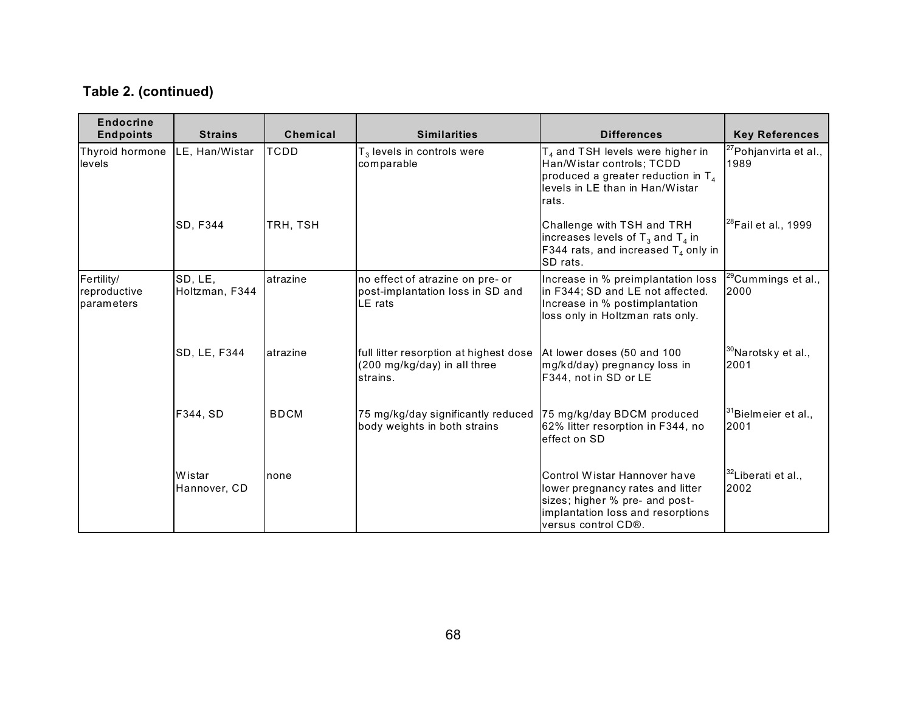| <b>Endocrine</b><br><b>Endpoints</b>     | <b>Strains</b>            | Chemical    | <b>Similarities</b>                                                                | <b>Differences</b>                                                                                                                                             | <b>Key References</b>                      |
|------------------------------------------|---------------------------|-------------|------------------------------------------------------------------------------------|----------------------------------------------------------------------------------------------------------------------------------------------------------------|--------------------------------------------|
| Thyroid hormone<br>levels                | <b>I</b> LE. Han/Wistar   | <b>TCDD</b> | $T_3$ levels in controls were<br>comparable                                        | T <sub>4</sub> and TSH levels were higher in<br>Han/Wistar controls; TCDD<br>produced a greater reduction in $T_4$<br>levels in LE than in Han/Wistar<br>rats. | <sup>27</sup> Pohjan virta et al.,<br>1989 |
|                                          | <b>SD, F344</b>           | TRH, TSH    |                                                                                    | Challenge with TSH and TRH<br>increases levels of $T_3$ and $T_4$ in<br>F344 rats, and increased $T_4$ only in<br>SD rats.                                     | $^{28}$ Fail et al., 1999                  |
| Fertility/<br>reproductive<br>parameters | SD, LE,<br>Holtzman, F344 | atrazine    | no effect of atrazine on pre- or<br>post-implantation loss in SD and<br>LE rats    | Increase in % preimplantation loss<br>in F344; SD and LE not affected.<br>Increase in % postimplantation<br>loss only in Holtzman rats only.                   | <sup>29</sup> Cummings et al.,<br>2000     |
|                                          | SD, LE, F344              | atrazine    | full litter resorption at highest dose<br>(200 mg/kg/day) in all three<br>strains. | At lower doses (50 and 100<br>mg/kd/day) pregnancy loss in<br>F344, not in SD or LE                                                                            | <sup>30</sup> Narotsky et al.,<br>2001     |
|                                          | F344, SD                  | <b>BDCM</b> | 75 mg/kg/day significantly reduced<br>body weights in both strains                 | 75 mg/kg/day BDCM produced<br>62% litter resorption in F344, no<br>effect on SD                                                                                | $31$ Bielmeier et al.,<br>2001             |
|                                          | Wistar<br>Hannover, CD    | Inone       |                                                                                    | Control Wistar Hannover have<br>lower pregnancy rates and litter<br>sizes; higher % pre- and post-<br>implantation loss and resorptions<br>versus control CD®. | <sup>32</sup> Liberati et al.,<br>2002     |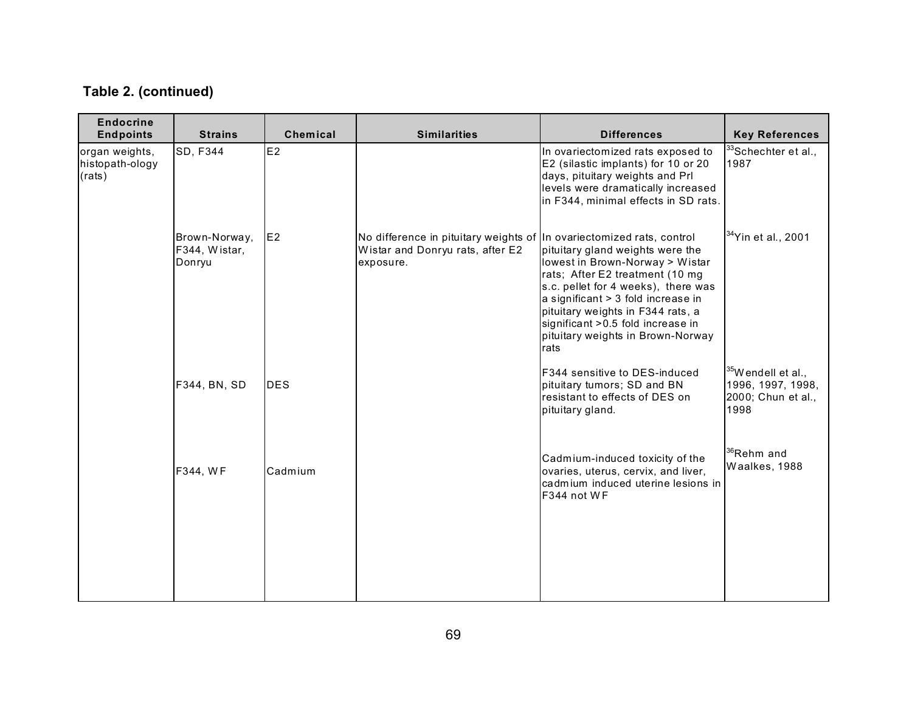| <b>Endocrine</b><br><b>Endpoints</b>        | <b>Strains</b>                           | Chemical        | <b>Similarities</b>                                                                                                    | <b>Differences</b>                                                                                                                                                                                                                                                                                          | <b>Key References</b>                                                             |
|---------------------------------------------|------------------------------------------|-----------------|------------------------------------------------------------------------------------------------------------------------|-------------------------------------------------------------------------------------------------------------------------------------------------------------------------------------------------------------------------------------------------------------------------------------------------------------|-----------------------------------------------------------------------------------|
| organ weights,<br>histopath-ology<br>(rats) | SD, F344                                 | E2              |                                                                                                                        | In ovariectomized rats exposed to<br>E2 (silastic implants) for 10 or 20<br>days, pituitary weights and Prl<br>levels were dramatically increased<br>in F344, minimal effects in SD rats.                                                                                                                   | <sup>33</sup> Schechter et al.,<br>1987                                           |
|                                             | Brown-Norway,<br>F344, Wistar,<br>Donryu | IE <sub>2</sub> | No difference in pituitary weights of In ovariectomized rats, control<br>Wistar and Donryu rats, after E2<br>exposure. | pituitary gland weights were the<br>lowest in Brown-Norway > Wistar<br>rats; After E2 treatment (10 mg<br>s.c. pellet for 4 weeks), there was<br>a significant > 3 fold increase in<br>pituitary weights in F344 rats, a<br>significant > 0.5 fold increase in<br>pituitary weights in Brown-Norway<br>rats | $34$ Yin et al., 2001                                                             |
|                                             | F344, BN, SD                             | <b>DES</b>      |                                                                                                                        | <b>IF344 sensitive to DES-induced</b><br>pituitary tumors; SD and BN<br>resistant to effects of DES on<br>pituitary gland.                                                                                                                                                                                  | <sup>35</sup> W endell et al.,<br>1996, 1997, 1998,<br>2000; Chun et al.,<br>1998 |
|                                             | F344, WF                                 | Cadmium         |                                                                                                                        | Cadmium-induced toxicity of the<br>ovaries, uterus, cervix, and liver,<br>cadmium induced uterine lesions in<br>F344 not WF                                                                                                                                                                                 | <sup>36</sup> Rehm and<br>Waalkes, 1988                                           |
|                                             |                                          |                 |                                                                                                                        |                                                                                                                                                                                                                                                                                                             |                                                                                   |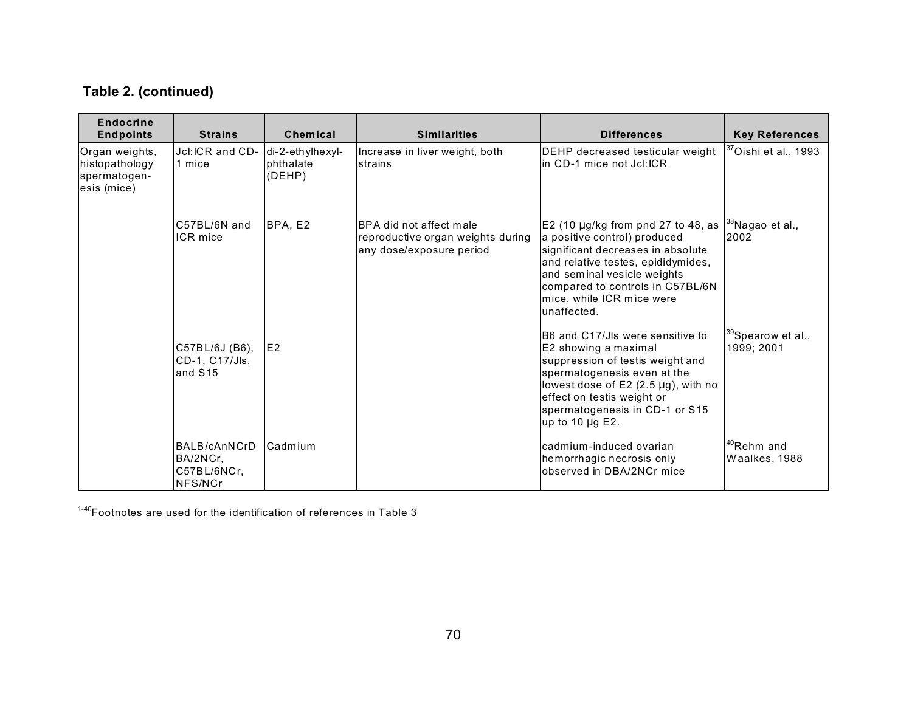## **Table 2. (continued)**

| <b>Endocrine</b><br><b>Endpoints</b>                            | <b>Strains</b>                                          | Chemical                                | <b>Similarities</b>                                                                             | <b>Differences</b>                                                                                                                                                                                                                                                                  | <b>Key References</b>                     |
|-----------------------------------------------------------------|---------------------------------------------------------|-----------------------------------------|-------------------------------------------------------------------------------------------------|-------------------------------------------------------------------------------------------------------------------------------------------------------------------------------------------------------------------------------------------------------------------------------------|-------------------------------------------|
| Organ weights,<br>histopathology<br>spermatogen-<br>esis (mice) | Jcl:ICR and CD-<br>1 mice                               | di-2-ethylhexyl-<br>phthalate<br>(DEHP) | Increase in liver weight, both<br>strains                                                       | DEHP decreased testicular weight<br>lin CD-1 mice not Jcl:ICR                                                                                                                                                                                                                       | $\mathrm{^{37}O}$ ishi et al., 1993       |
|                                                                 | C57BL/6N and<br>ICR mice                                | BPA, E2                                 | <b>BPA</b> did not affect male<br>reproductive organ weights during<br>any dose/exposure period | E2 (10 µg/kg from pnd 27 to 48, as $ ^{38}$ Nagao et al.,<br>a positive control) produced<br>significant decreases in absolute<br>and relative testes, epididymides,<br>and seminal vesicle weights<br>compared to controls in C57BL/6N<br>mice, while ICR mice were<br>unaffected. | 2002                                      |
|                                                                 | C57BL/6J (B6),<br>CD-1, C17/Jls,<br>and S <sub>15</sub> | IE <sub>2</sub>                         |                                                                                                 | <b>IB6 and C17/Jls were sensitive to</b><br>E2 showing a maximal<br>suppression of testis weight and<br>spermatogenesis even at the<br>lowest dose of E2 (2.5 µg), with no<br>effect on testis weight or<br>spermatogenesis in CD-1 or S15<br>up to 10 $\mu$ g E2.                  | $39$ Spearow et al.,<br>1999; 2001        |
|                                                                 | BALB/cAnNCrD<br>BA/2NCr,<br>C57BL/6NCr.<br>NFS/NCr      | Cadmium                                 |                                                                                                 | cadmium-induced ovarian<br>hemorrhagic necrosis only<br>observed in DBA/2NCr mice                                                                                                                                                                                                   | 1 <sup>40</sup> Rehm and<br>Waalkes, 1988 |

 $1-40$ Footnotes are used for the identification of references in Table 3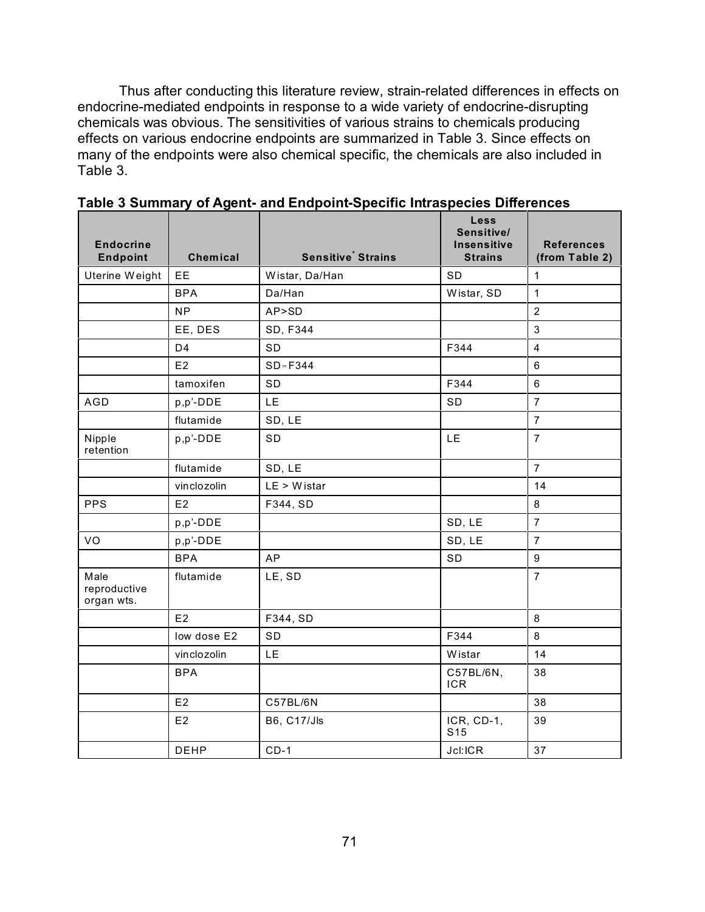Thus after conducting this literature review, strain-related differences in effects on endocrine-mediated endpoints in response to a wide variety of endocrine-disrupting chemicals was obvious. The sensitivities of various strains to chemicals producing effects on various endocrine endpoints are summarized in Table 3. Since effects on many of the endpoints were also chemical specific, the chemicals are also included in Table 3.

| <b>Endocrine</b><br><b>Endpoint</b> | Chemical       | <b>Sensitive</b> Strains | Less<br>Sensitive/<br><b>Insensitive</b><br><b>Strains</b> | <b>References</b><br>(from Table 2) |
|-------------------------------------|----------------|--------------------------|------------------------------------------------------------|-------------------------------------|
| Uterine Weight                      | EE             | Wistar, Da/Han           | SD                                                         | $\mathbf{1}$                        |
|                                     | <b>BPA</b>     | Da/Han                   | Wistar, SD                                                 | $\mathbf{1}$                        |
|                                     | <b>NP</b>      | AP>SD                    |                                                            | $\overline{2}$                      |
|                                     | EE, DES        | SD, F344                 |                                                            | $\mathbf{3}$                        |
|                                     | D <sub>4</sub> | SD                       | F344                                                       | $\overline{4}$                      |
|                                     | E2             | $SD \approx F344$        |                                                            | $6\phantom{1}$                      |
|                                     | tamoxifen      | SD                       | F344                                                       | $6\phantom{1}$                      |
| AGD                                 | p,p'-DDE       | LE                       | <b>SD</b>                                                  | $\overline{7}$                      |
|                                     | flutamide      | SD, LE                   |                                                            | $\overline{7}$                      |
| Nipple<br>retention                 | p,p'-DDE       | SD                       | LE                                                         | $\overline{7}$                      |
|                                     | flutamide      | SD, LE                   |                                                            | $\overline{7}$                      |
|                                     | vinclozolin    | $LE > W$ istar           |                                                            | 14                                  |
| <b>PPS</b>                          | E2             | F344, SD                 |                                                            | 8                                   |
|                                     | p,p'-DDE       |                          | SD, LE                                                     | $\overline{7}$                      |
| VO                                  | p,p'-DDE       |                          | SD, LE                                                     | $\overline{7}$                      |
|                                     | <b>BPA</b>     | <b>AP</b>                | SD                                                         | $\boldsymbol{9}$                    |
| Male<br>reproductive<br>organ wts.  | flutamide      | LE, SD                   |                                                            | $\overline{7}$                      |
|                                     | E2             | F344, SD                 |                                                            | 8                                   |
|                                     | low dose E2    | SD                       | F344                                                       | 8                                   |
|                                     | vinclozolin    | <b>LE</b>                | Wistar                                                     | 14                                  |
|                                     | <b>BPA</b>     |                          | C57BL/6N,<br><b>ICR</b>                                    | 38                                  |
|                                     | E2             | C57BL/6N                 |                                                            | 38                                  |
|                                     | E2             | <b>B6, C17/Jls</b>       | ICR, CD-1,<br>S <sub>15</sub>                              | 39                                  |
|                                     | <b>DEHP</b>    | $CD-1$                   | Jcl:ICR                                                    | 37                                  |

**Table 3 Summary of Agent- and Endpoint-Specific Intraspecies Differences**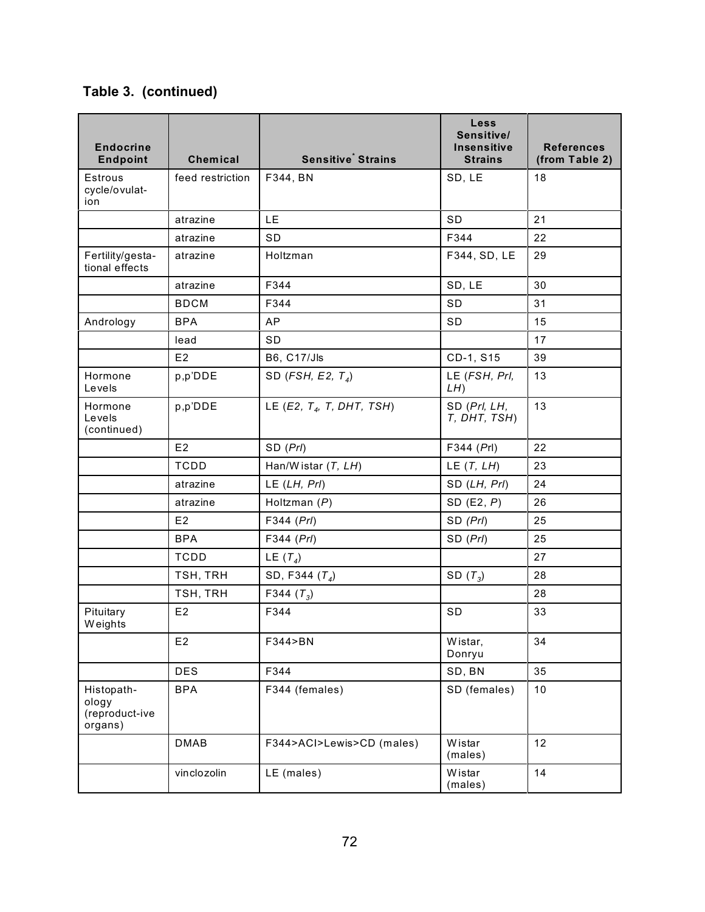| <b>Endocrine</b><br><b>Endpoint</b>              | <b>Chemical</b>  | <b>Sensitive</b> Strains    | Less<br>Sensitive/<br><b>Insensitive</b><br><b>Strains</b> | <b>References</b><br>(from Table 2) |
|--------------------------------------------------|------------------|-----------------------------|------------------------------------------------------------|-------------------------------------|
| Estrous<br>cycle/ovulat-<br>ion                  | feed restriction | F344, BN                    | SD, LE                                                     | 18                                  |
|                                                  | atrazine         | LE.                         | SD                                                         | 21                                  |
|                                                  | atrazine         | SD                          | F344                                                       | 22                                  |
| Fertility/gesta-<br>tional effects               | atrazine         | Holtzman                    | F344, SD, LE                                               | 29                                  |
|                                                  | atrazine         | F344                        | SD, LE                                                     | 30                                  |
|                                                  | <b>BDCM</b>      | F344                        | SD                                                         | 31                                  |
| Andrology                                        | <b>BPA</b>       | AP                          | <b>SD</b>                                                  | 15                                  |
|                                                  | lead             | SD                          |                                                            | 17                                  |
|                                                  | E2               | <b>B6, C17/Jls</b>          | CD-1, S15                                                  | 39                                  |
| Hormone<br>Levels                                | p,p'DDE          | SD (FSH, E2, $T_4$ )        | LE (FSH, Prl,<br>LH                                        | 13                                  |
| Hormone<br>Levels<br>(continued)                 | p,p'DDE          | LE (E2, $T4$ , T, DHT, TSH) | SD (Prl, LH,<br>T, DHT, TSH)                               | 13                                  |
|                                                  | E2               | SD (Prl)                    | F344 (Prl)                                                 | 22                                  |
|                                                  | <b>TCDD</b>      | Han/Wistar $(T, LH)$        | LE $(T, LH)$                                               | 23                                  |
|                                                  | atrazine         | $LE$ (LH, PrI)              | SD (LH, Prl)                                               | 24                                  |
|                                                  | atrazine         | Holtzman $(P)$              | SD $(E2, P)$                                               | 26                                  |
|                                                  | E <sub>2</sub>   | F344 (Prl)                  | SD (Prl)                                                   | 25                                  |
|                                                  | <b>BPA</b>       | F344 (Prl)                  | SD (Prl)                                                   | 25                                  |
|                                                  | <b>TCDD</b>      | LE $(T_4)$                  |                                                            | 27                                  |
|                                                  | TSH, TRH         | SD, F344 $(T_4)$            | SD $(T_3)$                                                 | 28                                  |
|                                                  | TSH, TRH         | F344 $(T_3)$                |                                                            | 28                                  |
| Pituitary<br><b>Weights</b>                      | E2               | F344                        | <b>SD</b>                                                  | 33                                  |
|                                                  | E2               | F344>BN                     | Wistar,<br>Donryu                                          | 34                                  |
|                                                  | <b>DES</b>       | F344                        | SD, BN                                                     | 35                                  |
| Histopath-<br>ology<br>(reproduct-ive<br>organs) | <b>BPA</b>       | F344 (females)              | SD (females)                                               | 10                                  |
|                                                  | <b>DMAB</b>      | F344>ACI>Lewis>CD (males)   | Wistar<br>(males)                                          | 12                                  |
|                                                  | vinclozolin      | LE (males)                  | Wistar<br>(males)                                          | 14                                  |

## **Table 3. (continued)**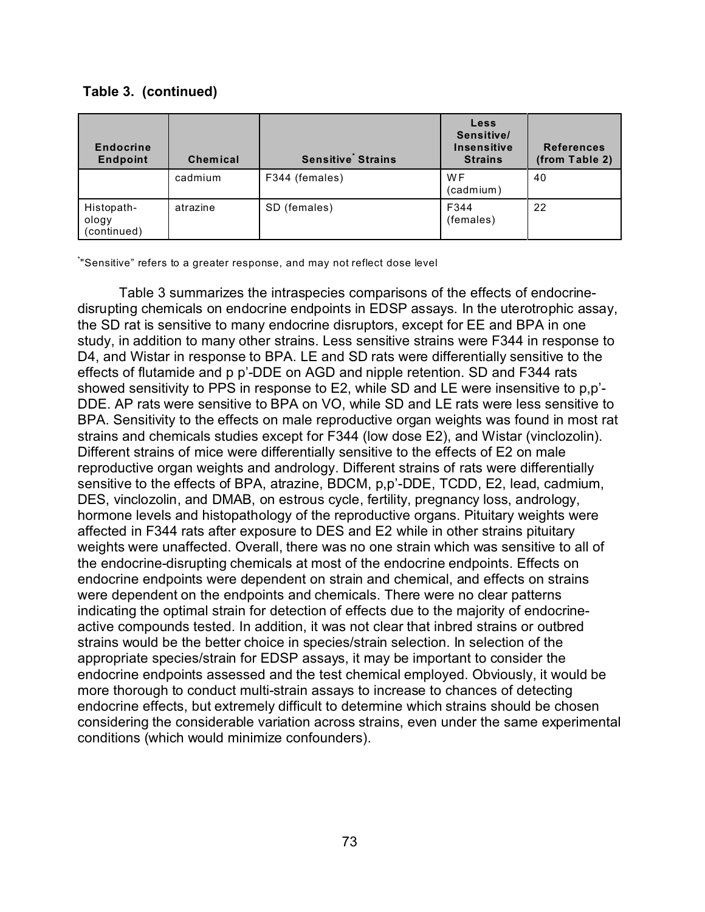| <b>Endocrine</b><br><b>Endpoint</b> | <b>Chemical</b> | <b>Sensitive</b> Strains | Less<br>Sensitive/<br><b>Insensitive</b><br><b>Strains</b> | <b>References</b><br>(from Table 2) |
|-------------------------------------|-----------------|--------------------------|------------------------------------------------------------|-------------------------------------|
|                                     | cadmium         | F344 (females)           | <b>WF</b><br>(cadmium)                                     | 40                                  |
| Histopath-<br>ology<br>(continued)  | atrazine        | SD (females)             | F344<br>(females)                                          | 22                                  |

## **Table 3. (continued)**

\* "Sensitive" refers to a greater response, and may not reflect dose level

Table 3 summarizes the intraspecies comparisons of the effects of endocrinedisrupting chemicals on endocrine endpoints in EDSP assays. In the uterotrophic assay, the SD rat is sensitive to many endocrine disruptors, except for EE and BPA in one study, in addition to many other strains. Less sensitive strains were F344 in response to D4, and Wistar in response to BPA. LE and SD rats were differentially sensitive to the effects of flutamide and p p'-DDE on AGD and nipple retention. SD and F344 rats showed sensitivity to PPS in response to E2, while SD and LE were insensitive to p,p'- DDE. AP rats were sensitive to BPA on VO, while SD and LE rats were less sensitive to BPA. Sensitivity to the effects on male reproductive organ weights was found in most rat strains and chemicals studies except for F344 (low dose E2), and Wistar (vinclozolin). Different strains of mice were differentially sensitive to the effects of E2 on male reproductive organ weights and andrology. Different strains of rats were differentially sensitive to the effects of BPA, atrazine, BDCM, p,p'-DDE, TCDD, E2, lead, cadmium, DES, vinclozolin, and DMAB, on estrous cycle, fertility, pregnancy loss, andrology, hormone levels and histopathology of the reproductive organs. Pituitary weights were affected in F344 rats after exposure to DES and E2 while in other strains pituitary weights were unaffected. Overall, there was no one strain which was sensitive to all of the endocrine-disrupting chemicals at most of the endocrine endpoints. Effects on endocrine endpoints were dependent on strain and chemical, and effects on strains were dependent on the endpoints and chemicals. There were no clear patterns indicating the optimal strain for detection of effects due to the majority of endocrineactive compounds tested. In addition, it was not clear that inbred strains or outbred strains would be the better choice in species/strain selection. In selection of the appropriate species/strain for EDSP assays, it may be important to consider the endocrine endpoints assessed and the test chemical employed. Obviously, it would be more thorough to conduct multi-strain assays to increase to chances of detecting endocrine effects, but extremely difficult to determine which strains should be chosen considering the considerable variation across strains, even under the same experimental conditions (which would minimize confounders).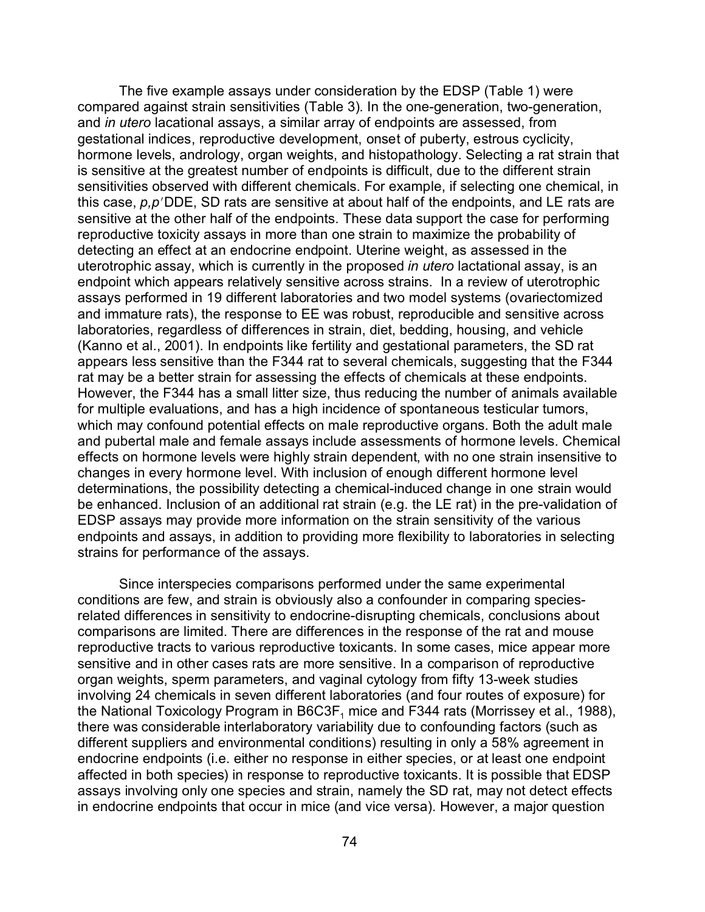The five example assays under consideration by the EDSP (Table 1) were compared against strain sensitivities (Table 3). In the one-generation, two-generation, and *in utero* lacational assays, a similar array of endpoints are assessed, from gestational indices, reproductive development, onset of puberty, estrous cyclicity, hormone levels, andrology, organ weights, and histopathology. Selecting a rat strain that is sensitive at the greatest number of endpoints is difficult, due to the different strain sensitivities observed with different chemicals. For example, if selecting one chemical, in this case,  $p, p$ <sup>'</sup>DDE, SD rats are sensitive at about half of the endpoints, and LE rats are sensitive at the other half of the endpoints. These data support the case for performing reproductive toxicity assays in more than one strain to maximize the probability of detecting an effect at an endocrine endpoint. Uterine weight, as assessed in the uterotrophic assay, which is currently in the proposed *in utero* lactational assay, is an endpoint which appears relatively sensitive across strains. In a review of uterotrophic assays performed in 19 different laboratories and two model systems (ovariectomized and immature rats), the response to EE was robust, reproducible and sensitive across laboratories, regardless of differences in strain, diet, bedding, housing, and vehicle (Kanno et al., 2001). In endpoints like fertility and gestational parameters, the SD rat appears less sensitive than the F344 rat to several chemicals, suggesting that the F344 rat may be a better strain for assessing the effects of chemicals at these endpoints. However, the F344 has a small litter size, thus reducing the number of animals available for multiple evaluations, and has a high incidence of spontaneous testicular tumors, which may confound potential effects on male reproductive organs. Both the adult male and pubertal male and female assays include assessments of hormone levels. Chemical effects on hormone levels were highly strain dependent, with no one strain insensitive to changes in every hormone level. With inclusion of enough different hormone level determinations, the possibility detecting a chemical-induced change in one strain would be enhanced. Inclusion of an additional rat strain (e.g. the LE rat) in the pre-validation of EDSP assays may provide more information on the strain sensitivity of the various endpoints and assays, in addition to providing more flexibility to laboratories in selecting strains for performance of the assays.

Since interspecies comparisons performed under the same experimental conditions are few, and strain is obviously also a confounder in comparing speciesrelated differences in sensitivity to endocrine-disrupting chemicals, conclusions about comparisons are limited. There are differences in the response of the rat and mouse reproductive tracts to various reproductive toxicants. In some cases, mice appear more sensitive and in other cases rats are more sensitive. In a comparison of reproductive organ weights, sperm parameters, and vaginal cytology from fifty 13-week studies involving 24 chemicals in seven different laboratories (and four routes of exposure) for the National Toxicology Program in B6C3F $_{\rm 1}$  mice and F344 rats (Morrissey et al., 1988), there was considerable interlaboratory variability due to confounding factors (such as different suppliers and environmental conditions) resulting in only a 58% agreement in endocrine endpoints (i.e. either no response in either species, or at least one endpoint affected in both species) in response to reproductive toxicants. It is possible that EDSP assays involving only one species and strain, namely the SD rat, may not detect effects in endocrine endpoints that occur in mice (and vice versa). However, a major question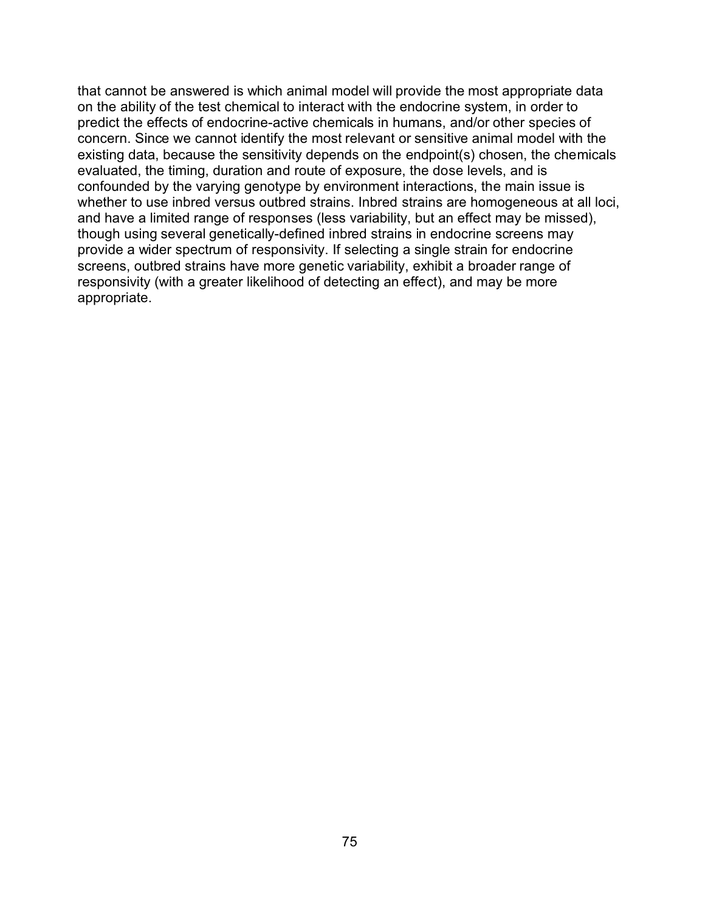that cannot be answered is which animal model will provide the most appropriate data on the ability of the test chemical to interact with the endocrine system, in order to predict the effects of endocrine-active chemicals in humans, and/or other species of concern. Since we cannot identify the most relevant or sensitive animal model with the existing data, because the sensitivity depends on the endpoint(s) chosen, the chemicals evaluated, the timing, duration and route of exposure, the dose levels, and is confounded by the varying genotype by environment interactions, the main issue is whether to use inbred versus outbred strains. Inbred strains are homogeneous at all loci, and have a limited range of responses (less variability, but an effect may be missed), though using several genetically-defined inbred strains in endocrine screens may provide a wider spectrum of responsivity. If selecting a single strain for endocrine screens, outbred strains have more genetic variability, exhibit a broader range of responsivity (with a greater likelihood of detecting an effect), and may be more appropriate.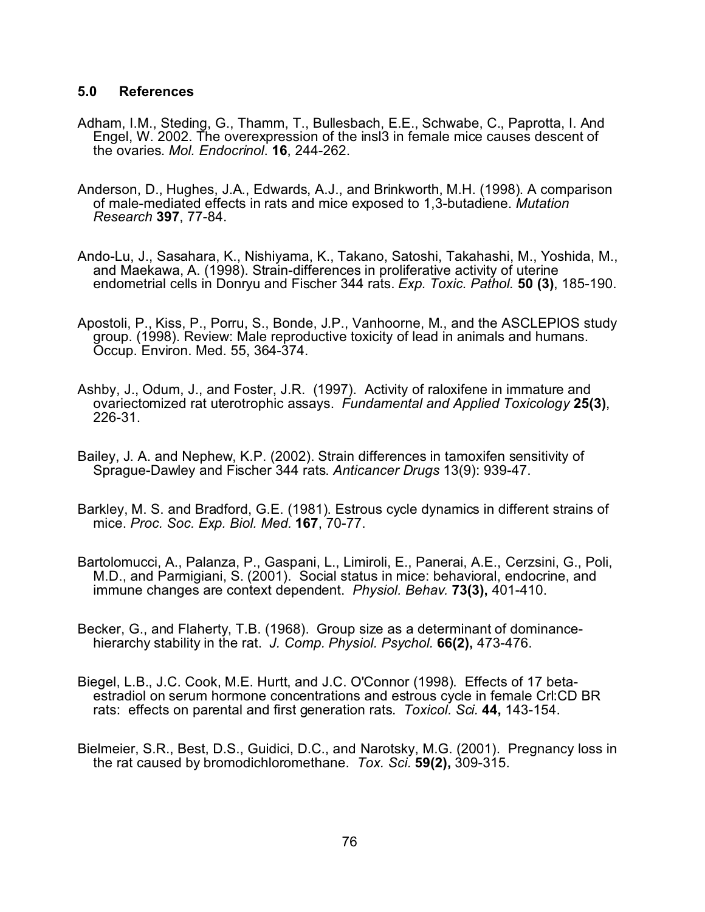## **5.0 References**

- Adham, I.M., Steding, G., Thamm, T., Bullesbach, E.E., Schwabe, C., Paprotta, I. And Engel, W. 2002. The overexpression of the insl3 in female mice causes descent of the ovaries. *Mol. Endocrinol*. **16**, 244-262.
- Anderson, D., Hughes, J.A., Edwards, A.J., and Brinkworth, M.H. (1998). A comparison of male-mediated effects in rats and mice exposed to 1,3-butadiene. *Mutation Research* **397**, 77-84.
- Ando-Lu, J., Sasahara, K., Nishiyama, K., Takano, Satoshi, Takahashi, M., Yoshida, M., and Maekawa, A. (1998). Strain-differences in proliferative activity of uterine endometrial cells in Donryu and Fischer 344 rats. *Exp. Toxic. Pathol.* **50 (3)**, 185-190.
- Apostoli, P., Kiss, P., Porru, S., Bonde, J.P., Vanhoorne, M., and the ASCLEPIOS study group. (1998). Review: Male reproductive toxicity of lead in animals and humans. Occup. Environ. Med. 55, 364-374.
- Ashby, J., Odum, J., and Foster, J.R. (1997). Activity of raloxifene in immature and ovariectomized rat uterotrophic assays. *Fundamental and Applied Toxicology* **25(3)**, 226-31.
- Bailey, J. A. and Nephew, K.P. (2002). Strain differences in tamoxifen sensitivity of Sprague-Dawley and Fischer 344 rats. *Anticancer Drugs* 13(9): 939-47.
- Barkley, M. S. and Bradford, G.E. (1981). Estrous cycle dynamics in different strains of mice. *Proc. Soc. Exp. Biol. Med.* **167**, 70-77.
- Bartolomucci, A., Palanza, P., Gaspani, L., Limiroli, E., Panerai, A.E., Cerzsini, G., Poli, M.D., and Parmigiani, S. (2001). Social status in mice: behavioral, endocrine, and immune changes are context dependent. *Physiol. Behav.* **73(3),** 401-410.
- Becker, G., and Flaherty, T.B. (1968). Group size as a determinant of dominancehierarchy stability in the rat. *J. Comp. Physiol. Psychol.* **66(2),** 473-476.
- Biegel, L.B., J.C. Cook, M.E. Hurtt, and J.C. O'Connor (1998). Effects of 17 betaestradiol on serum hormone concentrations and estrous cycle in female Crl:CD BR rats: effects on parental and first generation rats. *Toxicol. Sci.* **44,** 143-154.
- Bielmeier, S.R., Best, D.S., Guidici, D.C., and Narotsky, M.G. (2001). Pregnancy loss in the rat caused by bromodichloromethane. *Tox. Sci.* **59(2),** 309-315.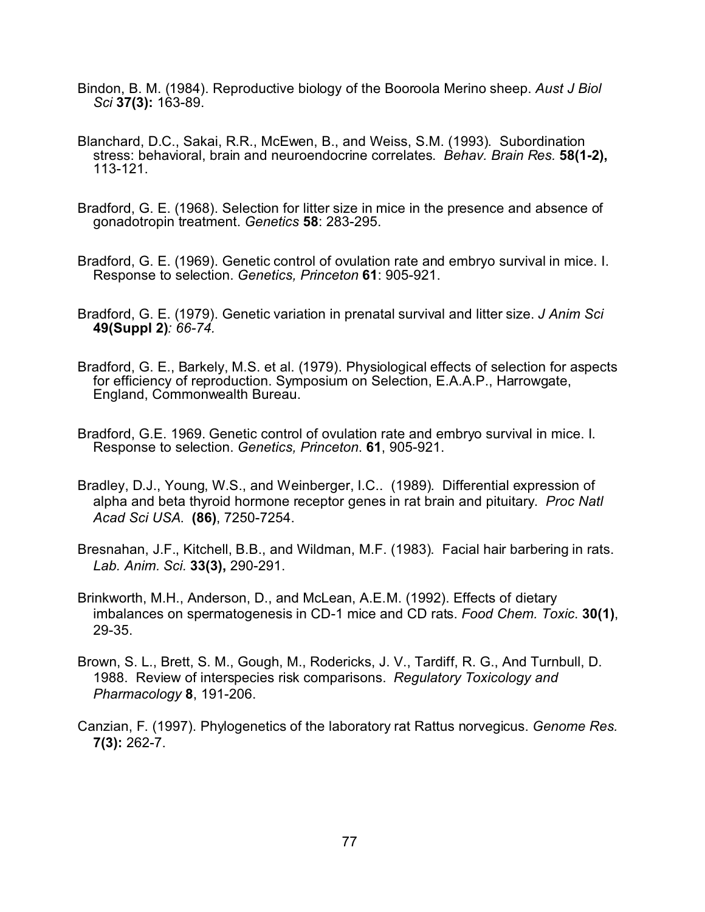- Bindon, B. M. (1984). Reproductive biology of the Booroola Merino sheep. *Aust J Biol Sci* **37(3):** 163-89.
- Blanchard, D.C., Sakai, R.R., McEwen, B., and Weiss, S.M. (1993). Subordination stress: behavioral, brain and neuroendocrine correlates. *Behav. Brain Res.* **58(1-2),** 113-121.
- Bradford, G. E. (1968). Selection for litter size in mice in the presence and absence of gonadotropin treatment. *Genetics* **58**: 283-295.
- Bradford, G. E. (1969). Genetic control of ovulation rate and embryo survival in mice. I. Response to selection. *Genetics, Princeton* **61**: 905-921.
- Bradford, G. E. (1979). Genetic variation in prenatal survival and litter size. *J Anim Sci* **49(Suppl 2)***: 66-74.*
- Bradford, G. E., Barkely, M.S. et al. (1979). Physiological effects of selection for aspects for efficiency of reproduction. Symposium on Selection, E.A.A.P., Harrowgate, England, Commonwealth Bureau.
- Bradford, G.E. 1969. Genetic control of ovulation rate and embryo survival in mice. I. Response to selection. *Genetics, Princeton*. **61**, 905-921.
- Bradley, D.J., Young, W.S., and Weinberger, I.C.. (1989). Differential expression of alpha and beta thyroid hormone receptor genes in rat brain and pituitary. *Proc Natl Acad Sci USA*. **(86)**, 7250-7254.
- Bresnahan, J.F., Kitchell, B.B., and Wildman, M.F. (1983). Facial hair barbering in rats. *Lab. Anim. Sci.* **33(3),** 290-291.
- Brinkworth, M.H., Anderson, D., and McLean, A.E.M. (1992). Effects of dietary imbalances on spermatogenesis in CD-1 mice and CD rats. *Food Chem. Toxic*. **30(1)**, 29-35.
- Brown, S. L., Brett, S. M., Gough, M., Rodericks, J. V., Tardiff, R. G., And Turnbull, D. 1988. Review of interspecies risk comparisons. *Regulatory Toxicology and Pharmacology* **8**, 191-206.
- Canzian, F. (1997). Phylogenetics of the laboratory rat Rattus norvegicus. *Genome Res.* **7(3):** 262-7.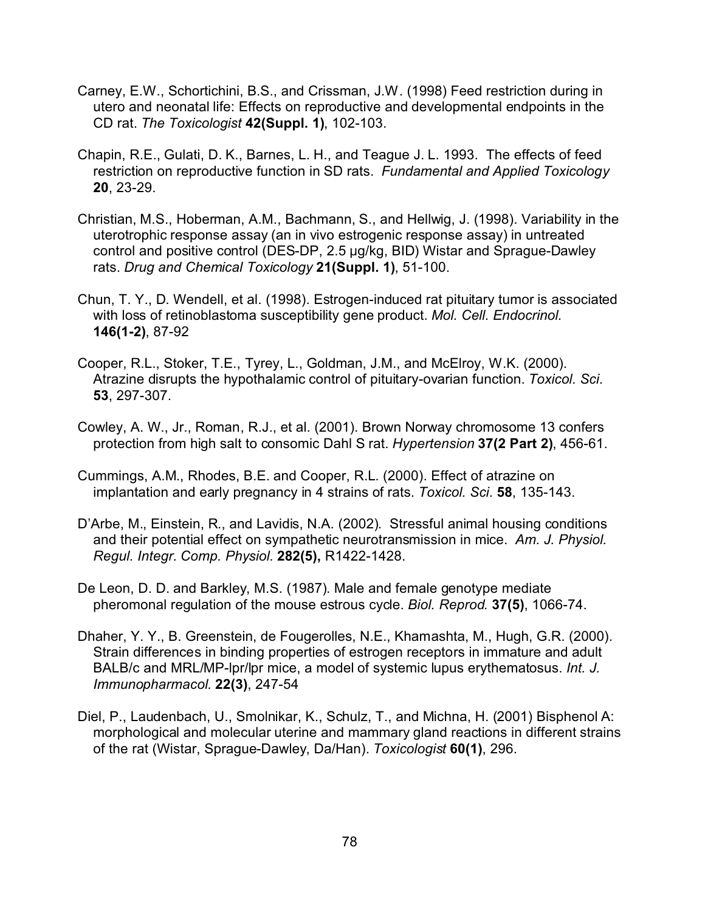- Carney, E.W., Schortichini, B.S., and Crissman, J.W. (1998) Feed restriction during in utero and neonatal life: Effects on reproductive and developmental endpoints in the CD rat. *The Toxicologist* **42(Suppl. 1)**, 102-103.
- Chapin, R.E., Gulati, D. K., Barnes, L. H., and Teague J. L. 1993. The effects of feed restriction on reproductive function in SD rats. *Fundamental and Applied Toxicology*  **20**, 23-29.
- Christian, M.S., Hoberman, A.M., Bachmann, S., and Hellwig, J. (1998). Variability in the uterotrophic response assay (an in vivo estrogenic response assay) in untreated control and positive control (DES-DP, 2.5 µg/kg, BID) Wistar and Sprague-Dawley rats. *Drug and Chemical Toxicology* **21(Suppl. 1)**, 51-100.
- Chun, T. Y., D. Wendell, et al. (1998). Estrogen-induced rat pituitary tumor is associated with loss of retinoblastoma susceptibility gene product. *Mol. Cell. Endocrinol.* **146(1-2)**, 87-92
- Cooper, R.L., Stoker, T.E., Tyrey, L., Goldman, J.M., and McElroy, W.K. (2000). Atrazine disrupts the hypothalamic control of pituitary-ovarian function. *Toxicol. Sci*. **53**, 297-307.
- Cowley, A. W., Jr., Roman, R.J., et al. (2001). Brown Norway chromosome 13 confers protection from high salt to consomic Dahl S rat. *Hypertension* **37(2 Part 2)**, 456-61.
- Cummings, A.M., Rhodes, B.E. and Cooper, R.L. (2000). Effect of atrazine on implantation and early pregnancy in 4 strains of rats. *Toxicol. Sci*. **58**, 135-143.
- D'Arbe, M., Einstein, R., and Lavidis, N.A. (2002). Stressful animal housing conditions and their potential effect on sympathetic neurotransmission in mice. *Am. J. Physiol. Regul. Integr. Comp. Physiol.* **282(5),** R1422-1428.
- De Leon, D. D. and Barkley, M.S. (1987). Male and female genotype mediate pheromonal regulation of the mouse estrous cycle. *Biol. Reprod.* **37(5)**, 1066-74.
- Dhaher, Y. Y., B. Greenstein, de Fougerolles, N.E., Khamashta, M., Hugh, G.R. (2000). Strain differences in binding properties of estrogen receptors in immature and adult BALB/c and MRL/MP-lpr/lpr mice, a model of systemic lupus erythematosus. *Int. J. Immunopharmacol*. **22(3)**, 247-54
- Diel, P., Laudenbach, U., Smolnikar, K., Schulz, T., and Michna, H. (2001) Bisphenol A: morphological and molecular uterine and mammary gland reactions in different strains of the rat (Wistar, Sprague-Dawley, Da/Han). *Toxicologist* **60(1)**, 296.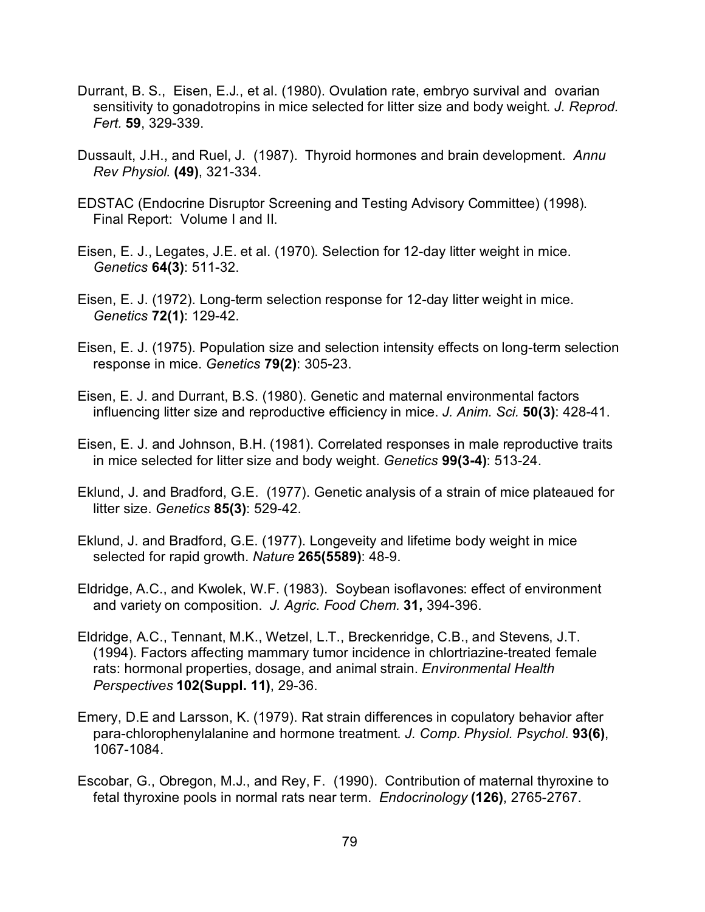- Durrant, B. S., Eisen, E.J., et al. (1980). Ovulation rate, embryo survival and ovarian sensitivity to gonadotropins in mice selected for litter size and body weight. *J. Reprod. Fert.* **59**, 329-339.
- Dussault, J.H., and Ruel, J. (1987). Thyroid hormones and brain development. *Annu Rev Physiol*. **(49)**, 321-334.
- EDSTAC (Endocrine Disruptor Screening and Testing Advisory Committee) (1998). Final Report: Volume I and II.
- Eisen, E. J., Legates, J.E. et al. (1970). Selection for 12-day litter weight in mice. *Genetics* **64(3)**: 511-32.
- Eisen, E. J. (1972). Long-term selection response for 12-day litter weight in mice. *Genetics* **72(1)**: 129-42.
- Eisen, E. J. (1975). Population size and selection intensity effects on long-term selection response in mice. *Genetics* **79(2)**: 305-23.
- Eisen, E. J. and Durrant, B.S. (1980). Genetic and maternal environmental factors influencing litter size and reproductive efficiency in mice. *J. Anim. Sci.* **50(3)**: 428-41.
- Eisen, E. J. and Johnson, B.H. (1981). Correlated responses in male reproductive traits in mice selected for litter size and body weight. *Genetics* **99(3-4)**: 513-24.
- Eklund, J. and Bradford, G.E. (1977). Genetic analysis of a strain of mice plateaued for litter size. *Genetics* **85(3)**: 529-42.
- Eklund, J. and Bradford, G.E. (1977). Longeveity and lifetime body weight in mice selected for rapid growth. *Nature* **265(5589)**: 48-9.
- Eldridge, A.C., and Kwolek, W.F. (1983). Soybean isoflavones: effect of environment and variety on composition. *J. Agric. Food Chem.* **31,** 394-396.
- Eldridge, A.C., Tennant, M.K., Wetzel, L.T., Breckenridge, C.B., and Stevens, J.T. (1994). Factors affecting mammary tumor incidence in chlortriazine-treated female rats: hormonal properties, dosage, and animal strain. *Environmental Health Perspectives* **102(Suppl. 11)**, 29-36.
- Emery, D.E and Larsson, K. (1979). Rat strain differences in copulatory behavior after para-chlorophenylalanine and hormone treatment. *J. Comp. Physiol. Psychol*. **93(6)**, 1067-1084.
- Escobar, G., Obregon, M.J., and Rey, F. (1990). Contribution of maternal thyroxine to fetal thyroxine pools in normal rats near term. *Endocrinology* **(126)**, 2765-2767.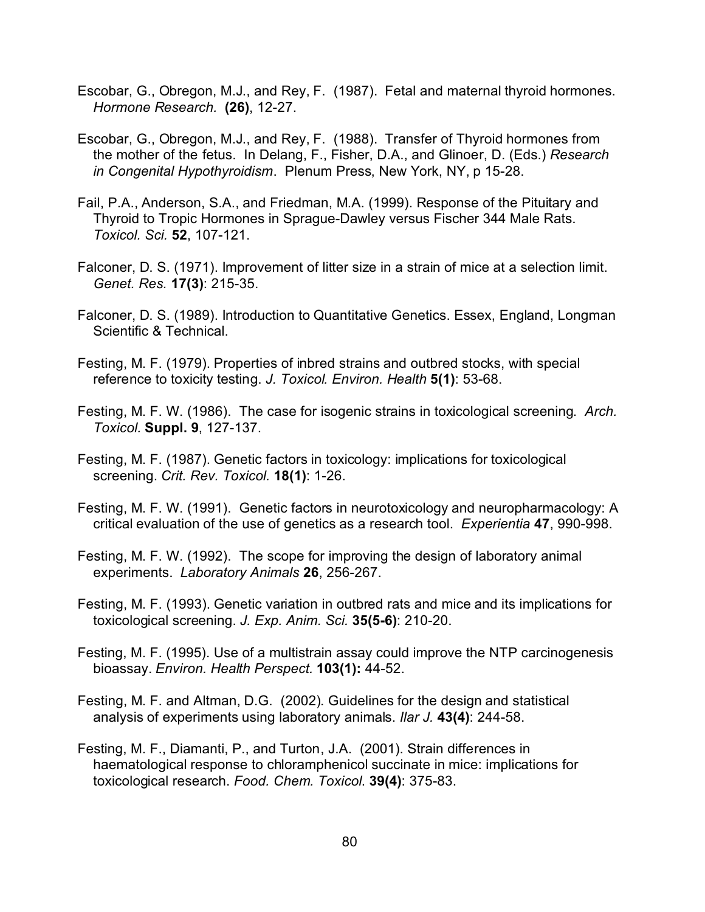- Escobar, G., Obregon, M.J., and Rey, F. (1987). Fetal and maternal thyroid hormones. *Hormone Research.* **(26)**, 12-27.
- Escobar, G., Obregon, M.J., and Rey, F. (1988). Transfer of Thyroid hormones from the mother of the fetus. In Delang, F., Fisher, D.A., and Glinoer, D. (Eds.) *Research in Congenital Hypothyroidism*. Plenum Press, New York, NY, p 15-28.
- Fail, P.A., Anderson, S.A., and Friedman, M.A. (1999). Response of the Pituitary and Thyroid to Tropic Hormones in Sprague-Dawley versus Fischer 344 Male Rats. *Toxicol. Sci.* **52**, 107-121.
- Falconer, D. S. (1971). Improvement of litter size in a strain of mice at a selection limit. *Genet. Res.* **17(3)**: 215-35.
- Falconer, D. S. (1989). Introduction to Quantitative Genetics. Essex, England, Longman Scientific & Technical.
- Festing, M. F. (1979). Properties of inbred strains and outbred stocks, with special reference to toxicity testing. *J. Toxicol. Environ. Health* **5(1)**: 53-68.
- Festing, M. F. W. (1986). The case for isogenic strains in toxicological screening. *Arch. Toxicol.* **Suppl. 9**, 127-137.
- Festing, M. F. (1987). Genetic factors in toxicology: implications for toxicological screening. *Crit. Rev. Toxicol.* **18(1)**: 1-26.
- Festing, M. F. W. (1991). Genetic factors in neurotoxicology and neuropharmacology: A critical evaluation of the use of genetics as a research tool. *Experientia* **47**, 990-998.
- Festing, M. F. W. (1992). The scope for improving the design of laboratory animal experiments. *Laboratory Animals* **26**, 256-267.
- Festing, M. F. (1993). Genetic variation in outbred rats and mice and its implications for toxicological screening. *J. Exp. Anim. Sci.* **35(5-6)**: 210-20.
- Festing, M. F. (1995). Use of a multistrain assay could improve the NTP carcinogenesis bioassay. *Environ. Health Perspect.* **103(1):** 44-52.
- Festing, M. F. and Altman, D.G. (2002). Guidelines for the design and statistical analysis of experiments using laboratory animals. *Ilar J.* **43(4)**: 244-58.
- Festing, M. F., Diamanti, P., and Turton, J.A. (2001). Strain differences in haematological response to chloramphenicol succinate in mice: implications for toxicological research. *Food. Chem. Toxicol*. **39(4)**: 375-83.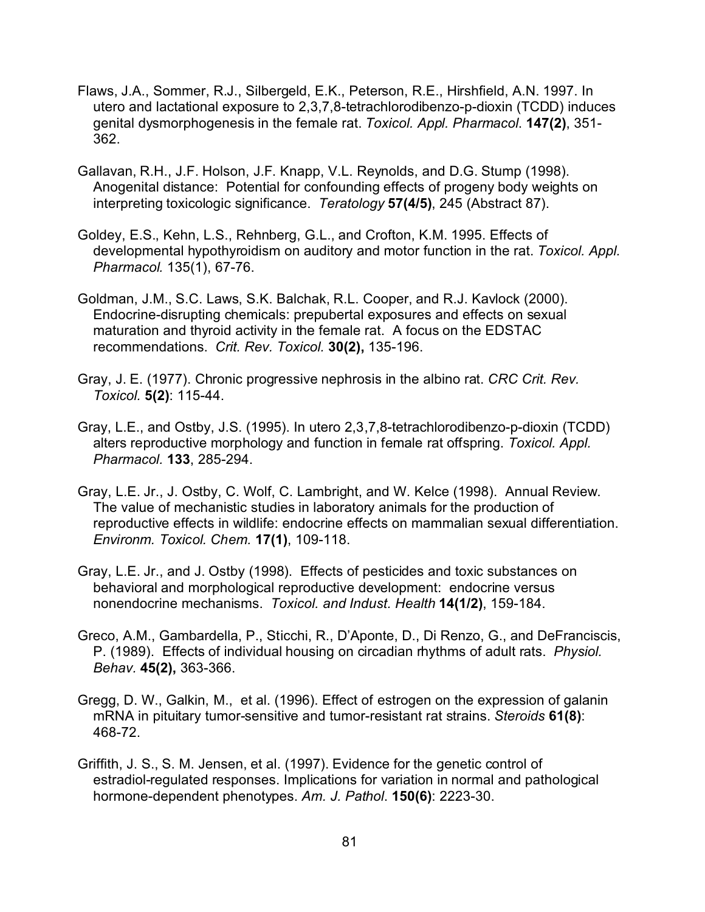- Flaws, J.A., Sommer, R.J., Silbergeld, E.K., Peterson, R.E., Hirshfield, A.N. 1997. In utero and lactational exposure to 2,3,7,8-tetrachlorodibenzo-p-dioxin (TCDD) induces genital dysmorphogenesis in the female rat. *Toxicol. Appl. Pharmacol*. **147(2)**, 351- 362.
- Gallavan, R.H., J.F. Holson, J.F. Knapp, V.L. Reynolds, and D.G. Stump (1998). Anogenital distance: Potential for confounding effects of progeny body weights on interpreting toxicologic significance. *Teratology* **57(4/5)**, 245 (Abstract 87).
- Goldey, E.S., Kehn, L.S., Rehnberg, G.L., and Crofton, K.M. 1995. Effects of developmental hypothyroidism on auditory and motor function in the rat. *Toxicol. Appl. Pharmacol.* 135(1), 67-76.
- Goldman, J.M., S.C. Laws, S.K. Balchak, R.L. Cooper, and R.J. Kavlock (2000). Endocrine-disrupting chemicals: prepubertal exposures and effects on sexual maturation and thyroid activity in the female rat. A focus on the EDSTAC recommendations. *Crit. Rev. Toxicol.* **30(2),** 135-196.
- Gray, J. E. (1977). Chronic progressive nephrosis in the albino rat. *CRC Crit. Rev. Toxicol.* **5(2)**: 115-44.
- Gray, L.E., and Ostby, J.S. (1995). In utero 2,3,7,8-tetrachlorodibenzo-p-dioxin (TCDD) alters reproductive morphology and function in female rat offspring. *Toxicol. Appl. Pharmacol.* **133**, 285-294.
- Gray, L.E. Jr., J. Ostby, C. Wolf, C. Lambright, and W. Kelce (1998). Annual Review. The value of mechanistic studies in laboratory animals for the production of reproductive effects in wildlife: endocrine effects on mammalian sexual differentiation. *Environm. Toxicol. Chem.* **17(1)**, 109-118.
- Gray, L.E. Jr., and J. Ostby (1998). Effects of pesticides and toxic substances on behavioral and morphological reproductive development: endocrine versus nonendocrine mechanisms. *Toxicol. and Indust. Health* **14(1/2)**, 159-184.
- Greco, A.M., Gambardella, P., Sticchi, R., D'Aponte, D., Di Renzo, G., and DeFranciscis, P. (1989). Effects of individual housing on circadian rhythms of adult rats. *Physiol. Behav.* **45(2),** 363-366.
- Gregg, D. W., Galkin, M., et al. (1996). Effect of estrogen on the expression of galanin mRNA in pituitary tumor-sensitive and tumor-resistant rat strains. *Steroids* **61(8)**: 468-72.
- Griffith, J. S., S. M. Jensen, et al. (1997). Evidence for the genetic control of estradiol-regulated responses. Implications for variation in normal and pathological hormone-dependent phenotypes. *Am. J. Pathol*. **150(6)**: 2223-30.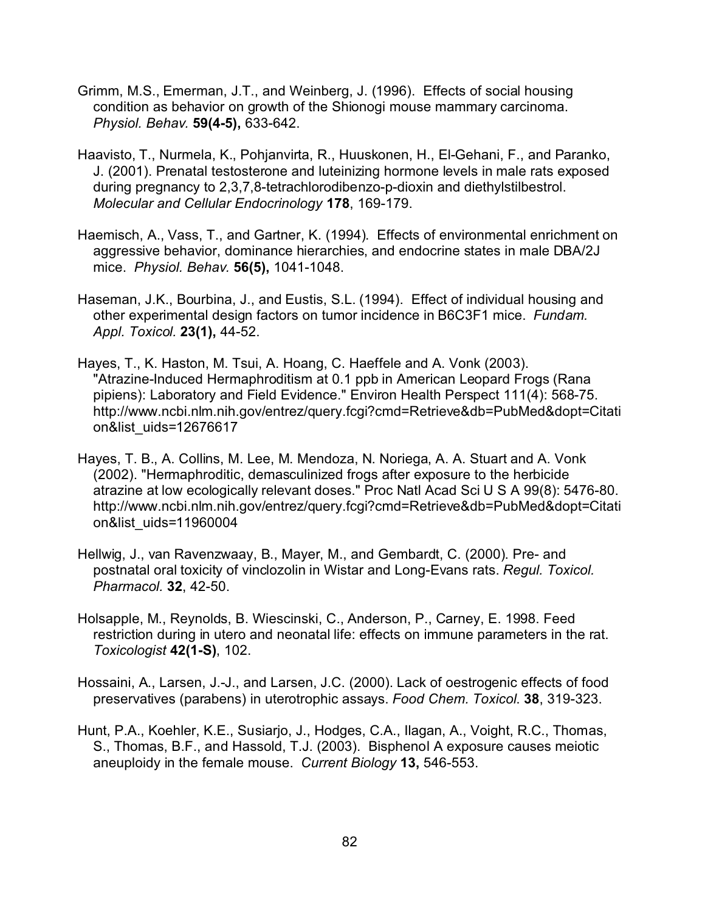- Grimm, M.S., Emerman, J.T., and Weinberg, J. (1996). Effects of social housing condition as behavior on growth of the Shionogi mouse mammary carcinoma. *Physiol. Behav.* **59(4-5),** 633-642.
- Haavisto, T., Nurmela, K., Pohjanvirta, R., Huuskonen, H., El-Gehani, F., and Paranko, J. (2001). Prenatal testosterone and luteinizing hormone levels in male rats exposed during pregnancy to 2,3,7,8-tetrachlorodibenzo-p-dioxin and diethylstilbestrol. *Molecular and Cellular Endocrinology* **178**, 169-179.
- Haemisch, A., Vass, T., and Gartner, K. (1994). Effects of environmental enrichment on aggressive behavior, dominance hierarchies, and endocrine states in male DBA/2J mice. *Physiol. Behav.* **56(5),** 1041-1048.
- Haseman, J.K., Bourbina, J., and Eustis, S.L. (1994). Effect of individual housing and other experimental design factors on tumor incidence in B6C3F1 mice. *Fundam. Appl. Toxicol.* **23(1),** 44-52.
- Hayes, T., K. Haston, M. Tsui, A. Hoang, C. Haeffele and A. Vonk (2003). "Atrazine-Induced Hermaphroditism at 0.1 ppb in American Leopard Frogs (Rana pipiens): Laboratory and Field Evidence." Environ Health Perspect 111(4): 568-75. http://www.ncbi.nlm.nih.gov/entrez/query.fcgi?cmd=Retrieve&db=PubMed&dopt=Citati on&list\_uids=12676617
- Hayes, T. B., A. Collins, M. Lee, M. Mendoza, N. Noriega, A. A. Stuart and A. Vonk (2002). "Hermaphroditic, demasculinized frogs after exposure to the herbicide atrazine at low ecologically relevant doses." Proc Natl Acad Sci U S A 99(8): 5476-80. http://www.ncbi.nlm.nih.gov/entrez/query.fcgi?cmd=Retrieve&db=PubMed&dopt=Citati on&list\_uids=11960004
- Hellwig, J., van Ravenzwaay, B., Mayer, M., and Gembardt, C. (2000). Pre- and postnatal oral toxicity of vinclozolin in Wistar and Long-Evans rats. *Regul. Toxicol. Pharmacol.* **32**, 42-50.
- Holsapple, M., Reynolds, B. Wiescinski, C., Anderson, P., Carney, E. 1998. Feed restriction during in utero and neonatal life: effects on immune parameters in the rat. *Toxicologist* **42(1-S)**, 102.
- Hossaini, A., Larsen, J.-J., and Larsen, J.C. (2000). Lack of oestrogenic effects of food preservatives (parabens) in uterotrophic assays. *Food Chem. Toxicol*. **38**, 319-323.
- Hunt, P.A., Koehler, K.E., Susiarjo, J., Hodges, C.A., Ilagan, A., Voight, R.C., Thomas, S., Thomas, B.F., and Hassold, T.J. (2003). Bisphenol A exposure causes meiotic aneuploidy in the female mouse. *Current Biology* **13,** 546-553.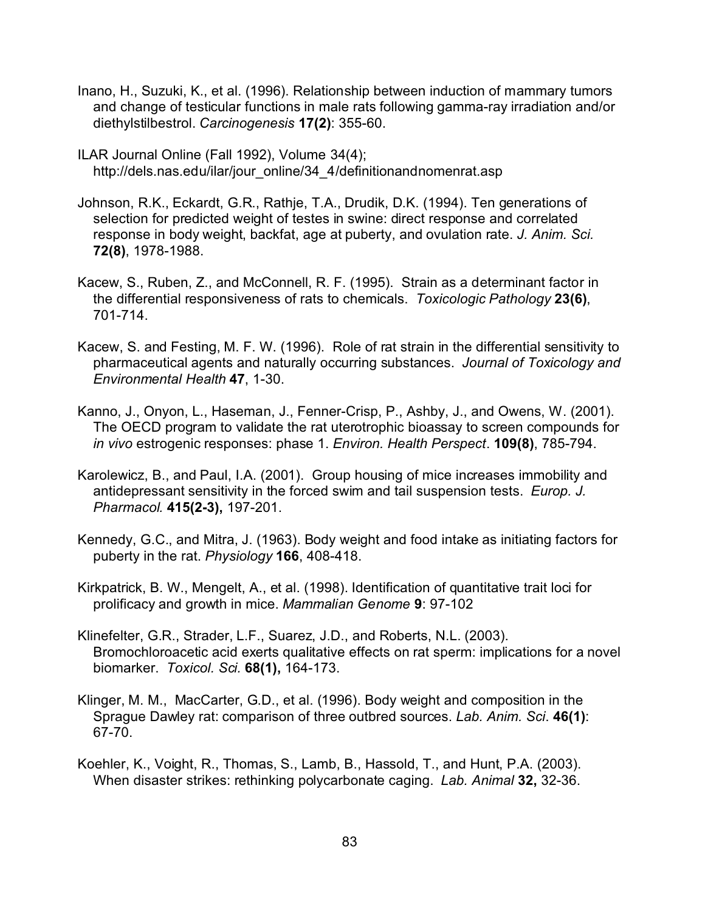- Inano, H., Suzuki, K., et al. (1996). Relationship between induction of mammary tumors and change of testicular functions in male rats following gamma-ray irradiation and/or diethylstilbestrol. *Carcinogenesis* **17(2)**: 355-60.
- ILAR Journal Online (Fall 1992), Volume 34(4); http://dels.nas.edu/ilar/jour\_online/34\_4/definitionandnomenrat.asp
- Johnson, R.K., Eckardt, G.R., Rathje, T.A., Drudik, D.K. (1994). Ten generations of selection for predicted weight of testes in swine: direct response and correlated response in body weight, backfat, age at puberty, and ovulation rate. *J. Anim. Sci.* **72(8)**, 1978-1988.
- Kacew, S., Ruben, Z., and McConnell, R. F. (1995). Strain as a determinant factor in the differential responsiveness of rats to chemicals. *Toxicologic Pathology* **23(6)**, 701-714.
- Kacew, S. and Festing, M. F. W. (1996). Role of rat strain in the differential sensitivity to pharmaceutical agents and naturally occurring substances. *Journal of Toxicology and Environmental Health* **47**, 1-30.
- Kanno, J., Onyon, L., Haseman, J., Fenner-Crisp, P., Ashby, J., and Owens, W. (2001). The OECD program to validate the rat uterotrophic bioassay to screen compounds for *in vivo* estrogenic responses: phase 1. *Environ. Health Perspect*. **109(8)**, 785-794.
- Karolewicz, B., and Paul, I.A. (2001). Group housing of mice increases immobility and antidepressant sensitivity in the forced swim and tail suspension tests. *Europ. J. Pharmacol.* **415(2-3),** 197-201.
- Kennedy, G.C., and Mitra, J. (1963). Body weight and food intake as initiating factors for puberty in the rat. *Physiology* **166**, 408-418.
- Kirkpatrick, B. W., Mengelt, A., et al. (1998). Identification of quantitative trait loci for prolificacy and growth in mice. *Mammalian Genome* **9**: 97-102
- Klinefelter, G.R., Strader, L.F., Suarez, J.D., and Roberts, N.L. (2003). Bromochloroacetic acid exerts qualitative effects on rat sperm: implications for a novel biomarker. *Toxicol. Sci.* **68(1),** 164-173.
- Klinger, M. M., MacCarter, G.D., et al. (1996). Body weight and composition in the Sprague Dawley rat: comparison of three outbred sources. *Lab. Anim. Sci*. **46(1)**: 67-70.
- Koehler, K., Voight, R., Thomas, S., Lamb, B., Hassold, T., and Hunt, P.A. (2003). When disaster strikes: rethinking polycarbonate caging. *Lab. Animal* **32,** 32-36.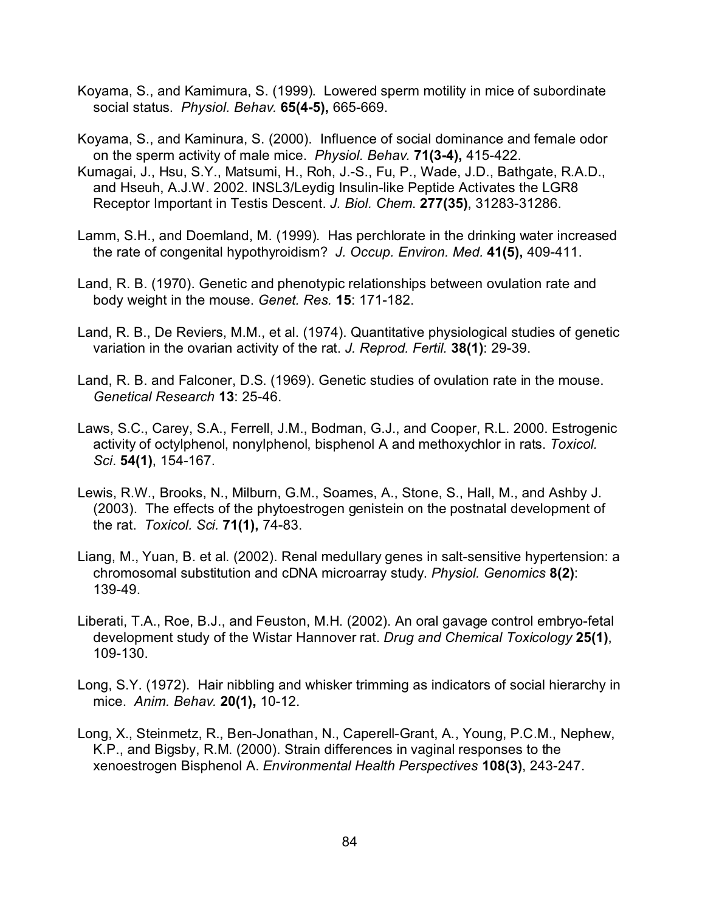- Koyama, S., and Kamimura, S. (1999). Lowered sperm motility in mice of subordinate social status. *Physiol. Behav.* **65(4-5),** 665-669.
- Koyama, S., and Kaminura, S. (2000). Influence of social dominance and female odor on the sperm activity of male mice. *Physiol. Behav.* **71(3-4),** 415-422.
- Kumagai, J., Hsu, S.Y., Matsumi, H., Roh, J.-S., Fu, P., Wade, J.D., Bathgate, R.A.D., and Hseuh, A.J.W. 2002. INSL3/Leydig Insulin-like Peptide Activates the LGR8 Receptor Important in Testis Descent. *J. Biol. Chem*. **277(35)**, 31283-31286.
- Lamm, S.H., and Doemland, M. (1999). Has perchlorate in the drinking water increased the rate of congenital hypothyroidism? *J. Occup. Environ. Med.* **41(5),** 409-411.
- Land, R. B. (1970). Genetic and phenotypic relationships between ovulation rate and body weight in the mouse. *Genet. Res.* **15**: 171-182.
- Land, R. B., De Reviers, M.M., et al. (1974). Quantitative physiological studies of genetic variation in the ovarian activity of the rat. *J. Reprod. Fertil.* **38(1)**: 29-39.
- Land, R. B. and Falconer, D.S. (1969). Genetic studies of ovulation rate in the mouse. *Genetical Research* **13**: 25-46.
- Laws, S.C., Carey, S.A., Ferrell, J.M., Bodman, G.J., and Cooper, R.L. 2000. Estrogenic activity of octylphenol, nonylphenol, bisphenol A and methoxychlor in rats. *Toxicol. Sci*. **54(1)**, 154-167.
- Lewis, R.W., Brooks, N., Milburn, G.M., Soames, A., Stone, S., Hall, M., and Ashby J. (2003). The effects of the phytoestrogen genistein on the postnatal development of the rat. *Toxicol. Sci.* **71(1),** 74-83.
- Liang, M., Yuan, B. et al. (2002). Renal medullary genes in salt-sensitive hypertension: a chromosomal substitution and cDNA microarray study. *Physiol. Genomics* **8(2)**: 139-49.
- Liberati, T.A., Roe, B.J., and Feuston, M.H. (2002). An oral gavage control embryo-fetal development study of the Wistar Hannover rat. *Drug and Chemical Toxicology* **25(1)**, 109-130.
- Long, S.Y. (1972). Hair nibbling and whisker trimming as indicators of social hierarchy in mice. *Anim. Behav.* **20(1),** 10-12.
- Long, X., Steinmetz, R., Ben-Jonathan, N., Caperell-Grant, A., Young, P.C.M., Nephew, K.P., and Bigsby, R.M. (2000). Strain differences in vaginal responses to the xenoestrogen Bisphenol A. *Environmental Health Perspectives* **108(3)**, 243-247.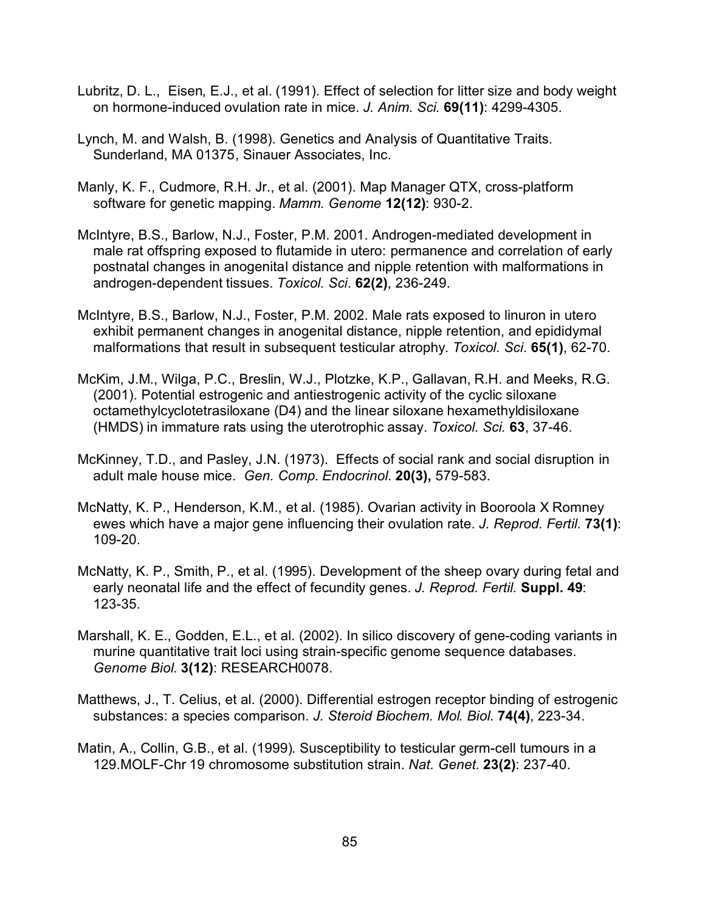- Lubritz, D. L., Eisen, E.J., et al. (1991). Effect of selection for litter size and body weight on hormone-induced ovulation rate in mice. *J. Anim. Sci.* **69(11)**: 4299-4305.
- Lynch, M. and Walsh, B. (1998). Genetics and Analysis of Quantitative Traits. Sunderland, MA 01375, Sinauer Associates, Inc.
- Manly, K. F., Cudmore, R.H. Jr., et al. (2001). Map Manager QTX, cross-platform software for genetic mapping. *Mamm. Genome* **12(12)**: 930-2.
- McIntyre, B.S., Barlow, N.J., Foster, P.M. 2001. Androgen-mediated development in male rat offspring exposed to flutamide in utero: permanence and correlation of early postnatal changes in anogenital distance and nipple retention with malformations in androgen-dependent tissues. *Toxicol. Sci*. **62(2)**, 236-249.
- McIntyre, B.S., Barlow, N.J., Foster, P.M. 2002. Male rats exposed to linuron in utero exhibit permanent changes in anogenital distance, nipple retention, and epididymal malformations that result in subsequent testicular atrophy. *Toxicol. Sci*. **65(1)**, 62-70.
- McKim, J.M., Wilga, P.C., Breslin, W.J., Plotzke, K.P., Gallavan, R.H. and Meeks, R.G. (2001). Potential estrogenic and antiestrogenic activity of the cyclic siloxane octamethylcyclotetrasiloxane (D4) and the linear siloxane hexamethyldisiloxane (HMDS) in immature rats using the uterotrophic assay. *Toxicol. Sci.* **63**, 37-46.
- McKinney, T.D., and Pasley, J.N. (1973). Effects of social rank and social disruption in adult male house mice. *Gen. Comp. Endocrinol.* **20(3),** 579-583.
- McNatty, K. P., Henderson, K.M., et al. (1985). Ovarian activity in Booroola X Romney ewes which have a major gene influencing their ovulation rate. *J. Reprod. Fertil.* **73(1)**: 109-20.
- McNatty, K. P., Smith, P., et al. (1995). Development of the sheep ovary during fetal and early neonatal life and the effect of fecundity genes. *J. Reprod. Fertil.* **Suppl. 49**: 123-35.
- Marshall, K. E., Godden, E.L., et al. (2002). In silico discovery of gene-coding variants in murine quantitative trait loci using strain-specific genome sequence databases. *Genome Biol*. **3(12)**: RESEARCH0078.
- Matthews, J., T. Celius, et al. (2000). Differential estrogen receptor binding of estrogenic substances: a species comparison. *J. Steroid Biochem. Mol. Biol*. **74(4)**, 223-34.
- Matin, A., Collin, G.B., et al. (1999). Susceptibility to testicular germ-cell tumours in a 129.MOLF-Chr 19 chromosome substitution strain. *Nat. Genet.* **23(2)**: 237-40.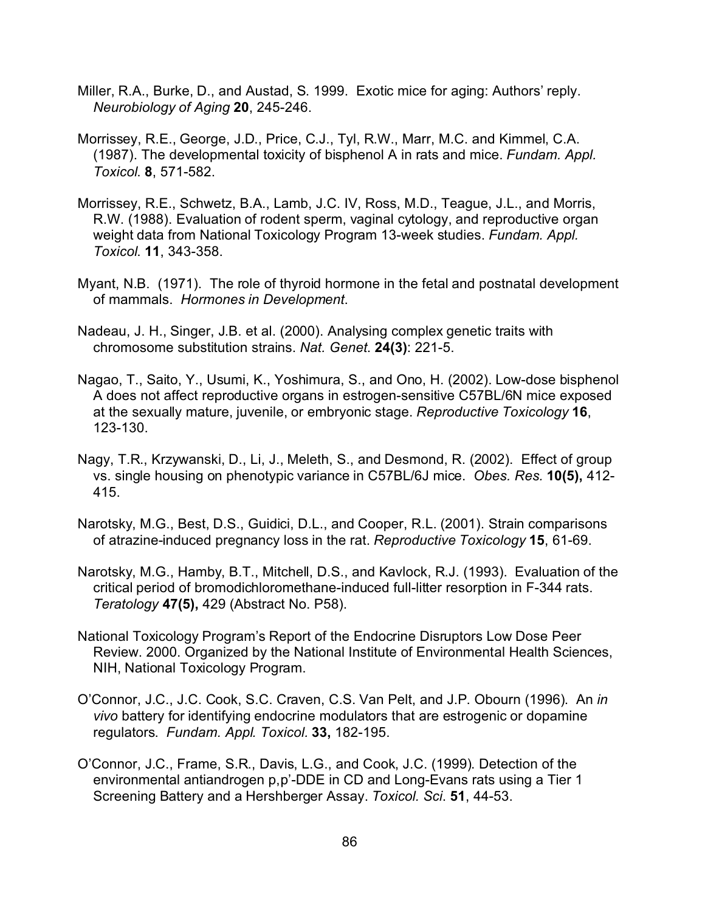- Miller, R.A., Burke, D., and Austad, S. 1999. Exotic mice for aging: Authors' reply. *Neurobiology of Aging* **20**, 245-246.
- Morrissey, R.E., George, J.D., Price, C.J., Tyl, R.W., Marr, M.C. and Kimmel, C.A. (1987). The developmental toxicity of bisphenol A in rats and mice. *Fundam. Appl. Toxicol*. **8**, 571-582.
- Morrissey, R.E., Schwetz, B.A., Lamb, J.C. IV, Ross, M.D., Teague, J.L., and Morris, R.W. (1988). Evaluation of rodent sperm, vaginal cytology, and reproductive organ weight data from National Toxicology Program 13-week studies. *Fundam. Appl. Toxicol*. **11**, 343-358.
- Myant, N.B. (1971). The role of thyroid hormone in the fetal and postnatal development of mammals. *Hormones in Development*.
- Nadeau, J. H., Singer, J.B. et al. (2000). Analysing complex genetic traits with chromosome substitution strains. *Nat. Genet*. **24(3)**: 221-5.
- Nagao, T., Saito, Y., Usumi, K., Yoshimura, S., and Ono, H. (2002). Low-dose bisphenol A does not affect reproductive organs in estrogen-sensitive C57BL/6N mice exposed at the sexually mature, juvenile, or embryonic stage. *Reproductive Toxicology* **16**, 123-130.
- Nagy, T.R., Krzywanski, D., Li, J., Meleth, S., and Desmond, R. (2002). Effect of group vs. single housing on phenotypic variance in C57BL/6J mice. *Obes. Res.* **10(5),** 412- 415.
- Narotsky, M.G., Best, D.S., Guidici, D.L., and Cooper, R.L. (2001). Strain comparisons of atrazine-induced pregnancy loss in the rat. *Reproductive Toxicology* **15**, 61-69.
- Narotsky, M.G., Hamby, B.T., Mitchell, D.S., and Kavlock, R.J. (1993). Evaluation of the critical period of bromodichloromethane-induced full-litter resorption in F-344 rats. *Teratology* **47(5),** 429 (Abstract No. P58).
- National Toxicology Program's Report of the Endocrine Disruptors Low Dose Peer Review. 2000. Organized by the National Institute of Environmental Health Sciences, NIH, National Toxicology Program.
- O'Connor, J.C., J.C. Cook, S.C. Craven, C.S. Van Pelt, and J.P. Obourn (1996). An *in vivo* battery for identifying endocrine modulators that are estrogenic or dopamine regulators. *Fundam. Appl. Toxicol.* **33,** 182-195.
- O'Connor, J.C., Frame, S.R., Davis, L.G., and Cook, J.C. (1999). Detection of the environmental antiandrogen p,p'-DDE in CD and Long-Evans rats using a Tier 1 Screening Battery and a Hershberger Assay. *Toxicol. Sci*. **51**, 44-53.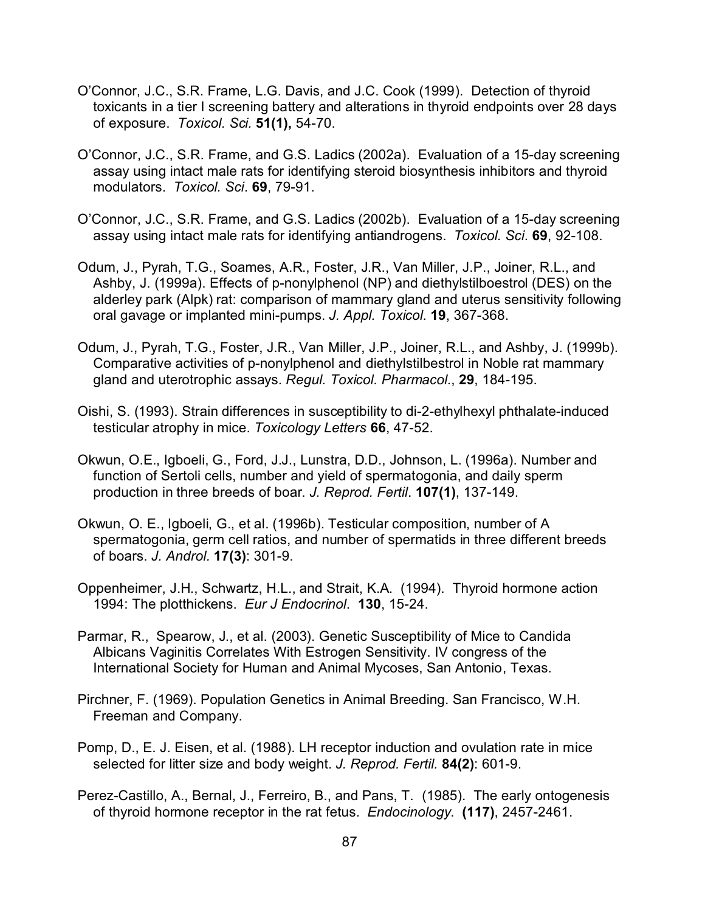- O'Connor, J.C., S.R. Frame, L.G. Davis, and J.C. Cook (1999). Detection of thyroid toxicants in a tier I screening battery and alterations in thyroid endpoints over 28 days of exposure. *Toxicol. Sci.* **51(1),** 54-70.
- O'Connor, J.C., S.R. Frame, and G.S. Ladics (2002a). Evaluation of a 15-day screening assay using intact male rats for identifying steroid biosynthesis inhibitors and thyroid modulators. *Toxicol. Sci*. **69**, 79-91.
- O'Connor, J.C., S.R. Frame, and G.S. Ladics (2002b). Evaluation of a 15-day screening assay using intact male rats for identifying antiandrogens. *Toxicol. Sci*. **69**, 92-108.
- Odum, J., Pyrah, T.G., Soames, A.R., Foster, J.R., Van Miller, J.P., Joiner, R.L., and Ashby, J. (1999a). Effects of p-nonylphenol (NP) and diethylstilboestrol (DES) on the alderley park (Alpk) rat: comparison of mammary gland and uterus sensitivity following oral gavage or implanted mini-pumps. *J. Appl. Toxicol*. **19**, 367-368.
- Odum, J., Pyrah, T.G., Foster, J.R., Van Miller, J.P., Joiner, R.L., and Ashby, J. (1999b). Comparative activities of p-nonylphenol and diethylstilbestrol in Noble rat mammary gland and uterotrophic assays. *Regul. Toxicol. Pharmacol*., **29**, 184-195.
- Oishi, S. (1993). Strain differences in susceptibility to di-2-ethylhexyl phthalate-induced testicular atrophy in mice. *Toxicology Letters* **66**, 47-52.
- Okwun, O.E., Igboeli, G., Ford, J.J., Lunstra, D.D., Johnson, L. (1996a). Number and function of Sertoli cells, number and yield of spermatogonia, and daily sperm production in three breeds of boar. *J. Reprod. Fertil*. **107(1)**, 137-149.
- Okwun, O. E., Igboeli, G., et al. (1996b). Testicular composition, number of A spermatogonia, germ cell ratios, and number of spermatids in three different breeds of boars. *J. Androl.* **17(3)**: 301-9.
- Oppenheimer, J.H., Schwartz, H.L., and Strait, K.A. (1994). Thyroid hormone action 1994: The plotthickens. *Eur J Endocrinol*. **130**, 15-24.
- Parmar, R., Spearow, J., et al. (2003). Genetic Susceptibility of Mice to Candida Albicans Vaginitis Correlates With Estrogen Sensitivity. IV congress of the International Society for Human and Animal Mycoses, San Antonio, Texas.
- Pirchner, F. (1969). Population Genetics in Animal Breeding. San Francisco, W.H. Freeman and Company.
- Pomp, D., E. J. Eisen, et al. (1988). LH receptor induction and ovulation rate in mice selected for litter size and body weight. *J. Reprod. Fertil.* **84(2)**: 601-9.
- Perez-Castillo, A., Bernal, J., Ferreiro, B., and Pans, T. (1985). The early ontogenesis of thyroid hormone receptor in the rat fetus. *Endocinology*. **(117)**, 2457-2461.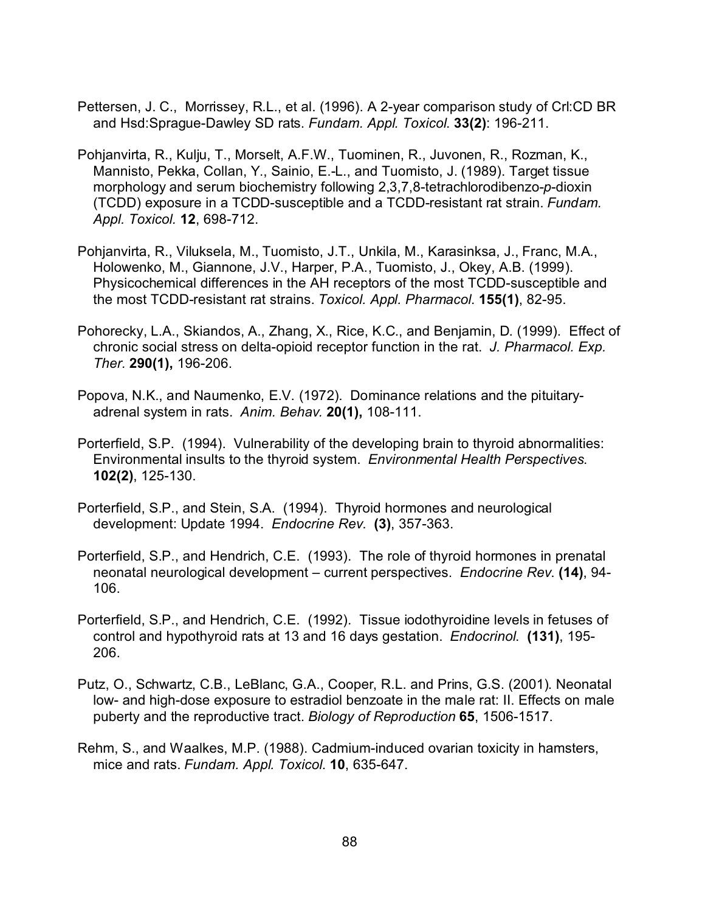- Pettersen, J. C., Morrissey, R.L., et al. (1996). A 2-year comparison study of Crl:CD BR and Hsd:Sprague-Dawley SD rats. *Fundam. Appl. Toxicol*. **33(2)**: 196-211.
- Pohjanvirta, R., Kulju, T., Morselt, A.F.W., Tuominen, R., Juvonen, R., Rozman, K., Mannisto, Pekka, Collan, Y., Sainio, E.-L., and Tuomisto, J. (1989). Target tissue morphology and serum biochemistry following 2,3,7,8-tetrachlorodibenzo-*p*-dioxin (TCDD) exposure in a TCDD-susceptible and a TCDD-resistant rat strain. *Fundam. Appl. Toxicol.* **12**, 698-712.
- Pohjanvirta, R., Viluksela, M., Tuomisto, J.T., Unkila, M., Karasinksa, J., Franc, M.A., Holowenko, M., Giannone, J.V., Harper, P.A., Tuomisto, J., Okey, A.B. (1999). Physicochemical differences in the AH receptors of the most TCDD-susceptible and the most TCDD-resistant rat strains. *Toxicol. Appl. Pharmacol*. **155(1)**, 82-95.
- Pohorecky, L.A., Skiandos, A., Zhang, X., Rice, K.C., and Benjamin, D. (1999). Effect of chronic social stress on delta-opioid receptor function in the rat. *J. Pharmacol. Exp. Ther.* **290(1),** 196-206.
- Popova, N.K., and Naumenko, E.V. (1972). Dominance relations and the pituitaryadrenal system in rats. *Anim. Behav.* **20(1),** 108-111.
- Porterfield, S.P. (1994). Vulnerability of the developing brain to thyroid abnormalities: Environmental insults to the thyroid system. *Environmental Health Perspectives*. **102(2)**, 125-130.
- Porterfield, S.P., and Stein, S.A. (1994). Thyroid hormones and neurological development: Update 1994. *Endocrine Rev*. **(3)**, 357-363.
- Porterfield, S.P., and Hendrich, C.E. (1993). The role of thyroid hormones in prenatal neonatal neurological development – current perspectives. *Endocrine Rev*. **(14)**, 94- 106.
- Porterfield, S.P., and Hendrich, C.E. (1992). Tissue iodothyroidine levels in fetuses of control and hypothyroid rats at 13 and 16 days gestation. *Endocrinol*. **(131)**, 195- 206.
- Putz, O., Schwartz, C.B., LeBlanc, G.A., Cooper, R.L. and Prins, G.S. (2001). Neonatal low- and high-dose exposure to estradiol benzoate in the male rat: II. Effects on male puberty and the reproductive tract. *Biology of Reproduction* **65**, 1506-1517.
- Rehm, S., and Waalkes, M.P. (1988). Cadmium-induced ovarian toxicity in hamsters, mice and rats. *Fundam. Appl. Toxicol*. **10**, 635-647.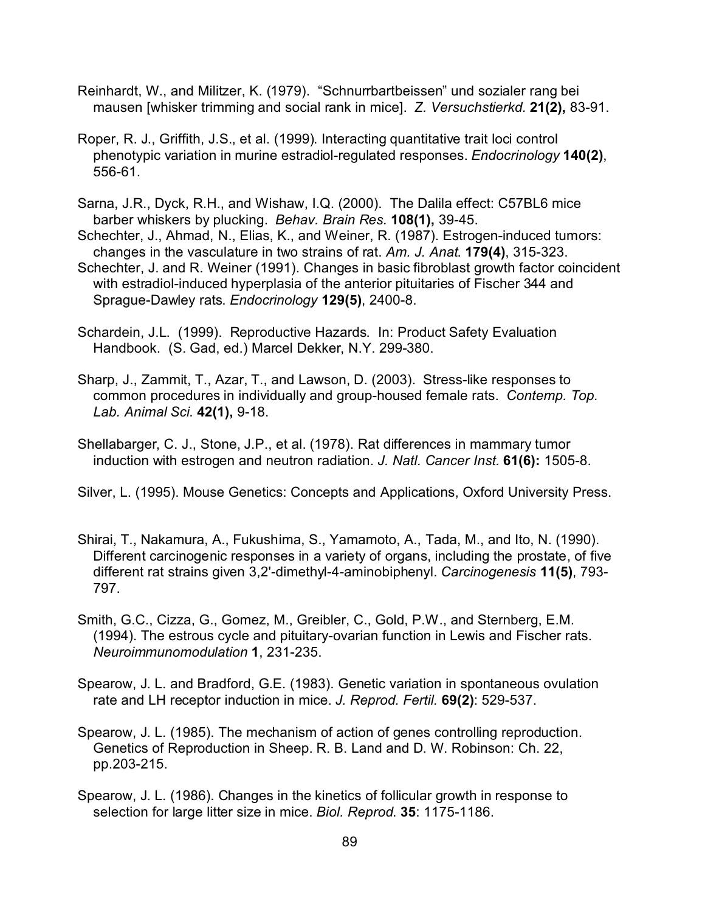- Reinhardt, W., and Militzer, K. (1979). "Schnurrbartbeissen" und sozialer rang bei mausen [whisker trimming and social rank in mice]. *Z. Versuchstierkd.* **21(2),** 83-91.
- Roper, R. J., Griffith, J.S., et al. (1999). Interacting quantitative trait loci control phenotypic variation in murine estradiol-regulated responses. *Endocrinology* **140(2)**, 556-61.
- Sarna, J.R., Dyck, R.H., and Wishaw, I.Q. (2000). The Dalila effect: C57BL6 mice barber whiskers by plucking. *Behav. Brain Res.* **108(1),** 39-45.

Schechter, J., Ahmad, N., Elias, K., and Weiner, R. (1987). Estrogen-induced tumors: changes in the vasculature in two strains of rat. *Am. J. Anat*. **179(4)**, 315-323.

- Schechter, J. and R. Weiner (1991). Changes in basic fibroblast growth factor coincident with estradiol-induced hyperplasia of the anterior pituitaries of Fischer 344 and Sprague-Dawley rats. *Endocrinology* **129(5)**, 2400-8.
- Schardein, J.L. (1999). Reproductive Hazards. In: Product Safety Evaluation Handbook. (S. Gad, ed.) Marcel Dekker, N.Y. 299-380.
- Sharp, J., Zammit, T., Azar, T., and Lawson, D. (2003). Stress-like responses to common procedures in individually and group-housed female rats. *Contemp. Top. Lab. Animal Sci.* **42(1),** 9-18.
- Shellabarger, C. J., Stone, J.P., et al. (1978). Rat differences in mammary tumor induction with estrogen and neutron radiation. *J. Natl. Cancer Inst.* **61(6):** 1505-8.

Silver, L. (1995). Mouse Genetics: Concepts and Applications, Oxford University Press.

- Shirai, T., Nakamura, A., Fukushima, S., Yamamoto, A., Tada, M., and Ito, N. (1990). Different carcinogenic responses in a variety of organs, including the prostate, of five different rat strains given 3,2'-dimethyl-4-aminobiphenyl. *Carcinogenesis* **11(5)**, 793- 797.
- Smith, G.C., Cizza, G., Gomez, M., Greibler, C., Gold, P.W., and Sternberg, E.M. (1994). The estrous cycle and pituitary-ovarian function in Lewis and Fischer rats. *Neuroimmunomodulation* **1**, 231-235.
- Spearow, J. L. and Bradford, G.E. (1983). Genetic variation in spontaneous ovulation rate and LH receptor induction in mice. *J. Reprod. Fertil.* **69(2)**: 529-537.
- Spearow, J. L. (1985). The mechanism of action of genes controlling reproduction. Genetics of Reproduction in Sheep. R. B. Land and D. W. Robinson: Ch. 22, pp.203-215.
- Spearow, J. L. (1986). Changes in the kinetics of follicular growth in response to selection for large litter size in mice. *Biol. Reprod*. **35**: 1175-1186.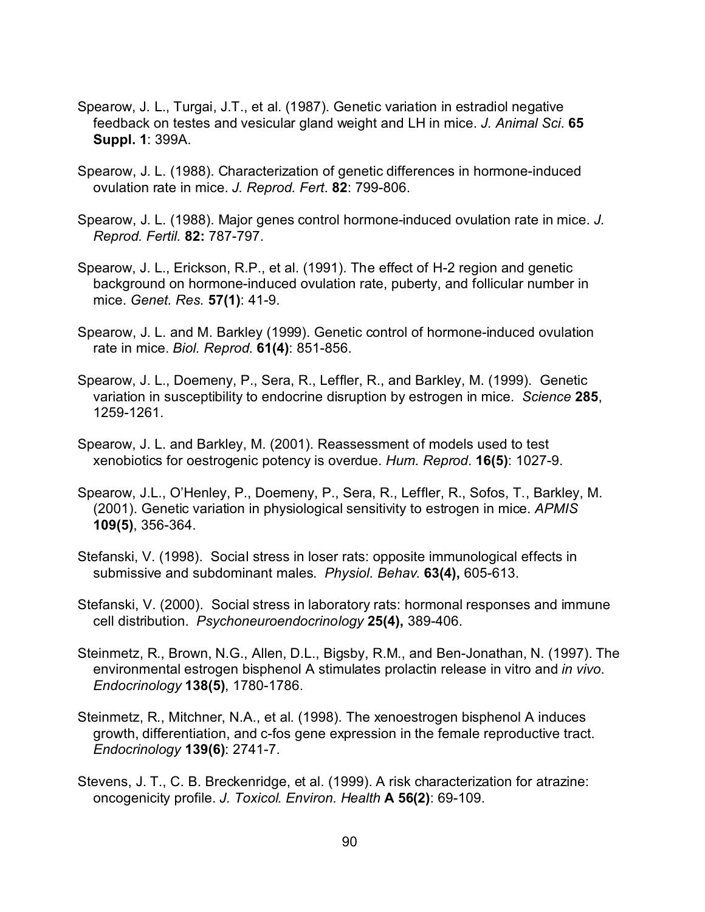- Spearow, J. L., Turgai, J.T., et al. (1987). Genetic variation in estradiol negative feedback on testes and vesicular gland weight and LH in mice. *J. Animal Sci*. **65 Suppl. 1**: 399A.
- Spearow, J. L. (1988). Characterization of genetic differences in hormone-induced ovulation rate in mice. *J. Reprod. Fert*. **82**: 799-806.
- Spearow, J. L. (1988). Major genes control hormone-induced ovulation rate in mice. *J. Reprod. Fertil.* **82:** 787-797.
- Spearow, J. L., Erickson, R.P., et al. (1991). The effect of H-2 region and genetic background on hormone-induced ovulation rate, puberty, and follicular number in mice. *Genet. Res.* **57(1)**: 41-9.
- Spearow, J. L. and M. Barkley (1999). Genetic control of hormone-induced ovulation rate in mice. *Biol. Reprod*. **61(4)**: 851-856.
- Spearow, J. L., Doemeny, P., Sera, R., Leffler, R., and Barkley, M. (1999). Genetic variation in susceptibility to endocrine disruption by estrogen in mice. *Science* **285**, 1259-1261.
- Spearow, J. L. and Barkley, M. (2001). Reassessment of models used to test xenobiotics for oestrogenic potency is overdue. *Hum. Reprod*. **16(5)**: 1027-9.
- Spearow, J.L., O'Henley, P., Doemeny, P., Sera, R., Leffler, R., Sofos, T., Barkley, M. (2001). Genetic variation in physiological sensitivity to estrogen in mice. *APMIS* **109(5)**, 356-364.
- Stefanski, V. (1998). Social stress in loser rats: opposite immunological effects in submissive and subdominant males. *Physiol. Behav.* **63(4),** 605-613.
- Stefanski, V. (2000). Social stress in laboratory rats: hormonal responses and immune cell distribution. *Psychoneuroendocrinology* **25(4),** 389-406.
- Steinmetz, R., Brown, N.G., Allen, D.L., Bigsby, R.M., and Ben-Jonathan, N. (1997). The environmental estrogen bisphenol A stimulates prolactin release in vitro and *in vivo*. *Endocrinology* **138(5)**, 1780-1786.
- Steinmetz, R., Mitchner, N.A., et al. (1998). The xenoestrogen bisphenol A induces growth, differentiation, and c-fos gene expression in the female reproductive tract. *Endocrinology* **139(6)**: 2741-7.
- Stevens, J. T., C. B. Breckenridge, et al. (1999). A risk characterization for atrazine: oncogenicity profile. *J. Toxicol. Environ. Health* **A 56(2)**: 69-109.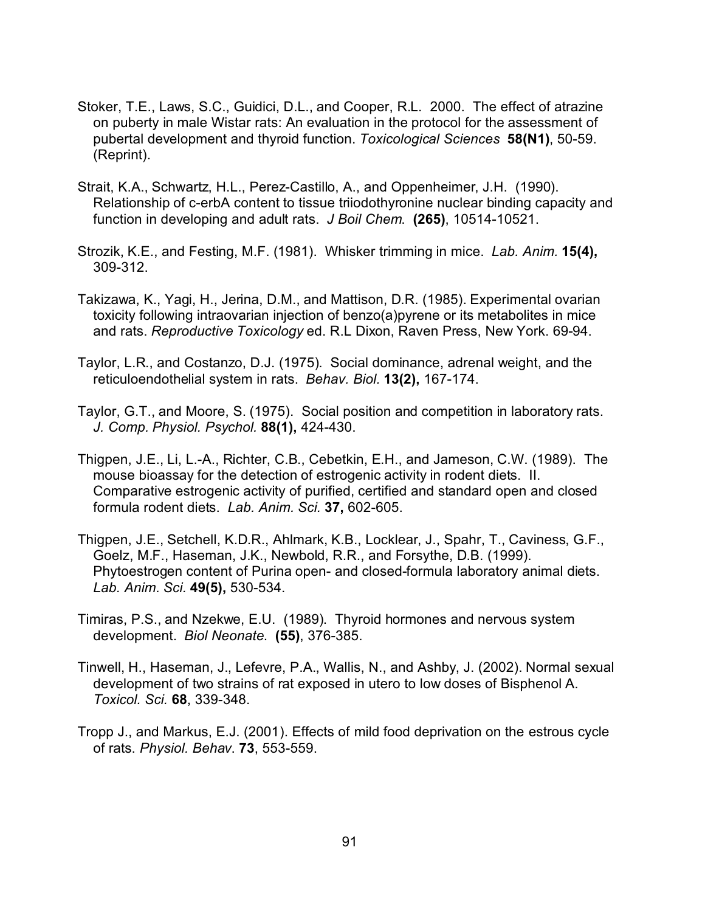- Stoker, T.E., Laws, S.C., Guidici, D.L., and Cooper, R.L. 2000. The effect of atrazine on puberty in male Wistar rats: An evaluation in the protocol for the assessment of pubertal development and thyroid function. *Toxicological Sciences* **58(N1)**, 50-59. (Reprint).
- Strait, K.A., Schwartz, H.L., Perez-Castillo, A., and Oppenheimer, J.H. (1990). Relationship of c-erbA content to tissue triiodothyronine nuclear binding capacity and function in developing and adult rats. *J Boil Chem*. **(265)**, 10514-10521.
- Strozik, K.E., and Festing, M.F. (1981). Whisker trimming in mice. *Lab. Anim.* **15(4),** 309-312.
- Takizawa, K., Yagi, H., Jerina, D.M., and Mattison, D.R. (1985). Experimental ovarian toxicity following intraovarian injection of benzo(a)pyrene or its metabolites in mice and rats. *Reproductive Toxicology* ed. R.L Dixon, Raven Press, New York. 69-94.
- Taylor, L.R., and Costanzo, D.J. (1975). Social dominance, adrenal weight, and the reticuloendothelial system in rats. *Behav. Biol.* **13(2),** 167-174.
- Taylor, G.T., and Moore, S. (1975). Social position and competition in laboratory rats. *J. Comp. Physiol. Psychol.* **88(1),** 424-430.
- Thigpen, J.E., Li, L.-A., Richter, C.B., Cebetkin, E.H., and Jameson, C.W. (1989). The mouse bioassay for the detection of estrogenic activity in rodent diets. II. Comparative estrogenic activity of purified, certified and standard open and closed formula rodent diets. *Lab. Anim. Sci.* **37,** 602-605.
- Thigpen, J.E., Setchell, K.D.R., Ahlmark, K.B., Locklear, J., Spahr, T., Caviness, G.F., Goelz, M.F., Haseman, J.K., Newbold, R.R., and Forsythe, D.B. (1999). Phytoestrogen content of Purina open- and closed-formula laboratory animal diets. *Lab. Anim. Sci.* **49(5),** 530-534.
- Timiras, P.S., and Nzekwe, E.U. (1989). Thyroid hormones and nervous system development. *Biol Neonate*. **(55)**, 376-385.
- Tinwell, H., Haseman, J., Lefevre, P.A., Wallis, N., and Ashby, J. (2002). Normal sexual development of two strains of rat exposed in utero to low doses of Bisphenol A. *Toxicol. Sci.* **68**, 339-348.
- Tropp J., and Markus, E.J. (2001). Effects of mild food deprivation on the estrous cycle of rats. *Physiol. Behav*. **73**, 553-559.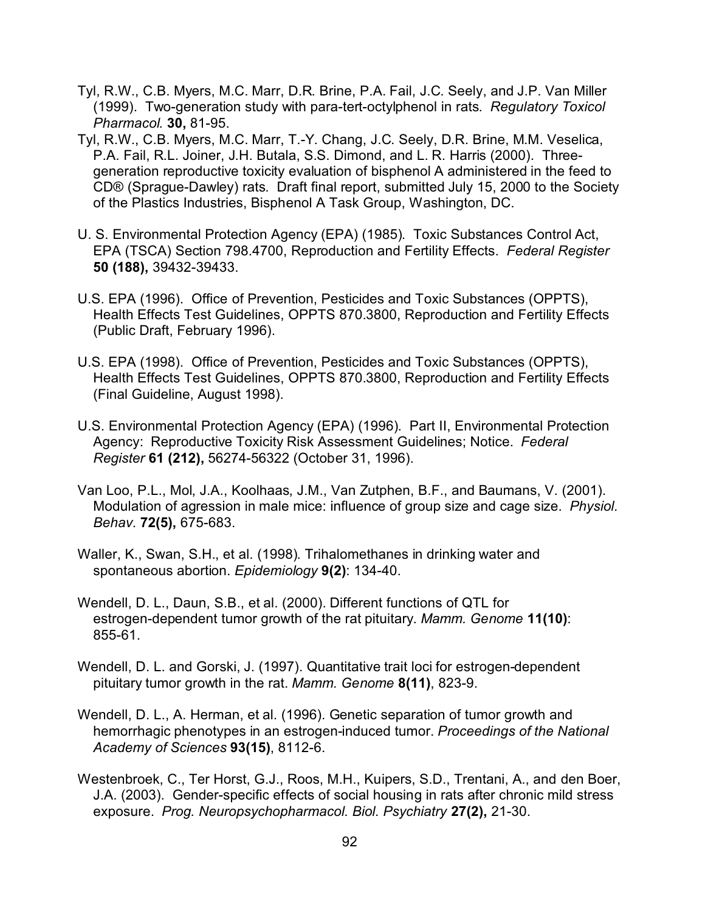- Tyl, R.W., C.B. Myers, M.C. Marr, D.R. Brine, P.A. Fail, J.C. Seely, and J.P. Van Miller (1999). Two-generation study with para-tert-octylphenol in rats. *Regulatory Toxicol Pharmacol.* **30,** 81-95.
- Tyl, R.W., C.B. Myers, M.C. Marr, T.-Y. Chang, J.C. Seely, D.R. Brine, M.M. Veselica, P.A. Fail, R.L. Joiner, J.H. Butala, S.S. Dimond, and L. R. Harris (2000). Threegeneration reproductive toxicity evaluation of bisphenol A administered in the feed to CD® (Sprague-Dawley) rats. Draft final report, submitted July 15, 2000 to the Society of the Plastics Industries, Bisphenol A Task Group, Washington, DC.
- U. S. Environmental Protection Agency (EPA) (1985). Toxic Substances Control Act, EPA (TSCA) Section 798.4700, Reproduction and Fertility Effects. *Federal Register* **50 (188),** 39432-39433.
- U.S. EPA (1996). Office of Prevention, Pesticides and Toxic Substances (OPPTS), Health Effects Test Guidelines, OPPTS 870.3800, Reproduction and Fertility Effects (Public Draft, February 1996).
- U.S. EPA (1998). Office of Prevention, Pesticides and Toxic Substances (OPPTS), Health Effects Test Guidelines, OPPTS 870.3800, Reproduction and Fertility Effects (Final Guideline, August 1998).
- U.S. Environmental Protection Agency (EPA) (1996). Part II, Environmental Protection Agency: Reproductive Toxicity Risk Assessment Guidelines; Notice. *Federal Register* **61 (212),** 56274-56322 (October 31, 1996).
- Van Loo, P.L., Mol, J.A., Koolhaas, J.M., Van Zutphen, B.F., and Baumans, V. (2001). Modulation of agression in male mice: influence of group size and cage size. *Physiol. Behav.* **72(5),** 675-683.
- Waller, K., Swan, S.H., et al. (1998). Trihalomethanes in drinking water and spontaneous abortion. *Epidemiology* **9(2)**: 134-40.
- Wendell, D. L., Daun, S.B., et al. (2000). Different functions of QTL for estrogen-dependent tumor growth of the rat pituitary. *Mamm. Genome* **11(10)**: 855-61.
- Wendell, D. L. and Gorski, J. (1997). Quantitative trait loci for estrogen-dependent pituitary tumor growth in the rat. *Mamm. Genome* **8(11)**, 823-9.
- Wendell, D. L., A. Herman, et al. (1996). Genetic separation of tumor growth and hemorrhagic phenotypes in an estrogen-induced tumor. *Proceedings of the National Academy of Sciences* **93(15)**, 8112-6.
- Westenbroek, C., Ter Horst, G.J., Roos, M.H., Kuipers, S.D., Trentani, A., and den Boer, J.A. (2003). Gender-specific effects of social housing in rats after chronic mild stress exposure. *Prog. Neuropsychopharmacol. Biol. Psychiatry* **27(2),** 21-30.